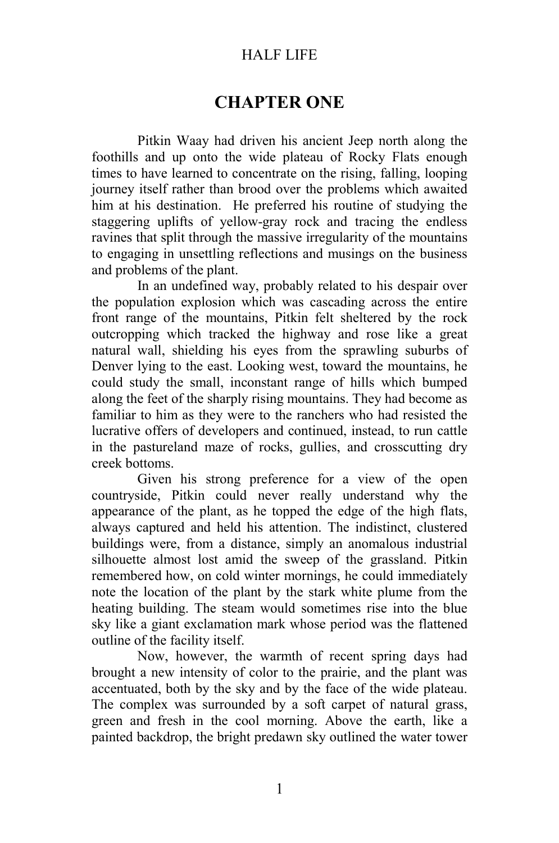# **CHAPTER ONE**

Pitkin Waay had driven his ancient Jeep north along the foothills and up onto the wide plateau of Rocky Flats enough times to have learned to concentrate on the rising, falling, looping journey itself rather than brood over the problems which awaited him at his destination. He preferred his routine of studying the staggering uplifts of yellow-gray rock and tracing the endless ravines that split through the massive irregularity of the mountains to engaging in unsettling reflections and musings on the business and problems of the plant.

In an undefined way, probably related to his despair over the population explosion which was cascading across the entire front range of the mountains, Pitkin felt sheltered by the rock outcropping which tracked the highway and rose like a great natural wall, shielding his eyes from the sprawling suburbs of Denver lying to the east. Looking west, toward the mountains, he could study the small, inconstant range of hills which bumped along the feet of the sharply rising mountains. They had become as familiar to him as they were to the ranchers who had resisted the lucrative offers of developers and continued, instead, to run cattle in the pastureland maze of rocks, gullies, and crosscutting dry creek bottoms.

Given his strong preference for a view of the open countryside, Pitkin could never really understand why the appearance of the plant, as he topped the edge of the high flats, always captured and held his attention. The indistinct, clustered buildings were, from a distance, simply an anomalous industrial silhouette almost lost amid the sweep of the grassland. Pitkin remembered how, on cold winter mornings, he could immediately note the location of the plant by the stark white plume from the heating building. The steam would sometimes rise into the blue sky like a giant exclamation mark whose period was the flattened outline of the facility itself.

Now, however, the warmth of recent spring days had brought a new intensity of color to the prairie, and the plant was accentuated, both by the sky and by the face of the wide plateau. The complex was surrounded by a soft carpet of natural grass, green and fresh in the cool morning. Above the earth, like a painted backdrop, the bright predawn sky outlined the water tower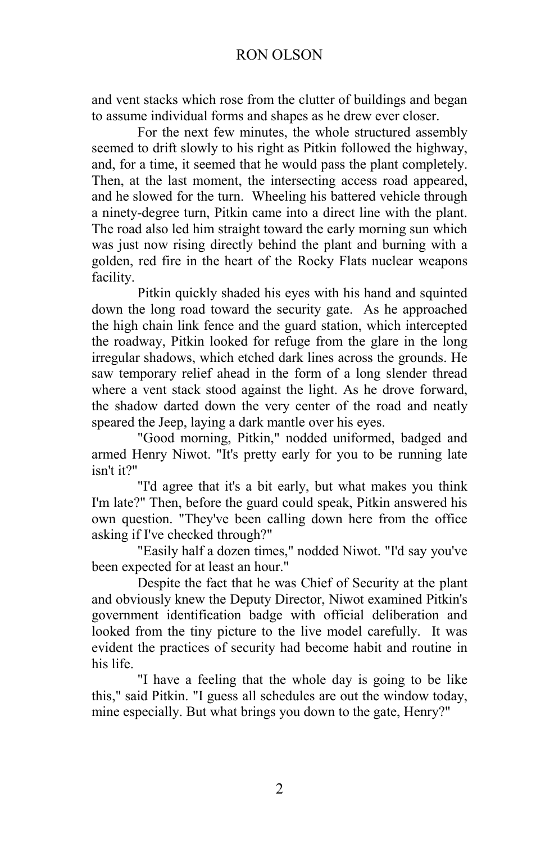and vent stacks which rose from the clutter of buildings and began to assume individual forms and shapes as he drew ever closer.

For the next few minutes, the whole structured assembly seemed to drift slowly to his right as Pitkin followed the highway, and, for a time, it seemed that he would pass the plant completely. Then, at the last moment, the intersecting access road appeared, and he slowed for the turn. Wheeling his battered vehicle through a ninety-degree turn, Pitkin came into a direct line with the plant. The road also led him straight toward the early morning sun which was just now rising directly behind the plant and burning with a golden, red fire in the heart of the Rocky Flats nuclear weapons facility.

Pitkin quickly shaded his eyes with his hand and squinted down the long road toward the security gate. As he approached the high chain link fence and the guard station, which intercepted the roadway, Pitkin looked for refuge from the glare in the long irregular shadows, which etched dark lines across the grounds. He saw temporary relief ahead in the form of a long slender thread where a vent stack stood against the light. As he drove forward, the shadow darted down the very center of the road and neatly speared the Jeep, laying a dark mantle over his eyes.

"Good morning, Pitkin," nodded uniformed, badged and armed Henry Niwot. "It's pretty early for you to be running late isn't it?"

"I'd agree that it's a bit early, but what makes you think I'm late?" Then, before the guard could speak, Pitkin answered his own question. "They've been calling down here from the office asking if I've checked through?"

"Easily half a dozen times," nodded Niwot. "I'd say you've been expected for at least an hour."

Despite the fact that he was Chief of Security at the plant and obviously knew the Deputy Director, Niwot examined Pitkin's government identification badge with official deliberation and looked from the tiny picture to the live model carefully. It was evident the practices of security had become habit and routine in his life.

"I have a feeling that the whole day is going to be like this," said Pitkin. "I guess all schedules are out the window today, mine especially. But what brings you down to the gate, Henry?"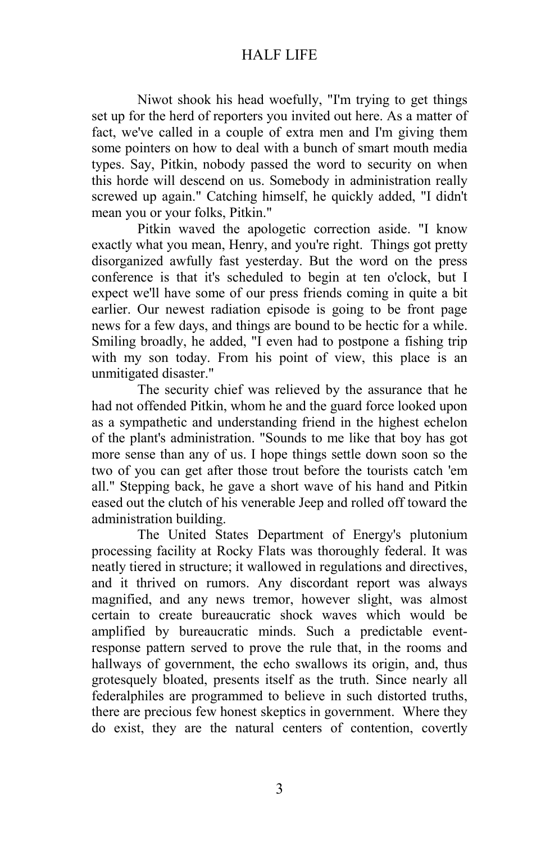Niwot shook his head woefully, "I'm trying to get things set up for the herd of reporters you invited out here. As a matter of fact, we've called in a couple of extra men and I'm giving them some pointers on how to deal with a bunch of smart mouth media types. Say, Pitkin, nobody passed the word to security on when this horde will descend on us. Somebody in administration really screwed up again." Catching himself, he quickly added, "I didn't mean you or your folks, Pitkin."

Pitkin waved the apologetic correction aside. "I know exactly what you mean, Henry, and you're right. Things got pretty disorganized awfully fast yesterday. But the word on the press conference is that it's scheduled to begin at ten o'clock, but I expect we'll have some of our press friends coming in quite a bit earlier. Our newest radiation episode is going to be front page news for a few days, and things are bound to be hectic for a while. Smiling broadly, he added, "I even had to postpone a fishing trip with my son today. From his point of view, this place is an unmitigated disaster."

The security chief was relieved by the assurance that he had not offended Pitkin, whom he and the guard force looked upon as a sympathetic and understanding friend in the highest echelon of the plant's administration. "Sounds to me like that boy has got more sense than any of us. I hope things settle down soon so the two of you can get after those trout before the tourists catch 'em all." Stepping back, he gave a short wave of his hand and Pitkin eased out the clutch of his venerable Jeep and rolled off toward the administration building.

The United States Department of Energy's plutonium processing facility at Rocky Flats was thoroughly federal. It was neatly tiered in structure; it wallowed in regulations and directives, and it thrived on rumors. Any discordant report was always magnified, and any news tremor, however slight, was almost certain to create bureaucratic shock waves which would be amplified by bureaucratic minds. Such a predictable eventresponse pattern served to prove the rule that, in the rooms and hallways of government, the echo swallows its origin, and, thus grotesquely bloated, presents itself as the truth. Since nearly all federalphiles are programmed to believe in such distorted truths, there are precious few honest skeptics in government. Where they do exist, they are the natural centers of contention, covertly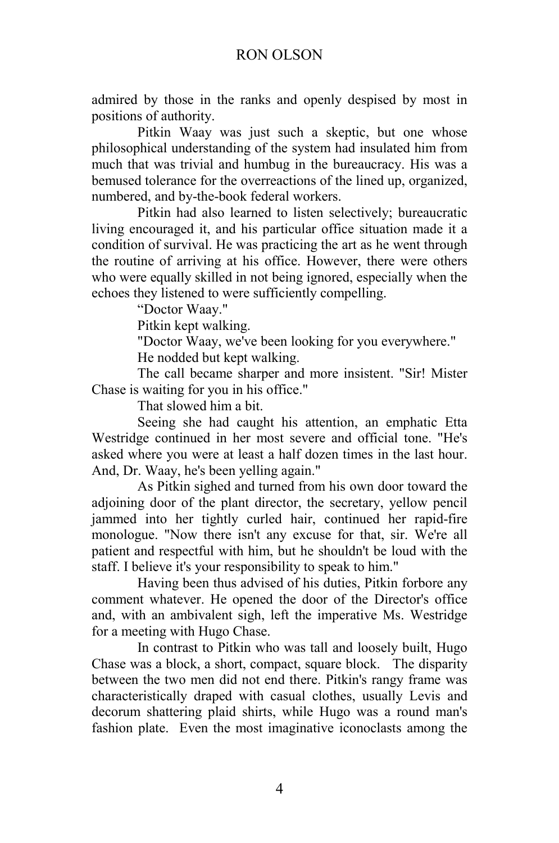admired by those in the ranks and openly despised by most in positions of authority.

Pitkin Waay was just such a skeptic, but one whose philosophical understanding of the system had insulated him from much that was trivial and humbug in the bureaucracy. His was a bemused tolerance for the overreactions of the lined up, organized, numbered, and by-the-book federal workers.

Pitkin had also learned to listen selectively; bureaucratic living encouraged it, and his particular office situation made it a condition of survival. He was practicing the art as he went through the routine of arriving at his office. However, there were others who were equally skilled in not being ignored, especially when the echoes they listened to were sufficiently compelling.

"Doctor Waay."

Pitkin kept walking.

"Doctor Waay, we've been looking for you everywhere."

He nodded but kept walking.

The call became sharper and more insistent. "Sir! Mister Chase is waiting for you in his office."

That slowed him a bit.

Seeing she had caught his attention, an emphatic Etta Westridge continued in her most severe and official tone. "He's asked where you were at least a half dozen times in the last hour. And, Dr. Waay, he's been yelling again."

As Pitkin sighed and turned from his own door toward the adjoining door of the plant director, the secretary, yellow pencil jammed into her tightly curled hair, continued her rapid-fire monologue. "Now there isn't any excuse for that, sir. We're all patient and respectful with him, but he shouldn't be loud with the staff. I believe it's your responsibility to speak to him."

Having been thus advised of his duties, Pitkin forbore any comment whatever. He opened the door of the Director's office and, with an ambivalent sigh, left the imperative Ms. Westridge for a meeting with Hugo Chase.

In contrast to Pitkin who was tall and loosely built, Hugo Chase was a block, a short, compact, square block. The disparity between the two men did not end there. Pitkin's rangy frame was characteristically draped with casual clothes, usually Levis and decorum shattering plaid shirts, while Hugo was a round man's fashion plate. Even the most imaginative iconoclasts among the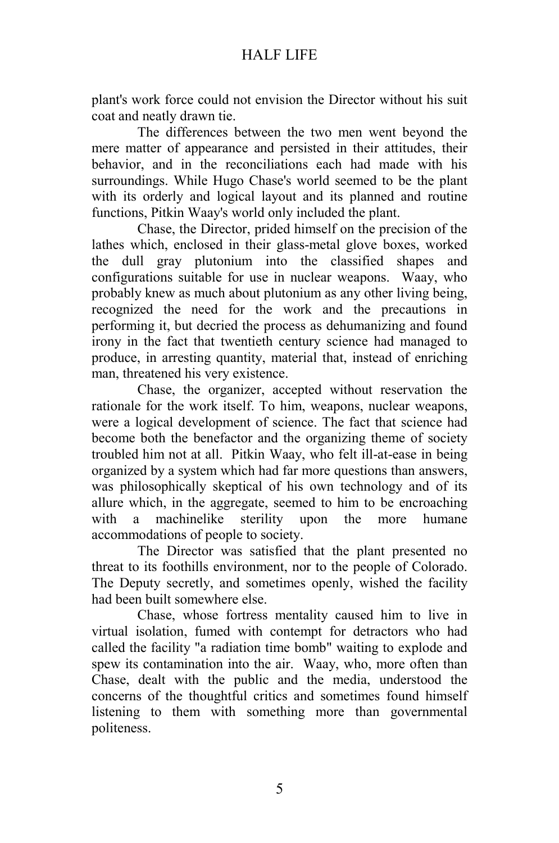plant's work force could not envision the Director without his suit coat and neatly drawn tie.

The differences between the two men went beyond the mere matter of appearance and persisted in their attitudes, their behavior, and in the reconciliations each had made with his surroundings. While Hugo Chase's world seemed to be the plant with its orderly and logical layout and its planned and routine functions, Pitkin Waay's world only included the plant.

Chase, the Director, prided himself on the precision of the lathes which, enclosed in their glass-metal glove boxes, worked the dull gray plutonium into the classified shapes and configurations suitable for use in nuclear weapons. Waay, who probably knew as much about plutonium as any other living being, recognized the need for the work and the precautions in performing it, but decried the process as dehumanizing and found irony in the fact that twentieth century science had managed to produce, in arresting quantity, material that, instead of enriching man, threatened his very existence.

Chase, the organizer, accepted without reservation the rationale for the work itself. To him, weapons, nuclear weapons, were a logical development of science. The fact that science had become both the benefactor and the organizing theme of society troubled him not at all. Pitkin Waay, who felt ill-at-ease in being organized by a system which had far more questions than answers, was philosophically skeptical of his own technology and of its allure which, in the aggregate, seemed to him to be encroaching with a machinelike sterility upon the more humane accommodations of people to society.

The Director was satisfied that the plant presented no threat to its foothills environment, nor to the people of Colorado. The Deputy secretly, and sometimes openly, wished the facility had been built somewhere else.

Chase, whose fortress mentality caused him to live in virtual isolation, fumed with contempt for detractors who had called the facility "a radiation time bomb" waiting to explode and spew its contamination into the air. Waay, who, more often than Chase, dealt with the public and the media, understood the concerns of the thoughtful critics and sometimes found himself listening to them with something more than governmental politeness.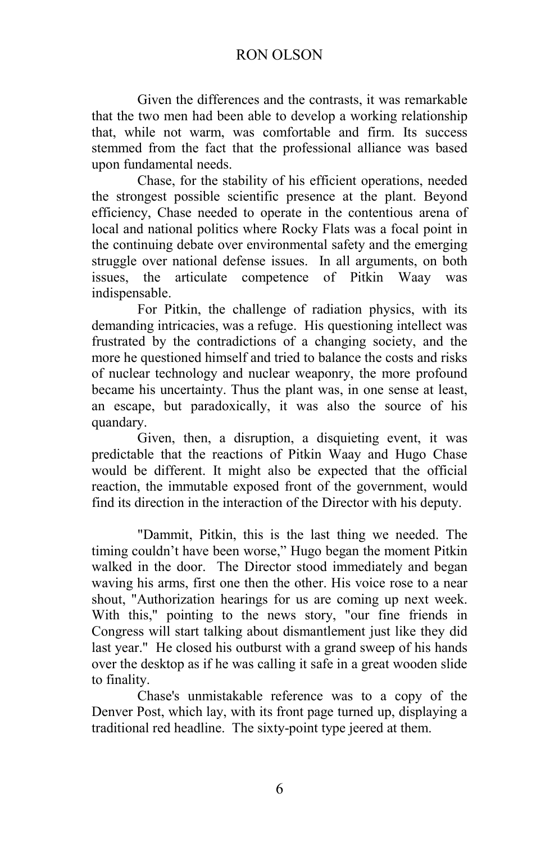Given the differences and the contrasts, it was remarkable that the two men had been able to develop a working relationship that, while not warm, was comfortable and firm. Its success stemmed from the fact that the professional alliance was based upon fundamental needs.

Chase, for the stability of his efficient operations, needed the strongest possible scientific presence at the plant. Beyond efficiency, Chase needed to operate in the contentious arena of local and national politics where Rocky Flats was a focal point in the continuing debate over environmental safety and the emerging struggle over national defense issues. In all arguments, on both issues, the articulate competence of Pitkin Waay was indispensable.

For Pitkin, the challenge of radiation physics, with its demanding intricacies, was a refuge. His questioning intellect was frustrated by the contradictions of a changing society, and the more he questioned himself and tried to balance the costs and risks of nuclear technology and nuclear weaponry, the more profound became his uncertainty. Thus the plant was, in one sense at least, an escape, but paradoxically, it was also the source of his quandary.

Given, then, a disruption, a disquieting event, it was predictable that the reactions of Pitkin Waay and Hugo Chase would be different. It might also be expected that the official reaction, the immutable exposed front of the government, would find its direction in the interaction of the Director with his deputy.

"Dammit, Pitkin, this is the last thing we needed. The timing couldn't have been worse," Hugo began the moment Pitkin walked in the door. The Director stood immediately and began waving his arms, first one then the other. His voice rose to a near shout, "Authorization hearings for us are coming up next week. With this," pointing to the news story, "our fine friends in Congress will start talking about dismantlement just like they did last year." He closed his outburst with a grand sweep of his hands over the desktop as if he was calling it safe in a great wooden slide to finality.

Chase's unmistakable reference was to a copy of the Denver Post, which lay, with its front page turned up, displaying a traditional red headline. The sixty-point type jeered at them.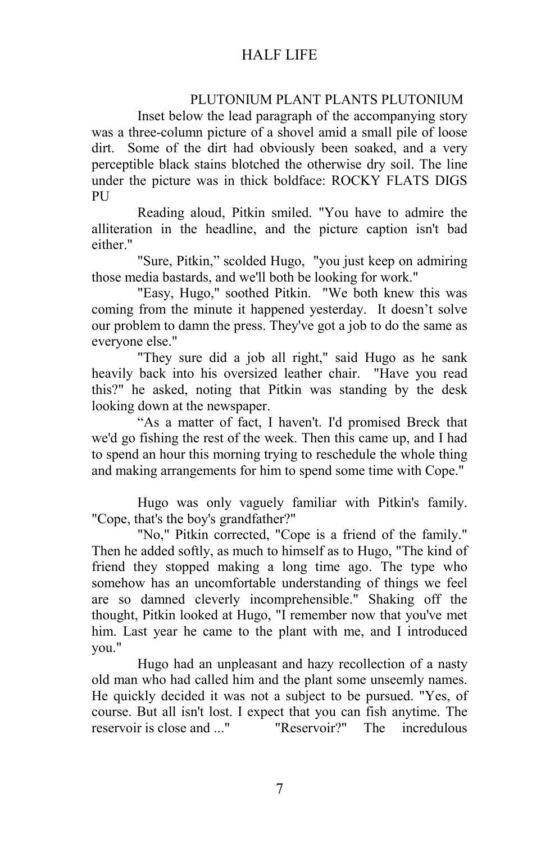#### PLUTONIUM PLANT PLANTS PLUTONIUM

Inset below the lead paragraph of the accompanying story was a three-column picture of a shovel amid a small pile of loose dirt. Some of the dirt had obviously been soaked, and a very perceptible black stains blotched the otherwise dry soil. The line under the picture was in thick boldface: ROCKY FLATS DIGS PU

Reading aloud, Pitkin smiled. "You have to admire the alliteration in the headline, and the picture caption isn't bad either."

"Sure, Pitkin," scolded Hugo, "you just keep on admiring those media bastards, and we'll both be looking for work."

"Easy, Hugo," soothed Pitkin. "We both knew this was coming from the minute it happened yesterday. It doesn't solve our problem to damn the press. They've got a job to do the same as everyone else."

"They sure did a job all right," said Hugo as he sank heavily back into his oversized leather chair. "Have you read this?" he asked, noting that Pitkin was standing by the desk looking down at the newspaper.

"As a matter of fact, I haven't. I'd promised Breck that we'd go fishing the rest of the week. Then this came up, and I had to spend an hour this morning trying to reschedule the whole thing and making arrangements for him to spend some time with Cope."

Hugo was only vaguely familiar with Pitkin's family. "Cope, that's the boy's grandfather?"

"No," Pitkin corrected, "Cope is a friend of the family." Then he added softly, as much to himself as to Hugo, "The kind of friend they stopped making a long time ago. The type who somehow has an uncomfortable understanding of things we feel are so damned cleverly incomprehensible." Shaking off the thought, Pitkin looked at Hugo, "I remember now that you've met him. Last year he came to the plant with me, and I introduced you."

Hugo had an unpleasant and hazy recollection of a nasty old man who had called him and the plant some unseemly names. He quickly decided it was not a subject to be pursued. "Yes, of course. But all isn't lost. I expect that you can fish anytime. The reservoir is close and "Reservoir?" The incredulous reservoir is close and ..." "Reservoir?" The incredulous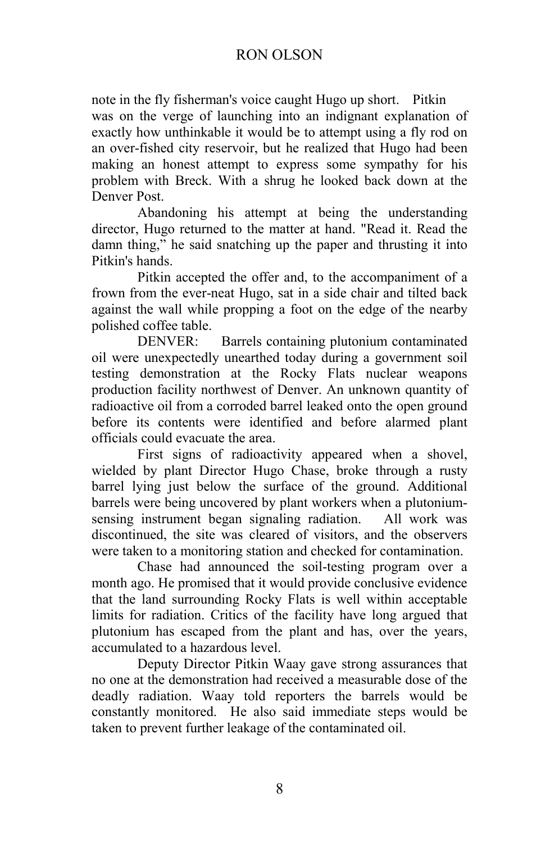note in the fly fisherman's voice caught Hugo up short. Pitkin was on the verge of launching into an indignant explanation of exactly how unthinkable it would be to attempt using a fly rod on an over-fished city reservoir, but he realized that Hugo had been making an honest attempt to express some sympathy for his problem with Breck. With a shrug he looked back down at the Denver Post.

Abandoning his attempt at being the understanding director, Hugo returned to the matter at hand. "Read it. Read the damn thing," he said snatching up the paper and thrusting it into Pitkin's hands.

Pitkin accepted the offer and, to the accompaniment of a frown from the ever-neat Hugo, sat in a side chair and tilted back against the wall while propping a foot on the edge of the nearby polished coffee table.

DENVER: Barrels containing plutonium contaminated oil were unexpectedly unearthed today during a government soil testing demonstration at the Rocky Flats nuclear weapons production facility northwest of Denver. An unknown quantity of radioactive oil from a corroded barrel leaked onto the open ground before its contents were identified and before alarmed plant officials could evacuate the area.

First signs of radioactivity appeared when a shovel, wielded by plant Director Hugo Chase, broke through a rusty barrel lying just below the surface of the ground. Additional barrels were being uncovered by plant workers when a plutoniumsensing instrument began signaling radiation. All work was discontinued, the site was cleared of visitors, and the observers were taken to a monitoring station and checked for contamination.

Chase had announced the soil-testing program over a month ago. He promised that it would provide conclusive evidence that the land surrounding Rocky Flats is well within acceptable limits for radiation. Critics of the facility have long argued that plutonium has escaped from the plant and has, over the years, accumulated to a hazardous level.

Deputy Director Pitkin Waay gave strong assurances that no one at the demonstration had received a measurable dose of the deadly radiation. Waay told reporters the barrels would be constantly monitored. He also said immediate steps would be taken to prevent further leakage of the contaminated oil.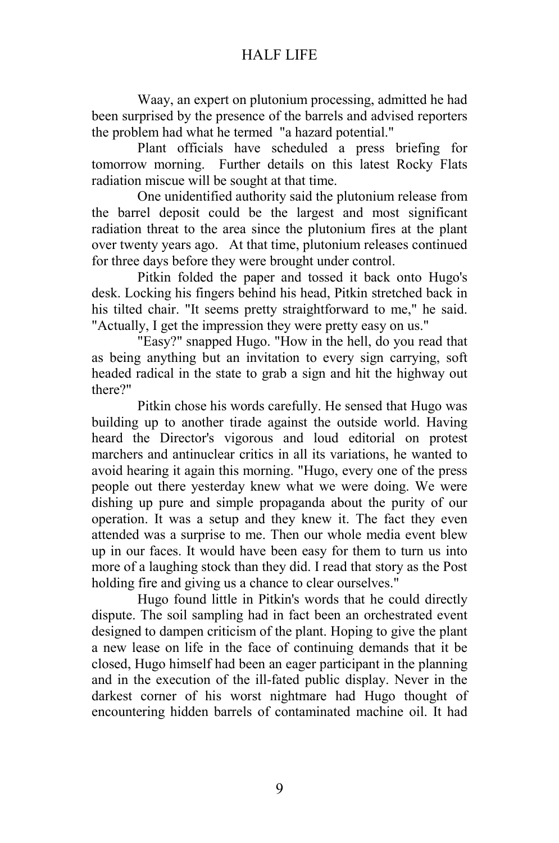Waay, an expert on plutonium processing, admitted he had been surprised by the presence of the barrels and advised reporters the problem had what he termed "a hazard potential."

Plant officials have scheduled a press briefing for tomorrow morning. Further details on this latest Rocky Flats radiation miscue will be sought at that time.

One unidentified authority said the plutonium release from the barrel deposit could be the largest and most significant radiation threat to the area since the plutonium fires at the plant over twenty years ago. At that time, plutonium releases continued for three days before they were brought under control.

Pitkin folded the paper and tossed it back onto Hugo's desk. Locking his fingers behind his head, Pitkin stretched back in his tilted chair. "It seems pretty straightforward to me," he said. "Actually, I get the impression they were pretty easy on us."

"Easy?" snapped Hugo. "How in the hell, do you read that as being anything but an invitation to every sign carrying, soft headed radical in the state to grab a sign and hit the highway out there?"

Pitkin chose his words carefully. He sensed that Hugo was building up to another tirade against the outside world. Having heard the Director's vigorous and loud editorial on protest marchers and antinuclear critics in all its variations, he wanted to avoid hearing it again this morning. "Hugo, every one of the press people out there yesterday knew what we were doing. We were dishing up pure and simple propaganda about the purity of our operation. It was a setup and they knew it. The fact they even attended was a surprise to me. Then our whole media event blew up in our faces. It would have been easy for them to turn us into more of a laughing stock than they did. I read that story as the Post holding fire and giving us a chance to clear ourselves."

Hugo found little in Pitkin's words that he could directly dispute. The soil sampling had in fact been an orchestrated event designed to dampen criticism of the plant. Hoping to give the plant a new lease on life in the face of continuing demands that it be closed, Hugo himself had been an eager participant in the planning and in the execution of the ill-fated public display. Never in the darkest corner of his worst nightmare had Hugo thought of encountering hidden barrels of contaminated machine oil. It had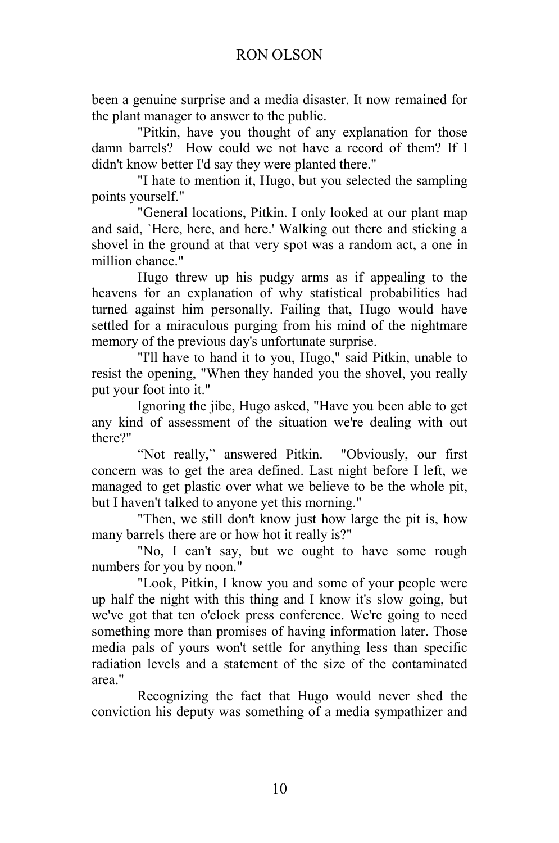been a genuine surprise and a media disaster. It now remained for the plant manager to answer to the public.

"Pitkin, have you thought of any explanation for those damn barrels? How could we not have a record of them? If I didn't know better I'd say they were planted there."

"I hate to mention it, Hugo, but you selected the sampling points yourself."

"General locations, Pitkin. I only looked at our plant map and said, `Here, here, and here.' Walking out there and sticking a shovel in the ground at that very spot was a random act, a one in million chance."

Hugo threw up his pudgy arms as if appealing to the heavens for an explanation of why statistical probabilities had turned against him personally. Failing that, Hugo would have settled for a miraculous purging from his mind of the nightmare memory of the previous day's unfortunate surprise.

"I'll have to hand it to you, Hugo," said Pitkin, unable to resist the opening, "When they handed you the shovel, you really put your foot into it."

Ignoring the jibe, Hugo asked, "Have you been able to get any kind of assessment of the situation we're dealing with out there?"

"Not really," answered Pitkin. "Obviously, our first concern was to get the area defined. Last night before I left, we managed to get plastic over what we believe to be the whole pit, but I haven't talked to anyone yet this morning."

"Then, we still don't know just how large the pit is, how many barrels there are or how hot it really is?"

"No, I can't say, but we ought to have some rough numbers for you by noon."

"Look, Pitkin, I know you and some of your people were up half the night with this thing and I know it's slow going, but we've got that ten o'clock press conference. We're going to need something more than promises of having information later. Those media pals of yours won't settle for anything less than specific radiation levels and a statement of the size of the contaminated area."

Recognizing the fact that Hugo would never shed the conviction his deputy was something of a media sympathizer and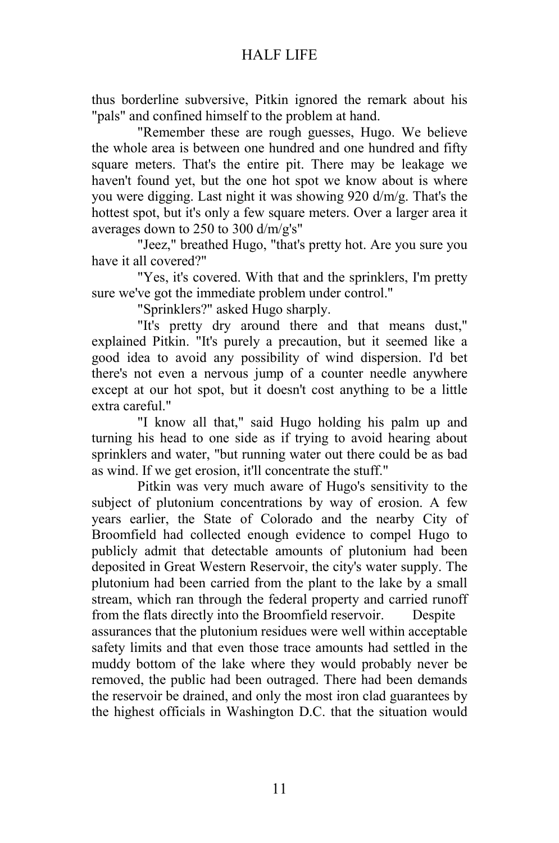thus borderline subversive, Pitkin ignored the remark about his "pals" and confined himself to the problem at hand.

"Remember these are rough guesses, Hugo. We believe the whole area is between one hundred and one hundred and fifty square meters. That's the entire pit. There may be leakage we haven't found yet, but the one hot spot we know about is where you were digging. Last night it was showing 920 d/m/g. That's the hottest spot, but it's only a few square meters. Over a larger area it averages down to 250 to 300 d/m/g's"

"Jeez," breathed Hugo, "that's pretty hot. Are you sure you have it all covered?"

"Yes, it's covered. With that and the sprinklers, I'm pretty sure we've got the immediate problem under control."

"Sprinklers?" asked Hugo sharply.

"It's pretty dry around there and that means dust," explained Pitkin. "It's purely a precaution, but it seemed like a good idea to avoid any possibility of wind dispersion. I'd bet there's not even a nervous jump of a counter needle anywhere except at our hot spot, but it doesn't cost anything to be a little extra careful."

"I know all that," said Hugo holding his palm up and turning his head to one side as if trying to avoid hearing about sprinklers and water, "but running water out there could be as bad as wind. If we get erosion, it'll concentrate the stuff."

Pitkin was very much aware of Hugo's sensitivity to the subject of plutonium concentrations by way of erosion. A few years earlier, the State of Colorado and the nearby City of Broomfield had collected enough evidence to compel Hugo to publicly admit that detectable amounts of plutonium had been deposited in Great Western Reservoir, the city's water supply. The plutonium had been carried from the plant to the lake by a small stream, which ran through the federal property and carried runoff from the flats directly into the Broomfield reservoir. Despite assurances that the plutonium residues were well within acceptable safety limits and that even those trace amounts had settled in the muddy bottom of the lake where they would probably never be removed, the public had been outraged. There had been demands the reservoir be drained, and only the most iron clad guarantees by the highest officials in Washington D.C. that the situation would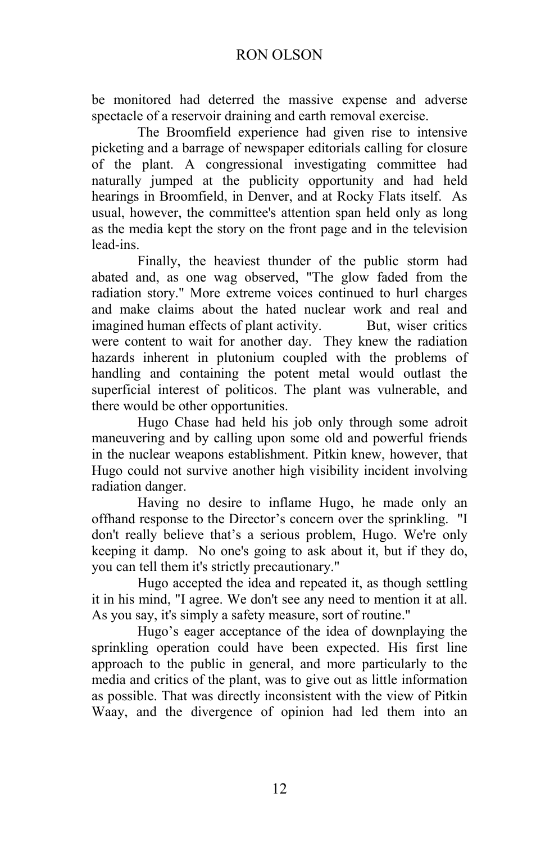be monitored had deterred the massive expense and adverse spectacle of a reservoir draining and earth removal exercise.

The Broomfield experience had given rise to intensive picketing and a barrage of newspaper editorials calling for closure of the plant. A congressional investigating committee had naturally jumped at the publicity opportunity and had held hearings in Broomfield, in Denver, and at Rocky Flats itself. As usual, however, the committee's attention span held only as long as the media kept the story on the front page and in the television lead-ins.

Finally, the heaviest thunder of the public storm had abated and, as one wag observed, "The glow faded from the radiation story." More extreme voices continued to hurl charges and make claims about the hated nuclear work and real and imagined human effects of plant activity. But, wiser critics were content to wait for another day. They knew the radiation hazards inherent in plutonium coupled with the problems of handling and containing the potent metal would outlast the superficial interest of politicos. The plant was vulnerable, and there would be other opportunities.

Hugo Chase had held his job only through some adroit maneuvering and by calling upon some old and powerful friends in the nuclear weapons establishment. Pitkin knew, however, that Hugo could not survive another high visibility incident involving radiation danger.

Having no desire to inflame Hugo, he made only an offhand response to the Director's concern over the sprinkling. "I don't really believe that's a serious problem, Hugo. We're only keeping it damp. No one's going to ask about it, but if they do, you can tell them it's strictly precautionary."

Hugo accepted the idea and repeated it, as though settling it in his mind, "I agree. We don't see any need to mention it at all. As you say, it's simply a safety measure, sort of routine."

Hugo's eager acceptance of the idea of downplaying the sprinkling operation could have been expected. His first line approach to the public in general, and more particularly to the media and critics of the plant, was to give out as little information as possible. That was directly inconsistent with the view of Pitkin Waay, and the divergence of opinion had led them into an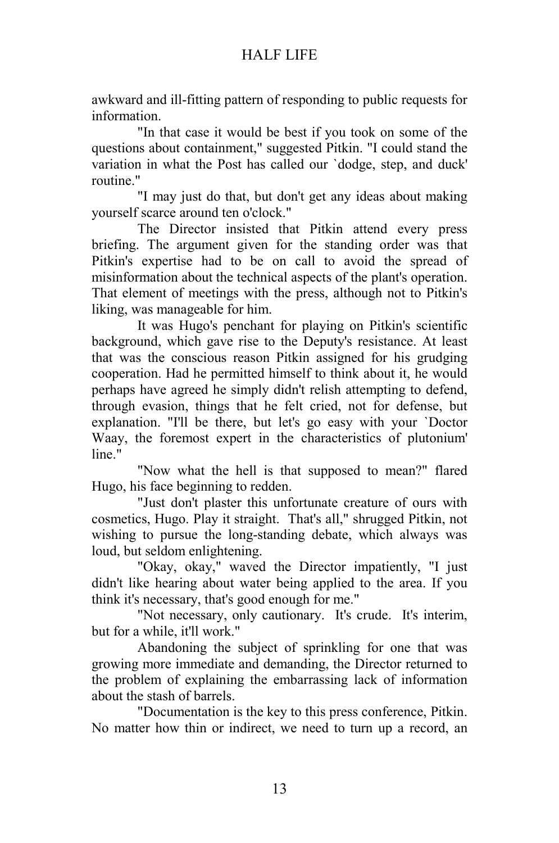awkward and ill-fitting pattern of responding to public requests for information.

"In that case it would be best if you took on some of the questions about containment," suggested Pitkin. "I could stand the variation in what the Post has called our `dodge, step, and duck' routine."

"I may just do that, but don't get any ideas about making yourself scarce around ten o'clock."

The Director insisted that Pitkin attend every press briefing. The argument given for the standing order was that Pitkin's expertise had to be on call to avoid the spread of misinformation about the technical aspects of the plant's operation. That element of meetings with the press, although not to Pitkin's liking, was manageable for him.

It was Hugo's penchant for playing on Pitkin's scientific background, which gave rise to the Deputy's resistance. At least that was the conscious reason Pitkin assigned for his grudging cooperation. Had he permitted himself to think about it, he would perhaps have agreed he simply didn't relish attempting to defend, through evasion, things that he felt cried, not for defense, but explanation. "I'll be there, but let's go easy with your `Doctor Waay, the foremost expert in the characteristics of plutonium' line."

"Now what the hell is that supposed to mean?" flared Hugo, his face beginning to redden.

"Just don't plaster this unfortunate creature of ours with cosmetics, Hugo. Play it straight. That's all," shrugged Pitkin, not wishing to pursue the long-standing debate, which always was loud, but seldom enlightening.

"Okay, okay," waved the Director impatiently, "I just didn't like hearing about water being applied to the area. If you think it's necessary, that's good enough for me."

"Not necessary, only cautionary. It's crude. It's interim, but for a while, it'll work."

Abandoning the subject of sprinkling for one that was growing more immediate and demanding, the Director returned to the problem of explaining the embarrassing lack of information about the stash of barrels.

"Documentation is the key to this press conference, Pitkin. No matter how thin or indirect, we need to turn up a record, an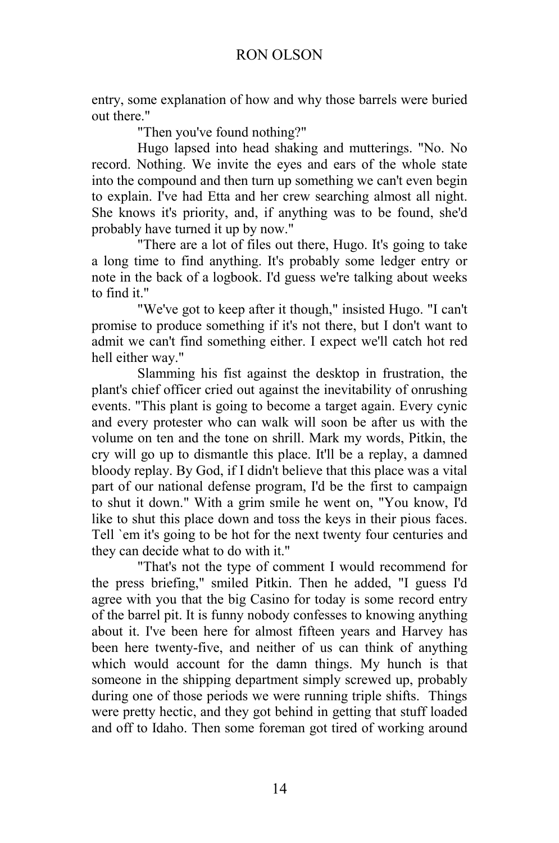entry, some explanation of how and why those barrels were buried out there."

"Then you've found nothing?"

Hugo lapsed into head shaking and mutterings. "No. No record. Nothing. We invite the eyes and ears of the whole state into the compound and then turn up something we can't even begin to explain. I've had Etta and her crew searching almost all night. She knows it's priority, and, if anything was to be found, she'd probably have turned it up by now."

"There are a lot of files out there, Hugo. It's going to take a long time to find anything. It's probably some ledger entry or note in the back of a logbook. I'd guess we're talking about weeks to find it."

"We've got to keep after it though," insisted Hugo. "I can't promise to produce something if it's not there, but I don't want to admit we can't find something either. I expect we'll catch hot red hell either way."

Slamming his fist against the desktop in frustration, the plant's chief officer cried out against the inevitability of onrushing events. "This plant is going to become a target again. Every cynic and every protester who can walk will soon be after us with the volume on ten and the tone on shrill. Mark my words, Pitkin, the cry will go up to dismantle this place. It'll be a replay, a damned bloody replay. By God, if I didn't believe that this place was a vital part of our national defense program, I'd be the first to campaign to shut it down." With a grim smile he went on, "You know, I'd like to shut this place down and toss the keys in their pious faces. Tell `em it's going to be hot for the next twenty four centuries and they can decide what to do with it."

"That's not the type of comment I would recommend for the press briefing," smiled Pitkin. Then he added, "I guess I'd agree with you that the big Casino for today is some record entry of the barrel pit. It is funny nobody confesses to knowing anything about it. I've been here for almost fifteen years and Harvey has been here twenty-five, and neither of us can think of anything which would account for the damn things. My hunch is that someone in the shipping department simply screwed up, probably during one of those periods we were running triple shifts. Things were pretty hectic, and they got behind in getting that stuff loaded and off to Idaho. Then some foreman got tired of working around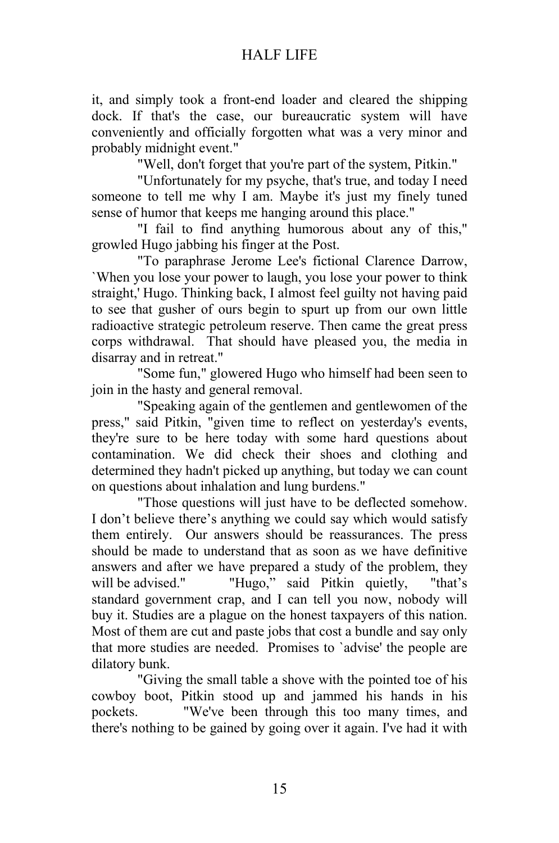it, and simply took a front-end loader and cleared the shipping dock. If that's the case, our bureaucratic system will have conveniently and officially forgotten what was a very minor and probably midnight event."

"Well, don't forget that you're part of the system, Pitkin."

"Unfortunately for my psyche, that's true, and today I need someone to tell me why I am. Maybe it's just my finely tuned sense of humor that keeps me hanging around this place."

"I fail to find anything humorous about any of this," growled Hugo jabbing his finger at the Post.

"To paraphrase Jerome Lee's fictional Clarence Darrow, `When you lose your power to laugh, you lose your power to think straight,' Hugo. Thinking back, I almost feel guilty not having paid to see that gusher of ours begin to spurt up from our own little radioactive strategic petroleum reserve. Then came the great press corps withdrawal. That should have pleased you, the media in disarray and in retreat."

"Some fun," glowered Hugo who himself had been seen to join in the hasty and general removal.

"Speaking again of the gentlemen and gentlewomen of the press," said Pitkin, "given time to reflect on yesterday's events, they're sure to be here today with some hard questions about contamination. We did check their shoes and clothing and determined they hadn't picked up anything, but today we can count on questions about inhalation and lung burdens."

"Those questions will just have to be deflected somehow. I don't believe there's anything we could say which would satisfy them entirely. Our answers should be reassurances. The press should be made to understand that as soon as we have definitive answers and after we have prepared a study of the problem, they will be advised." "Hugo," said Pitkin quietly, "that's standard government crap, and I can tell you now, nobody will buy it. Studies are a plague on the honest taxpayers of this nation. Most of them are cut and paste jobs that cost a bundle and say only that more studies are needed. Promises to `advise' the people are dilatory bunk.

"Giving the small table a shove with the pointed toe of his cowboy boot, Pitkin stood up and jammed his hands in his pockets. "We've been through this too many times, and there's nothing to be gained by going over it again. I've had it with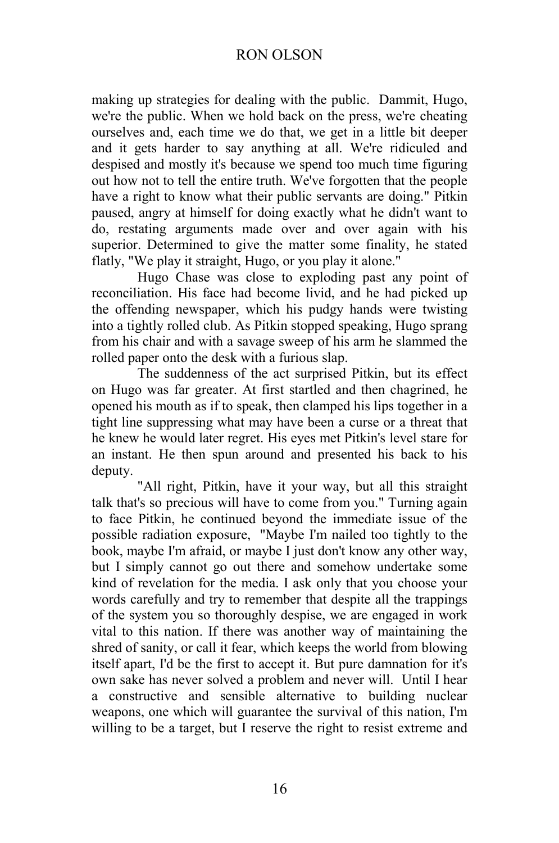making up strategies for dealing with the public. Dammit, Hugo, we're the public. When we hold back on the press, we're cheating ourselves and, each time we do that, we get in a little bit deeper and it gets harder to say anything at all. We're ridiculed and despised and mostly it's because we spend too much time figuring out how not to tell the entire truth. We've forgotten that the people have a right to know what their public servants are doing." Pitkin paused, angry at himself for doing exactly what he didn't want to do, restating arguments made over and over again with his superior. Determined to give the matter some finality, he stated flatly, "We play it straight, Hugo, or you play it alone."

Hugo Chase was close to exploding past any point of reconciliation. His face had become livid, and he had picked up the offending newspaper, which his pudgy hands were twisting into a tightly rolled club. As Pitkin stopped speaking, Hugo sprang from his chair and with a savage sweep of his arm he slammed the rolled paper onto the desk with a furious slap.

The suddenness of the act surprised Pitkin, but its effect on Hugo was far greater. At first startled and then chagrined, he opened his mouth as if to speak, then clamped his lips together in a tight line suppressing what may have been a curse or a threat that he knew he would later regret. His eyes met Pitkin's level stare for an instant. He then spun around and presented his back to his deputy.

"All right, Pitkin, have it your way, but all this straight talk that's so precious will have to come from you." Turning again to face Pitkin, he continued beyond the immediate issue of the possible radiation exposure, "Maybe I'm nailed too tightly to the book, maybe I'm afraid, or maybe I just don't know any other way, but I simply cannot go out there and somehow undertake some kind of revelation for the media. I ask only that you choose your words carefully and try to remember that despite all the trappings of the system you so thoroughly despise, we are engaged in work vital to this nation. If there was another way of maintaining the shred of sanity, or call it fear, which keeps the world from blowing itself apart, I'd be the first to accept it. But pure damnation for it's own sake has never solved a problem and never will. Until I hear a constructive and sensible alternative to building nuclear weapons, one which will guarantee the survival of this nation, I'm willing to be a target, but I reserve the right to resist extreme and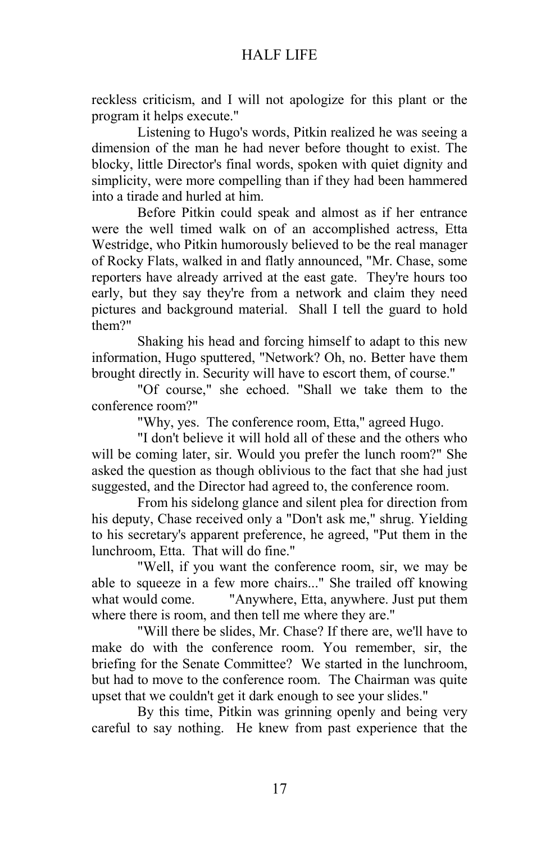reckless criticism, and I will not apologize for this plant or the program it helps execute."

Listening to Hugo's words, Pitkin realized he was seeing a dimension of the man he had never before thought to exist. The blocky, little Director's final words, spoken with quiet dignity and simplicity, were more compelling than if they had been hammered into a tirade and hurled at him.

Before Pitkin could speak and almost as if her entrance were the well timed walk on of an accomplished actress, Etta Westridge, who Pitkin humorously believed to be the real manager of Rocky Flats, walked in and flatly announced, "Mr. Chase, some reporters have already arrived at the east gate. They're hours too early, but they say they're from a network and claim they need pictures and background material. Shall I tell the guard to hold them?"

Shaking his head and forcing himself to adapt to this new information, Hugo sputtered, "Network? Oh, no. Better have them brought directly in. Security will have to escort them, of course."

"Of course," she echoed. "Shall we take them to the conference room?"

"Why, yes. The conference room, Etta," agreed Hugo.

"I don't believe it will hold all of these and the others who will be coming later, sir. Would you prefer the lunch room?" She asked the question as though oblivious to the fact that she had just suggested, and the Director had agreed to, the conference room.

From his sidelong glance and silent plea for direction from his deputy, Chase received only a "Don't ask me," shrug. Yielding to his secretary's apparent preference, he agreed, "Put them in the lunchroom, Etta. That will do fine."

"Well, if you want the conference room, sir, we may be able to squeeze in a few more chairs..." She trailed off knowing what would come. "Anywhere, Etta, anywhere. Just put them where there is room, and then tell me where they are."

"Will there be slides, Mr. Chase? If there are, we'll have to make do with the conference room. You remember, sir, the briefing for the Senate Committee? We started in the lunchroom, but had to move to the conference room. The Chairman was quite upset that we couldn't get it dark enough to see your slides."

By this time, Pitkin was grinning openly and being very careful to say nothing. He knew from past experience that the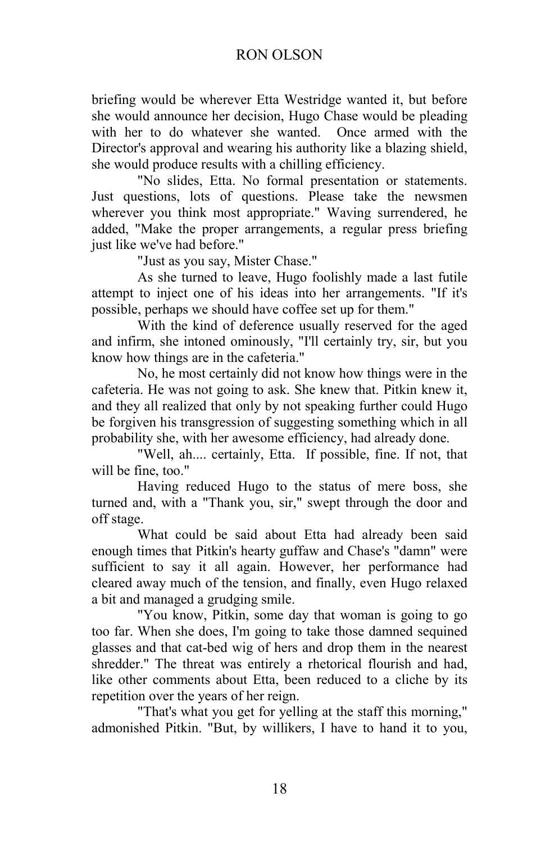briefing would be wherever Etta Westridge wanted it, but before she would announce her decision, Hugo Chase would be pleading with her to do whatever she wanted. Once armed with the Director's approval and wearing his authority like a blazing shield, she would produce results with a chilling efficiency.

"No slides, Etta. No formal presentation or statements. Just questions, lots of questions. Please take the newsmen wherever you think most appropriate." Waving surrendered, he added, "Make the proper arrangements, a regular press briefing just like we've had before."

"Just as you say, Mister Chase."

As she turned to leave, Hugo foolishly made a last futile attempt to inject one of his ideas into her arrangements. "If it's possible, perhaps we should have coffee set up for them."

With the kind of deference usually reserved for the aged and infirm, she intoned ominously, "I'll certainly try, sir, but you know how things are in the cafeteria."

No, he most certainly did not know how things were in the cafeteria. He was not going to ask. She knew that. Pitkin knew it, and they all realized that only by not speaking further could Hugo be forgiven his transgression of suggesting something which in all probability she, with her awesome efficiency, had already done.

"Well, ah.... certainly, Etta. If possible, fine. If not, that will be fine, too."

Having reduced Hugo to the status of mere boss, she turned and, with a "Thank you, sir," swept through the door and off stage.

What could be said about Etta had already been said enough times that Pitkin's hearty guffaw and Chase's "damn" were sufficient to say it all again. However, her performance had cleared away much of the tension, and finally, even Hugo relaxed a bit and managed a grudging smile.

"You know, Pitkin, some day that woman is going to go too far. When she does, I'm going to take those damned sequined glasses and that cat-bed wig of hers and drop them in the nearest shredder." The threat was entirely a rhetorical flourish and had, like other comments about Etta, been reduced to a cliche by its repetition over the years of her reign.

"That's what you get for yelling at the staff this morning," admonished Pitkin. "But, by willikers, I have to hand it to you,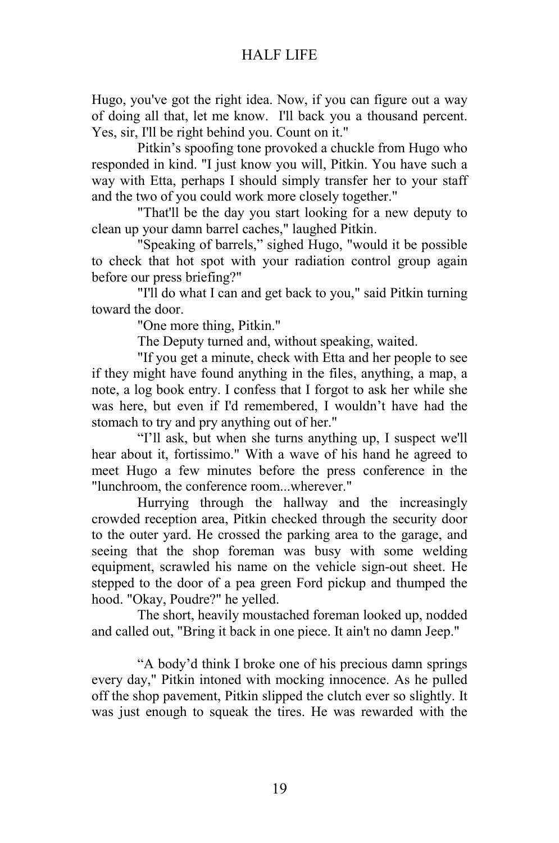Hugo, you've got the right idea. Now, if you can figure out a way of doing all that, let me know. I'll back you a thousand percent. Yes, sir, I'll be right behind you. Count on it."

Pitkin's spoofing tone provoked a chuckle from Hugo who responded in kind. "I just know you will, Pitkin. You have such a way with Etta, perhaps I should simply transfer her to your staff and the two of you could work more closely together."

"That'll be the day you start looking for a new deputy to clean up your damn barrel caches," laughed Pitkin.

"Speaking of barrels," sighed Hugo, "would it be possible to check that hot spot with your radiation control group again before our press briefing?"

"I'll do what I can and get back to you," said Pitkin turning toward the door.

"One more thing, Pitkin."

The Deputy turned and, without speaking, waited.

"If you get a minute, check with Etta and her people to see if they might have found anything in the files, anything, a map, a note, a log book entry. I confess that I forgot to ask her while she was here, but even if I'd remembered, I wouldn't have had the stomach to try and pry anything out of her."

"I'll ask, but when she turns anything up, I suspect we'll hear about it, fortissimo." With a wave of his hand he agreed to meet Hugo a few minutes before the press conference in the "lunchroom, the conference room...wherever."

Hurrying through the hallway and the increasingly crowded reception area, Pitkin checked through the security door to the outer yard. He crossed the parking area to the garage, and seeing that the shop foreman was busy with some welding equipment, scrawled his name on the vehicle sign-out sheet. He stepped to the door of a pea green Ford pickup and thumped the hood. "Okay, Poudre?" he yelled.

The short, heavily moustached foreman looked up, nodded and called out, "Bring it back in one piece. It ain't no damn Jeep."

"A body'd think I broke one of his precious damn springs every day," Pitkin intoned with mocking innocence. As he pulled off the shop pavement, Pitkin slipped the clutch ever so slightly. It was just enough to squeak the tires. He was rewarded with the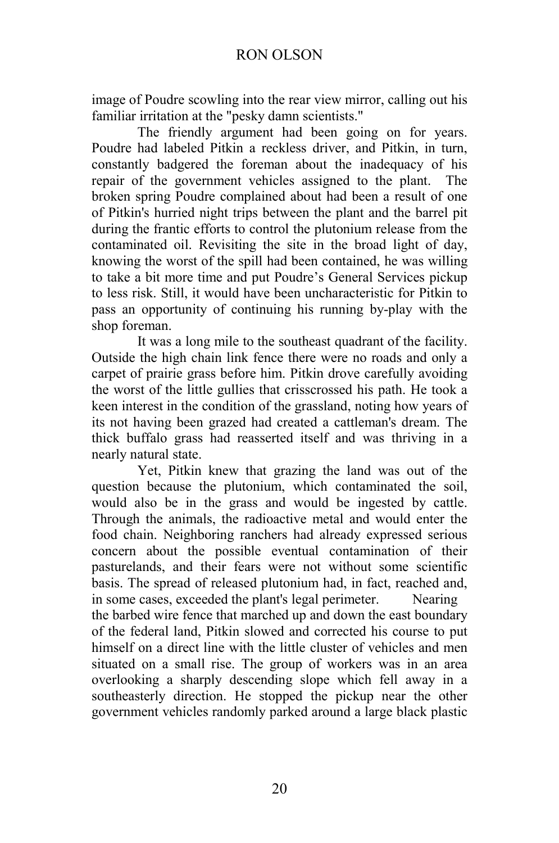image of Poudre scowling into the rear view mirror, calling out his familiar irritation at the "pesky damn scientists."

The friendly argument had been going on for years. Poudre had labeled Pitkin a reckless driver, and Pitkin, in turn, constantly badgered the foreman about the inadequacy of his repair of the government vehicles assigned to the plant. The broken spring Poudre complained about had been a result of one of Pitkin's hurried night trips between the plant and the barrel pit during the frantic efforts to control the plutonium release from the contaminated oil. Revisiting the site in the broad light of day, knowing the worst of the spill had been contained, he was willing to take a bit more time and put Poudre's General Services pickup to less risk. Still, it would have been uncharacteristic for Pitkin to pass an opportunity of continuing his running by-play with the shop foreman.

It was a long mile to the southeast quadrant of the facility. Outside the high chain link fence there were no roads and only a carpet of prairie grass before him. Pitkin drove carefully avoiding the worst of the little gullies that crisscrossed his path. He took a keen interest in the condition of the grassland, noting how years of its not having been grazed had created a cattleman's dream. The thick buffalo grass had reasserted itself and was thriving in a nearly natural state.

Yet, Pitkin knew that grazing the land was out of the question because the plutonium, which contaminated the soil, would also be in the grass and would be ingested by cattle. Through the animals, the radioactive metal and would enter the food chain. Neighboring ranchers had already expressed serious concern about the possible eventual contamination of their pasturelands, and their fears were not without some scientific basis. The spread of released plutonium had, in fact, reached and, in some cases, exceeded the plant's legal perimeter. Nearing the barbed wire fence that marched up and down the east boundary of the federal land, Pitkin slowed and corrected his course to put himself on a direct line with the little cluster of vehicles and men situated on a small rise. The group of workers was in an area overlooking a sharply descending slope which fell away in a southeasterly direction. He stopped the pickup near the other government vehicles randomly parked around a large black plastic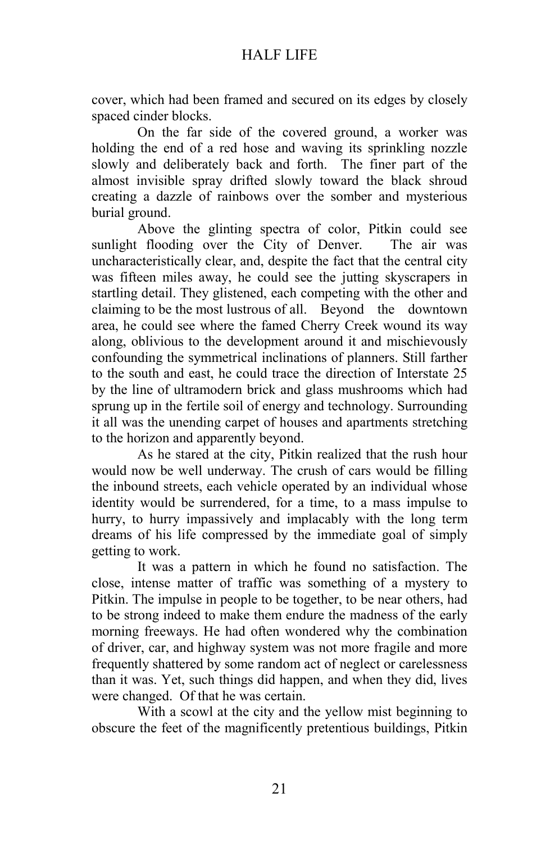cover, which had been framed and secured on its edges by closely spaced cinder blocks.

On the far side of the covered ground, a worker was holding the end of a red hose and waving its sprinkling nozzle slowly and deliberately back and forth. The finer part of the almost invisible spray drifted slowly toward the black shroud creating a dazzle of rainbows over the somber and mysterious burial ground.

Above the glinting spectra of color, Pitkin could see sunlight flooding over the City of Denver. The air was uncharacteristically clear, and, despite the fact that the central city was fifteen miles away, he could see the jutting skyscrapers in startling detail. They glistened, each competing with the other and claiming to be the most lustrous of all. Beyond the downtown area, he could see where the famed Cherry Creek wound its way along, oblivious to the development around it and mischievously confounding the symmetrical inclinations of planners. Still farther to the south and east, he could trace the direction of Interstate 25 by the line of ultramodern brick and glass mushrooms which had sprung up in the fertile soil of energy and technology. Surrounding it all was the unending carpet of houses and apartments stretching to the horizon and apparently beyond.

As he stared at the city, Pitkin realized that the rush hour would now be well underway. The crush of cars would be filling the inbound streets, each vehicle operated by an individual whose identity would be surrendered, for a time, to a mass impulse to hurry, to hurry impassively and implacably with the long term dreams of his life compressed by the immediate goal of simply getting to work.

It was a pattern in which he found no satisfaction. The close, intense matter of traffic was something of a mystery to Pitkin. The impulse in people to be together, to be near others, had to be strong indeed to make them endure the madness of the early morning freeways. He had often wondered why the combination of driver, car, and highway system was not more fragile and more frequently shattered by some random act of neglect or carelessness than it was. Yet, such things did happen, and when they did, lives were changed. Of that he was certain.

With a scowl at the city and the yellow mist beginning to obscure the feet of the magnificently pretentious buildings, Pitkin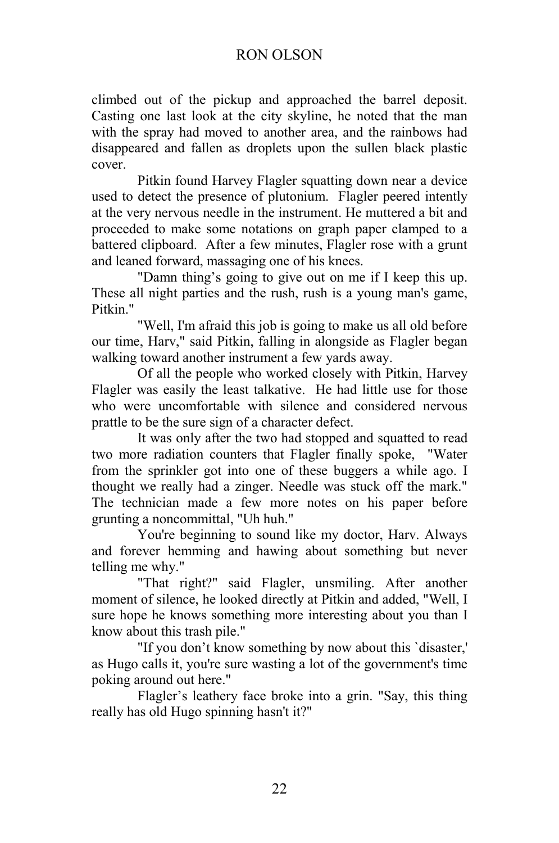climbed out of the pickup and approached the barrel deposit. Casting one last look at the city skyline, he noted that the man with the spray had moved to another area, and the rainbows had disappeared and fallen as droplets upon the sullen black plastic cover.

Pitkin found Harvey Flagler squatting down near a device used to detect the presence of plutonium. Flagler peered intently at the very nervous needle in the instrument. He muttered a bit and proceeded to make some notations on graph paper clamped to a battered clipboard. After a few minutes, Flagler rose with a grunt and leaned forward, massaging one of his knees.

"Damn thing's going to give out on me if I keep this up. These all night parties and the rush, rush is a young man's game, Pitkin."

"Well, I'm afraid this job is going to make us all old before our time, Harv," said Pitkin, falling in alongside as Flagler began walking toward another instrument a few yards away.

Of all the people who worked closely with Pitkin, Harvey Flagler was easily the least talkative. He had little use for those who were uncomfortable with silence and considered nervous prattle to be the sure sign of a character defect.

It was only after the two had stopped and squatted to read two more radiation counters that Flagler finally spoke, "Water from the sprinkler got into one of these buggers a while ago. I thought we really had a zinger. Needle was stuck off the mark." The technician made a few more notes on his paper before grunting a noncommittal, "Uh huh."

You're beginning to sound like my doctor, Harv. Always and forever hemming and hawing about something but never telling me why."

"That right?" said Flagler, unsmiling. After another moment of silence, he looked directly at Pitkin and added, "Well, I sure hope he knows something more interesting about you than I know about this trash pile."

"If you don't know something by now about this `disaster,' as Hugo calls it, you're sure wasting a lot of the government's time poking around out here."

Flagler's leathery face broke into a grin. "Say, this thing really has old Hugo spinning hasn't it?"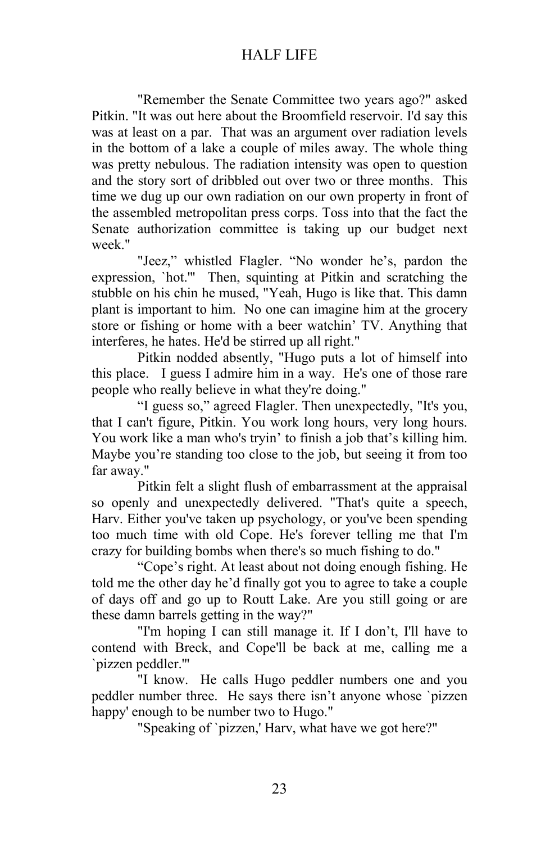"Remember the Senate Committee two years ago?" asked Pitkin. "It was out here about the Broomfield reservoir. I'd say this was at least on a par. That was an argument over radiation levels in the bottom of a lake a couple of miles away. The whole thing was pretty nebulous. The radiation intensity was open to question and the story sort of dribbled out over two or three months. This time we dug up our own radiation on our own property in front of the assembled metropolitan press corps. Toss into that the fact the Senate authorization committee is taking up our budget next week."

"Jeez," whistled Flagler. "No wonder he's, pardon the expression, `hot.'" Then, squinting at Pitkin and scratching the stubble on his chin he mused, "Yeah, Hugo is like that. This damn plant is important to him. No one can imagine him at the grocery store or fishing or home with a beer watchin' TV. Anything that interferes, he hates. He'd be stirred up all right."

Pitkin nodded absently, "Hugo puts a lot of himself into this place. I guess I admire him in a way. He's one of those rare people who really believe in what they're doing."

"I guess so," agreed Flagler. Then unexpectedly, "It's you, that I can't figure, Pitkin. You work long hours, very long hours. You work like a man who's tryin' to finish a job that's killing him. Maybe you're standing too close to the job, but seeing it from too far away."

Pitkin felt a slight flush of embarrassment at the appraisal so openly and unexpectedly delivered. "That's quite a speech, Harv. Either you've taken up psychology, or you've been spending too much time with old Cope. He's forever telling me that I'm crazy for building bombs when there's so much fishing to do."

"Cope's right. At least about not doing enough fishing. He told me the other day he'd finally got you to agree to take a couple of days off and go up to Routt Lake. Are you still going or are these damn barrels getting in the way?"

"I'm hoping I can still manage it. If I don't, I'll have to contend with Breck, and Cope'll be back at me, calling me a `pizzen peddler.'"

"I know. He calls Hugo peddler numbers one and you peddler number three. He says there isn't anyone whose `pizzen happy' enough to be number two to Hugo."

"Speaking of `pizzen,' Harv, what have we got here?"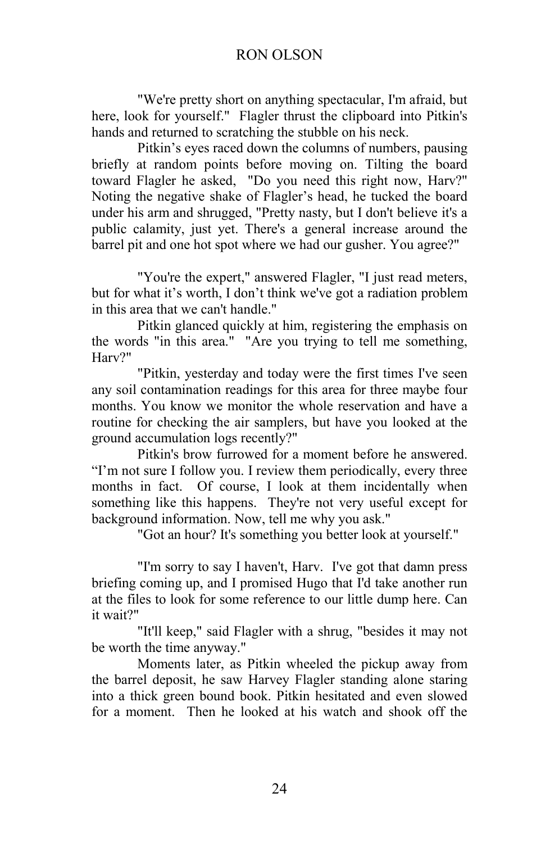"We're pretty short on anything spectacular, I'm afraid, but here, look for yourself." Flagler thrust the clipboard into Pitkin's hands and returned to scratching the stubble on his neck.

Pitkin's eyes raced down the columns of numbers, pausing briefly at random points before moving on. Tilting the board toward Flagler he asked, "Do you need this right now, Harv?" Noting the negative shake of Flagler's head, he tucked the board under his arm and shrugged, "Pretty nasty, but I don't believe it's a public calamity, just yet. There's a general increase around the barrel pit and one hot spot where we had our gusher. You agree?"

"You're the expert," answered Flagler, "I just read meters, but for what it's worth, I don't think we've got a radiation problem in this area that we can't handle."

Pitkin glanced quickly at him, registering the emphasis on the words "in this area." "Are you trying to tell me something, Harv?"

"Pitkin, yesterday and today were the first times I've seen any soil contamination readings for this area for three maybe four months. You know we monitor the whole reservation and have a routine for checking the air samplers, but have you looked at the ground accumulation logs recently?"

Pitkin's brow furrowed for a moment before he answered. "I'm not sure I follow you. I review them periodically, every three months in fact. Of course, I look at them incidentally when something like this happens. They're not very useful except for background information. Now, tell me why you ask."

"Got an hour? It's something you better look at yourself."

"I'm sorry to say I haven't, Harv. I've got that damn press briefing coming up, and I promised Hugo that I'd take another run at the files to look for some reference to our little dump here. Can it wait?"

"It'll keep," said Flagler with a shrug, "besides it may not be worth the time anyway."

Moments later, as Pitkin wheeled the pickup away from the barrel deposit, he saw Harvey Flagler standing alone staring into a thick green bound book. Pitkin hesitated and even slowed for a moment. Then he looked at his watch and shook off the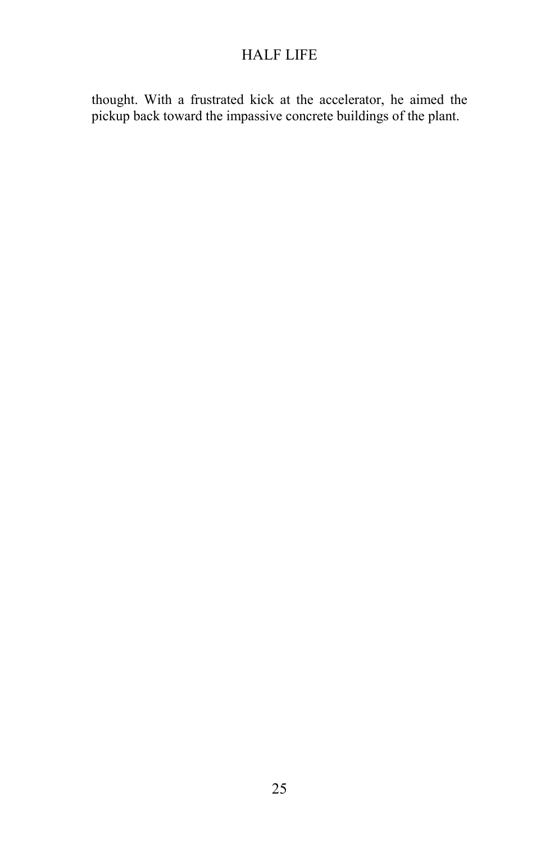thought. With a frustrated kick at the accelerator, he aimed the pickup back toward the impassive concrete buildings of the plant.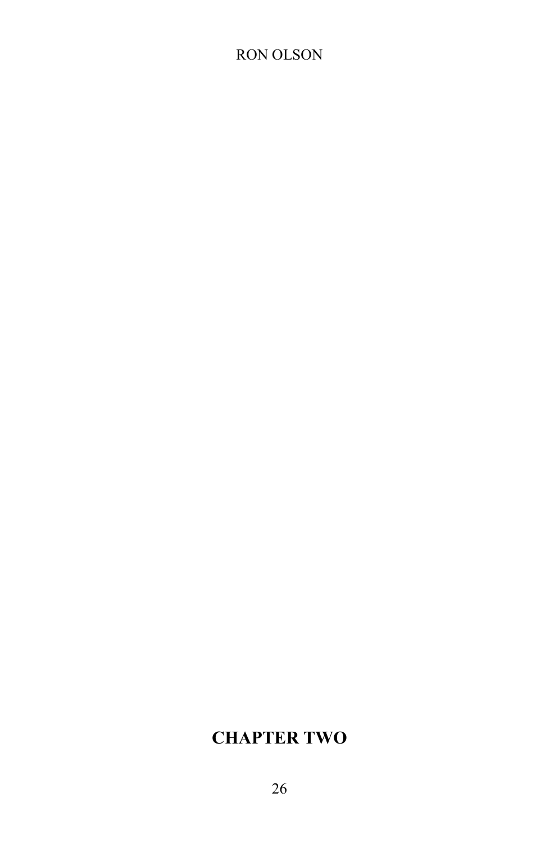# **CHAPTER TWO**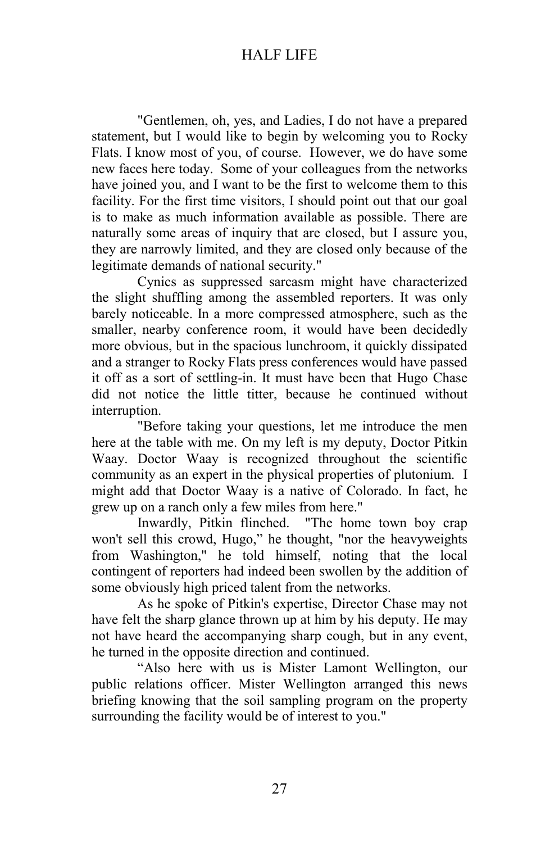"Gentlemen, oh, yes, and Ladies, I do not have a prepared statement, but I would like to begin by welcoming you to Rocky Flats. I know most of you, of course. However, we do have some new faces here today. Some of your colleagues from the networks have joined you, and I want to be the first to welcome them to this facility. For the first time visitors, I should point out that our goal is to make as much information available as possible. There are naturally some areas of inquiry that are closed, but I assure you, they are narrowly limited, and they are closed only because of the legitimate demands of national security."

Cynics as suppressed sarcasm might have characterized the slight shuffling among the assembled reporters. It was only barely noticeable. In a more compressed atmosphere, such as the smaller, nearby conference room, it would have been decidedly more obvious, but in the spacious lunchroom, it quickly dissipated and a stranger to Rocky Flats press conferences would have passed it off as a sort of settling-in. It must have been that Hugo Chase did not notice the little titter, because he continued without interruption.

"Before taking your questions, let me introduce the men here at the table with me. On my left is my deputy, Doctor Pitkin Waay. Doctor Waay is recognized throughout the scientific community as an expert in the physical properties of plutonium. I might add that Doctor Waay is a native of Colorado. In fact, he grew up on a ranch only a few miles from here."

Inwardly, Pitkin flinched. "The home town boy crap won't sell this crowd, Hugo," he thought, "nor the heavyweights from Washington," he told himself, noting that the local contingent of reporters had indeed been swollen by the addition of some obviously high priced talent from the networks.

As he spoke of Pitkin's expertise, Director Chase may not have felt the sharp glance thrown up at him by his deputy. He may not have heard the accompanying sharp cough, but in any event, he turned in the opposite direction and continued.

"Also here with us is Mister Lamont Wellington, our public relations officer. Mister Wellington arranged this news briefing knowing that the soil sampling program on the property surrounding the facility would be of interest to you."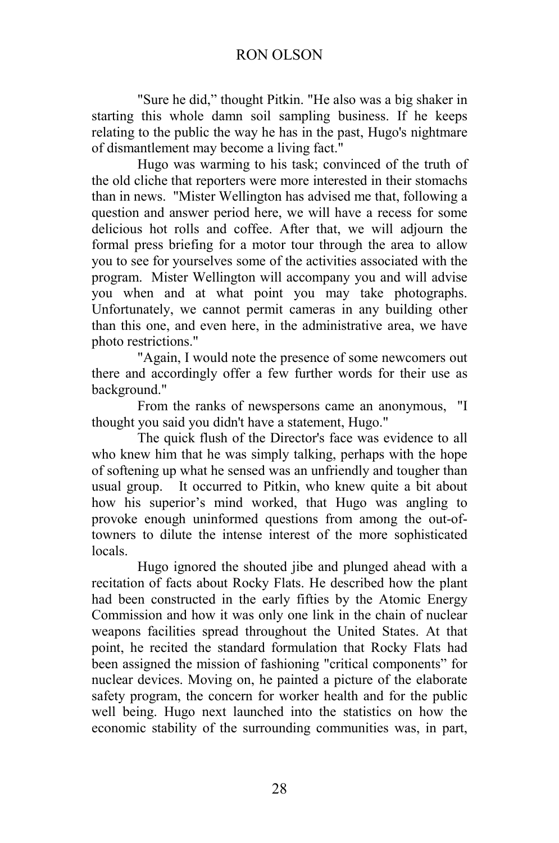"Sure he did," thought Pitkin. "He also was a big shaker in starting this whole damn soil sampling business. If he keeps relating to the public the way he has in the past, Hugo's nightmare of dismantlement may become a living fact."

Hugo was warming to his task; convinced of the truth of the old cliche that reporters were more interested in their stomachs than in news. "Mister Wellington has advised me that, following a question and answer period here, we will have a recess for some delicious hot rolls and coffee. After that, we will adjourn the formal press briefing for a motor tour through the area to allow you to see for yourselves some of the activities associated with the program. Mister Wellington will accompany you and will advise you when and at what point you may take photographs. Unfortunately, we cannot permit cameras in any building other than this one, and even here, in the administrative area, we have photo restrictions."

"Again, I would note the presence of some newcomers out there and accordingly offer a few further words for their use as background."

From the ranks of newspersons came an anonymous, "I thought you said you didn't have a statement, Hugo."

The quick flush of the Director's face was evidence to all who knew him that he was simply talking, perhaps with the hope of softening up what he sensed was an unfriendly and tougher than usual group. It occurred to Pitkin, who knew quite a bit about how his superior's mind worked, that Hugo was angling to provoke enough uninformed questions from among the out-oftowners to dilute the intense interest of the more sophisticated locals.

Hugo ignored the shouted jibe and plunged ahead with a recitation of facts about Rocky Flats. He described how the plant had been constructed in the early fifties by the Atomic Energy Commission and how it was only one link in the chain of nuclear weapons facilities spread throughout the United States. At that point, he recited the standard formulation that Rocky Flats had been assigned the mission of fashioning "critical components" for nuclear devices. Moving on, he painted a picture of the elaborate safety program, the concern for worker health and for the public well being. Hugo next launched into the statistics on how the economic stability of the surrounding communities was, in part,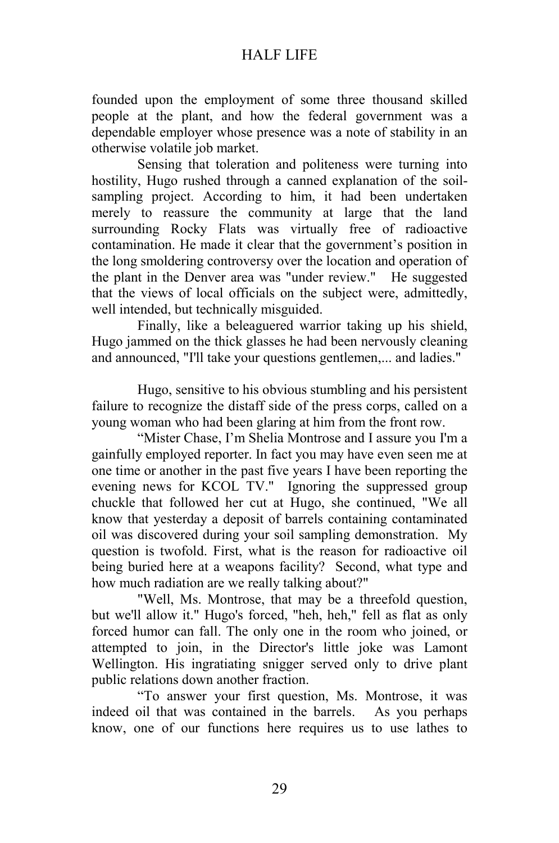founded upon the employment of some three thousand skilled people at the plant, and how the federal government was a dependable employer whose presence was a note of stability in an otherwise volatile job market.

Sensing that toleration and politeness were turning into hostility, Hugo rushed through a canned explanation of the soilsampling project. According to him, it had been undertaken merely to reassure the community at large that the land surrounding Rocky Flats was virtually free of radioactive contamination. He made it clear that the government's position in the long smoldering controversy over the location and operation of the plant in the Denver area was "under review." He suggested that the views of local officials on the subject were, admittedly, well intended, but technically misguided.

Finally, like a beleaguered warrior taking up his shield, Hugo jammed on the thick glasses he had been nervously cleaning and announced, "I'll take your questions gentlemen,... and ladies."

Hugo, sensitive to his obvious stumbling and his persistent failure to recognize the distaff side of the press corps, called on a young woman who had been glaring at him from the front row.

"Mister Chase, I'm Shelia Montrose and I assure you I'm a gainfully employed reporter. In fact you may have even seen me at one time or another in the past five years I have been reporting the evening news for KCOL TV." Ignoring the suppressed group chuckle that followed her cut at Hugo, she continued, "We all know that yesterday a deposit of barrels containing contaminated oil was discovered during your soil sampling demonstration. My question is twofold. First, what is the reason for radioactive oil being buried here at a weapons facility? Second, what type and how much radiation are we really talking about?"

"Well, Ms. Montrose, that may be a threefold question, but we'll allow it." Hugo's forced, "heh, heh," fell as flat as only forced humor can fall. The only one in the room who joined, or attempted to join, in the Director's little joke was Lamont Wellington. His ingratiating snigger served only to drive plant public relations down another fraction.

"To answer your first question, Ms. Montrose, it was indeed oil that was contained in the barrels. As you perhaps know, one of our functions here requires us to use lathes to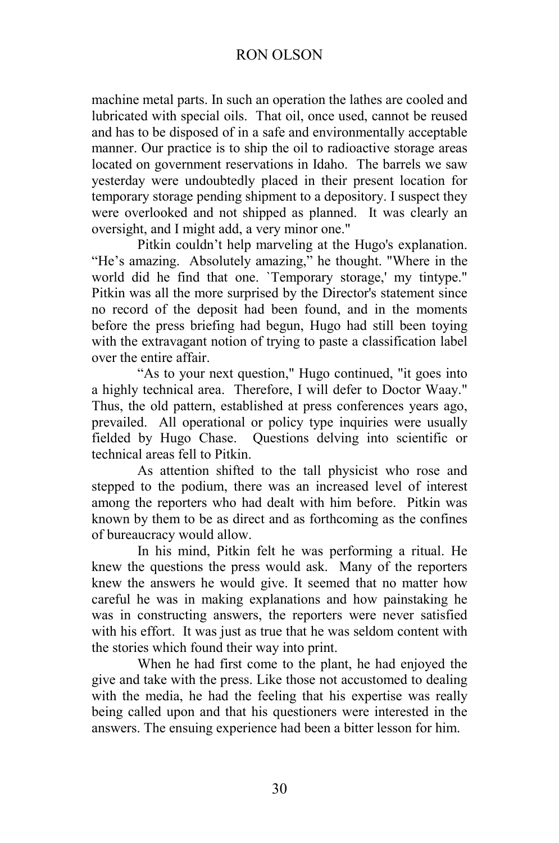machine metal parts. In such an operation the lathes are cooled and lubricated with special oils. That oil, once used, cannot be reused and has to be disposed of in a safe and environmentally acceptable manner. Our practice is to ship the oil to radioactive storage areas located on government reservations in Idaho. The barrels we saw yesterday were undoubtedly placed in their present location for temporary storage pending shipment to a depository. I suspect they were overlooked and not shipped as planned. It was clearly an oversight, and I might add, a very minor one."

Pitkin couldn't help marveling at the Hugo's explanation. "He's amazing. Absolutely amazing," he thought. "Where in the world did he find that one. `Temporary storage,' my tintype." Pitkin was all the more surprised by the Director's statement since no record of the deposit had been found, and in the moments before the press briefing had begun, Hugo had still been toying with the extravagant notion of trying to paste a classification label over the entire affair.

"As to your next question," Hugo continued, "it goes into a highly technical area. Therefore, I will defer to Doctor Waay." Thus, the old pattern, established at press conferences years ago, prevailed. All operational or policy type inquiries were usually fielded by Hugo Chase. Questions delving into scientific or technical areas fell to Pitkin.

As attention shifted to the tall physicist who rose and stepped to the podium, there was an increased level of interest among the reporters who had dealt with him before. Pitkin was known by them to be as direct and as forthcoming as the confines of bureaucracy would allow.

In his mind, Pitkin felt he was performing a ritual. He knew the questions the press would ask. Many of the reporters knew the answers he would give. It seemed that no matter how careful he was in making explanations and how painstaking he was in constructing answers, the reporters were never satisfied with his effort. It was just as true that he was seldom content with the stories which found their way into print.

When he had first come to the plant, he had enjoyed the give and take with the press. Like those not accustomed to dealing with the media, he had the feeling that his expertise was really being called upon and that his questioners were interested in the answers. The ensuing experience had been a bitter lesson for him.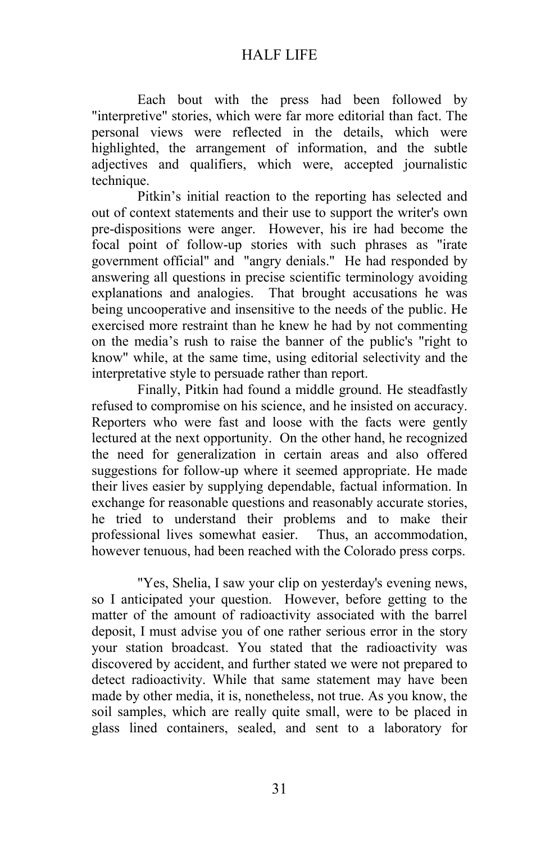Each bout with the press had been followed by "interpretive" stories, which were far more editorial than fact. The personal views were reflected in the details, which were highlighted, the arrangement of information, and the subtle adjectives and qualifiers, which were, accepted journalistic technique.

Pitkin's initial reaction to the reporting has selected and out of context statements and their use to support the writer's own pre-dispositions were anger. However, his ire had become the focal point of follow-up stories with such phrases as "irate government official" and "angry denials." He had responded by answering all questions in precise scientific terminology avoiding explanations and analogies. That brought accusations he was being uncooperative and insensitive to the needs of the public. He exercised more restraint than he knew he had by not commenting on the media's rush to raise the banner of the public's "right to know" while, at the same time, using editorial selectivity and the interpretative style to persuade rather than report.

Finally, Pitkin had found a middle ground. He steadfastly refused to compromise on his science, and he insisted on accuracy. Reporters who were fast and loose with the facts were gently lectured at the next opportunity. On the other hand, he recognized the need for generalization in certain areas and also offered suggestions for follow-up where it seemed appropriate. He made their lives easier by supplying dependable, factual information. In exchange for reasonable questions and reasonably accurate stories, he tried to understand their problems and to make their professional lives somewhat easier. Thus, an accommodation, however tenuous, had been reached with the Colorado press corps.

"Yes, Shelia, I saw your clip on yesterday's evening news, so I anticipated your question. However, before getting to the matter of the amount of radioactivity associated with the barrel deposit, I must advise you of one rather serious error in the story your station broadcast. You stated that the radioactivity was discovered by accident, and further stated we were not prepared to detect radioactivity. While that same statement may have been made by other media, it is, nonetheless, not true. As you know, the soil samples, which are really quite small, were to be placed in glass lined containers, sealed, and sent to a laboratory for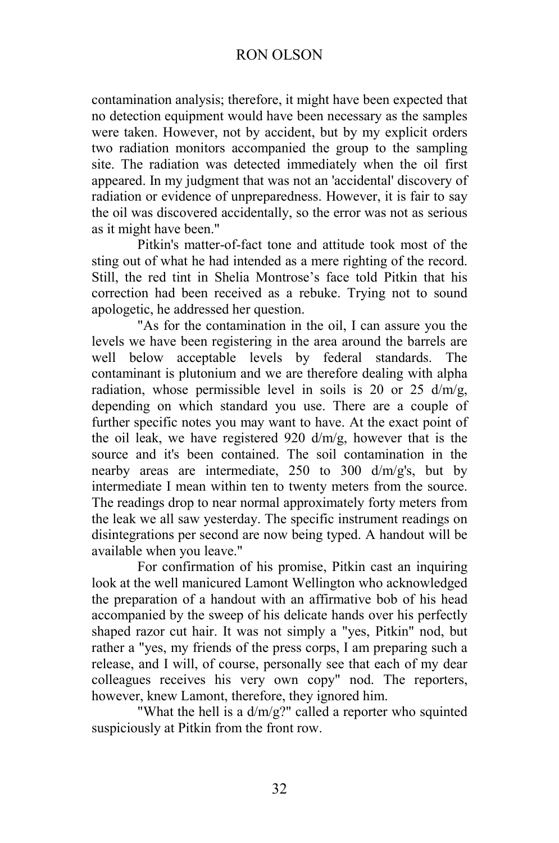contamination analysis; therefore, it might have been expected that no detection equipment would have been necessary as the samples were taken. However, not by accident, but by my explicit orders two radiation monitors accompanied the group to the sampling site. The radiation was detected immediately when the oil first appeared. In my judgment that was not an 'accidental' discovery of radiation or evidence of unpreparedness. However, it is fair to say the oil was discovered accidentally, so the error was not as serious as it might have been."

Pitkin's matter-of-fact tone and attitude took most of the sting out of what he had intended as a mere righting of the record. Still, the red tint in Shelia Montrose's face told Pitkin that his correction had been received as a rebuke. Trying not to sound apologetic, he addressed her question.

"As for the contamination in the oil, I can assure you the levels we have been registering in the area around the barrels are well below acceptable levels by federal standards. The contaminant is plutonium and we are therefore dealing with alpha radiation, whose permissible level in soils is 20 or 25 d/m/g, depending on which standard you use. There are a couple of further specific notes you may want to have. At the exact point of the oil leak, we have registered 920 d/m/g, however that is the source and it's been contained. The soil contamination in the nearby areas are intermediate, 250 to 300 d/m/g's, but by intermediate I mean within ten to twenty meters from the source. The readings drop to near normal approximately forty meters from the leak we all saw yesterday. The specific instrument readings on disintegrations per second are now being typed. A handout will be available when you leave."

For confirmation of his promise, Pitkin cast an inquiring look at the well manicured Lamont Wellington who acknowledged the preparation of a handout with an affirmative bob of his head accompanied by the sweep of his delicate hands over his perfectly shaped razor cut hair. It was not simply a "yes, Pitkin" nod, but rather a "yes, my friends of the press corps, I am preparing such a release, and I will, of course, personally see that each of my dear colleagues receives his very own copy" nod. The reporters, however, knew Lamont, therefore, they ignored him.

"What the hell is a d/m/g?" called a reporter who squinted suspiciously at Pitkin from the front row.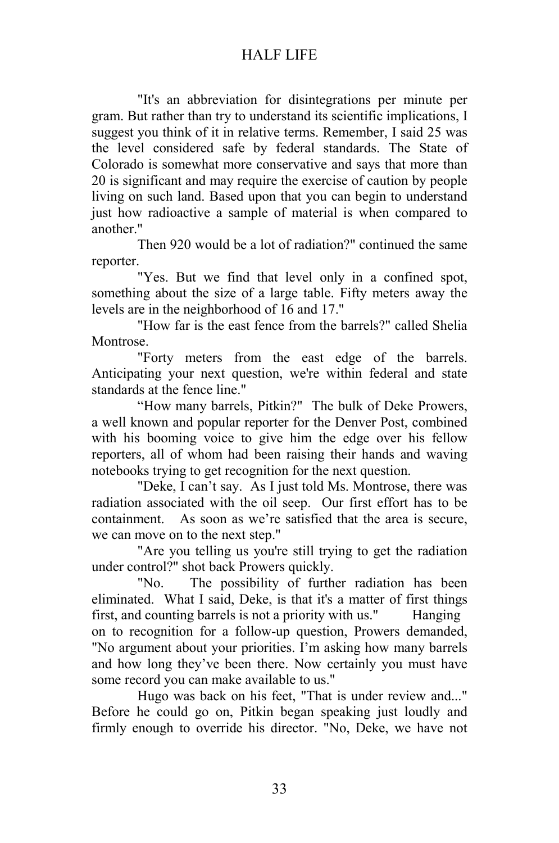"It's an abbreviation for disintegrations per minute per gram. But rather than try to understand its scientific implications, I suggest you think of it in relative terms. Remember, I said 25 was the level considered safe by federal standards. The State of Colorado is somewhat more conservative and says that more than 20 is significant and may require the exercise of caution by people living on such land. Based upon that you can begin to understand just how radioactive a sample of material is when compared to another."

Then 920 would be a lot of radiation?" continued the same reporter.

"Yes. But we find that level only in a confined spot, something about the size of a large table. Fifty meters away the levels are in the neighborhood of 16 and 17."

"How far is the east fence from the barrels?" called Shelia Montrose.

"Forty meters from the east edge of the barrels. Anticipating your next question, we're within federal and state standards at the fence line."

"How many barrels, Pitkin?" The bulk of Deke Prowers, a well known and popular reporter for the Denver Post, combined with his booming voice to give him the edge over his fellow reporters, all of whom had been raising their hands and waving notebooks trying to get recognition for the next question.

"Deke, I can't say. As I just told Ms. Montrose, there was radiation associated with the oil seep. Our first effort has to be containment. As soon as we're satisfied that the area is secure, we can move on to the next step."

"Are you telling us you're still trying to get the radiation under control?" shot back Prowers quickly.

"No. The possibility of further radiation has been eliminated. What I said, Deke, is that it's a matter of first things first, and counting barrels is not a priority with us." Hanging on to recognition for a follow-up question, Prowers demanded, "No argument about your priorities. I'm asking how many barrels and how long they've been there. Now certainly you must have some record you can make available to us."

Hugo was back on his feet, "That is under review and..." Before he could go on, Pitkin began speaking just loudly and firmly enough to override his director. "No, Deke, we have not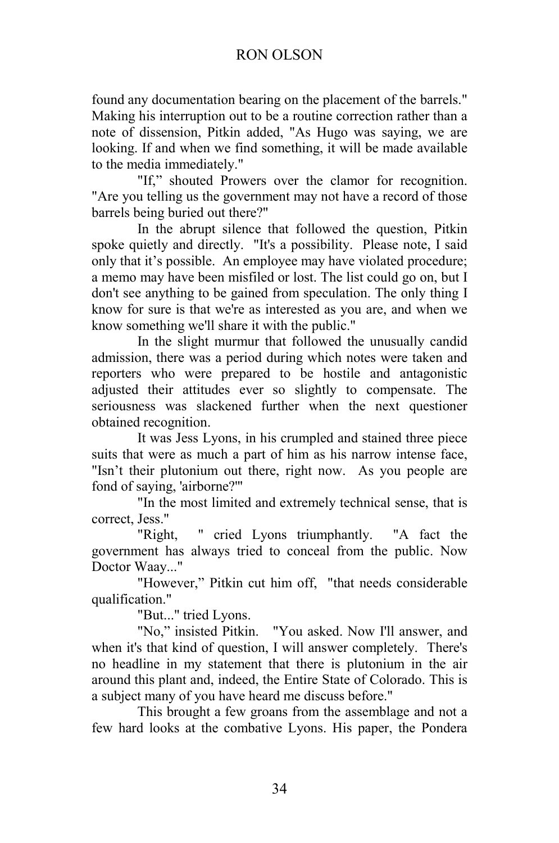found any documentation bearing on the placement of the barrels." Making his interruption out to be a routine correction rather than a note of dissension, Pitkin added, "As Hugo was saying, we are looking. If and when we find something, it will be made available to the media immediately."

"If," shouted Prowers over the clamor for recognition. "Are you telling us the government may not have a record of those barrels being buried out there?"

In the abrupt silence that followed the question, Pitkin spoke quietly and directly. "It's a possibility. Please note, I said only that it's possible. An employee may have violated procedure; a memo may have been misfiled or lost. The list could go on, but I don't see anything to be gained from speculation. The only thing I know for sure is that we're as interested as you are, and when we know something we'll share it with the public."

In the slight murmur that followed the unusually candid admission, there was a period during which notes were taken and reporters who were prepared to be hostile and antagonistic adjusted their attitudes ever so slightly to compensate. The seriousness was slackened further when the next questioner obtained recognition.

It was Jess Lyons, in his crumpled and stained three piece suits that were as much a part of him as his narrow intense face, "Isn't their plutonium out there, right now. As you people are fond of saying, 'airborne?'"

"In the most limited and extremely technical sense, that is correct, Jess."

"Right, " cried Lyons triumphantly. "A fact the government has always tried to conceal from the public. Now Doctor Waay..."

"However," Pitkin cut him off, "that needs considerable qualification."

"But..." tried Lyons.

"No," insisted Pitkin. "You asked. Now I'll answer, and when it's that kind of question, I will answer completely. There's no headline in my statement that there is plutonium in the air around this plant and, indeed, the Entire State of Colorado. This is a subject many of you have heard me discuss before."

This brought a few groans from the assemblage and not a few hard looks at the combative Lyons. His paper, the Pondera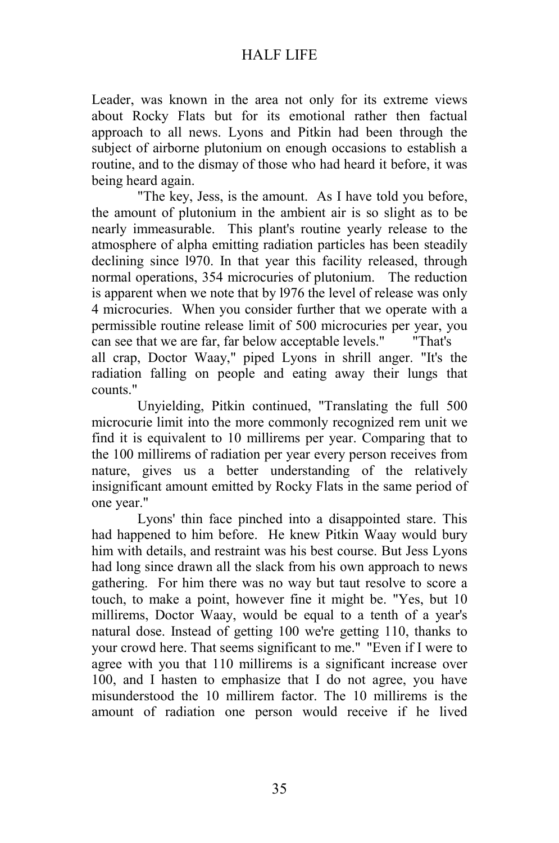Leader, was known in the area not only for its extreme views about Rocky Flats but for its emotional rather then factual approach to all news. Lyons and Pitkin had been through the subject of airborne plutonium on enough occasions to establish a routine, and to the dismay of those who had heard it before, it was being heard again.

"The key, Jess, is the amount. As I have told you before, the amount of plutonium in the ambient air is so slight as to be nearly immeasurable. This plant's routine yearly release to the atmosphere of alpha emitting radiation particles has been steadily declining since l970. In that year this facility released, through normal operations, 354 microcuries of plutonium. The reduction is apparent when we note that by l976 the level of release was only 4 microcuries. When you consider further that we operate with a permissible routine release limit of 500 microcuries per year, you can see that we are far, far below acceptable levels." "That's all crap, Doctor Waay," piped Lyons in shrill anger. "It's the radiation falling on people and eating away their lungs that counts."

Unyielding, Pitkin continued, "Translating the full 500 microcurie limit into the more commonly recognized rem unit we find it is equivalent to 10 millirems per year. Comparing that to the 100 millirems of radiation per year every person receives from nature, gives us a better understanding of the relatively insignificant amount emitted by Rocky Flats in the same period of one year."

Lyons' thin face pinched into a disappointed stare. This had happened to him before. He knew Pitkin Waay would bury him with details, and restraint was his best course. But Jess Lyons had long since drawn all the slack from his own approach to news gathering. For him there was no way but taut resolve to score a touch, to make a point, however fine it might be. "Yes, but 10 millirems, Doctor Waay, would be equal to a tenth of a year's natural dose. Instead of getting 100 we're getting 110, thanks to your crowd here. That seems significant to me." "Even if I were to agree with you that 110 millirems is a significant increase over 100, and I hasten to emphasize that I do not agree, you have misunderstood the 10 millirem factor. The 10 millirems is the amount of radiation one person would receive if he lived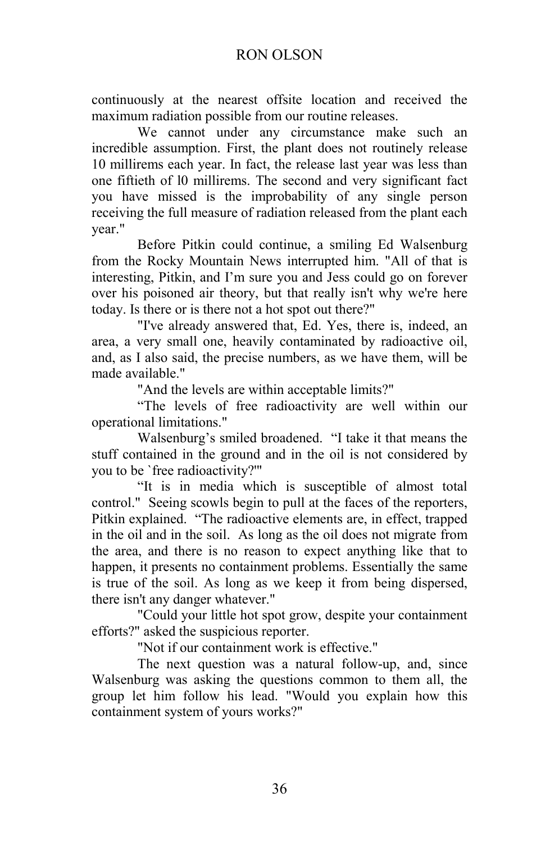continuously at the nearest offsite location and received the maximum radiation possible from our routine releases.

We cannot under any circumstance make such an incredible assumption. First, the plant does not routinely release 10 millirems each year. In fact, the release last year was less than one fiftieth of l0 millirems. The second and very significant fact you have missed is the improbability of any single person receiving the full measure of radiation released from the plant each year."

Before Pitkin could continue, a smiling Ed Walsenburg from the Rocky Mountain News interrupted him. "All of that is interesting, Pitkin, and I'm sure you and Jess could go on forever over his poisoned air theory, but that really isn't why we're here today. Is there or is there not a hot spot out there?"

"I've already answered that, Ed. Yes, there is, indeed, an area, a very small one, heavily contaminated by radioactive oil, and, as I also said, the precise numbers, as we have them, will be made available."

"And the levels are within acceptable limits?"

"The levels of free radioactivity are well within our operational limitations."

Walsenburg's smiled broadened. "I take it that means the stuff contained in the ground and in the oil is not considered by you to be `free radioactivity?'"

"It is in media which is susceptible of almost total control." Seeing scowls begin to pull at the faces of the reporters, Pitkin explained. "The radioactive elements are, in effect, trapped in the oil and in the soil. As long as the oil does not migrate from the area, and there is no reason to expect anything like that to happen, it presents no containment problems. Essentially the same is true of the soil. As long as we keep it from being dispersed, there isn't any danger whatever."

"Could your little hot spot grow, despite your containment efforts?" asked the suspicious reporter.

"Not if our containment work is effective."

The next question was a natural follow-up, and, since Walsenburg was asking the questions common to them all, the group let him follow his lead. "Would you explain how this containment system of yours works?"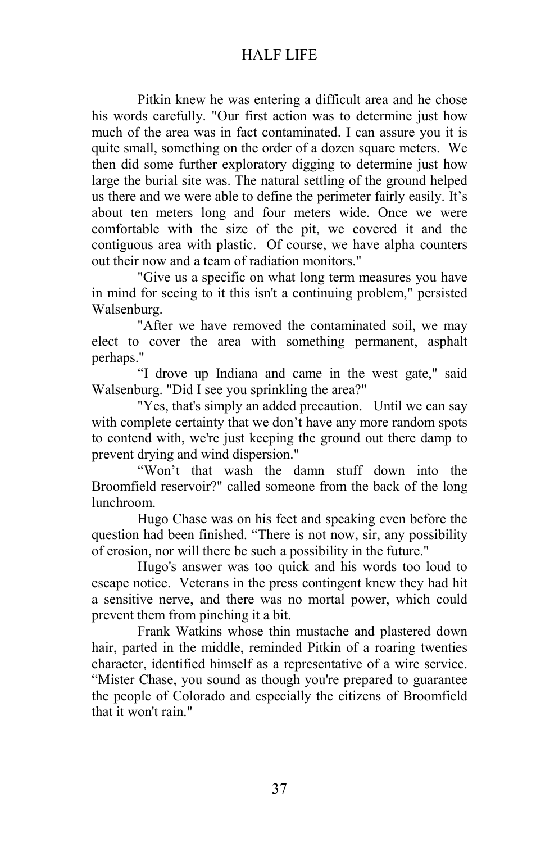Pitkin knew he was entering a difficult area and he chose his words carefully. "Our first action was to determine just how much of the area was in fact contaminated. I can assure you it is quite small, something on the order of a dozen square meters. We then did some further exploratory digging to determine just how large the burial site was. The natural settling of the ground helped us there and we were able to define the perimeter fairly easily. It's about ten meters long and four meters wide. Once we were comfortable with the size of the pit, we covered it and the contiguous area with plastic. Of course, we have alpha counters out their now and a team of radiation monitors."

"Give us a specific on what long term measures you have in mind for seeing to it this isn't a continuing problem," persisted Walsenburg.

"After we have removed the contaminated soil, we may elect to cover the area with something permanent, asphalt perhaps."

"I drove up Indiana and came in the west gate," said Walsenburg. "Did I see you sprinkling the area?"

"Yes, that's simply an added precaution. Until we can say with complete certainty that we don't have any more random spots to contend with, we're just keeping the ground out there damp to prevent drying and wind dispersion."

"Won't that wash the damn stuff down into the Broomfield reservoir?" called someone from the back of the long lunchroom.

Hugo Chase was on his feet and speaking even before the question had been finished. "There is not now, sir, any possibility of erosion, nor will there be such a possibility in the future."

Hugo's answer was too quick and his words too loud to escape notice. Veterans in the press contingent knew they had hit a sensitive nerve, and there was no mortal power, which could prevent them from pinching it a bit.

Frank Watkins whose thin mustache and plastered down hair, parted in the middle, reminded Pitkin of a roaring twenties character, identified himself as a representative of a wire service. "Mister Chase, you sound as though you're prepared to guarantee the people of Colorado and especially the citizens of Broomfield that it won't rain."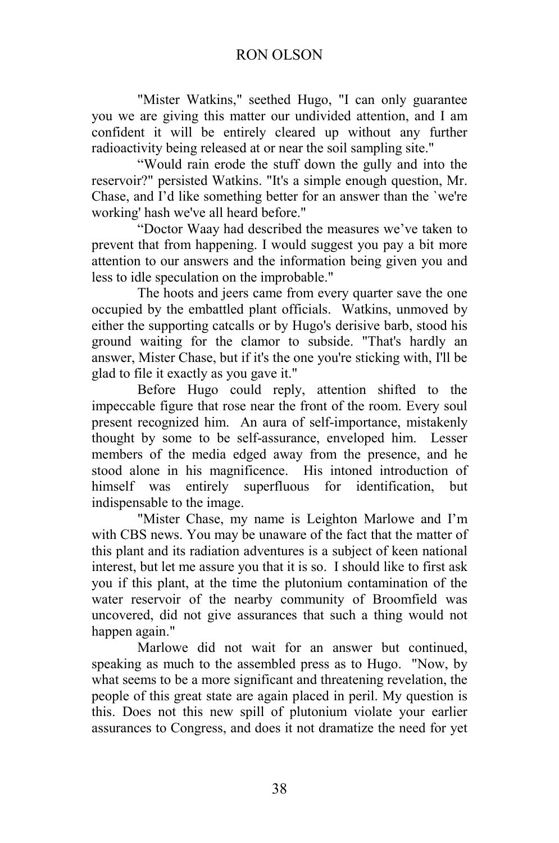"Mister Watkins," seethed Hugo, "I can only guarantee you we are giving this matter our undivided attention, and I am confident it will be entirely cleared up without any further radioactivity being released at or near the soil sampling site."

"Would rain erode the stuff down the gully and into the reservoir?" persisted Watkins. "It's a simple enough question, Mr. Chase, and I'd like something better for an answer than the `we're working' hash we've all heard before."

"Doctor Waay had described the measures we've taken to prevent that from happening. I would suggest you pay a bit more attention to our answers and the information being given you and less to idle speculation on the improbable."

The hoots and jeers came from every quarter save the one occupied by the embattled plant officials. Watkins, unmoved by either the supporting catcalls or by Hugo's derisive barb, stood his ground waiting for the clamor to subside. "That's hardly an answer, Mister Chase, but if it's the one you're sticking with, I'll be glad to file it exactly as you gave it."

Before Hugo could reply, attention shifted to the impeccable figure that rose near the front of the room. Every soul present recognized him. An aura of self-importance, mistakenly thought by some to be self-assurance, enveloped him. Lesser members of the media edged away from the presence, and he stood alone in his magnificence. His intoned introduction of himself was entirely superfluous for identification, but indispensable to the image.

"Mister Chase, my name is Leighton Marlowe and I'm with CBS news. You may be unaware of the fact that the matter of this plant and its radiation adventures is a subject of keen national interest, but let me assure you that it is so. I should like to first ask you if this plant, at the time the plutonium contamination of the water reservoir of the nearby community of Broomfield was uncovered, did not give assurances that such a thing would not happen again."

Marlowe did not wait for an answer but continued, speaking as much to the assembled press as to Hugo. "Now, by what seems to be a more significant and threatening revelation, the people of this great state are again placed in peril. My question is this. Does not this new spill of plutonium violate your earlier assurances to Congress, and does it not dramatize the need for yet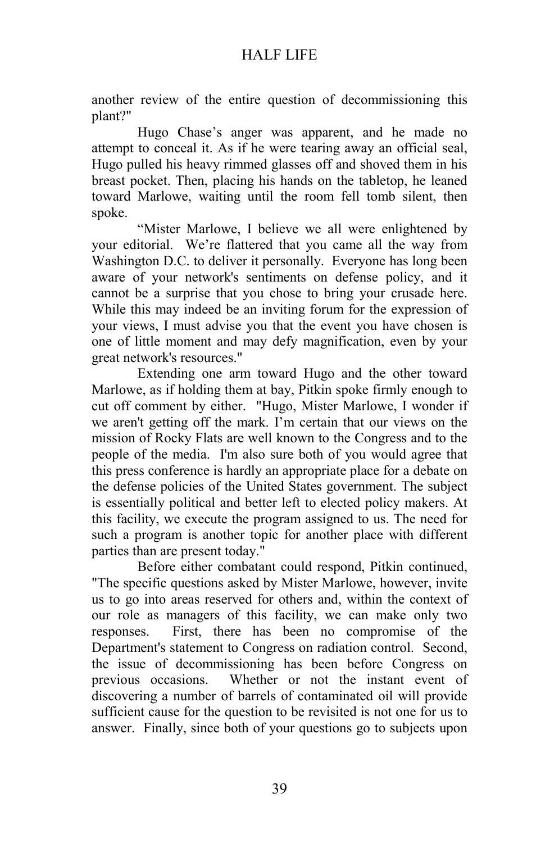another review of the entire question of decommissioning this plant?"

Hugo Chase's anger was apparent, and he made no attempt to conceal it. As if he were tearing away an official seal, Hugo pulled his heavy rimmed glasses off and shoved them in his breast pocket. Then, placing his hands on the tabletop, he leaned toward Marlowe, waiting until the room fell tomb silent, then spoke.

"Mister Marlowe, I believe we all were enlightened by your editorial. We're flattered that you came all the way from Washington D.C. to deliver it personally. Everyone has long been aware of your network's sentiments on defense policy, and it cannot be a surprise that you chose to bring your crusade here. While this may indeed be an inviting forum for the expression of your views, I must advise you that the event you have chosen is one of little moment and may defy magnification, even by your great network's resources."

Extending one arm toward Hugo and the other toward Marlowe, as if holding them at bay, Pitkin spoke firmly enough to cut off comment by either. "Hugo, Mister Marlowe, I wonder if we aren't getting off the mark. I'm certain that our views on the mission of Rocky Flats are well known to the Congress and to the people of the media. I'm also sure both of you would agree that this press conference is hardly an appropriate place for a debate on the defense policies of the United States government. The subject is essentially political and better left to elected policy makers. At this facility, we execute the program assigned to us. The need for such a program is another topic for another place with different parties than are present today."

Before either combatant could respond, Pitkin continued, "The specific questions asked by Mister Marlowe, however, invite us to go into areas reserved for others and, within the context of our role as managers of this facility, we can make only two responses. First, there has been no compromise of the Department's statement to Congress on radiation control. Second, the issue of decommissioning has been before Congress on previous occasions. Whether or not the instant event of discovering a number of barrels of contaminated oil will provide sufficient cause for the question to be revisited is not one for us to answer. Finally, since both of your questions go to subjects upon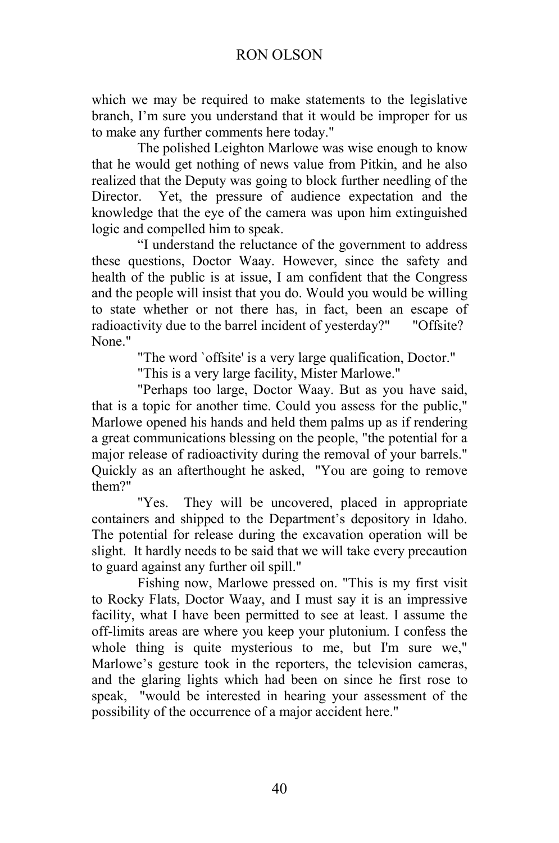which we may be required to make statements to the legislative branch, I'm sure you understand that it would be improper for us to make any further comments here today."

The polished Leighton Marlowe was wise enough to know that he would get nothing of news value from Pitkin, and he also realized that the Deputy was going to block further needling of the Director. Yet, the pressure of audience expectation and the knowledge that the eye of the camera was upon him extinguished logic and compelled him to speak.

"I understand the reluctance of the government to address these questions, Doctor Waay. However, since the safety and health of the public is at issue, I am confident that the Congress and the people will insist that you do. Would you would be willing to state whether or not there has, in fact, been an escape of radioactivity due to the barrel incident of yesterday?" "Offsite? None."

"The word `offsite' is a very large qualification, Doctor."

"This is a very large facility, Mister Marlowe."

"Perhaps too large, Doctor Waay. But as you have said, that is a topic for another time. Could you assess for the public," Marlowe opened his hands and held them palms up as if rendering a great communications blessing on the people, "the potential for a major release of radioactivity during the removal of your barrels." Quickly as an afterthought he asked, "You are going to remove them?"

"Yes. They will be uncovered, placed in appropriate containers and shipped to the Department's depository in Idaho. The potential for release during the excavation operation will be slight. It hardly needs to be said that we will take every precaution to guard against any further oil spill."

Fishing now, Marlowe pressed on. "This is my first visit to Rocky Flats, Doctor Waay, and I must say it is an impressive facility, what I have been permitted to see at least. I assume the off-limits areas are where you keep your plutonium. I confess the whole thing is quite mysterious to me, but I'm sure we," Marlowe's gesture took in the reporters, the television cameras, and the glaring lights which had been on since he first rose to speak, "would be interested in hearing your assessment of the possibility of the occurrence of a major accident here."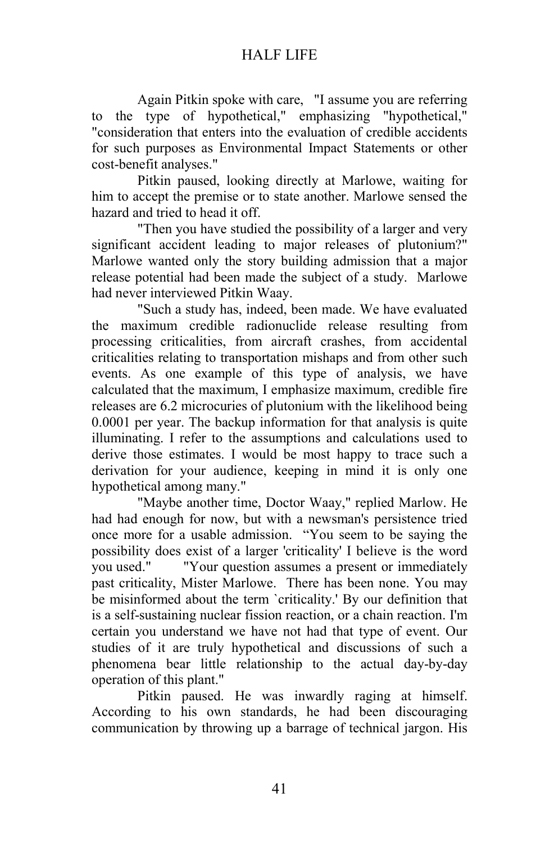Again Pitkin spoke with care, "I assume you are referring to the type of hypothetical," emphasizing "hypothetical," "consideration that enters into the evaluation of credible accidents for such purposes as Environmental Impact Statements or other cost-benefit analyses."

Pitkin paused, looking directly at Marlowe, waiting for him to accept the premise or to state another. Marlowe sensed the hazard and tried to head it off.

"Then you have studied the possibility of a larger and very significant accident leading to major releases of plutonium?" Marlowe wanted only the story building admission that a major release potential had been made the subject of a study. Marlowe had never interviewed Pitkin Waay.

"Such a study has, indeed, been made. We have evaluated the maximum credible radionuclide release resulting from processing criticalities, from aircraft crashes, from accidental criticalities relating to transportation mishaps and from other such events. As one example of this type of analysis, we have calculated that the maximum, I emphasize maximum, credible fire releases are 6.2 microcuries of plutonium with the likelihood being 0.0001 per year. The backup information for that analysis is quite illuminating. I refer to the assumptions and calculations used to derive those estimates. I would be most happy to trace such a derivation for your audience, keeping in mind it is only one hypothetical among many."

"Maybe another time, Doctor Waay," replied Marlow. He had had enough for now, but with a newsman's persistence tried once more for a usable admission. "You seem to be saying the possibility does exist of a larger 'criticality' I believe is the word you used." "Your question assumes a present or immediately past criticality, Mister Marlowe. There has been none. You may be misinformed about the term `criticality.' By our definition that is a self-sustaining nuclear fission reaction, or a chain reaction. I'm certain you understand we have not had that type of event. Our studies of it are truly hypothetical and discussions of such a phenomena bear little relationship to the actual day-by-day operation of this plant."

Pitkin paused. He was inwardly raging at himself. According to his own standards, he had been discouraging communication by throwing up a barrage of technical jargon. His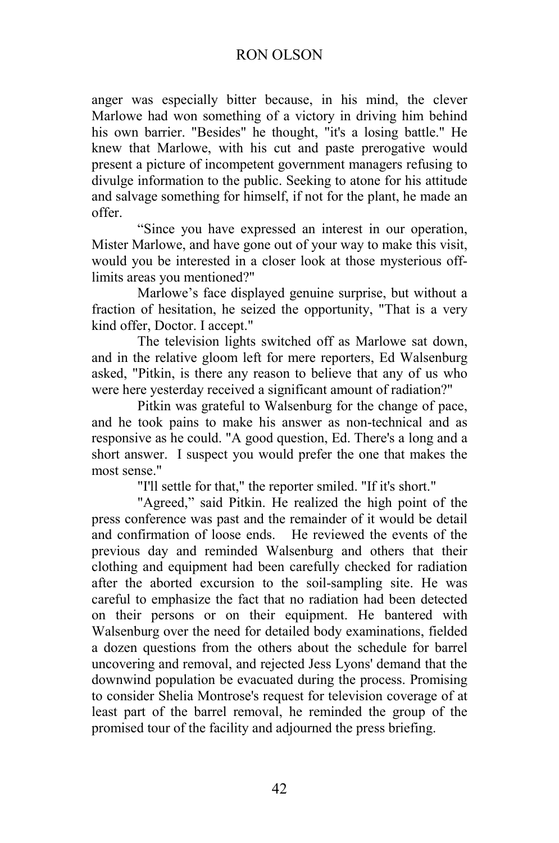anger was especially bitter because, in his mind, the clever Marlowe had won something of a victory in driving him behind his own barrier. "Besides" he thought, "it's a losing battle." He knew that Marlowe, with his cut and paste prerogative would present a picture of incompetent government managers refusing to divulge information to the public. Seeking to atone for his attitude and salvage something for himself, if not for the plant, he made an offer.

"Since you have expressed an interest in our operation, Mister Marlowe, and have gone out of your way to make this visit, would you be interested in a closer look at those mysterious offlimits areas you mentioned?"

Marlowe's face displayed genuine surprise, but without a fraction of hesitation, he seized the opportunity, "That is a very kind offer, Doctor. I accept."

The television lights switched off as Marlowe sat down, and in the relative gloom left for mere reporters, Ed Walsenburg asked, "Pitkin, is there any reason to believe that any of us who were here yesterday received a significant amount of radiation?"

Pitkin was grateful to Walsenburg for the change of pace, and he took pains to make his answer as non-technical and as responsive as he could. "A good question, Ed. There's a long and a short answer. I suspect you would prefer the one that makes the most sense."

"I'll settle for that," the reporter smiled. "If it's short."

"Agreed," said Pitkin. He realized the high point of the press conference was past and the remainder of it would be detail and confirmation of loose ends. He reviewed the events of the previous day and reminded Walsenburg and others that their clothing and equipment had been carefully checked for radiation after the aborted excursion to the soil-sampling site. He was careful to emphasize the fact that no radiation had been detected on their persons or on their equipment. He bantered with Walsenburg over the need for detailed body examinations, fielded a dozen questions from the others about the schedule for barrel uncovering and removal, and rejected Jess Lyons' demand that the downwind population be evacuated during the process. Promising to consider Shelia Montrose's request for television coverage of at least part of the barrel removal, he reminded the group of the promised tour of the facility and adjourned the press briefing.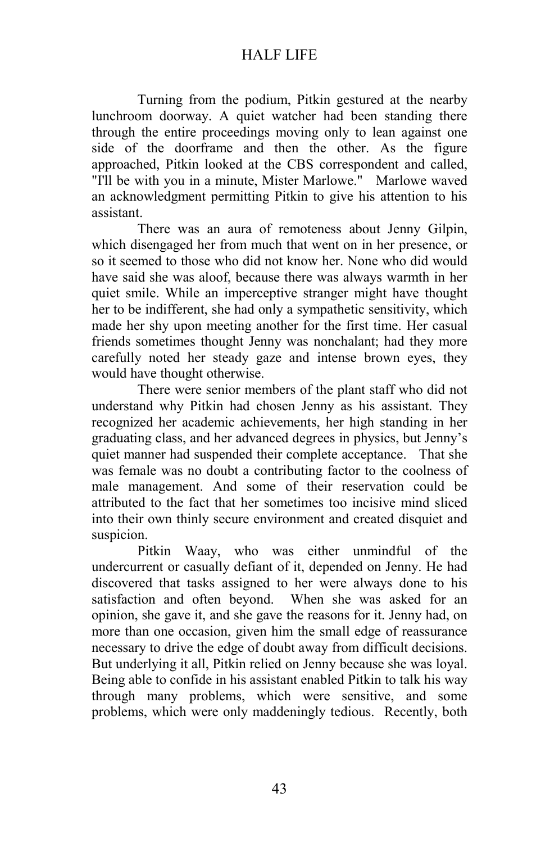Turning from the podium, Pitkin gestured at the nearby lunchroom doorway. A quiet watcher had been standing there through the entire proceedings moving only to lean against one side of the doorframe and then the other. As the figure approached, Pitkin looked at the CBS correspondent and called, "I'll be with you in a minute, Mister Marlowe." Marlowe waved an acknowledgment permitting Pitkin to give his attention to his assistant.

There was an aura of remoteness about Jenny Gilpin, which disengaged her from much that went on in her presence, or so it seemed to those who did not know her. None who did would have said she was aloof, because there was always warmth in her quiet smile. While an imperceptive stranger might have thought her to be indifferent, she had only a sympathetic sensitivity, which made her shy upon meeting another for the first time. Her casual friends sometimes thought Jenny was nonchalant; had they more carefully noted her steady gaze and intense brown eyes, they would have thought otherwise.

There were senior members of the plant staff who did not understand why Pitkin had chosen Jenny as his assistant. They recognized her academic achievements, her high standing in her graduating class, and her advanced degrees in physics, but Jenny's quiet manner had suspended their complete acceptance. That she was female was no doubt a contributing factor to the coolness of male management. And some of their reservation could be attributed to the fact that her sometimes too incisive mind sliced into their own thinly secure environment and created disquiet and suspicion.

Pitkin Waay, who was either unmindful of the undercurrent or casually defiant of it, depended on Jenny. He had discovered that tasks assigned to her were always done to his satisfaction and often beyond. When she was asked for an opinion, she gave it, and she gave the reasons for it. Jenny had, on more than one occasion, given him the small edge of reassurance necessary to drive the edge of doubt away from difficult decisions. But underlying it all, Pitkin relied on Jenny because she was loyal. Being able to confide in his assistant enabled Pitkin to talk his way through many problems, which were sensitive, and some problems, which were only maddeningly tedious. Recently, both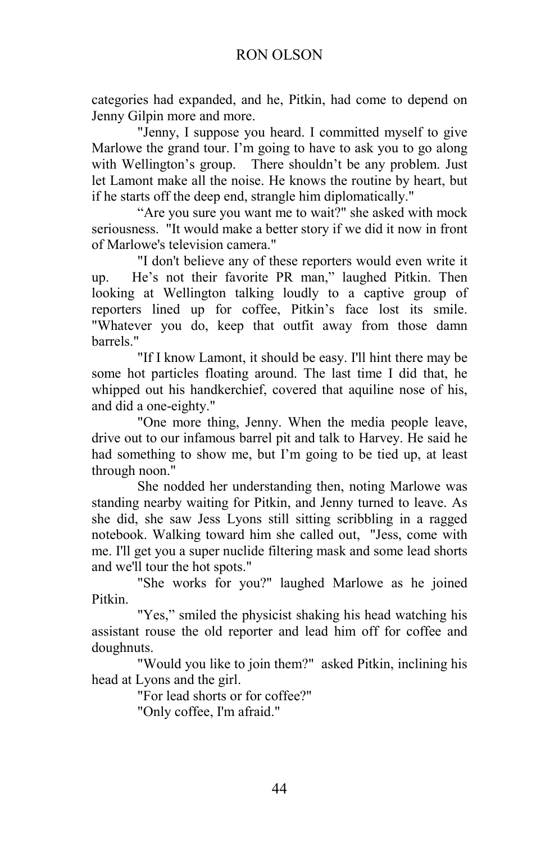categories had expanded, and he, Pitkin, had come to depend on Jenny Gilpin more and more.

"Jenny, I suppose you heard. I committed myself to give Marlowe the grand tour. I'm going to have to ask you to go along with Wellington's group. There shouldn't be any problem. Just let Lamont make all the noise. He knows the routine by heart, but if he starts off the deep end, strangle him diplomatically."

"Are you sure you want me to wait?" she asked with mock seriousness. "It would make a better story if we did it now in front of Marlowe's television camera."

"I don't believe any of these reporters would even write it up. He's not their favorite PR man," laughed Pitkin. Then looking at Wellington talking loudly to a captive group of reporters lined up for coffee, Pitkin's face lost its smile. "Whatever you do, keep that outfit away from those damn barrels."

"If I know Lamont, it should be easy. I'll hint there may be some hot particles floating around. The last time I did that, he whipped out his handkerchief, covered that aquiline nose of his, and did a one-eighty."

"One more thing, Jenny. When the media people leave, drive out to our infamous barrel pit and talk to Harvey. He said he had something to show me, but I'm going to be tied up, at least through noon."

She nodded her understanding then, noting Marlowe was standing nearby waiting for Pitkin, and Jenny turned to leave. As she did, she saw Jess Lyons still sitting scribbling in a ragged notebook. Walking toward him she called out, "Jess, come with me. I'll get you a super nuclide filtering mask and some lead shorts and we'll tour the hot spots."

"She works for you?" laughed Marlowe as he joined Pitkin.

"Yes," smiled the physicist shaking his head watching his assistant rouse the old reporter and lead him off for coffee and doughnuts.

"Would you like to join them?" asked Pitkin, inclining his head at Lyons and the girl.

"For lead shorts or for coffee?"

"Only coffee, I'm afraid."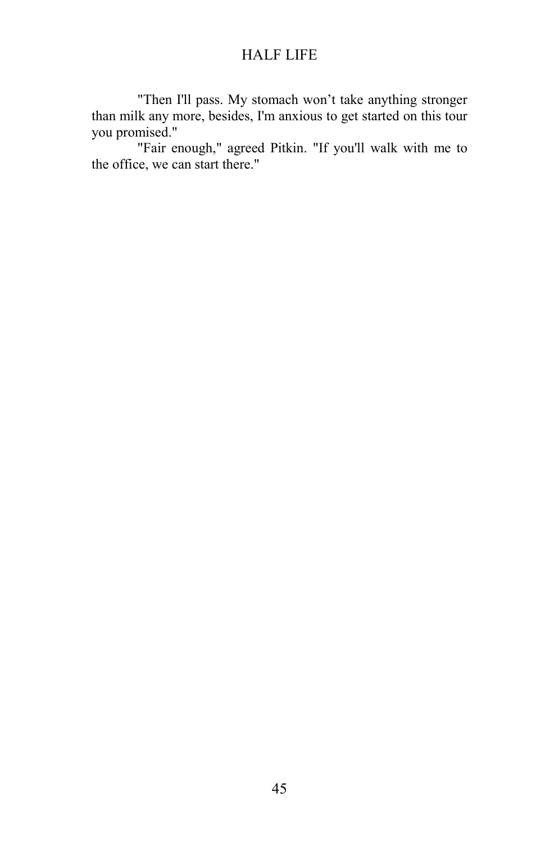"Then I'll pass. My stomach won't take anything stronger than milk any more, besides, I'm anxious to get started on this tour you promised."

"Fair enough," agreed Pitkin. "If you'll walk with me to the office, we can start there."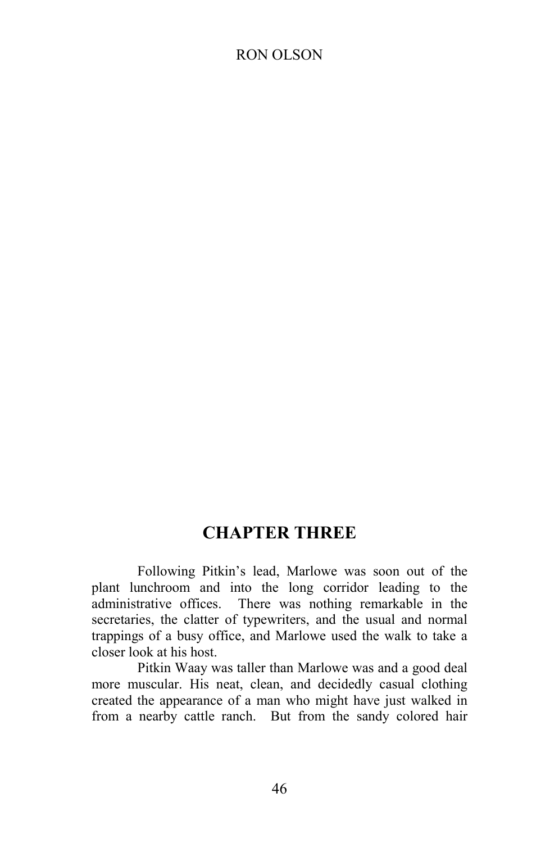## **CHAPTER THREE**

Following Pitkin's lead, Marlowe was soon out of the plant lunchroom and into the long corridor leading to the administrative offices. There was nothing remarkable in the secretaries, the clatter of typewriters, and the usual and normal trappings of a busy office, and Marlowe used the walk to take a closer look at his host.

Pitkin Waay was taller than Marlowe was and a good deal more muscular. His neat, clean, and decidedly casual clothing created the appearance of a man who might have just walked in from a nearby cattle ranch. But from the sandy colored hair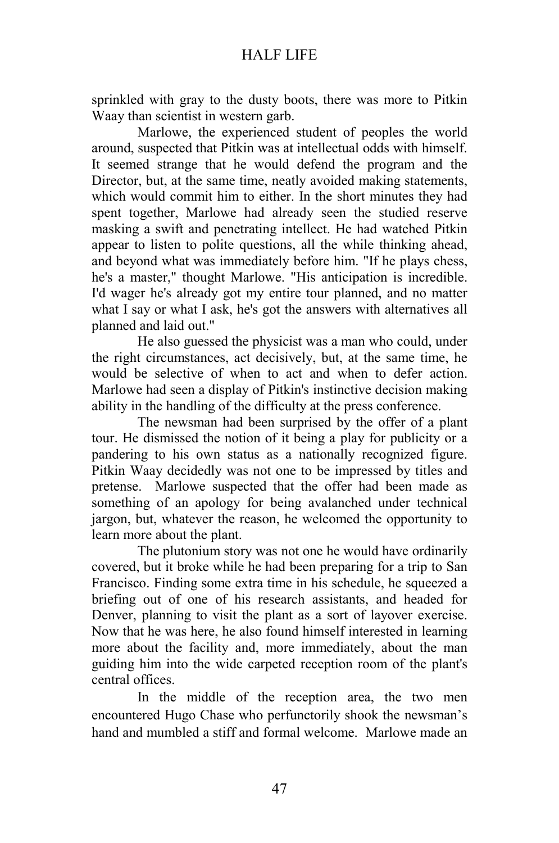sprinkled with gray to the dusty boots, there was more to Pitkin Waay than scientist in western garb.

Marlowe, the experienced student of peoples the world around, suspected that Pitkin was at intellectual odds with himself. It seemed strange that he would defend the program and the Director, but, at the same time, neatly avoided making statements, which would commit him to either. In the short minutes they had spent together, Marlowe had already seen the studied reserve masking a swift and penetrating intellect. He had watched Pitkin appear to listen to polite questions, all the while thinking ahead, and beyond what was immediately before him. "If he plays chess, he's a master," thought Marlowe. "His anticipation is incredible. I'd wager he's already got my entire tour planned, and no matter what I say or what I ask, he's got the answers with alternatives all planned and laid out."

He also guessed the physicist was a man who could, under the right circumstances, act decisively, but, at the same time, he would be selective of when to act and when to defer action. Marlowe had seen a display of Pitkin's instinctive decision making ability in the handling of the difficulty at the press conference.

The newsman had been surprised by the offer of a plant tour. He dismissed the notion of it being a play for publicity or a pandering to his own status as a nationally recognized figure. Pitkin Waay decidedly was not one to be impressed by titles and pretense. Marlowe suspected that the offer had been made as something of an apology for being avalanched under technical jargon, but, whatever the reason, he welcomed the opportunity to learn more about the plant.

The plutonium story was not one he would have ordinarily covered, but it broke while he had been preparing for a trip to San Francisco. Finding some extra time in his schedule, he squeezed a briefing out of one of his research assistants, and headed for Denver, planning to visit the plant as a sort of layover exercise. Now that he was here, he also found himself interested in learning more about the facility and, more immediately, about the man guiding him into the wide carpeted reception room of the plant's central offices.

In the middle of the reception area, the two men encountered Hugo Chase who perfunctorily shook the newsman's hand and mumbled a stiff and formal welcome. Marlowe made an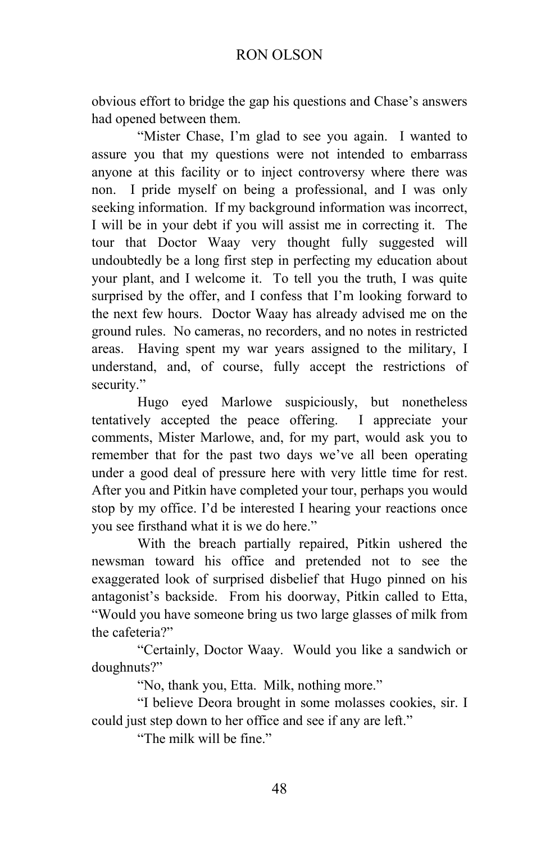obvious effort to bridge the gap his questions and Chase's answers had opened between them.

"Mister Chase, I'm glad to see you again. I wanted to assure you that my questions were not intended to embarrass anyone at this facility or to inject controversy where there was non. I pride myself on being a professional, and I was only seeking information. If my background information was incorrect, I will be in your debt if you will assist me in correcting it. The tour that Doctor Waay very thought fully suggested will undoubtedly be a long first step in perfecting my education about your plant, and I welcome it. To tell you the truth, I was quite surprised by the offer, and I confess that I'm looking forward to the next few hours. Doctor Waay has already advised me on the ground rules. No cameras, no recorders, and no notes in restricted areas. Having spent my war years assigned to the military, I understand, and, of course, fully accept the restrictions of security."

Hugo eyed Marlowe suspiciously, but nonetheless tentatively accepted the peace offering. I appreciate your comments, Mister Marlowe, and, for my part, would ask you to remember that for the past two days we've all been operating under a good deal of pressure here with very little time for rest. After you and Pitkin have completed your tour, perhaps you would stop by my office. I'd be interested I hearing your reactions once you see firsthand what it is we do here."

With the breach partially repaired, Pitkin ushered the newsman toward his office and pretended not to see the exaggerated look of surprised disbelief that Hugo pinned on his antagonist's backside. From his doorway, Pitkin called to Etta, "Would you have someone bring us two large glasses of milk from the cafeteria?"

"Certainly, Doctor Waay. Would you like a sandwich or doughnuts?"

"No, thank you, Etta. Milk, nothing more."

"I believe Deora brought in some molasses cookies, sir. I could just step down to her office and see if any are left."

"The milk will be fine."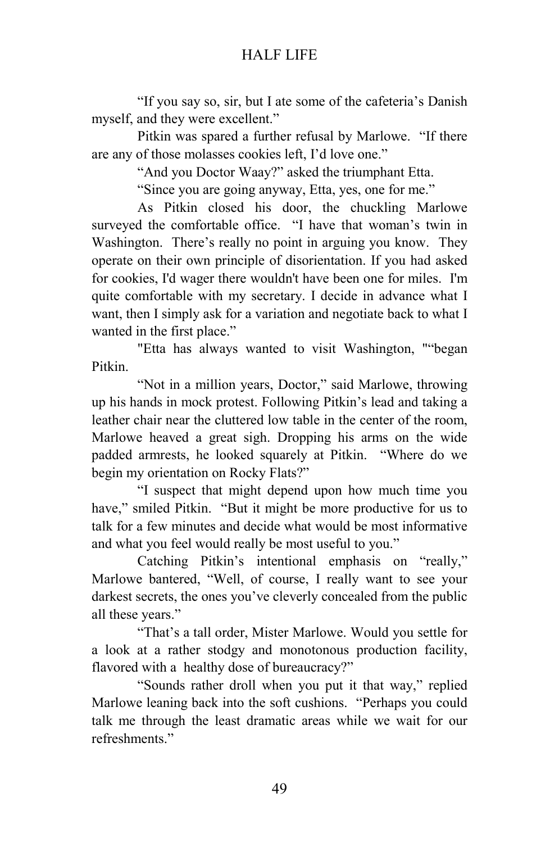"If you say so, sir, but I ate some of the cafeteria's Danish myself, and they were excellent."

Pitkin was spared a further refusal by Marlowe. "If there are any of those molasses cookies left, I'd love one."

"And you Doctor Waay?" asked the triumphant Etta.

"Since you are going anyway, Etta, yes, one for me."

As Pitkin closed his door, the chuckling Marlowe surveyed the comfortable office. "I have that woman's twin in Washington. There's really no point in arguing you know. They operate on their own principle of disorientation. If you had asked for cookies, I'd wager there wouldn't have been one for miles. I'm quite comfortable with my secretary. I decide in advance what I want, then I simply ask for a variation and negotiate back to what I wanted in the first place."

"Etta has always wanted to visit Washington, ""began Pitkin.

"Not in a million years, Doctor," said Marlowe, throwing up his hands in mock protest. Following Pitkin's lead and taking a leather chair near the cluttered low table in the center of the room, Marlowe heaved a great sigh. Dropping his arms on the wide padded armrests, he looked squarely at Pitkin. "Where do we begin my orientation on Rocky Flats?"

"I suspect that might depend upon how much time you have." smiled Pitkin. "But it might be more productive for us to talk for a few minutes and decide what would be most informative and what you feel would really be most useful to you."

Catching Pitkin's intentional emphasis on "really," Marlowe bantered, "Well, of course, I really want to see your darkest secrets, the ones you've cleverly concealed from the public all these years."

"That's a tall order, Mister Marlowe. Would you settle for a look at a rather stodgy and monotonous production facility, flavored with a healthy dose of bureaucracy?"

"Sounds rather droll when you put it that way," replied Marlowe leaning back into the soft cushions. "Perhaps you could talk me through the least dramatic areas while we wait for our refreshments."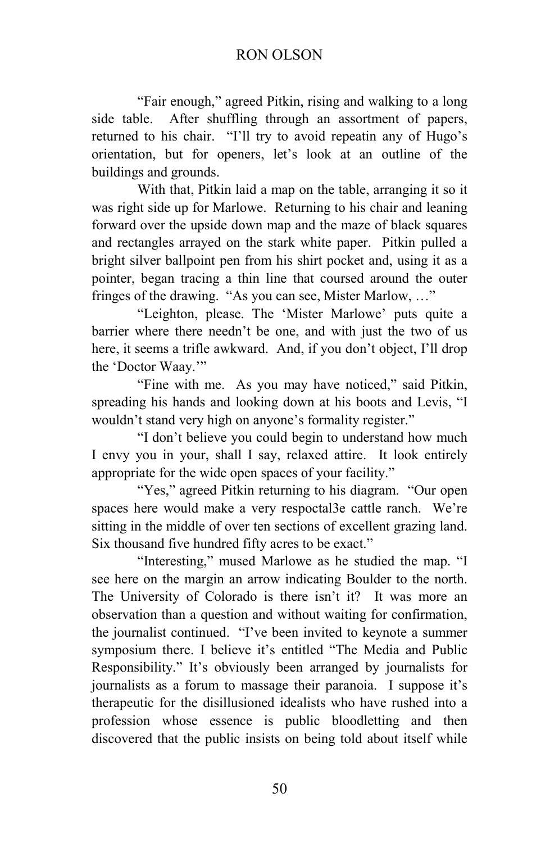"Fair enough," agreed Pitkin, rising and walking to a long side table. After shuffling through an assortment of papers, returned to his chair. "I'll try to avoid repeatin any of Hugo's orientation, but for openers, let's look at an outline of the buildings and grounds.

With that, Pitkin laid a map on the table, arranging it so it was right side up for Marlowe. Returning to his chair and leaning forward over the upside down map and the maze of black squares and rectangles arrayed on the stark white paper. Pitkin pulled a bright silver ballpoint pen from his shirt pocket and, using it as a pointer, began tracing a thin line that coursed around the outer fringes of the drawing. "As you can see, Mister Marlow, …"

"Leighton, please. The 'Mister Marlowe' puts quite a barrier where there needn't be one, and with just the two of us here, it seems a trifle awkward. And, if you don't object, I'll drop the 'Doctor Waay.'"

"Fine with me. As you may have noticed," said Pitkin, spreading his hands and looking down at his boots and Levis, "I wouldn't stand very high on anyone's formality register."

"I don't believe you could begin to understand how much I envy you in your, shall I say, relaxed attire. It look entirely appropriate for the wide open spaces of your facility."

"Yes," agreed Pitkin returning to his diagram. "Our open" spaces here would make a very respoctal3e cattle ranch. We're sitting in the middle of over ten sections of excellent grazing land. Six thousand five hundred fifty acres to be exact."

"Interesting," mused Marlowe as he studied the map. "I see here on the margin an arrow indicating Boulder to the north. The University of Colorado is there isn't it? It was more an observation than a question and without waiting for confirmation, the journalist continued. "I've been invited to keynote a summer symposium there. I believe it's entitled "The Media and Public Responsibility." It's obviously been arranged by journalists for journalists as a forum to massage their paranoia. I suppose it's therapeutic for the disillusioned idealists who have rushed into a profession whose essence is public bloodletting and then discovered that the public insists on being told about itself while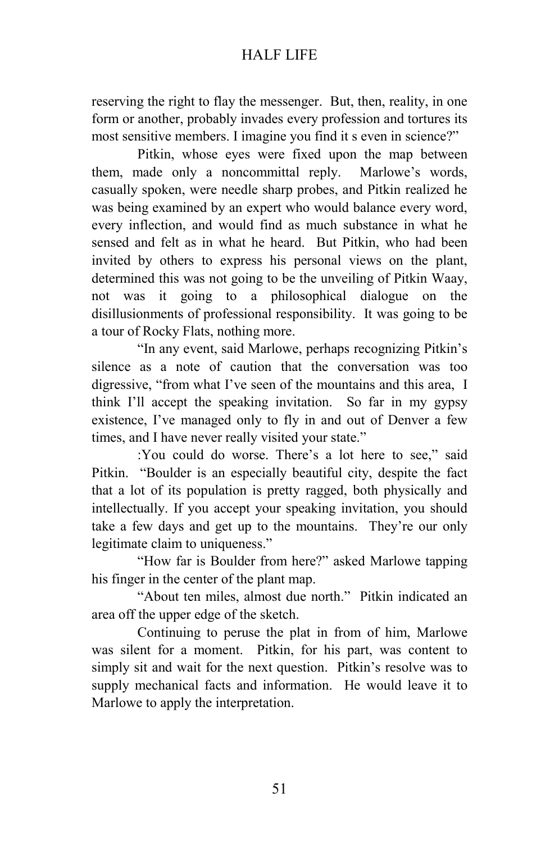reserving the right to flay the messenger. But, then, reality, in one form or another, probably invades every profession and tortures its most sensitive members. I imagine you find it s even in science?"

Pitkin, whose eyes were fixed upon the map between them, made only a noncommittal reply. Marlowe's words, casually spoken, were needle sharp probes, and Pitkin realized he was being examined by an expert who would balance every word, every inflection, and would find as much substance in what he sensed and felt as in what he heard. But Pitkin, who had been invited by others to express his personal views on the plant, determined this was not going to be the unveiling of Pitkin Waay, not was it going to a philosophical dialogue on the disillusionments of professional responsibility. It was going to be a tour of Rocky Flats, nothing more.

"In any event, said Marlowe, perhaps recognizing Pitkin's silence as a note of caution that the conversation was too digressive, "from what I've seen of the mountains and this area, I think I'll accept the speaking invitation. So far in my gypsy existence, I've managed only to fly in and out of Denver a few times, and I have never really visited your state."

:You could do worse. There's a lot here to see," said Pitkin. "Boulder is an especially beautiful city, despite the fact that a lot of its population is pretty ragged, both physically and intellectually. If you accept your speaking invitation, you should take a few days and get up to the mountains. They're our only legitimate claim to uniqueness."

"How far is Boulder from here?" asked Marlowe tapping his finger in the center of the plant map.

"About ten miles, almost due north." Pitkin indicated an area off the upper edge of the sketch.

Continuing to peruse the plat in from of him, Marlowe was silent for a moment. Pitkin, for his part, was content to simply sit and wait for the next question. Pitkin's resolve was to supply mechanical facts and information. He would leave it to Marlowe to apply the interpretation.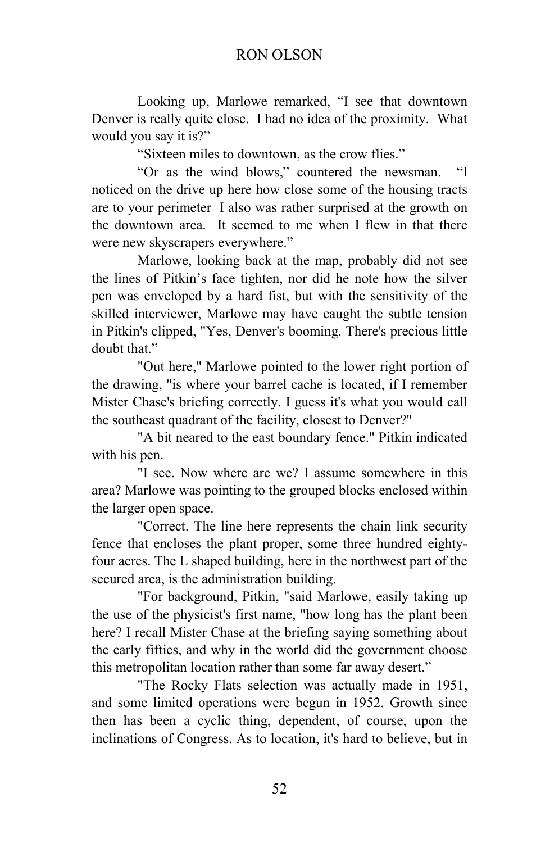Looking up, Marlowe remarked, "I see that downtown Denver is really quite close. I had no idea of the proximity. What would you say it is?"

"Sixteen miles to downtown, as the crow flies."

"Or as the wind blows," countered the newsman. "I noticed on the drive up here how close some of the housing tracts are to your perimeter I also was rather surprised at the growth on the downtown area. It seemed to me when I flew in that there were new skyscrapers everywhere."

Marlowe, looking back at the map, probably did not see the lines of Pitkin's face tighten, nor did he note how the silver pen was enveloped by a hard fist, but with the sensitivity of the skilled interviewer, Marlowe may have caught the subtle tension in Pitkin's clipped, "Yes, Denver's booming. There's precious little doubt that."

"Out here," Marlowe pointed to the lower right portion of the drawing, "is where your barrel cache is located, if I remember Mister Chase's briefing correctly. I guess it's what you would call the southeast quadrant of the facility, closest to Denver?"

"A bit neared to the east boundary fence." Pitkin indicated with his pen.

"I see. Now where are we? I assume somewhere in this area? Marlowe was pointing to the grouped blocks enclosed within the larger open space.

"Correct. The line here represents the chain link security fence that encloses the plant proper, some three hundred eightyfour acres. The L shaped building, here in the northwest part of the secured area, is the administration building.

"For background, Pitkin, "said Marlowe, easily taking up the use of the physicist's first name, "how long has the plant been here? I recall Mister Chase at the briefing saying something about the early fifties, and why in the world did the government choose this metropolitan location rather than some far away desert."

"The Rocky Flats selection was actually made in 1951, and some limited operations were begun in 1952. Growth since then has been a cyclic thing, dependent, of course, upon the inclinations of Congress. As to location, it's hard to believe, but in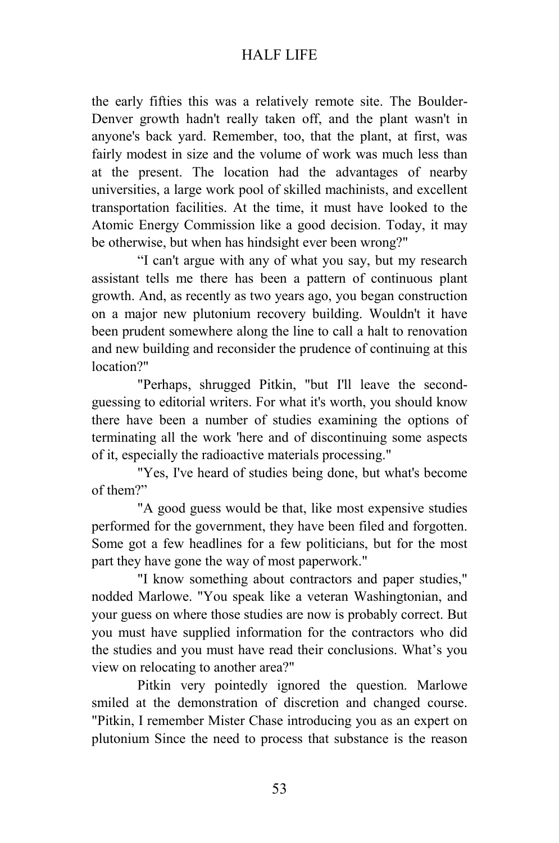the early fifties this was a relatively remote site. The Boulder-Denver growth hadn't really taken off, and the plant wasn't in anyone's back yard. Remember, too, that the plant, at first, was fairly modest in size and the volume of work was much less than at the present. The location had the advantages of nearby universities, a large work pool of skilled machinists, and excellent transportation facilities. At the time, it must have looked to the Atomic Energy Commission like a good decision. Today, it may be otherwise, but when has hindsight ever been wrong?"

"I can't argue with any of what you say, but my research assistant tells me there has been a pattern of continuous plant growth. And, as recently as two years ago, you began construction on a major new plutonium recovery building. Wouldn't it have been prudent somewhere along the line to call a halt to renovation and new building and reconsider the prudence of continuing at this location?"

"Perhaps, shrugged Pitkin, "but I'll leave the secondguessing to editorial writers. For what it's worth, you should know there have been a number of studies examining the options of terminating all the work 'here and of discontinuing some aspects of it, especially the radioactive materials processing."

"Yes, I've heard of studies being done, but what's become of them?"

"A good guess would be that, like most expensive studies performed for the government, they have been filed and forgotten. Some got a few headlines for a few politicians, but for the most part they have gone the way of most paperwork."

"I know something about contractors and paper studies," nodded Marlowe. "You speak like a veteran Washingtonian, and your guess on where those studies are now is probably correct. But you must have supplied information for the contractors who did the studies and you must have read their conclusions. What's you view on relocating to another area?"

Pitkin very pointedly ignored the question. Marlowe smiled at the demonstration of discretion and changed course. "Pitkin, I remember Mister Chase introducing you as an expert on plutonium Since the need to process that substance is the reason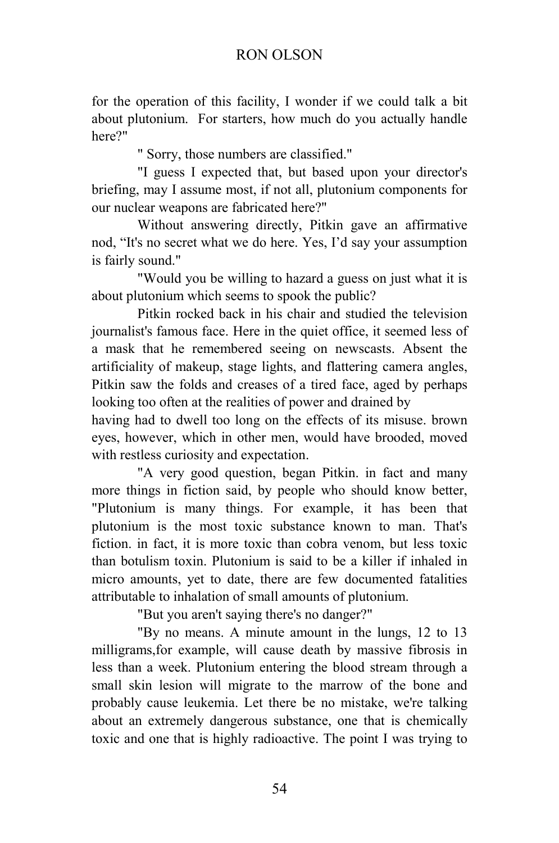for the operation of this facility, I wonder if we could talk a bit about plutonium. For starters, how much do you actually handle here?"

" Sorry, those numbers are classified."

"I guess I expected that, but based upon your director's briefing, may I assume most, if not all, plutonium components for our nuclear weapons are fabricated here?"

Without answering directly, Pitkin gave an affirmative nod, "It's no secret what we do here. Yes, I'd say your assumption is fairly sound."

"Would you be willing to hazard a guess on just what it is about plutonium which seems to spook the public?

Pitkin rocked back in his chair and studied the television journalist's famous face. Here in the quiet office, it seemed less of a mask that he remembered seeing on newscasts. Absent the artificiality of makeup, stage lights, and flattering camera angles, Pitkin saw the folds and creases of a tired face, aged by perhaps looking too often at the realities of power and drained by

having had to dwell too long on the effects of its misuse. brown eyes, however, which in other men, would have brooded, moved with restless curiosity and expectation.

"A very good question, began Pitkin. in fact and many more things in fiction said, by people who should know better, "Plutonium is many things. For example, it has been that plutonium is the most toxic substance known to man. That's fiction. in fact, it is more toxic than cobra venom, but less toxic than botulism toxin. Plutonium is said to be a killer if inhaled in micro amounts, yet to date, there are few documented fatalities attributable to inhalation of small amounts of plutonium.

"But you aren't saying there's no danger?"

"By no means. A minute amount in the lungs, 12 to 13 milligrams,for example, will cause death by massive fibrosis in less than a week. Plutonium entering the blood stream through a small skin lesion will migrate to the marrow of the bone and probably cause leukemia. Let there be no mistake, we're talking about an extremely dangerous substance, one that is chemically toxic and one that is highly radioactive. The point I was trying to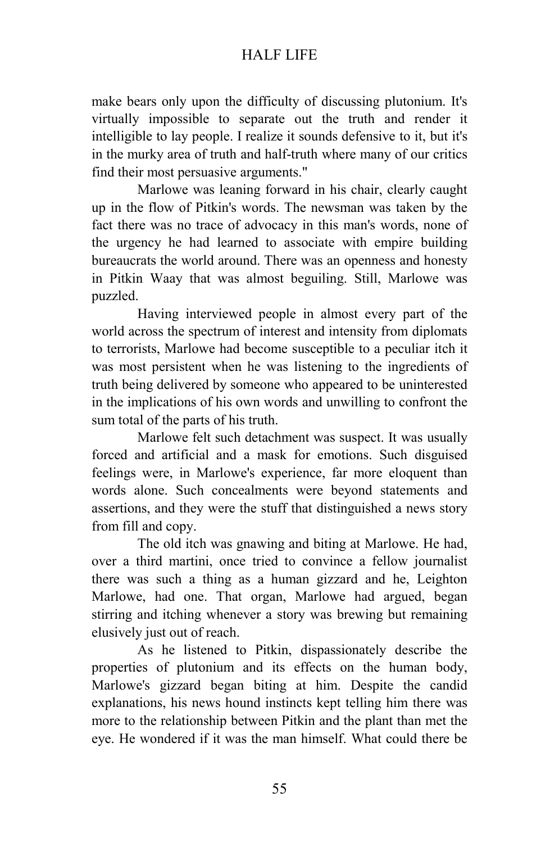make bears only upon the difficulty of discussing plutonium. It's virtually impossible to separate out the truth and render it intelligible to lay people. I realize it sounds defensive to it, but it's in the murky area of truth and half-truth where many of our critics find their most persuasive arguments."

Marlowe was leaning forward in his chair, clearly caught up in the flow of Pitkin's words. The newsman was taken by the fact there was no trace of advocacy in this man's words, none of the urgency he had learned to associate with empire building bureaucrats the world around. There was an openness and honesty in Pitkin Waay that was almost beguiling. Still, Marlowe was puzzled.

Having interviewed people in almost every part of the world across the spectrum of interest and intensity from diplomats to terrorists, Marlowe had become susceptible to a peculiar itch it was most persistent when he was listening to the ingredients of truth being delivered by someone who appeared to be uninterested in the implications of his own words and unwilling to confront the sum total of the parts of his truth.

Marlowe felt such detachment was suspect. It was usually forced and artificial and a mask for emotions. Such disguised feelings were, in Marlowe's experience, far more eloquent than words alone. Such concealments were beyond statements and assertions, and they were the stuff that distinguished a news story from fill and copy.

The old itch was gnawing and biting at Marlowe. He had, over a third martini, once tried to convince a fellow journalist there was such a thing as a human gizzard and he, Leighton Marlowe, had one. That organ, Marlowe had argued, began stirring and itching whenever a story was brewing but remaining elusively just out of reach.

As he listened to Pitkin, dispassionately describe the properties of plutonium and its effects on the human body, Marlowe's gizzard began biting at him. Despite the candid explanations, his news hound instincts kept telling him there was more to the relationship between Pitkin and the plant than met the eye. He wondered if it was the man himself. What could there be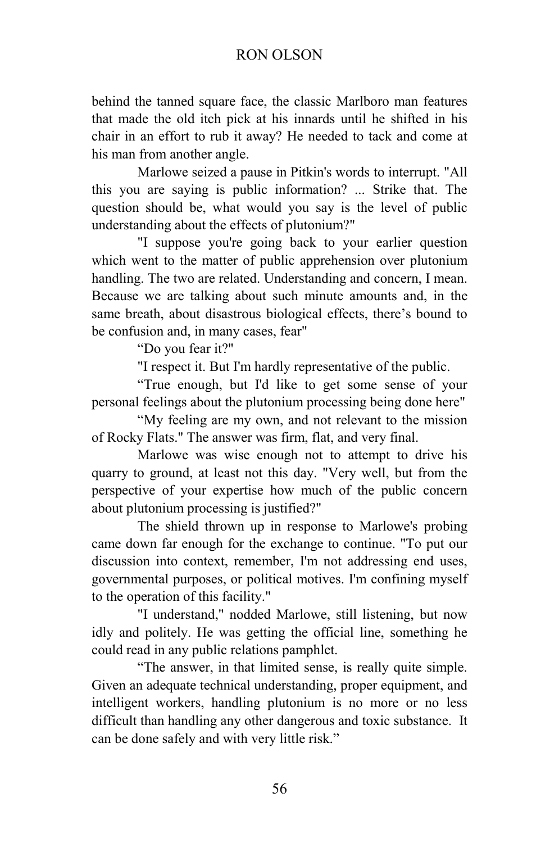behind the tanned square face, the classic Marlboro man features that made the old itch pick at his innards until he shifted in his chair in an effort to rub it away? He needed to tack and come at his man from another angle.

Marlowe seized a pause in Pitkin's words to interrupt. "All this you are saying is public information? ... Strike that. The question should be, what would you say is the level of public understanding about the effects of plutonium?"

"I suppose you're going back to your earlier question which went to the matter of public apprehension over plutonium handling. The two are related. Understanding and concern, I mean. Because we are talking about such minute amounts and, in the same breath, about disastrous biological effects, there's bound to be confusion and, in many cases, fear"

"Do you fear it?"

"I respect it. But I'm hardly representative of the public.

"True enough, but I'd like to get some sense of your personal feelings about the plutonium processing being done here"

"My feeling are my own, and not relevant to the mission of Rocky Flats." The answer was firm, flat, and very final.

Marlowe was wise enough not to attempt to drive his quarry to ground, at least not this day. "Very well, but from the perspective of your expertise how much of the public concern about plutonium processing is justified?"

The shield thrown up in response to Marlowe's probing came down far enough for the exchange to continue. "To put our discussion into context, remember, I'm not addressing end uses, governmental purposes, or political motives. I'm confining myself to the operation of this facility."

"I understand," nodded Marlowe, still listening, but now idly and politely. He was getting the official line, something he could read in any public relations pamphlet.

"The answer, in that limited sense, is really quite simple. Given an adequate technical understanding, proper equipment, and intelligent workers, handling plutonium is no more or no less difficult than handling any other dangerous and toxic substance. It can be done safely and with very little risk."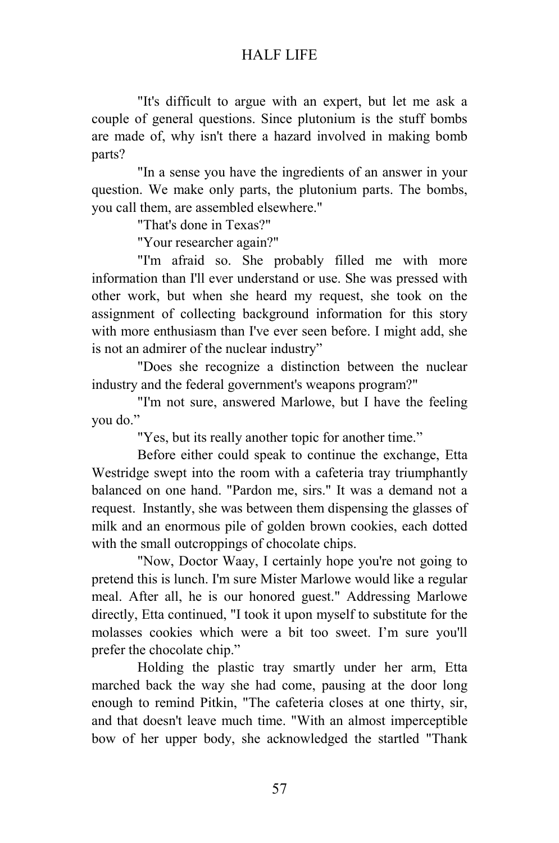"It's difficult to argue with an expert, but let me ask a couple of general questions. Since plutonium is the stuff bombs are made of, why isn't there a hazard involved in making bomb parts?

"In a sense you have the ingredients of an answer in your question. We make only parts, the plutonium parts. The bombs, you call them, are assembled elsewhere."

"That's done in Texas?"

"Your researcher again?"

"I'm afraid so. She probably filled me with more information than I'll ever understand or use. She was pressed with other work, but when she heard my request, she took on the assignment of collecting background information for this story with more enthusiasm than I've ever seen before. I might add, she is not an admirer of the nuclear industry"

"Does she recognize a distinction between the nuclear industry and the federal government's weapons program?"

"I'm not sure, answered Marlowe, but I have the feeling you do."

"Yes, but its really another topic for another time."

Before either could speak to continue the exchange, Etta Westridge swept into the room with a cafeteria tray triumphantly balanced on one hand. "Pardon me, sirs." It was a demand not a request. Instantly, she was between them dispensing the glasses of milk and an enormous pile of golden brown cookies, each dotted with the small outcroppings of chocolate chips.

"Now, Doctor Waay, I certainly hope you're not going to pretend this is lunch. I'm sure Mister Marlowe would like a regular meal. After all, he is our honored guest." Addressing Marlowe directly, Etta continued, "I took it upon myself to substitute for the molasses cookies which were a bit too sweet. I'm sure you'll prefer the chocolate chip."

Holding the plastic tray smartly under her arm, Etta marched back the way she had come, pausing at the door long enough to remind Pitkin, "The cafeteria closes at one thirty, sir, and that doesn't leave much time. "With an almost imperceptible bow of her upper body, she acknowledged the startled "Thank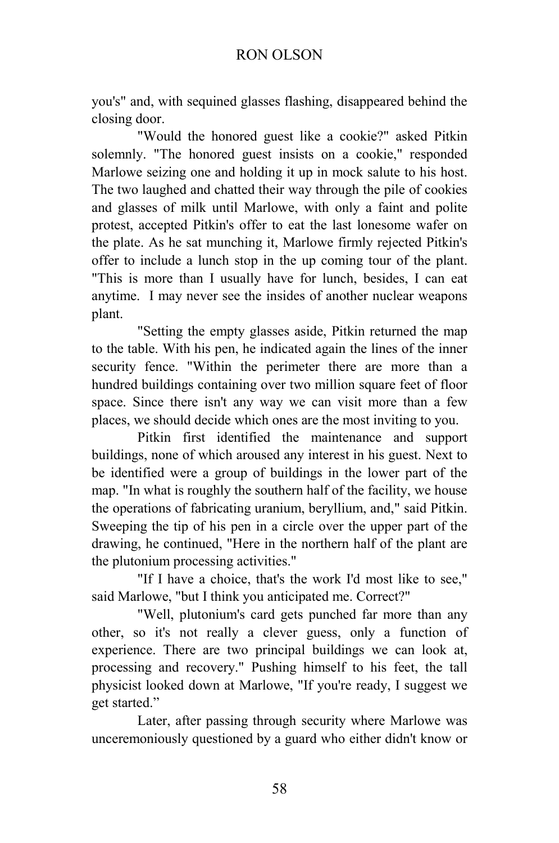you's" and, with sequined glasses flashing, disappeared behind the closing door.

"Would the honored guest like a cookie?" asked Pitkin solemnly. "The honored guest insists on a cookie," responded Marlowe seizing one and holding it up in mock salute to his host. The two laughed and chatted their way through the pile of cookies and glasses of milk until Marlowe, with only a faint and polite protest, accepted Pitkin's offer to eat the last lonesome wafer on the plate. As he sat munching it, Marlowe firmly rejected Pitkin's offer to include a lunch stop in the up coming tour of the plant. "This is more than I usually have for lunch, besides, I can eat anytime. I may never see the insides of another nuclear weapons plant.

"Setting the empty glasses aside, Pitkin returned the map to the table. With his pen, he indicated again the lines of the inner security fence. "Within the perimeter there are more than a hundred buildings containing over two million square feet of floor space. Since there isn't any way we can visit more than a few places, we should decide which ones are the most inviting to you.

Pitkin first identified the maintenance and support buildings, none of which aroused any interest in his guest. Next to be identified were a group of buildings in the lower part of the map. "In what is roughly the southern half of the facility, we house the operations of fabricating uranium, beryllium, and," said Pitkin. Sweeping the tip of his pen in a circle over the upper part of the drawing, he continued, "Here in the northern half of the plant are the plutonium processing activities."

"If I have a choice, that's the work I'd most like to see," said Marlowe, "but I think you anticipated me. Correct?"

"Well, plutonium's card gets punched far more than any other, so it's not really a clever guess, only a function of experience. There are two principal buildings we can look at, processing and recovery." Pushing himself to his feet, the tall physicist looked down at Marlowe, "If you're ready, I suggest we get started."

Later, after passing through security where Marlowe was unceremoniously questioned by a guard who either didn't know or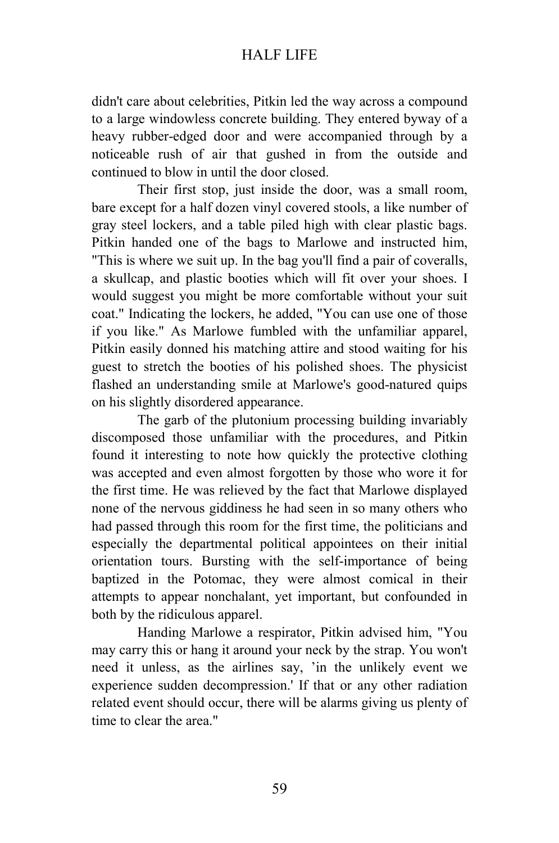didn't care about celebrities, Pitkin led the way across a compound to a large windowless concrete building. They entered byway of a heavy rubber-edged door and were accompanied through by a noticeable rush of air that gushed in from the outside and continued to blow in until the door closed.

Their first stop, just inside the door, was a small room, bare except for a half dozen vinyl covered stools, a like number of gray steel lockers, and a table piled high with clear plastic bags. Pitkin handed one of the bags to Marlowe and instructed him, "This is where we suit up. In the bag you'll find a pair of coveralls, a skullcap, and plastic booties which will fit over your shoes. I would suggest you might be more comfortable without your suit coat." Indicating the lockers, he added, "You can use one of those if you like." As Marlowe fumbled with the unfamiliar apparel, Pitkin easily donned his matching attire and stood waiting for his guest to stretch the booties of his polished shoes. The physicist flashed an understanding smile at Marlowe's good-natured quips on his slightly disordered appearance.

The garb of the plutonium processing building invariably discomposed those unfamiliar with the procedures, and Pitkin found it interesting to note how quickly the protective clothing was accepted and even almost forgotten by those who wore it for the first time. He was relieved by the fact that Marlowe displayed none of the nervous giddiness he had seen in so many others who had passed through this room for the first time, the politicians and especially the departmental political appointees on their initial orientation tours. Bursting with the self-importance of being baptized in the Potomac, they were almost comical in their attempts to appear nonchalant, yet important, but confounded in both by the ridiculous apparel.

Handing Marlowe a respirator, Pitkin advised him, "You may carry this or hang it around your neck by the strap. You won't need it unless, as the airlines say, 'in the unlikely event we experience sudden decompression.' If that or any other radiation related event should occur, there will be alarms giving us plenty of time to clear the area."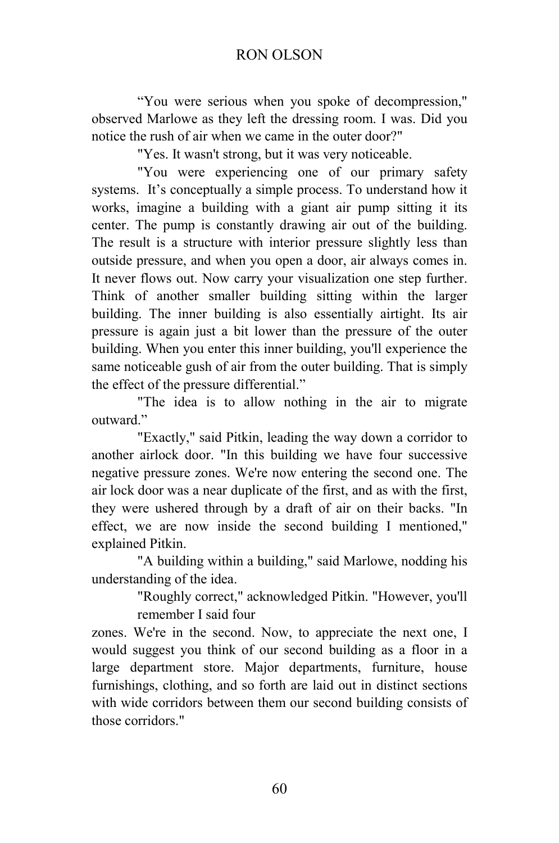"You were serious when you spoke of decompression," observed Marlowe as they left the dressing room. I was. Did you notice the rush of air when we came in the outer door?"

"Yes. It wasn't strong, but it was very noticeable.

"You were experiencing one of our primary safety systems. It's conceptually a simple process. To understand how it works, imagine a building with a giant air pump sitting it its center. The pump is constantly drawing air out of the building. The result is a structure with interior pressure slightly less than outside pressure, and when you open a door, air always comes in. It never flows out. Now carry your visualization one step further. Think of another smaller building sitting within the larger building. The inner building is also essentially airtight. Its air pressure is again just a bit lower than the pressure of the outer building. When you enter this inner building, you'll experience the same noticeable gush of air from the outer building. That is simply the effect of the pressure differential."

"The idea is to allow nothing in the air to migrate outward."

"Exactly," said Pitkin, leading the way down a corridor to another airlock door. "In this building we have four successive negative pressure zones. We're now entering the second one. The air lock door was a near duplicate of the first, and as with the first, they were ushered through by a draft of air on their backs. "In effect, we are now inside the second building I mentioned," explained Pitkin.

"A building within a building," said Marlowe, nodding his understanding of the idea.

> "Roughly correct," acknowledged Pitkin. "However, you'll remember I said four

zones. We're in the second. Now, to appreciate the next one, I would suggest you think of our second building as a floor in a large department store. Major departments, furniture, house furnishings, clothing, and so forth are laid out in distinct sections with wide corridors between them our second building consists of those corridors."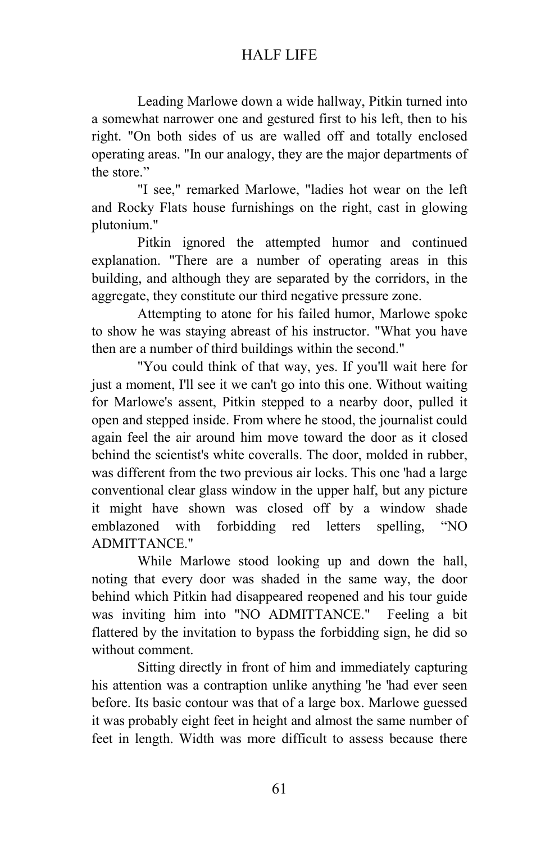Leading Marlowe down a wide hallway, Pitkin turned into a somewhat narrower one and gestured first to his left, then to his right. "On both sides of us are walled off and totally enclosed operating areas. "In our analogy, they are the major departments of the store."

"I see," remarked Marlowe, "ladies hot wear on the left and Rocky Flats house furnishings on the right, cast in glowing plutonium."

Pitkin ignored the attempted humor and continued explanation. "There are a number of operating areas in this building, and although they are separated by the corridors, in the aggregate, they constitute our third negative pressure zone.

Attempting to atone for his failed humor, Marlowe spoke to show he was staying abreast of his instructor. "What you have then are a number of third buildings within the second."

"You could think of that way, yes. If you'll wait here for just a moment, I'll see it we can't go into this one. Without waiting for Marlowe's assent, Pitkin stepped to a nearby door, pulled it open and stepped inside. From where he stood, the journalist could again feel the air around him move toward the door as it closed behind the scientist's white coveralls. The door, molded in rubber, was different from the two previous air locks. This one 'had a large conventional clear glass window in the upper half, but any picture it might have shown was closed off by a window shade emblazoned with forbidding red letters spelling, "NO ADMITTANCE."

While Marlowe stood looking up and down the hall, noting that every door was shaded in the same way, the door behind which Pitkin had disappeared reopened and his tour guide was inviting him into "NO ADMITTANCE." Feeling a bit flattered by the invitation to bypass the forbidding sign, he did so without comment.

Sitting directly in front of him and immediately capturing his attention was a contraption unlike anything 'he 'had ever seen before. Its basic contour was that of a large box. Marlowe guessed it was probably eight feet in height and almost the same number of feet in length. Width was more difficult to assess because there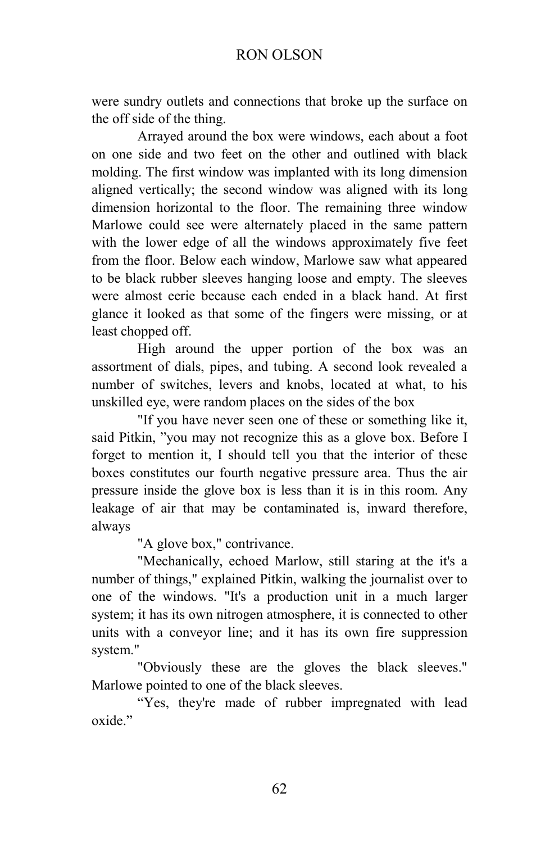were sundry outlets and connections that broke up the surface on the off side of the thing.

Arrayed around the box were windows, each about a foot on one side and two feet on the other and outlined with black molding. The first window was implanted with its long dimension aligned vertically; the second window was aligned with its long dimension horizontal to the floor. The remaining three window Marlowe could see were alternately placed in the same pattern with the lower edge of all the windows approximately five feet from the floor. Below each window, Marlowe saw what appeared to be black rubber sleeves hanging loose and empty. The sleeves were almost eerie because each ended in a black hand. At first glance it looked as that some of the fingers were missing, or at least chopped off.

High around the upper portion of the box was an assortment of dials, pipes, and tubing. A second look revealed a number of switches, levers and knobs, located at what, to his unskilled eye, were random places on the sides of the box

"If you have never seen one of these or something like it, said Pitkin, "you may not recognize this as a glove box. Before I forget to mention it, I should tell you that the interior of these boxes constitutes our fourth negative pressure area. Thus the air pressure inside the glove box is less than it is in this room. Any leakage of air that may be contaminated is, inward therefore, always

"A glove box," contrivance.

"Mechanically, echoed Marlow, still staring at the it's a number of things," explained Pitkin, walking the journalist over to one of the windows. "It's a production unit in a much larger system; it has its own nitrogen atmosphere, it is connected to other units with a conveyor line; and it has its own fire suppression system."

"Obviously these are the gloves the black sleeves." Marlowe pointed to one of the black sleeves.

"Yes, they're made of rubber impregnated with lead oxide"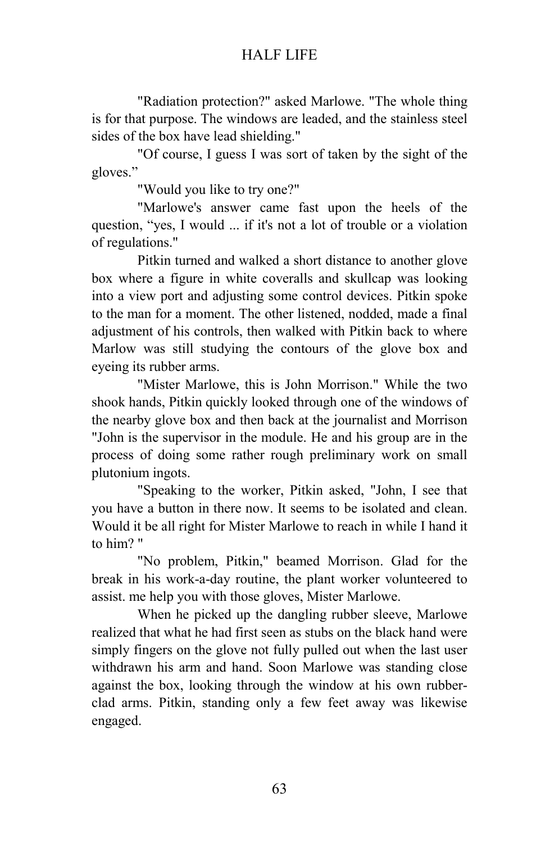"Radiation protection?" asked Marlowe. "The whole thing is for that purpose. The windows are leaded, and the stainless steel sides of the box have lead shielding."

"Of course, I guess I was sort of taken by the sight of the gloves."

"Would you like to try one?"

"Marlowe's answer came fast upon the heels of the question, "yes, I would ... if it's not a lot of trouble or a violation of regulations."

Pitkin turned and walked a short distance to another glove box where a figure in white coveralls and skullcap was looking into a view port and adjusting some control devices. Pitkin spoke to the man for a moment. The other listened, nodded, made a final adjustment of his controls, then walked with Pitkin back to where Marlow was still studying the contours of the glove box and eyeing its rubber arms.

"Mister Marlowe, this is John Morrison." While the two shook hands, Pitkin quickly looked through one of the windows of the nearby glove box and then back at the journalist and Morrison "John is the supervisor in the module. He and his group are in the process of doing some rather rough preliminary work on small plutonium ingots.

"Speaking to the worker, Pitkin asked, "John, I see that you have a button in there now. It seems to be isolated and clean. Would it be all right for Mister Marlowe to reach in while I hand it to him? "

"No problem, Pitkin," beamed Morrison. Glad for the break in his work-a-day routine, the plant worker volunteered to assist. me help you with those gloves, Mister Marlowe.

When he picked up the dangling rubber sleeve, Marlowe realized that what he had first seen as stubs on the black hand were simply fingers on the glove not fully pulled out when the last user withdrawn his arm and hand. Soon Marlowe was standing close against the box, looking through the window at his own rubberclad arms. Pitkin, standing only a few feet away was likewise engaged.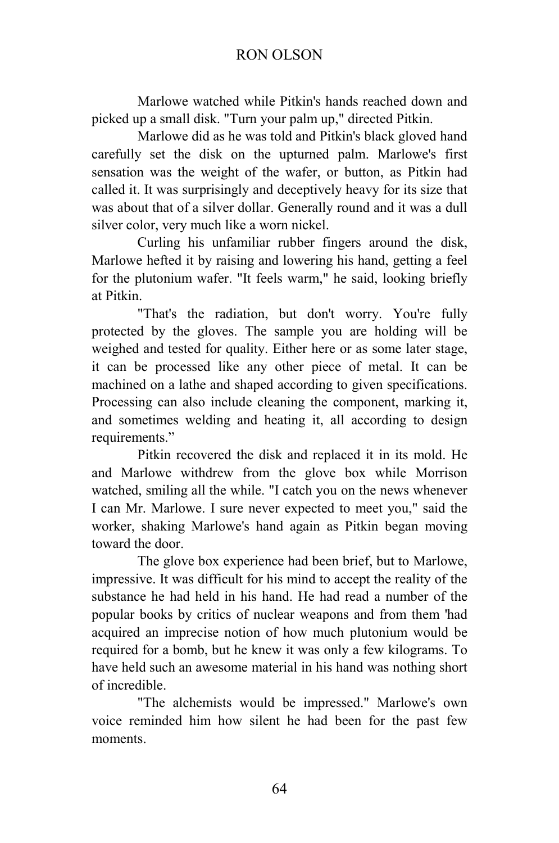Marlowe watched while Pitkin's hands reached down and picked up a small disk. "Turn your palm up," directed Pitkin.

Marlowe did as he was told and Pitkin's black gloved hand carefully set the disk on the upturned palm. Marlowe's first sensation was the weight of the wafer, or button, as Pitkin had called it. It was surprisingly and deceptively heavy for its size that was about that of a silver dollar. Generally round and it was a dull silver color, very much like a worn nickel.

Curling his unfamiliar rubber fingers around the disk, Marlowe hefted it by raising and lowering his hand, getting a feel for the plutonium wafer. "It feels warm," he said, looking briefly at Pitkin.

"That's the radiation, but don't worry. You're fully protected by the gloves. The sample you are holding will be weighed and tested for quality. Either here or as some later stage, it can be processed like any other piece of metal. It can be machined on a lathe and shaped according to given specifications. Processing can also include cleaning the component, marking it, and sometimes welding and heating it, all according to design requirements."

Pitkin recovered the disk and replaced it in its mold. He and Marlowe withdrew from the glove box while Morrison watched, smiling all the while. "I catch you on the news whenever I can Mr. Marlowe. I sure never expected to meet you," said the worker, shaking Marlowe's hand again as Pitkin began moving toward the door.

The glove box experience had been brief, but to Marlowe, impressive. It was difficult for his mind to accept the reality of the substance he had held in his hand. He had read a number of the popular books by critics of nuclear weapons and from them 'had acquired an imprecise notion of how much plutonium would be required for a bomb, but he knew it was only a few kilograms. To have held such an awesome material in his hand was nothing short of incredible.

"The alchemists would be impressed." Marlowe's own voice reminded him how silent he had been for the past few moments.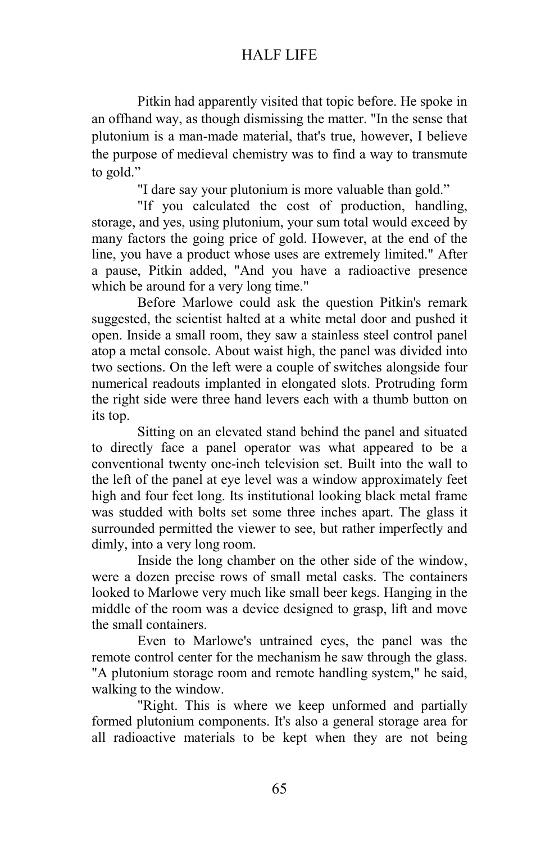Pitkin had apparently visited that topic before. He spoke in an offhand way, as though dismissing the matter. "In the sense that plutonium is a man-made material, that's true, however, I believe the purpose of medieval chemistry was to find a way to transmute to gold."

"I dare say your plutonium is more valuable than gold."

"If you calculated the cost of production, handling, storage, and yes, using plutonium, your sum total would exceed by many factors the going price of gold. However, at the end of the line, you have a product whose uses are extremely limited." After a pause, Pitkin added, "And you have a radioactive presence which be around for a very long time."

Before Marlowe could ask the question Pitkin's remark suggested, the scientist halted at a white metal door and pushed it open. Inside a small room, they saw a stainless steel control panel atop a metal console. About waist high, the panel was divided into two sections. On the left were a couple of switches alongside four numerical readouts implanted in elongated slots. Protruding form the right side were three hand levers each with a thumb button on its top.

Sitting on an elevated stand behind the panel and situated to directly face a panel operator was what appeared to be a conventional twenty one-inch television set. Built into the wall to the left of the panel at eye level was a window approximately feet high and four feet long. Its institutional looking black metal frame was studded with bolts set some three inches apart. The glass it surrounded permitted the viewer to see, but rather imperfectly and dimly, into a very long room.

Inside the long chamber on the other side of the window, were a dozen precise rows of small metal casks. The containers looked to Marlowe very much like small beer kegs. Hanging in the middle of the room was a device designed to grasp, lift and move the small containers.

Even to Marlowe's untrained eyes, the panel was the remote control center for the mechanism he saw through the glass. "A plutonium storage room and remote handling system," he said, walking to the window.

"Right. This is where we keep unformed and partially formed plutonium components. It's also a general storage area for all radioactive materials to be kept when they are not being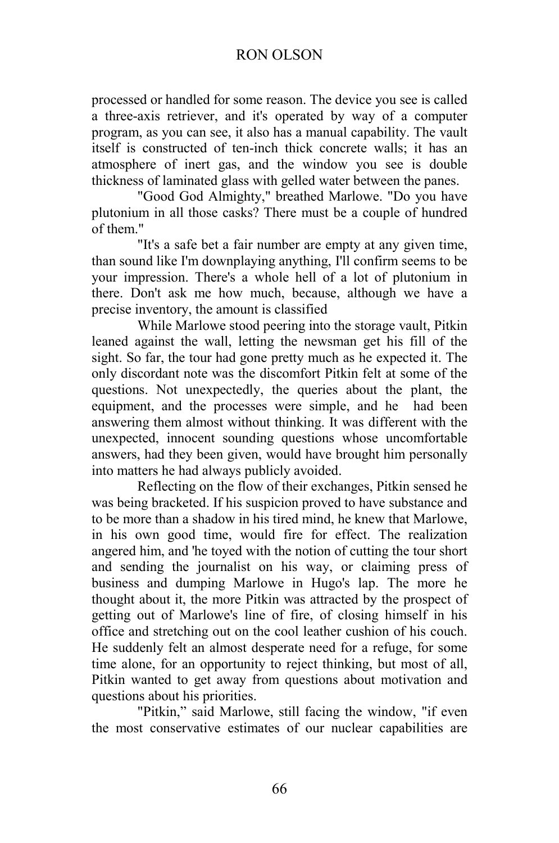processed or handled for some reason. The device you see is called a three-axis retriever, and it's operated by way of a computer program, as you can see, it also has a manual capability. The vault itself is constructed of ten-inch thick concrete walls; it has an atmosphere of inert gas, and the window you see is double thickness of laminated glass with gelled water between the panes.

"Good God Almighty," breathed Marlowe. "Do you have plutonium in all those casks? There must be a couple of hundred of them."

"It's a safe bet a fair number are empty at any given time, than sound like I'm downplaying anything, I'll confirm seems to be your impression. There's a whole hell of a lot of plutonium in there. Don't ask me how much, because, although we have a precise inventory, the amount is classified

While Marlowe stood peering into the storage vault, Pitkin leaned against the wall, letting the newsman get his fill of the sight. So far, the tour had gone pretty much as he expected it. The only discordant note was the discomfort Pitkin felt at some of the questions. Not unexpectedly, the queries about the plant, the equipment, and the processes were simple, and he had been answering them almost without thinking. It was different with the unexpected, innocent sounding questions whose uncomfortable answers, had they been given, would have brought him personally into matters he had always publicly avoided.

Reflecting on the flow of their exchanges, Pitkin sensed he was being bracketed. If his suspicion proved to have substance and to be more than a shadow in his tired mind, he knew that Marlowe, in his own good time, would fire for effect. The realization angered him, and 'he toyed with the notion of cutting the tour short and sending the journalist on his way, or claiming press of business and dumping Marlowe in Hugo's lap. The more he thought about it, the more Pitkin was attracted by the prospect of getting out of Marlowe's line of fire, of closing himself in his office and stretching out on the cool leather cushion of his couch. He suddenly felt an almost desperate need for a refuge, for some time alone, for an opportunity to reject thinking, but most of all, Pitkin wanted to get away from questions about motivation and questions about his priorities.

"Pitkin," said Marlowe, still facing the window, "if even the most conservative estimates of our nuclear capabilities are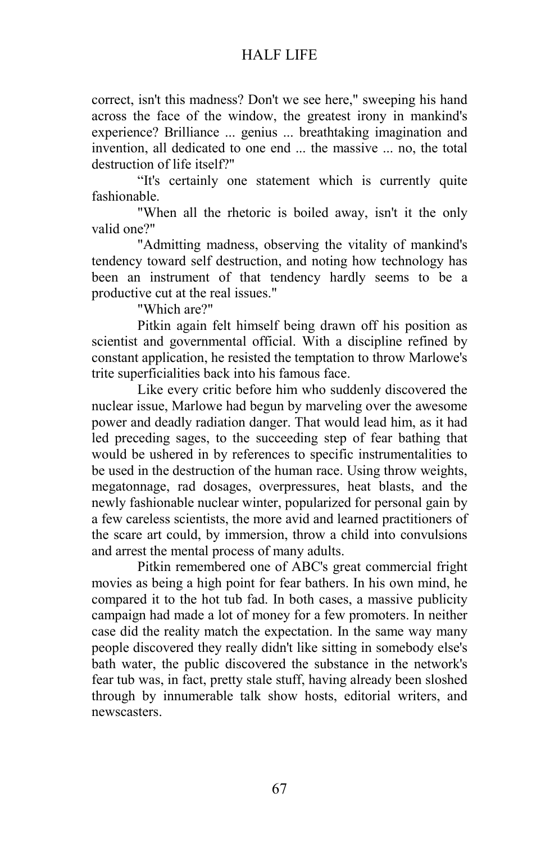correct, isn't this madness? Don't we see here," sweeping his hand across the face of the window, the greatest irony in mankind's experience? Brilliance ... genius ... breathtaking imagination and invention, all dedicated to one end ... the massive ... no, the total destruction of life itself?"

"It's certainly one statement which is currently quite fashionable.

"When all the rhetoric is boiled away, isn't it the only valid one?"

"Admitting madness, observing the vitality of mankind's tendency toward self destruction, and noting how technology has been an instrument of that tendency hardly seems to be a productive cut at the real issues."

"Which are?"

Pitkin again felt himself being drawn off his position as scientist and governmental official. With a discipline refined by constant application, he resisted the temptation to throw Marlowe's trite superficialities back into his famous face.

Like every critic before him who suddenly discovered the nuclear issue, Marlowe had begun by marveling over the awesome power and deadly radiation danger. That would lead him, as it had led preceding sages, to the succeeding step of fear bathing that would be ushered in by references to specific instrumentalities to be used in the destruction of the human race. Using throw weights, megatonnage, rad dosages, overpressures, heat blasts, and the newly fashionable nuclear winter, popularized for personal gain by a few careless scientists, the more avid and learned practitioners of the scare art could, by immersion, throw a child into convulsions and arrest the mental process of many adults.

Pitkin remembered one of ABC's great commercial fright movies as being a high point for fear bathers. In his own mind, he compared it to the hot tub fad. In both cases, a massive publicity campaign had made a lot of money for a few promoters. In neither case did the reality match the expectation. In the same way many people discovered they really didn't like sitting in somebody else's bath water, the public discovered the substance in the network's fear tub was, in fact, pretty stale stuff, having already been sloshed through by innumerable talk show hosts, editorial writers, and newscasters.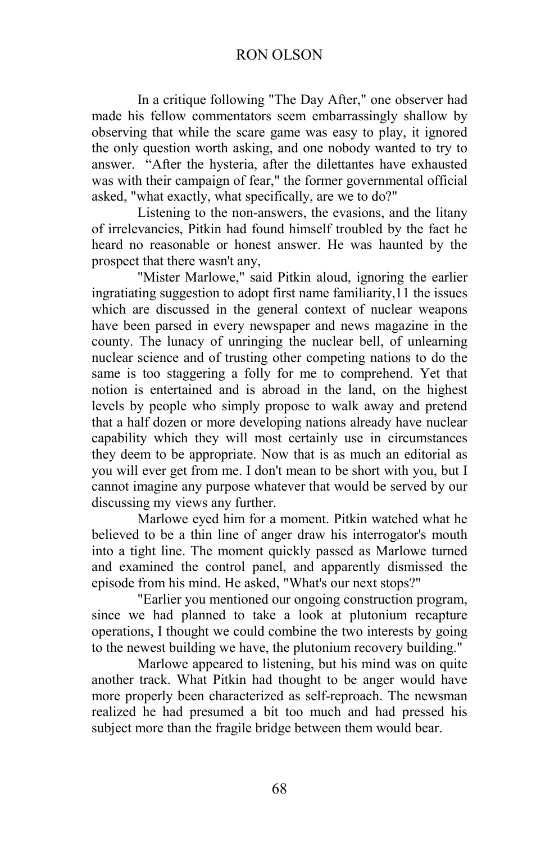In a critique following "The Day After," one observer had made his fellow commentators seem embarrassingly shallow by observing that while the scare game was easy to play, it ignored the only question worth asking, and one nobody wanted to try to answer. "After the hysteria, after the dilettantes have exhausted was with their campaign of fear," the former governmental official asked, "what exactly, what specifically, are we to do?"

Listening to the non-answers, the evasions, and the litany of irrelevancies, Pitkin had found himself troubled by the fact he heard no reasonable or honest answer. He was haunted by the prospect that there wasn't any,

"Mister Marlowe," said Pitkin aloud, ignoring the earlier ingratiating suggestion to adopt first name familiarity,11 the issues which are discussed in the general context of nuclear weapons have been parsed in every newspaper and news magazine in the county. The lunacy of unringing the nuclear bell, of unlearning nuclear science and of trusting other competing nations to do the same is too staggering a folly for me to comprehend. Yet that notion is entertained and is abroad in the land, on the highest levels by people who simply propose to walk away and pretend that a half dozen or more developing nations already have nuclear capability which they will most certainly use in circumstances they deem to be appropriate. Now that is as much an editorial as you will ever get from me. I don't mean to be short with you, but I cannot imagine any purpose whatever that would be served by our discussing my views any further.

Marlowe eyed him for a moment. Pitkin watched what he believed to be a thin line of anger draw his interrogator's mouth into a tight line. The moment quickly passed as Marlowe turned and examined the control panel, and apparently dismissed the episode from his mind. He asked, "What's our next stops?"

"Earlier you mentioned our ongoing construction program, since we had planned to take a look at plutonium recapture operations, I thought we could combine the two interests by going to the newest building we have, the plutonium recovery building."

Marlowe appeared to listening, but his mind was on quite another track. What Pitkin had thought to be anger would have more properly been characterized as self-reproach. The newsman realized he had presumed a bit too much and had pressed his subject more than the fragile bridge between them would bear.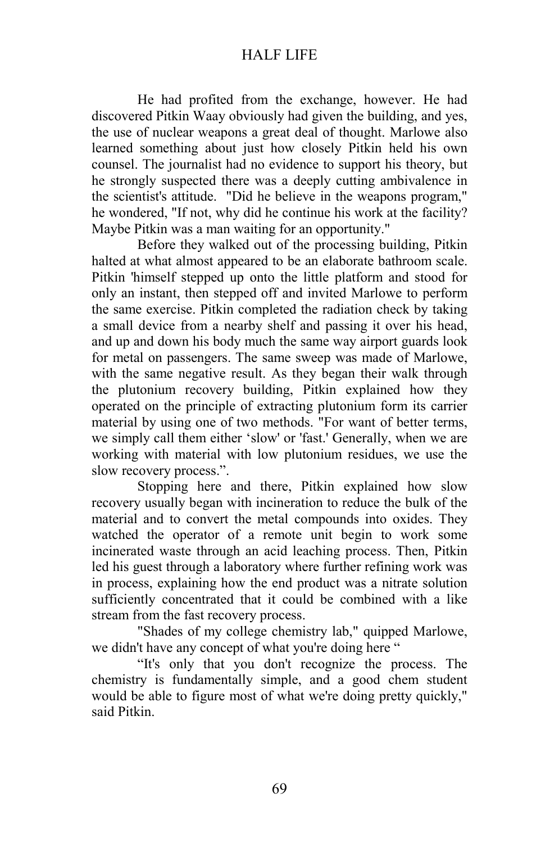He had profited from the exchange, however. He had discovered Pitkin Waay obviously had given the building, and yes, the use of nuclear weapons a great deal of thought. Marlowe also learned something about just how closely Pitkin held his own counsel. The journalist had no evidence to support his theory, but he strongly suspected there was a deeply cutting ambivalence in the scientist's attitude. "Did he believe in the weapons program," he wondered, "If not, why did he continue his work at the facility? Maybe Pitkin was a man waiting for an opportunity."

Before they walked out of the processing building, Pitkin halted at what almost appeared to be an elaborate bathroom scale. Pitkin 'himself stepped up onto the little platform and stood for only an instant, then stepped off and invited Marlowe to perform the same exercise. Pitkin completed the radiation check by taking a small device from a nearby shelf and passing it over his head, and up and down his body much the same way airport guards look for metal on passengers. The same sweep was made of Marlowe, with the same negative result. As they began their walk through the plutonium recovery building, Pitkin explained how they operated on the principle of extracting plutonium form its carrier material by using one of two methods. "For want of better terms, we simply call them either 'slow' or 'fast.' Generally, when we are working with material with low plutonium residues, we use the slow recovery process.".

Stopping here and there, Pitkin explained how slow recovery usually began with incineration to reduce the bulk of the material and to convert the metal compounds into oxides. They watched the operator of a remote unit begin to work some incinerated waste through an acid leaching process. Then, Pitkin led his guest through a laboratory where further refining work was in process, explaining how the end product was a nitrate solution sufficiently concentrated that it could be combined with a like stream from the fast recovery process.

"Shades of my college chemistry lab," quipped Marlowe, we didn't have any concept of what you're doing here "

"It's only that you don't recognize the process. The chemistry is fundamentally simple, and a good chem student would be able to figure most of what we're doing pretty quickly," said Pitkin.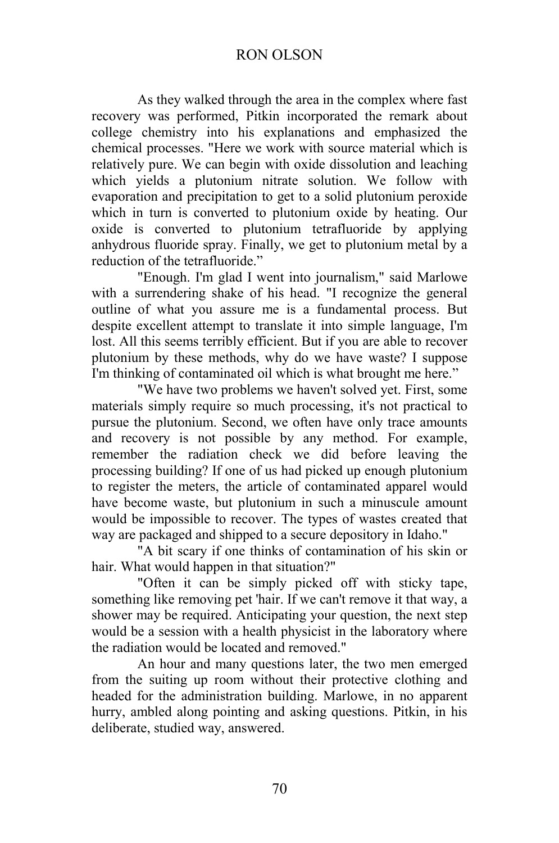As they walked through the area in the complex where fast recovery was performed, Pitkin incorporated the remark about college chemistry into his explanations and emphasized the chemical processes. "Here we work with source material which is relatively pure. We can begin with oxide dissolution and leaching which vields a plutonium nitrate solution. We follow with evaporation and precipitation to get to a solid plutonium peroxide which in turn is converted to plutonium oxide by heating. Our oxide is converted to plutonium tetrafluoride by applying anhydrous fluoride spray. Finally, we get to plutonium metal by a reduction of the tetrafluoride."

"Enough. I'm glad I went into journalism," said Marlowe with a surrendering shake of his head. "I recognize the general outline of what you assure me is a fundamental process. But despite excellent attempt to translate it into simple language, I'm lost. All this seems terribly efficient. But if you are able to recover plutonium by these methods, why do we have waste? I suppose I'm thinking of contaminated oil which is what brought me here."

"We have two problems we haven't solved yet. First, some materials simply require so much processing, it's not practical to pursue the plutonium. Second, we often have only trace amounts and recovery is not possible by any method. For example, remember the radiation check we did before leaving the processing building? If one of us had picked up enough plutonium to register the meters, the article of contaminated apparel would have become waste, but plutonium in such a minuscule amount would be impossible to recover. The types of wastes created that way are packaged and shipped to a secure depository in Idaho."

"A bit scary if one thinks of contamination of his skin or hair. What would happen in that situation?"

"Often it can be simply picked off with sticky tape, something like removing pet 'hair. If we can't remove it that way, a shower may be required. Anticipating your question, the next step would be a session with a health physicist in the laboratory where the radiation would be located and removed."

An hour and many questions later, the two men emerged from the suiting up room without their protective clothing and headed for the administration building. Marlowe, in no apparent hurry, ambled along pointing and asking questions. Pitkin, in his deliberate, studied way, answered.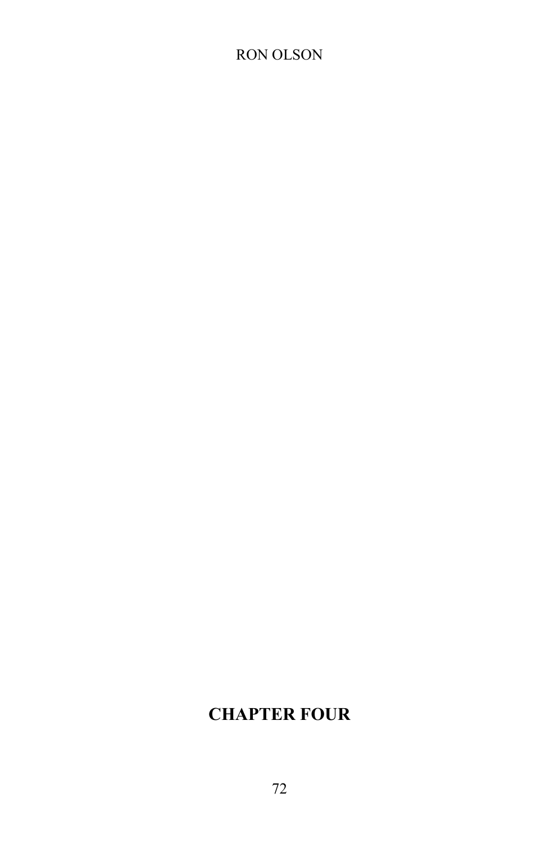# **CHAPTER FOUR**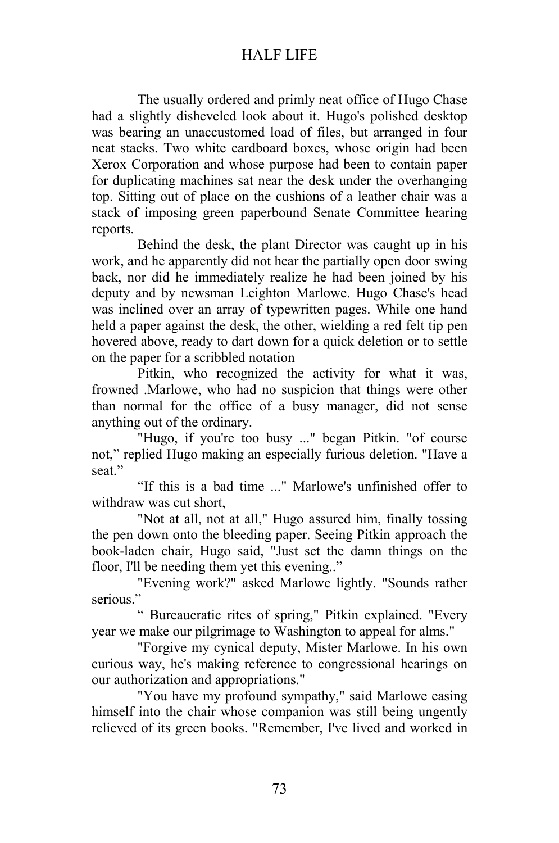The usually ordered and primly neat office of Hugo Chase had a slightly disheveled look about it. Hugo's polished desktop was bearing an unaccustomed load of files, but arranged in four neat stacks. Two white cardboard boxes, whose origin had been Xerox Corporation and whose purpose had been to contain paper for duplicating machines sat near the desk under the overhanging top. Sitting out of place on the cushions of a leather chair was a stack of imposing green paperbound Senate Committee hearing reports.

Behind the desk, the plant Director was caught up in his work, and he apparently did not hear the partially open door swing back, nor did he immediately realize he had been joined by his deputy and by newsman Leighton Marlowe. Hugo Chase's head was inclined over an array of typewritten pages. While one hand held a paper against the desk, the other, wielding a red felt tip pen hovered above, ready to dart down for a quick deletion or to settle on the paper for a scribbled notation

Pitkin, who recognized the activity for what it was, frowned .Marlowe, who had no suspicion that things were other than normal for the office of a busy manager, did not sense anything out of the ordinary.

"Hugo, if you're too busy ..." began Pitkin. "of course not," replied Hugo making an especially furious deletion. "Have a seat."

"If this is a bad time ..." Marlowe's unfinished offer to withdraw was cut short,

"Not at all, not at all," Hugo assured him, finally tossing the pen down onto the bleeding paper. Seeing Pitkin approach the book-laden chair, Hugo said, "Just set the damn things on the floor, I'll be needing them yet this evening.."

"Evening work?" asked Marlowe lightly. "Sounds rather serious."

" Bureaucratic rites of spring," Pitkin explained. "Every year we make our pilgrimage to Washington to appeal for alms."

"Forgive my cynical deputy, Mister Marlowe. In his own curious way, he's making reference to congressional hearings on our authorization and appropriations."

"You have my profound sympathy," said Marlowe easing himself into the chair whose companion was still being ungently relieved of its green books. "Remember, I've lived and worked in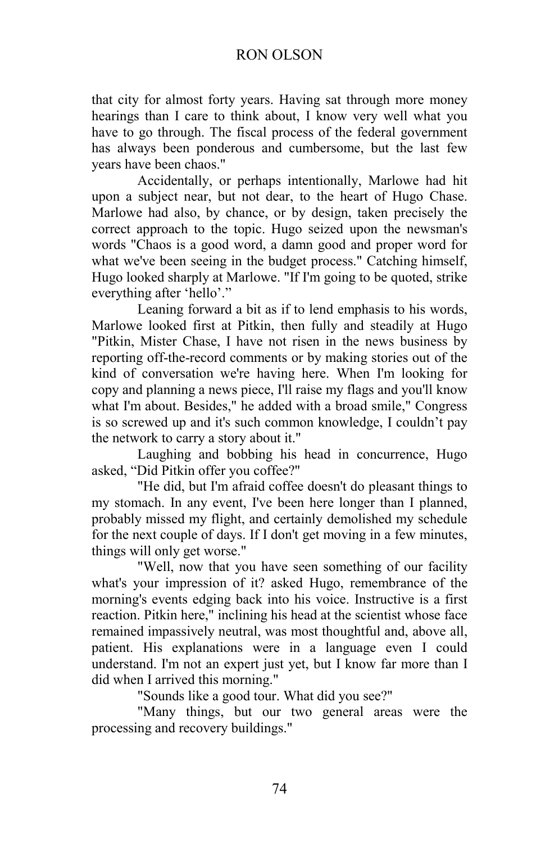that city for almost forty years. Having sat through more money hearings than I care to think about, I know very well what you have to go through. The fiscal process of the federal government has always been ponderous and cumbersome, but the last few years have been chaos."

Accidentally, or perhaps intentionally, Marlowe had hit upon a subject near, but not dear, to the heart of Hugo Chase. Marlowe had also, by chance, or by design, taken precisely the correct approach to the topic. Hugo seized upon the newsman's words "Chaos is a good word, a damn good and proper word for what we've been seeing in the budget process." Catching himself, Hugo looked sharply at Marlowe. "If I'm going to be quoted, strike everything after 'hello'."

Leaning forward a bit as if to lend emphasis to his words, Marlowe looked first at Pitkin, then fully and steadily at Hugo "Pitkin, Mister Chase, I have not risen in the news business by reporting off-the-record comments or by making stories out of the kind of conversation we're having here. When I'm looking for copy and planning a news piece, I'll raise my flags and you'll know what I'm about. Besides," he added with a broad smile," Congress is so screwed up and it's such common knowledge, I couldn't pay the network to carry a story about it."

Laughing and bobbing his head in concurrence, Hugo asked, "Did Pitkin offer you coffee?"

"He did, but I'm afraid coffee doesn't do pleasant things to my stomach. In any event, I've been here longer than I planned, probably missed my flight, and certainly demolished my schedule for the next couple of days. If I don't get moving in a few minutes, things will only get worse."

"Well, now that you have seen something of our facility what's your impression of it? asked Hugo, remembrance of the morning's events edging back into his voice. Instructive is a first reaction. Pitkin here," inclining his head at the scientist whose face remained impassively neutral, was most thoughtful and, above all, patient. His explanations were in a language even I could understand. I'm not an expert just yet, but I know far more than I did when I arrived this morning."

"Sounds like a good tour. What did you see?"

"Many things, but our two general areas were the processing and recovery buildings."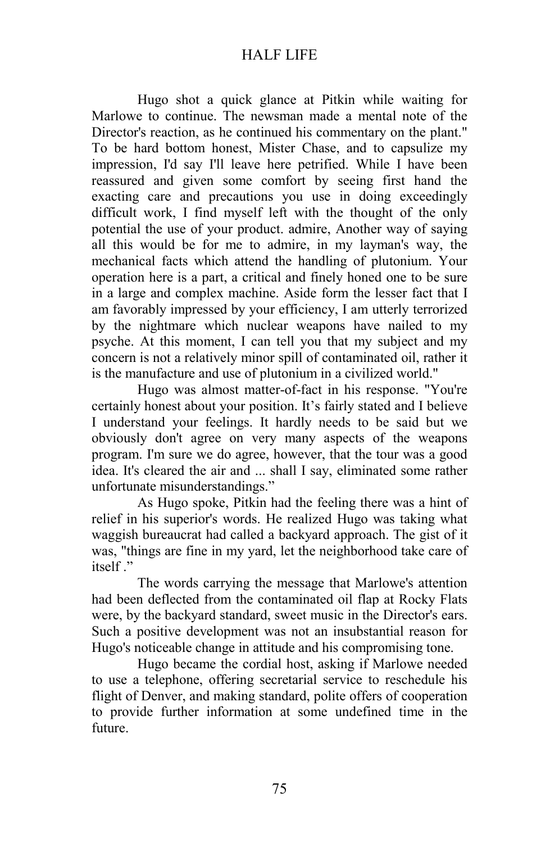Hugo shot a quick glance at Pitkin while waiting for Marlowe to continue. The newsman made a mental note of the Director's reaction, as he continued his commentary on the plant." To be hard bottom honest, Mister Chase, and to capsulize my impression, I'd say I'll leave here petrified. While I have been reassured and given some comfort by seeing first hand the exacting care and precautions you use in doing exceedingly difficult work, I find myself left with the thought of the only potential the use of your product. admire, Another way of saying all this would be for me to admire, in my layman's way, the mechanical facts which attend the handling of plutonium. Your operation here is a part, a critical and finely honed one to be sure in a large and complex machine. Aside form the lesser fact that I am favorably impressed by your efficiency, I am utterly terrorized by the nightmare which nuclear weapons have nailed to my psyche. At this moment, I can tell you that my subject and my concern is not a relatively minor spill of contaminated oil, rather it is the manufacture and use of plutonium in a civilized world."

Hugo was almost matter-of-fact in his response. "You're certainly honest about your position. It's fairly stated and I believe I understand your feelings. It hardly needs to be said but we obviously don't agree on very many aspects of the weapons program. I'm sure we do agree, however, that the tour was a good idea. It's cleared the air and ... shall I say, eliminated some rather unfortunate misunderstandings."

As Hugo spoke, Pitkin had the feeling there was a hint of relief in his superior's words. He realized Hugo was taking what waggish bureaucrat had called a backyard approach. The gist of it was, "things are fine in my yard, let the neighborhood take care of itself ."

The words carrying the message that Marlowe's attention had been deflected from the contaminated oil flap at Rocky Flats were, by the backyard standard, sweet music in the Director's ears. Such a positive development was not an insubstantial reason for Hugo's noticeable change in attitude and his compromising tone.

Hugo became the cordial host, asking if Marlowe needed to use a telephone, offering secretarial service to reschedule his flight of Denver, and making standard, polite offers of cooperation to provide further information at some undefined time in the future.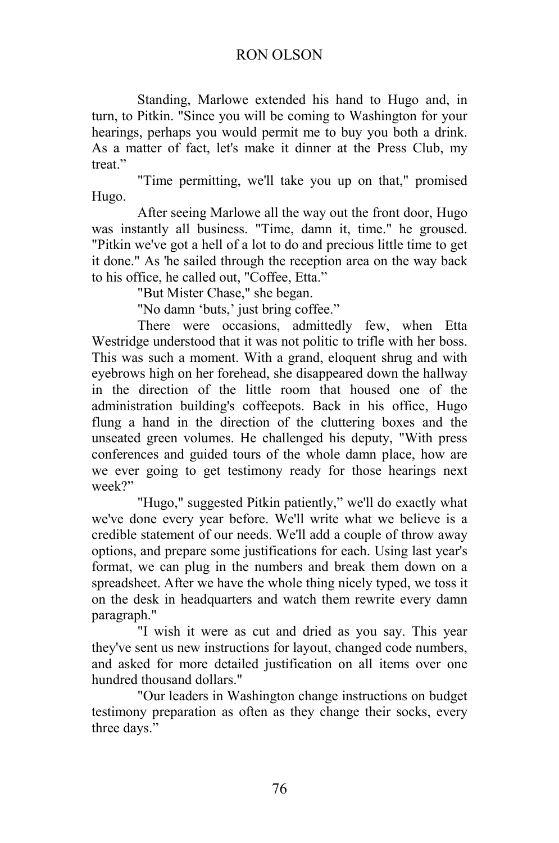Standing, Marlowe extended his hand to Hugo and, in turn, to Pitkin. "Since you will be coming to Washington for your hearings, perhaps you would permit me to buy you both a drink. As a matter of fact, let's make it dinner at the Press Club, my treat."

"Time permitting, we'll take you up on that," promised Hugo.

After seeing Marlowe all the way out the front door, Hugo was instantly all business. "Time, damn it, time." he groused. "Pitkin we've got a hell of a lot to do and precious little time to get it done." As 'he sailed through the reception area on the way back to his office, he called out, "Coffee, Etta."

"But Mister Chase," she began.

"No damn 'buts,' just bring coffee."

There were occasions, admittedly few, when Etta Westridge understood that it was not politic to trifle with her boss. This was such a moment. With a grand, eloquent shrug and with eyebrows high on her forehead, she disappeared down the hallway in the direction of the little room that housed one of the administration building's coffeepots. Back in his office, Hugo flung a hand in the direction of the cluttering boxes and the unseated green volumes. He challenged his deputy, "With press conferences and guided tours of the whole damn place, how are we ever going to get testimony ready for those hearings next week?"

"Hugo," suggested Pitkin patiently," we'll do exactly what we've done every year before. We'll write what we believe is a credible statement of our needs. We'll add a couple of throw away options, and prepare some justifications for each. Using last year's format, we can plug in the numbers and break them down on a spreadsheet. After we have the whole thing nicely typed, we toss it on the desk in headquarters and watch them rewrite every damn paragraph."

"I wish it were as cut and dried as you say. This year they've sent us new instructions for layout, changed code numbers, and asked for more detailed justification on all items over one hundred thousand dollars."

"Our leaders in Washington change instructions on budget testimony preparation as often as they change their socks, every three days."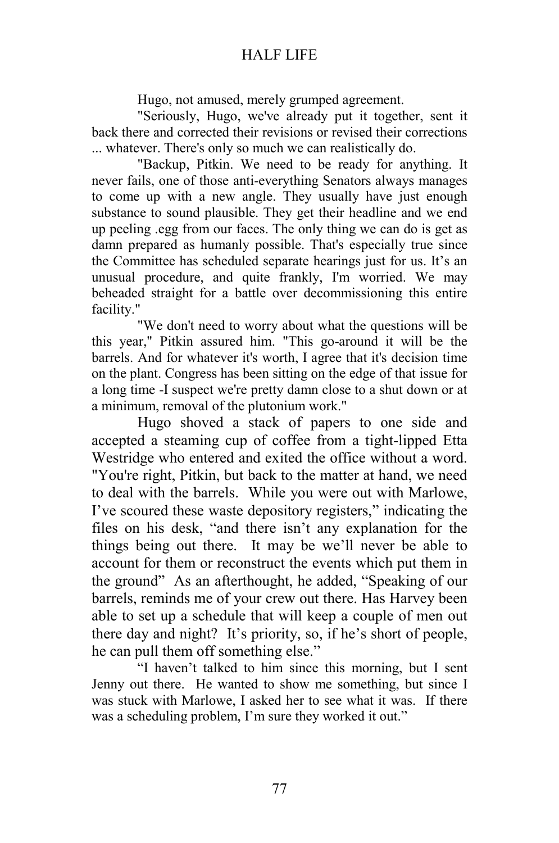Hugo, not amused, merely grumped agreement.

"Seriously, Hugo, we've already put it together, sent it back there and corrected their revisions or revised their corrections ... whatever. There's only so much we can realistically do.

"Backup, Pitkin. We need to be ready for anything. It never fails, one of those anti-everything Senators always manages to come up with a new angle. They usually have just enough substance to sound plausible. They get their headline and we end up peeling .egg from our faces. The only thing we can do is get as damn prepared as humanly possible. That's especially true since the Committee has scheduled separate hearings just for us. It's an unusual procedure, and quite frankly, I'm worried. We may beheaded straight for a battle over decommissioning this entire facility."

"We don't need to worry about what the questions will be this year," Pitkin assured him. "This go-around it will be the barrels. And for whatever it's worth, I agree that it's decision time on the plant. Congress has been sitting on the edge of that issue for a long time -I suspect we're pretty damn close to a shut down or at a minimum, removal of the plutonium work."

Hugo shoved a stack of papers to one side and accepted a steaming cup of coffee from a tight-lipped Etta Westridge who entered and exited the office without a word. "You're right, Pitkin, but back to the matter at hand, we need to deal with the barrels. While you were out with Marlowe, I've scoured these waste depository registers," indicating the files on his desk, "and there isn't any explanation for the things being out there. It may be we'll never be able to account for them or reconstruct the events which put them in the ground" As an afterthought, he added, "Speaking of our barrels, reminds me of your crew out there. Has Harvey been able to set up a schedule that will keep a couple of men out there day and night? It's priority, so, if he's short of people, he can pull them off something else."

"I haven't talked to him since this morning, but I sent Jenny out there. He wanted to show me something, but since I was stuck with Marlowe, I asked her to see what it was. If there was a scheduling problem, I'm sure they worked it out."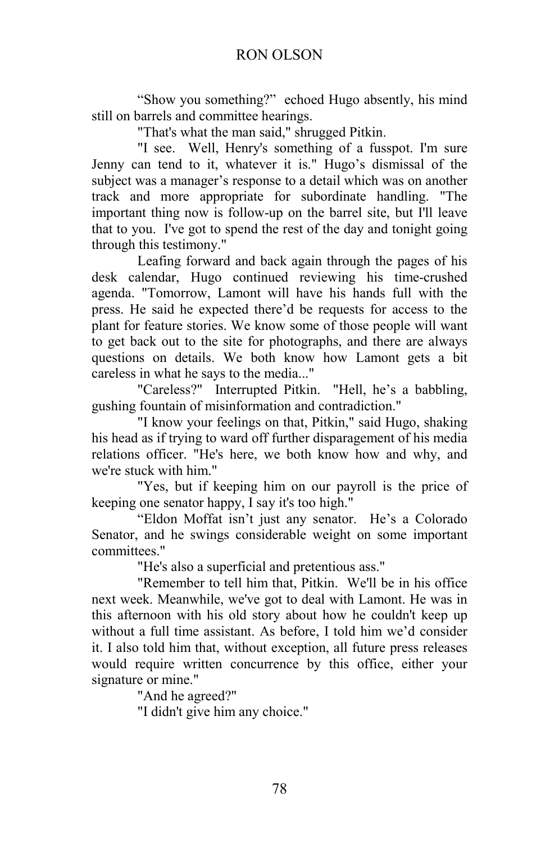"Show you something?" echoed Hugo absently, his mind still on barrels and committee hearings.

"That's what the man said," shrugged Pitkin.

"I see. Well, Henry's something of a fusspot. I'm sure Jenny can tend to it, whatever it is." Hugo's dismissal of the subject was a manager's response to a detail which was on another track and more appropriate for subordinate handling. "The important thing now is follow-up on the barrel site, but I'll leave that to you. I've got to spend the rest of the day and tonight going through this testimony."

 Leafing forward and back again through the pages of his desk calendar, Hugo continued reviewing his time-crushed agenda. "Tomorrow, Lamont will have his hands full with the press. He said he expected there'd be requests for access to the plant for feature stories. We know some of those people will want to get back out to the site for photographs, and there are always questions on details. We both know how Lamont gets a bit careless in what he says to the media..."

"Careless?" Interrupted Pitkin. "Hell, he's a babbling, gushing fountain of misinformation and contradiction."

"I know your feelings on that, Pitkin," said Hugo, shaking his head as if trying to ward off further disparagement of his media relations officer. "He's here, we both know how and why, and we're stuck with him."

"Yes, but if keeping him on our payroll is the price of keeping one senator happy, I say it's too high."

"Eldon Moffat isn't just any senator. He's a Colorado Senator, and he swings considerable weight on some important committees."

"He's also a superficial and pretentious ass."

"Remember to tell him that, Pitkin. We'll be in his office next week. Meanwhile, we've got to deal with Lamont. He was in this afternoon with his old story about how he couldn't keep up without a full time assistant. As before, I told him we'd consider it. I also told him that, without exception, all future press releases would require written concurrence by this office, either your signature or mine."

"And he agreed?"

"I didn't give him any choice."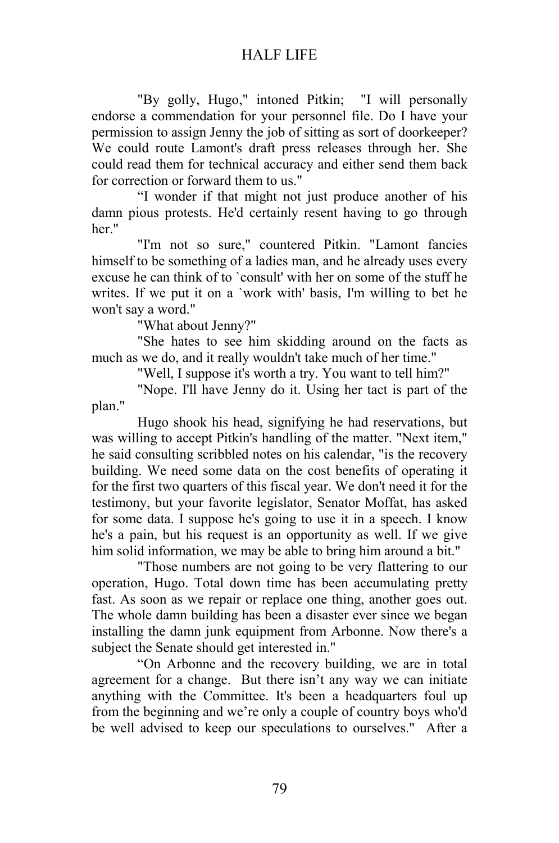"By golly, Hugo," intoned Pitkin; "I will personally endorse a commendation for your personnel file. Do I have your permission to assign Jenny the job of sitting as sort of doorkeeper? We could route Lamont's draft press releases through her. She could read them for technical accuracy and either send them back for correction or forward them to us."

"I wonder if that might not just produce another of his damn pious protests. He'd certainly resent having to go through her"

"I'm not so sure," countered Pitkin. "Lamont fancies himself to be something of a ladies man, and he already uses every excuse he can think of to `consult' with her on some of the stuff he writes. If we put it on a `work with' basis, I'm willing to bet he won't say a word."

"What about Jenny?"

"She hates to see him skidding around on the facts as much as we do, and it really wouldn't take much of her time."

"Well, I suppose it's worth a try. You want to tell him?"

"Nope. I'll have Jenny do it. Using her tact is part of the plan."

Hugo shook his head, signifying he had reservations, but was willing to accept Pitkin's handling of the matter. "Next item," he said consulting scribbled notes on his calendar, "is the recovery building. We need some data on the cost benefits of operating it for the first two quarters of this fiscal year. We don't need it for the testimony, but your favorite legislator, Senator Moffat, has asked for some data. I suppose he's going to use it in a speech. I know he's a pain, but his request is an opportunity as well. If we give him solid information, we may be able to bring him around a bit."

"Those numbers are not going to be very flattering to our operation, Hugo. Total down time has been accumulating pretty fast. As soon as we repair or replace one thing, another goes out. The whole damn building has been a disaster ever since we began installing the damn junk equipment from Arbonne. Now there's a subject the Senate should get interested in."

"On Arbonne and the recovery building, we are in total agreement for a change. But there isn't any way we can initiate anything with the Committee. It's been a headquarters foul up from the beginning and we're only a couple of country boys who'd be well advised to keep our speculations to ourselves." After a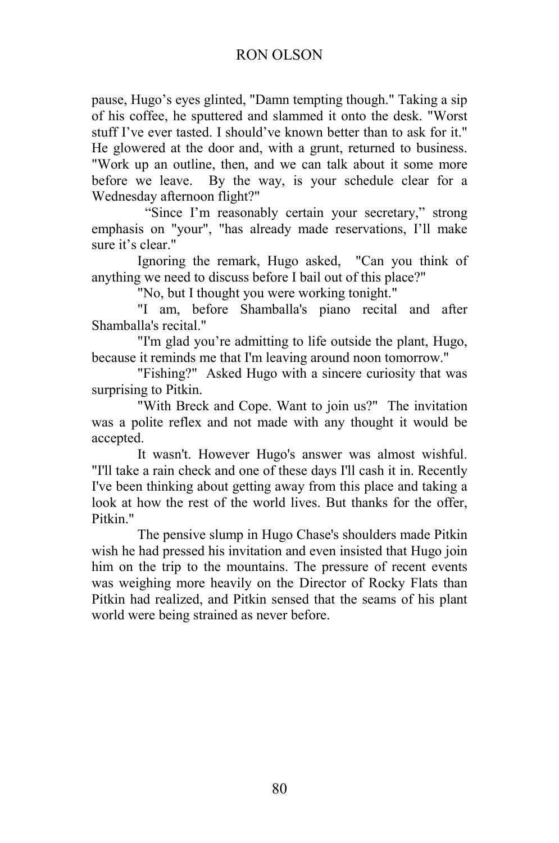pause, Hugo's eyes glinted, "Damn tempting though." Taking a sip of his coffee, he sputtered and slammed it onto the desk. "Worst stuff I've ever tasted. I should've known better than to ask for it." He glowered at the door and, with a grunt, returned to business. "Work up an outline, then, and we can talk about it some more before we leave. By the way, is your schedule clear for a Wednesday afternoon flight?"

 "Since I'm reasonably certain your secretary," strong emphasis on "your", "has already made reservations, I'll make sure it's clear."

Ignoring the remark, Hugo asked, "Can you think of anything we need to discuss before I bail out of this place?"

"No, but I thought you were working tonight."

"I am, before Shamballa's piano recital and after Shamballa's recital."

"I'm glad you're admitting to life outside the plant, Hugo, because it reminds me that I'm leaving around noon tomorrow."

"Fishing?" Asked Hugo with a sincere curiosity that was surprising to Pitkin.

"With Breck and Cope. Want to join us?" The invitation was a polite reflex and not made with any thought it would be accepted.

It wasn't. However Hugo's answer was almost wishful. "I'll take a rain check and one of these days I'll cash it in. Recently I've been thinking about getting away from this place and taking a look at how the rest of the world lives. But thanks for the offer, Pitkin."

The pensive slump in Hugo Chase's shoulders made Pitkin wish he had pressed his invitation and even insisted that Hugo join him on the trip to the mountains. The pressure of recent events was weighing more heavily on the Director of Rocky Flats than Pitkin had realized, and Pitkin sensed that the seams of his plant world were being strained as never before.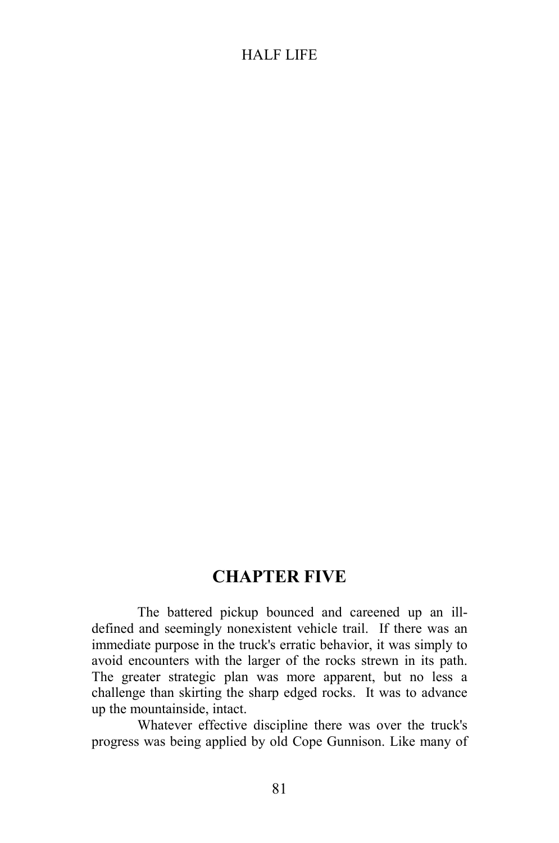# **CHAPTER FIVE**

The battered pickup bounced and careened up an illdefined and seemingly nonexistent vehicle trail. If there was an immediate purpose in the truck's erratic behavior, it was simply to avoid encounters with the larger of the rocks strewn in its path. The greater strategic plan was more apparent, but no less a challenge than skirting the sharp edged rocks. It was to advance up the mountainside, intact.

 Whatever effective discipline there was over the truck's progress was being applied by old Cope Gunnison. Like many of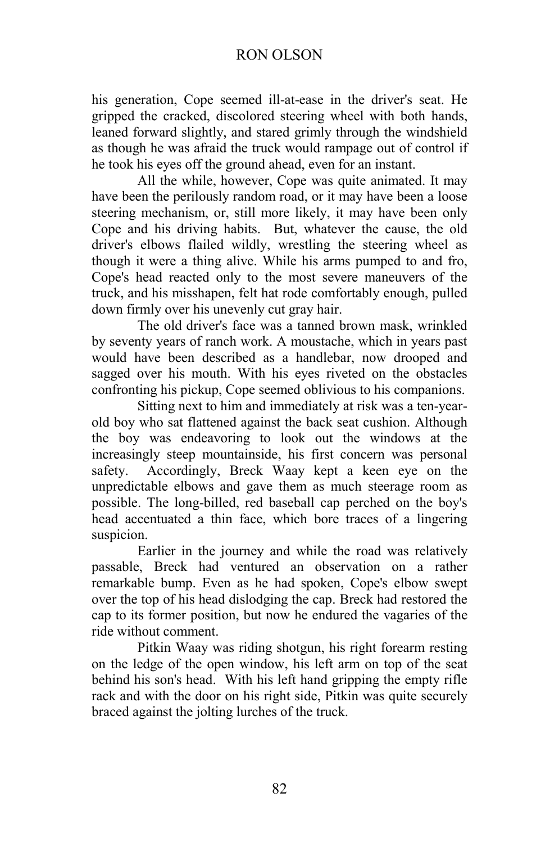his generation, Cope seemed ill-at-ease in the driver's seat. He gripped the cracked, discolored steering wheel with both hands, leaned forward slightly, and stared grimly through the windshield as though he was afraid the truck would rampage out of control if he took his eyes off the ground ahead, even for an instant.

All the while, however, Cope was quite animated. It may have been the perilously random road, or it may have been a loose steering mechanism, or, still more likely, it may have been only Cope and his driving habits. But, whatever the cause, the old driver's elbows flailed wildly, wrestling the steering wheel as though it were a thing alive. While his arms pumped to and fro, Cope's head reacted only to the most severe maneuvers of the truck, and his misshapen, felt hat rode comfortably enough, pulled down firmly over his unevenly cut gray hair.

The old driver's face was a tanned brown mask, wrinkled by seventy years of ranch work. A moustache, which in years past would have been described as a handlebar, now drooped and sagged over his mouth. With his eyes riveted on the obstacles confronting his pickup, Cope seemed oblivious to his companions.

Sitting next to him and immediately at risk was a ten-yearold boy who sat flattened against the back seat cushion. Although the boy was endeavoring to look out the windows at the increasingly steep mountainside, his first concern was personal safety. Accordingly, Breck Waay kept a keen eye on the unpredictable elbows and gave them as much steerage room as possible. The long-billed, red baseball cap perched on the boy's head accentuated a thin face, which bore traces of a lingering suspicion.

Earlier in the journey and while the road was relatively passable, Breck had ventured an observation on a rather remarkable bump. Even as he had spoken, Cope's elbow swept over the top of his head dislodging the cap. Breck had restored the cap to its former position, but now he endured the vagaries of the ride without comment.

Pitkin Waay was riding shotgun, his right forearm resting on the ledge of the open window, his left arm on top of the seat behind his son's head. With his left hand gripping the empty rifle rack and with the door on his right side, Pitkin was quite securely braced against the jolting lurches of the truck.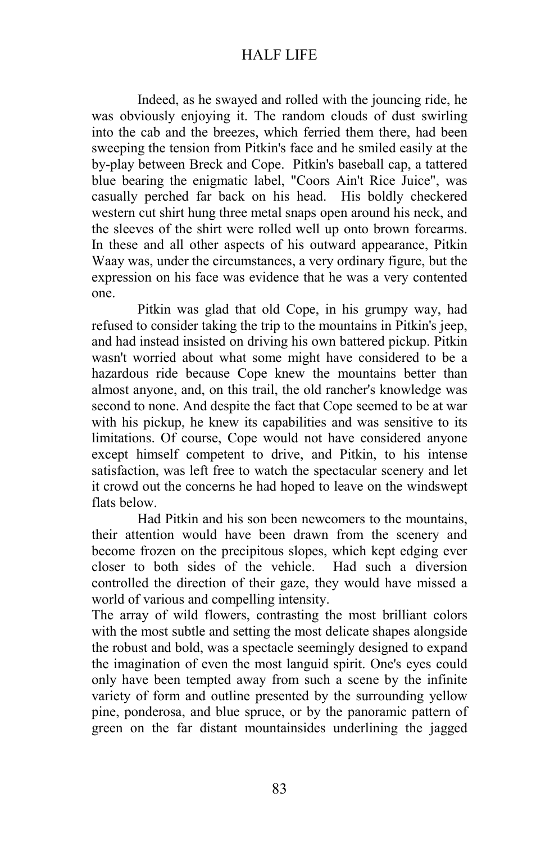Indeed, as he swayed and rolled with the jouncing ride, he was obviously enjoying it. The random clouds of dust swirling into the cab and the breezes, which ferried them there, had been sweeping the tension from Pitkin's face and he smiled easily at the by-play between Breck and Cope. Pitkin's baseball cap, a tattered blue bearing the enigmatic label, "Coors Ain't Rice Juice", was casually perched far back on his head. His boldly checkered western cut shirt hung three metal snaps open around his neck, and the sleeves of the shirt were rolled well up onto brown forearms. In these and all other aspects of his outward appearance, Pitkin Waay was, under the circumstances, a very ordinary figure, but the expression on his face was evidence that he was a very contented one.

Pitkin was glad that old Cope, in his grumpy way, had refused to consider taking the trip to the mountains in Pitkin's jeep, and had instead insisted on driving his own battered pickup. Pitkin wasn't worried about what some might have considered to be a hazardous ride because Cope knew the mountains better than almost anyone, and, on this trail, the old rancher's knowledge was second to none. And despite the fact that Cope seemed to be at war with his pickup, he knew its capabilities and was sensitive to its limitations. Of course, Cope would not have considered anyone except himself competent to drive, and Pitkin, to his intense satisfaction, was left free to watch the spectacular scenery and let it crowd out the concerns he had hoped to leave on the windswept flats below.

Had Pitkin and his son been newcomers to the mountains, their attention would have been drawn from the scenery and become frozen on the precipitous slopes, which kept edging ever closer to both sides of the vehicle. Had such a diversion controlled the direction of their gaze, they would have missed a world of various and compelling intensity.

The array of wild flowers, contrasting the most brilliant colors with the most subtle and setting the most delicate shapes alongside the robust and bold, was a spectacle seemingly designed to expand the imagination of even the most languid spirit. One's eyes could only have been tempted away from such a scene by the infinite variety of form and outline presented by the surrounding yellow pine, ponderosa, and blue spruce, or by the panoramic pattern of green on the far distant mountainsides underlining the jagged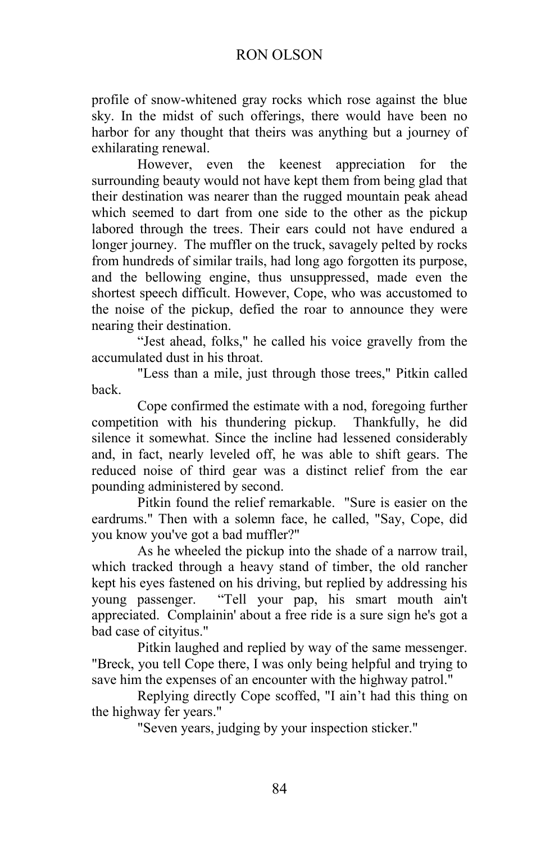profile of snow-whitened gray rocks which rose against the blue sky. In the midst of such offerings, there would have been no harbor for any thought that theirs was anything but a journey of exhilarating renewal.

 However, even the keenest appreciation for the surrounding beauty would not have kept them from being glad that their destination was nearer than the rugged mountain peak ahead which seemed to dart from one side to the other as the pickup labored through the trees. Their ears could not have endured a longer journey. The muffler on the truck, savagely pelted by rocks from hundreds of similar trails, had long ago forgotten its purpose, and the bellowing engine, thus unsuppressed, made even the shortest speech difficult. However, Cope, who was accustomed to the noise of the pickup, defied the roar to announce they were nearing their destination.

"Jest ahead, folks," he called his voice gravelly from the accumulated dust in his throat.

"Less than a mile, just through those trees," Pitkin called back.

Cope confirmed the estimate with a nod, foregoing further competition with his thundering pickup. Thankfully, he did silence it somewhat. Since the incline had lessened considerably and, in fact, nearly leveled off, he was able to shift gears. The reduced noise of third gear was a distinct relief from the ear pounding administered by second.

 Pitkin found the relief remarkable. "Sure is easier on the eardrums." Then with a solemn face, he called, "Say, Cope, did you know you've got a bad muffler?"

As he wheeled the pickup into the shade of a narrow trail, which tracked through a heavy stand of timber, the old rancher kept his eyes fastened on his driving, but replied by addressing his young passenger. "Tell your pap, his smart mouth ain't appreciated. Complainin' about a free ride is a sure sign he's got a bad case of cityitus."

Pitkin laughed and replied by way of the same messenger. "Breck, you tell Cope there, I was only being helpful and trying to save him the expenses of an encounter with the highway patrol."

Replying directly Cope scoffed, "I ain't had this thing on the highway fer years."

"Seven years, judging by your inspection sticker."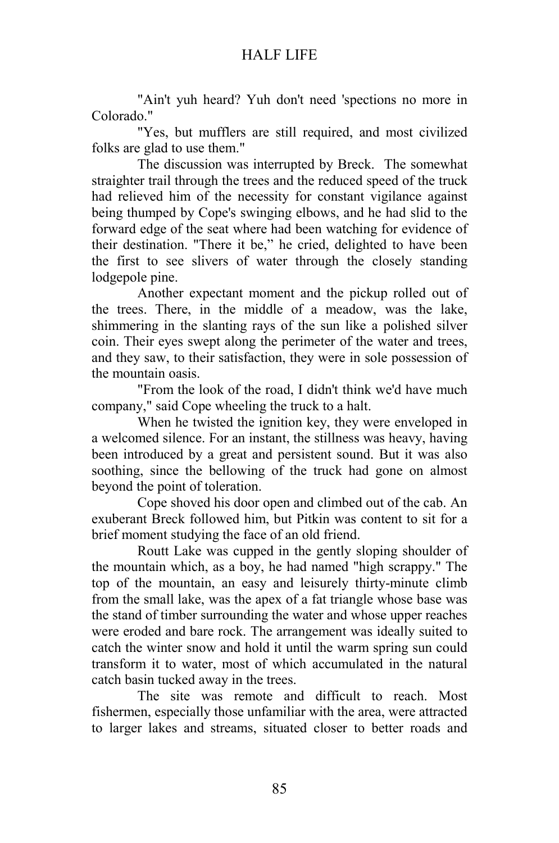"Ain't yuh heard? Yuh don't need 'spections no more in Colorado."

"Yes, but mufflers are still required, and most civilized folks are glad to use them."

The discussion was interrupted by Breck. The somewhat straighter trail through the trees and the reduced speed of the truck had relieved him of the necessity for constant vigilance against being thumped by Cope's swinging elbows, and he had slid to the forward edge of the seat where had been watching for evidence of their destination. "There it be," he cried, delighted to have been the first to see slivers of water through the closely standing lodgepole pine.

 Another expectant moment and the pickup rolled out of the trees. There, in the middle of a meadow, was the lake, shimmering in the slanting rays of the sun like a polished silver coin. Their eyes swept along the perimeter of the water and trees, and they saw, to their satisfaction, they were in sole possession of the mountain oasis.

"From the look of the road, I didn't think we'd have much company," said Cope wheeling the truck to a halt.

When he twisted the ignition key, they were enveloped in a welcomed silence. For an instant, the stillness was heavy, having been introduced by a great and persistent sound. But it was also soothing, since the bellowing of the truck had gone on almost beyond the point of toleration.

Cope shoved his door open and climbed out of the cab. An exuberant Breck followed him, but Pitkin was content to sit for a brief moment studying the face of an old friend.

Routt Lake was cupped in the gently sloping shoulder of the mountain which, as a boy, he had named "high scrappy." The top of the mountain, an easy and leisurely thirty-minute climb from the small lake, was the apex of a fat triangle whose base was the stand of timber surrounding the water and whose upper reaches were eroded and bare rock. The arrangement was ideally suited to catch the winter snow and hold it until the warm spring sun could transform it to water, most of which accumulated in the natural catch basin tucked away in the trees.

The site was remote and difficult to reach. Most fishermen, especially those unfamiliar with the area, were attracted to larger lakes and streams, situated closer to better roads and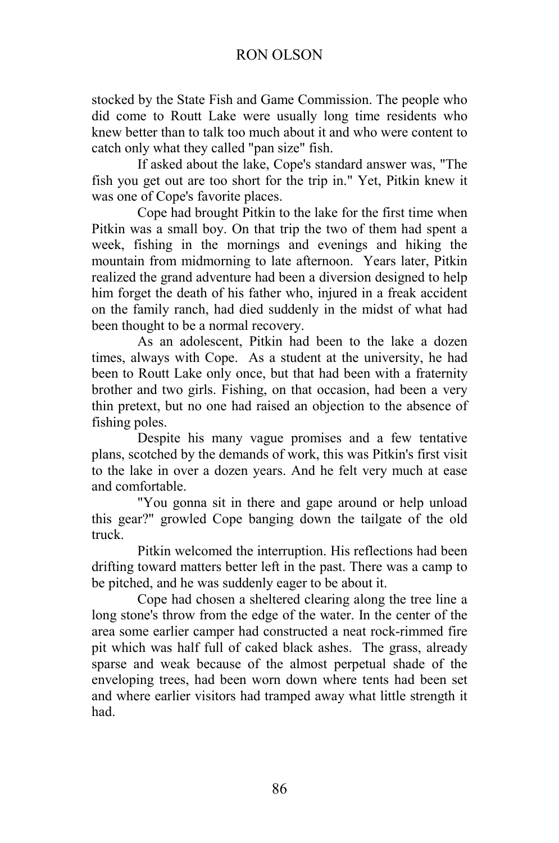stocked by the State Fish and Game Commission. The people who did come to Routt Lake were usually long time residents who knew better than to talk too much about it and who were content to catch only what they called "pan size" fish.

If asked about the lake, Cope's standard answer was, "The fish you get out are too short for the trip in." Yet, Pitkin knew it was one of Cope's favorite places.

Cope had brought Pitkin to the lake for the first time when Pitkin was a small boy. On that trip the two of them had spent a week, fishing in the mornings and evenings and hiking the mountain from midmorning to late afternoon. Years later, Pitkin realized the grand adventure had been a diversion designed to help him forget the death of his father who, injured in a freak accident on the family ranch, had died suddenly in the midst of what had been thought to be a normal recovery.

As an adolescent, Pitkin had been to the lake a dozen times, always with Cope. As a student at the university, he had been to Routt Lake only once, but that had been with a fraternity brother and two girls. Fishing, on that occasion, had been a very thin pretext, but no one had raised an objection to the absence of fishing poles.

Despite his many vague promises and a few tentative plans, scotched by the demands of work, this was Pitkin's first visit to the lake in over a dozen years. And he felt very much at ease and comfortable.

 "You gonna sit in there and gape around or help unload this gear?" growled Cope banging down the tailgate of the old truck.

Pitkin welcomed the interruption. His reflections had been drifting toward matters better left in the past. There was a camp to be pitched, and he was suddenly eager to be about it.

 Cope had chosen a sheltered clearing along the tree line a long stone's throw from the edge of the water. In the center of the area some earlier camper had constructed a neat rock-rimmed fire pit which was half full of caked black ashes. The grass, already sparse and weak because of the almost perpetual shade of the enveloping trees, had been worn down where tents had been set and where earlier visitors had tramped away what little strength it had.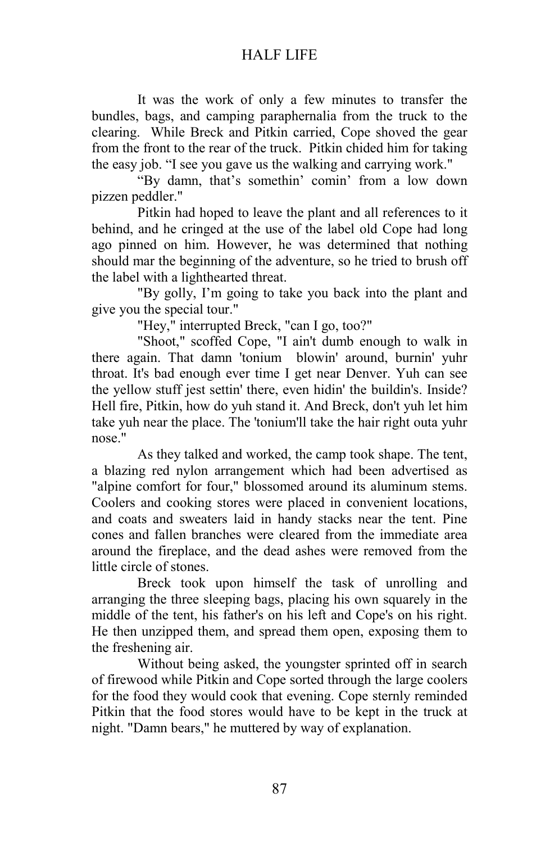It was the work of only a few minutes to transfer the bundles, bags, and camping paraphernalia from the truck to the clearing. While Breck and Pitkin carried, Cope shoved the gear from the front to the rear of the truck. Pitkin chided him for taking the easy job. "I see you gave us the walking and carrying work."

"By damn, that's somethin' comin' from a low down pizzen peddler."

Pitkin had hoped to leave the plant and all references to it behind, and he cringed at the use of the label old Cope had long ago pinned on him. However, he was determined that nothing should mar the beginning of the adventure, so he tried to brush off the label with a lighthearted threat.

 "By golly, I'm going to take you back into the plant and give you the special tour."

"Hey," interrupted Breck, "can I go, too?"

"Shoot," scoffed Cope, "I ain't dumb enough to walk in there again. That damn 'tonium blowin' around, burnin' yuhr throat. It's bad enough ever time I get near Denver. Yuh can see the yellow stuff jest settin' there, even hidin' the buildin's. Inside? Hell fire, Pitkin, how do yuh stand it. And Breck, don't yuh let him take yuh near the place. The 'tonium'll take the hair right outa yuhr nose."

As they talked and worked, the camp took shape. The tent, a blazing red nylon arrangement which had been advertised as "alpine comfort for four," blossomed around its aluminum stems. Coolers and cooking stores were placed in convenient locations, and coats and sweaters laid in handy stacks near the tent. Pine cones and fallen branches were cleared from the immediate area around the fireplace, and the dead ashes were removed from the little circle of stones.

Breck took upon himself the task of unrolling and arranging the three sleeping bags, placing his own squarely in the middle of the tent, his father's on his left and Cope's on his right. He then unzipped them, and spread them open, exposing them to the freshening air.

 Without being asked, the youngster sprinted off in search of firewood while Pitkin and Cope sorted through the large coolers for the food they would cook that evening. Cope sternly reminded Pitkin that the food stores would have to be kept in the truck at night. "Damn bears," he muttered by way of explanation.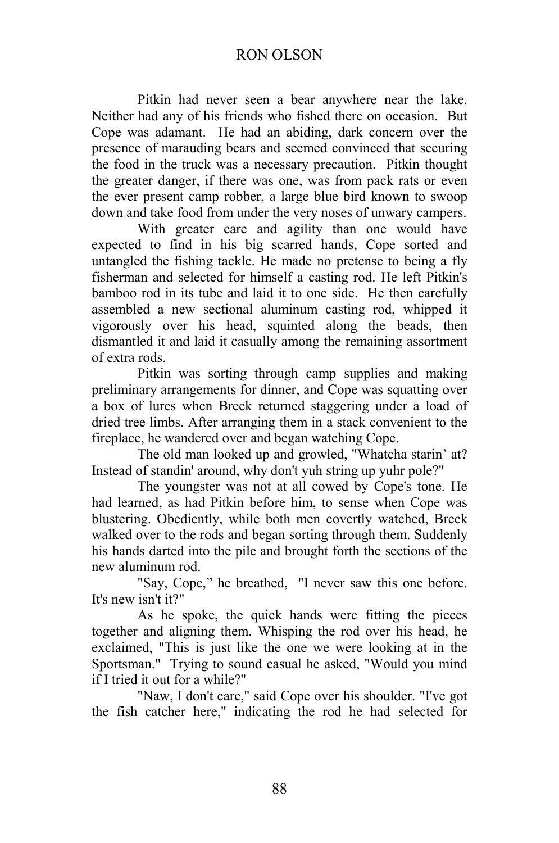Pitkin had never seen a bear anywhere near the lake. Neither had any of his friends who fished there on occasion. But Cope was adamant. He had an abiding, dark concern over the presence of marauding bears and seemed convinced that securing the food in the truck was a necessary precaution. Pitkin thought the greater danger, if there was one, was from pack rats or even the ever present camp robber, a large blue bird known to swoop down and take food from under the very noses of unwary campers.

 With greater care and agility than one would have expected to find in his big scarred hands, Cope sorted and untangled the fishing tackle. He made no pretense to being a fly fisherman and selected for himself a casting rod. He left Pitkin's bamboo rod in its tube and laid it to one side. He then carefully assembled a new sectional aluminum casting rod, whipped it vigorously over his head, squinted along the beads, then dismantled it and laid it casually among the remaining assortment of extra rods.

Pitkin was sorting through camp supplies and making preliminary arrangements for dinner, and Cope was squatting over a box of lures when Breck returned staggering under a load of dried tree limbs. After arranging them in a stack convenient to the fireplace, he wandered over and began watching Cope.

The old man looked up and growled, "Whatcha starin' at? Instead of standin' around, why don't yuh string up yuhr pole?"

The youngster was not at all cowed by Cope's tone. He had learned, as had Pitkin before him, to sense when Cope was blustering. Obediently, while both men covertly watched, Breck walked over to the rods and began sorting through them. Suddenly his hands darted into the pile and brought forth the sections of the new aluminum rod.

"Say, Cope," he breathed, "I never saw this one before. It's new isn't it?"

As he spoke, the quick hands were fitting the pieces together and aligning them. Whisping the rod over his head, he exclaimed, "This is just like the one we were looking at in the Sportsman." Trying to sound casual he asked, "Would you mind if I tried it out for a while?"

"Naw, I don't care," said Cope over his shoulder. "I've got the fish catcher here," indicating the rod he had selected for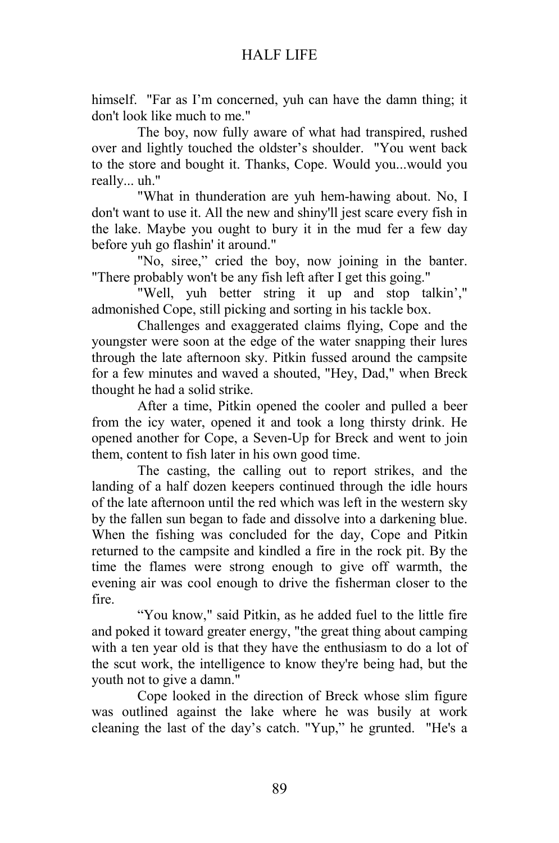himself. "Far as I'm concerned, yuh can have the damn thing; it don't look like much to me."

The boy, now fully aware of what had transpired, rushed over and lightly touched the oldster's shoulder. "You went back to the store and bought it. Thanks, Cope. Would you...would you really... uh."

"What in thunderation are yuh hem-hawing about. No, I don't want to use it. All the new and shiny'll jest scare every fish in the lake. Maybe you ought to bury it in the mud fer a few day before yuh go flashin' it around."

"No, siree," cried the boy, now joining in the banter. "There probably won't be any fish left after I get this going."

"Well, yuh better string it up and stop talkin'," admonished Cope, still picking and sorting in his tackle box.

Challenges and exaggerated claims flying, Cope and the youngster were soon at the edge of the water snapping their lures through the late afternoon sky. Pitkin fussed around the campsite for a few minutes and waved a shouted, "Hey, Dad," when Breck thought he had a solid strike.

After a time, Pitkin opened the cooler and pulled a beer from the icy water, opened it and took a long thirsty drink. He opened another for Cope, a Seven-Up for Breck and went to join them, content to fish later in his own good time.

The casting, the calling out to report strikes, and the landing of a half dozen keepers continued through the idle hours of the late afternoon until the red which was left in the western sky by the fallen sun began to fade and dissolve into a darkening blue. When the fishing was concluded for the day, Cope and Pitkin returned to the campsite and kindled a fire in the rock pit. By the time the flames were strong enough to give off warmth, the evening air was cool enough to drive the fisherman closer to the fire.

"You know," said Pitkin, as he added fuel to the little fire and poked it toward greater energy, "the great thing about camping with a ten year old is that they have the enthusiasm to do a lot of the scut work, the intelligence to know they're being had, but the youth not to give a damn."

Cope looked in the direction of Breck whose slim figure was outlined against the lake where he was busily at work cleaning the last of the day's catch. "Yup," he grunted. "He's a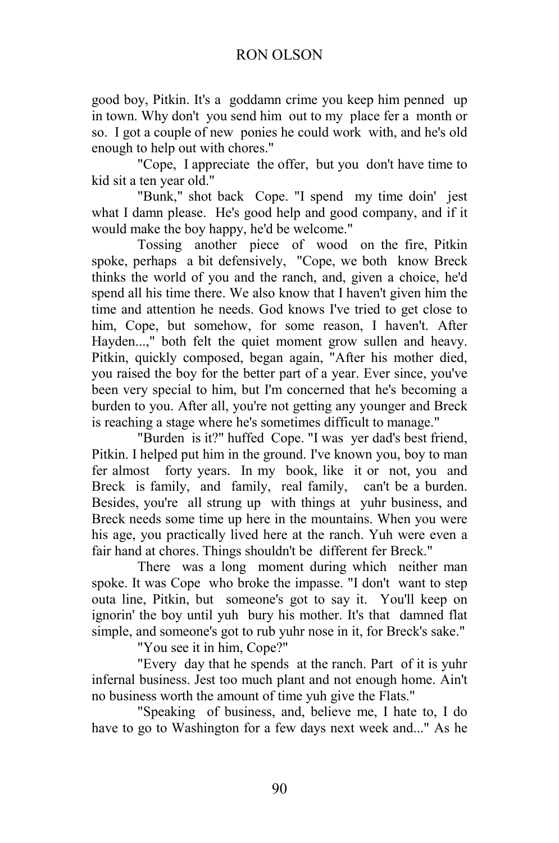good boy, Pitkin. It's a goddamn crime you keep him penned up in town. Why don't you send him out to my place fer a month or so. I got a couple of new ponies he could work with, and he's old enough to help out with chores."

"Cope, I appreciate the offer, but you don't have time to kid sit a ten year old."

"Bunk," shot back Cope. "I spend my time doin' jest what I damn please. He's good help and good company, and if it would make the boy happy, he'd be welcome."

Tossing another piece of wood on the fire, Pitkin spoke, perhaps a bit defensively, "Cope, we both know Breck thinks the world of you and the ranch, and, given a choice, he'd spend all his time there. We also know that I haven't given him the time and attention he needs. God knows I've tried to get close to him, Cope, but somehow, for some reason, I haven't. After Hayden...," both felt the quiet moment grow sullen and heavy. Pitkin, quickly composed, began again, "After his mother died, you raised the boy for the better part of a year. Ever since, you've been very special to him, but I'm concerned that he's becoming a burden to you. After all, you're not getting any younger and Breck is reaching a stage where he's sometimes difficult to manage."

"Burden is it?" huffed Cope. "I was yer dad's best friend, Pitkin. I helped put him in the ground. I've known you, boy to man fer almost forty years. In my book, like it or not, you and Breck is family, and family, real family, can't be a burden. Besides, you're all strung up with things at yuhr business, and Breck needs some time up here in the mountains. When you were his age, you practically lived here at the ranch. Yuh were even a fair hand at chores. Things shouldn't be different fer Breck."

There was a long moment during which neither man spoke. It was Cope who broke the impasse. "I don't want to step outa line, Pitkin, but someone's got to say it. You'll keep on ignorin' the boy until yuh bury his mother. It's that damned flat simple, and someone's got to rub yuhr nose in it, for Breck's sake."

"You see it in him, Cope?"

 "Every day that he spends at the ranch. Part of it is yuhr infernal business. Jest too much plant and not enough home. Ain't no business worth the amount of time yuh give the Flats."

"Speaking of business, and, believe me, I hate to, I do have to go to Washington for a few days next week and..." As he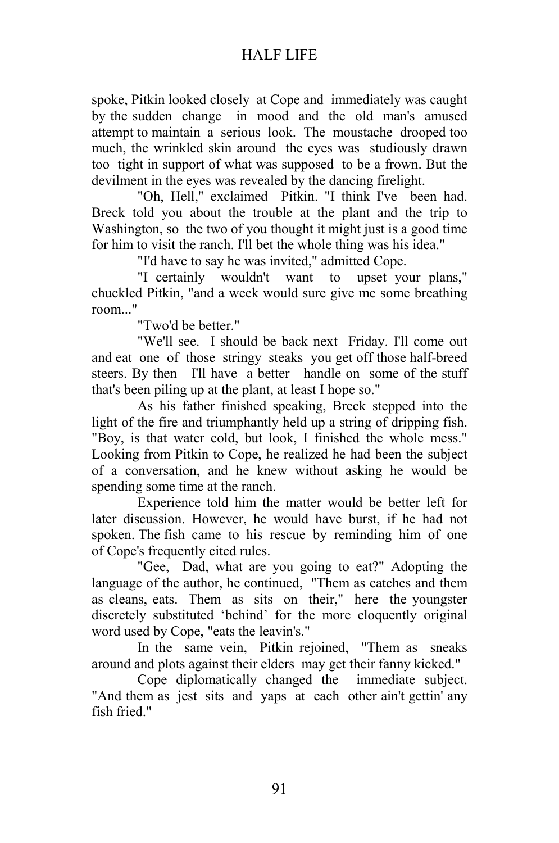spoke, Pitkin looked closely at Cope and immediately was caught by the sudden change in mood and the old man's amused attempt to maintain a serious look. The moustache drooped too much, the wrinkled skin around the eyes was studiously drawn too tight in support of what was supposed to be a frown. But the devilment in the eyes was revealed by the dancing firelight.

 "Oh, Hell," exclaimed Pitkin. "I think I've been had. Breck told you about the trouble at the plant and the trip to Washington, so the two of you thought it might just is a good time for him to visit the ranch. I'll bet the whole thing was his idea."

"I'd have to say he was invited," admitted Cope.

"I certainly wouldn't want to upset your plans," chuckled Pitkin, "and a week would sure give me some breathing room..."

"Two'd be better."

"We'll see. I should be back next Friday. I'll come out and eat one of those stringy steaks you get off those half-breed steers. By then I'll have a better handle on some of the stuff that's been piling up at the plant, at least I hope so."

As his father finished speaking, Breck stepped into the light of the fire and triumphantly held up a string of dripping fish. "Boy, is that water cold, but look, I finished the whole mess." Looking from Pitkin to Cope, he realized he had been the subject of a conversation, and he knew without asking he would be spending some time at the ranch.

Experience told him the matter would be better left for later discussion. However, he would have burst, if he had not spoken. The fish came to his rescue by reminding him of one of Cope's frequently cited rules.

"Gee, Dad, what are you going to eat?" Adopting the language of the author, he continued, "Them as catches and them as cleans, eats. Them as sits on their," here the youngster discretely substituted 'behind' for the more eloquently original word used by Cope, "eats the leavin's."

 In the same vein, Pitkin rejoined, "Them as sneaks around and plots against their elders may get their fanny kicked."

Cope diplomatically changed the immediate subject. "And them as jest sits and yaps at each other ain't gettin' any fish fried."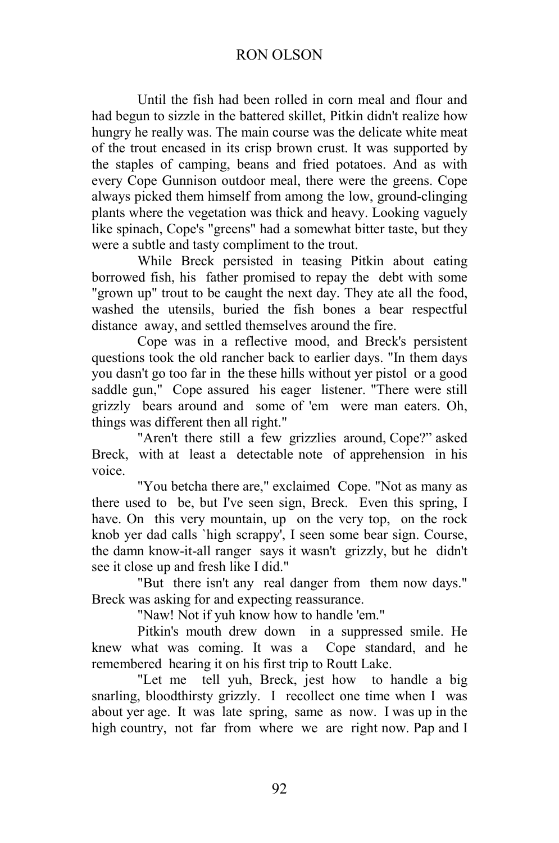Until the fish had been rolled in corn meal and flour and had begun to sizzle in the battered skillet, Pitkin didn't realize how hungry he really was. The main course was the delicate white meat of the trout encased in its crisp brown crust. It was supported by the staples of camping, beans and fried potatoes. And as with every Cope Gunnison outdoor meal, there were the greens. Cope always picked them himself from among the low, ground-clinging plants where the vegetation was thick and heavy. Looking vaguely like spinach, Cope's "greens" had a somewhat bitter taste, but they were a subtle and tasty compliment to the trout.

While Breck persisted in teasing Pitkin about eating borrowed fish, his father promised to repay the debt with some "grown up" trout to be caught the next day. They ate all the food, washed the utensils, buried the fish bones a bear respectful distance away, and settled themselves around the fire.

Cope was in a reflective mood, and Breck's persistent questions took the old rancher back to earlier days. "In them days you dasn't go too far in the these hills without yer pistol or a good saddle gun," Cope assured his eager listener. "There were still grizzly bears around and some of 'em were man eaters. Oh, things was different then all right."

"Aren't there still a few grizzlies around, Cope?" asked Breck, with at least a detectable note of apprehension in his voice.

"You betcha there are," exclaimed Cope. "Not as many as there used to be, but I've seen sign, Breck. Even this spring, I have. On this very mountain, up on the very top, on the rock knob yer dad calls `high scrappy', I seen some bear sign. Course, the damn know-it-all ranger says it wasn't grizzly, but he didn't see it close up and fresh like I did."

"But there isn't any real danger from them now days." Breck was asking for and expecting reassurance.

"Naw! Not if yuh know how to handle 'em."

Pitkin's mouth drew down in a suppressed smile. He knew what was coming. It was a Cope standard, and he remembered hearing it on his first trip to Routt Lake.

"Let me tell yuh, Breck, jest how to handle a big snarling, bloodthirsty grizzly. I recollect one time when I was about yer age. It was late spring, same as now. I was up in the high country, not far from where we are right now. Pap and I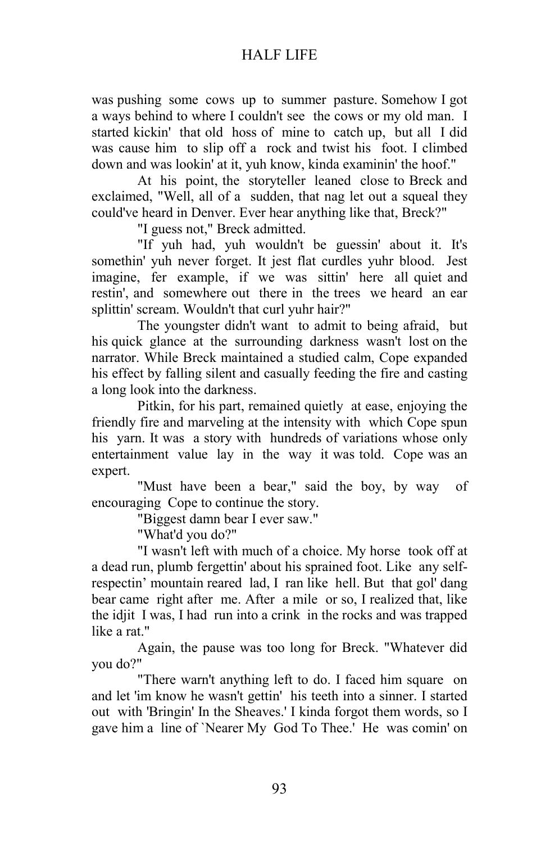was pushing some cows up to summer pasture. Somehow I got a ways behind to where I couldn't see the cows or my old man. I started kickin' that old hoss of mine to catch up, but all I did was cause him to slip off a rock and twist his foot. I climbed down and was lookin' at it, yuh know, kinda examinin' the hoof."

At his point, the storyteller leaned close to Breck and exclaimed, "Well, all of a sudden, that nag let out a squeal they could've heard in Denver. Ever hear anything like that, Breck?"

"I guess not," Breck admitted.

"If yuh had, yuh wouldn't be guessin' about it. It's somethin' yuh never forget. It jest flat curdles yuhr blood. Jest imagine, fer example, if we was sittin' here all quiet and restin', and somewhere out there in the trees we heard an ear splittin' scream. Wouldn't that curl yuhr hair?"

The youngster didn't want to admit to being afraid, but his quick glance at the surrounding darkness wasn't lost on the narrator. While Breck maintained a studied calm, Cope expanded his effect by falling silent and casually feeding the fire and casting a long look into the darkness.

Pitkin, for his part, remained quietly at ease, enjoying the friendly fire and marveling at the intensity with which Cope spun his yarn. It was a story with hundreds of variations whose only entertainment value lay in the way it was told. Cope was an expert.

 "Must have been a bear," said the boy, by way of encouraging Cope to continue the story.

"Biggest damn bear I ever saw."

"What'd you do?"

"I wasn't left with much of a choice. My horse took off at a dead run, plumb fergettin' about his sprained foot. Like any selfrespectin' mountain reared lad, I ran like hell. But that gol' dang bear came right after me. After a mile or so, I realized that, like the idjit I was, I had run into a crink in the rocks and was trapped like a rat."

Again, the pause was too long for Breck. "Whatever did you do?"

"There warn't anything left to do. I faced him square on and let 'im know he wasn't gettin' his teeth into a sinner. I started out with 'Bringin' In the Sheaves.' I kinda forgot them words, so I gave him a line of `Nearer My God To Thee.' He was comin' on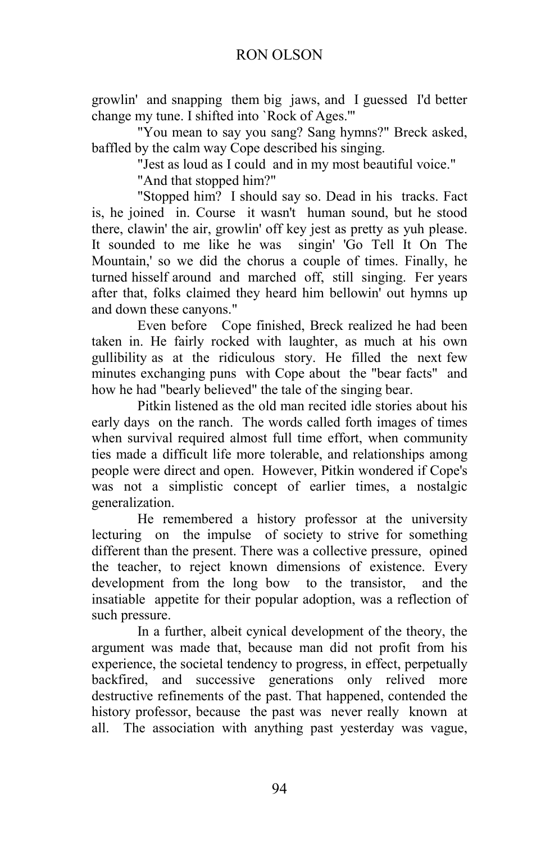growlin' and snapping them big jaws, and I guessed I'd better change my tune. I shifted into `Rock of Ages.'"

 "You mean to say you sang? Sang hymns?" Breck asked, baffled by the calm way Cope described his singing.

"Jest as loud as I could and in my most beautiful voice."

"And that stopped him?"

"Stopped him? I should say so. Dead in his tracks. Fact is, he joined in. Course it wasn't human sound, but he stood there, clawin' the air, growlin' off key jest as pretty as yuh please. It sounded to me like he was singin' 'Go Tell It On The Mountain,' so we did the chorus a couple of times. Finally, he turned hisself around and marched off, still singing. Fer years after that, folks claimed they heard him bellowin' out hymns up and down these canyons."

Even before Cope finished, Breck realized he had been taken in. He fairly rocked with laughter, as much at his own gullibility as at the ridiculous story. He filled the next few minutes exchanging puns with Cope about the "bear facts" and how he had "bearly believed" the tale of the singing bear.

Pitkin listened as the old man recited idle stories about his early days on the ranch. The words called forth images of times when survival required almost full time effort, when community ties made a difficult life more tolerable, and relationships among people were direct and open. However, Pitkin wondered if Cope's was not a simplistic concept of earlier times, a nostalgic generalization.

He remembered a history professor at the university lecturing on the impulse of society to strive for something different than the present. There was a collective pressure, opined the teacher, to reject known dimensions of existence. Every development from the long bow to the transistor, and the insatiable appetite for their popular adoption, was a reflection of such pressure.

In a further, albeit cynical development of the theory, the argument was made that, because man did not profit from his experience, the societal tendency to progress, in effect, perpetually backfired, and successive generations only relived more destructive refinements of the past. That happened, contended the history professor, because the past was never really known at all. The association with anything past yesterday was vague,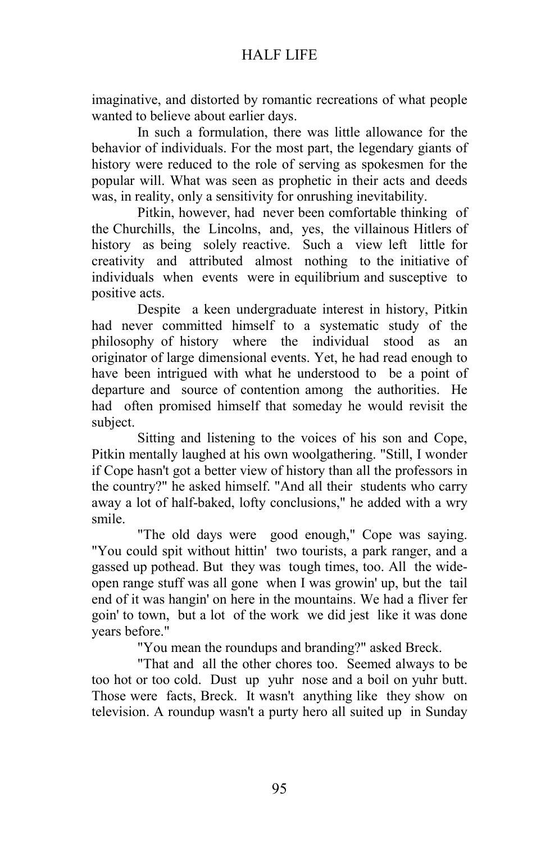imaginative, and distorted by romantic recreations of what people wanted to believe about earlier days.

In such a formulation, there was little allowance for the behavior of individuals. For the most part, the legendary giants of history were reduced to the role of serving as spokesmen for the popular will. What was seen as prophetic in their acts and deeds was, in reality, only a sensitivity for onrushing inevitability.

Pitkin, however, had never been comfortable thinking of the Churchills, the Lincolns, and, yes, the villainous Hitlers of history as being solely reactive. Such a view left little for creativity and attributed almost nothing to the initiative of individuals when events were in equilibrium and susceptive to positive acts.

Despite a keen undergraduate interest in history, Pitkin had never committed himself to a systematic study of the philosophy of history where the individual stood as an originator of large dimensional events. Yet, he had read enough to have been intrigued with what he understood to be a point of departure and source of contention among the authorities. He had often promised himself that someday he would revisit the subject.

 Sitting and listening to the voices of his son and Cope, Pitkin mentally laughed at his own woolgathering. "Still, I wonder if Cope hasn't got a better view of history than all the professors in the country?" he asked himself. "And all their students who carry away a lot of half-baked, lofty conclusions," he added with a wry smile.

"The old days were good enough," Cope was saying. "You could spit without hittin' two tourists, a park ranger, and a gassed up pothead. But they was tough times, too. All the wideopen range stuff was all gone when I was growin' up, but the tail end of it was hangin' on here in the mountains. We had a fliver fer goin' to town, but a lot of the work we did jest like it was done years before."

"You mean the roundups and branding?" asked Breck.

"That and all the other chores too. Seemed always to be too hot or too cold. Dust up yuhr nose and a boil on yuhr butt. Those were facts, Breck. It wasn't anything like they show on television. A roundup wasn't a purty hero all suited up in Sunday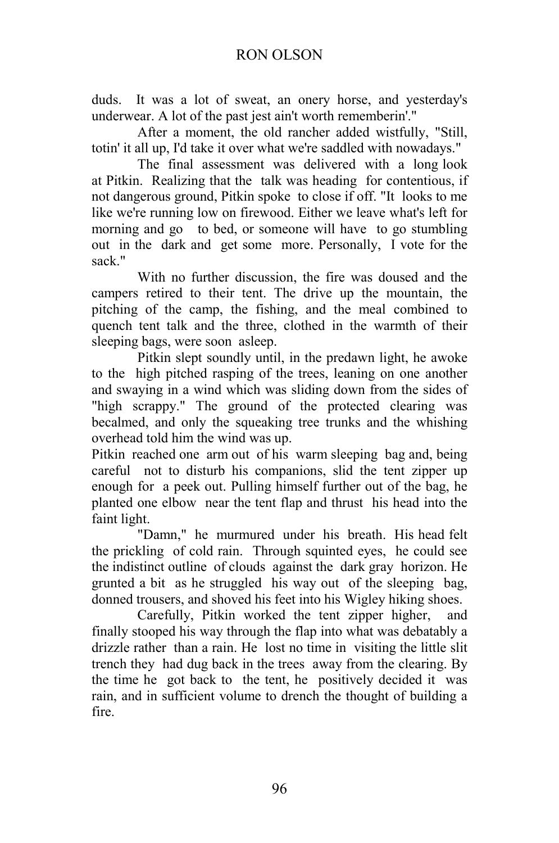duds. It was a lot of sweat, an onery horse, and yesterday's underwear. A lot of the past jest ain't worth rememberin'."

After a moment, the old rancher added wistfully, "Still, totin' it all up, I'd take it over what we're saddled with nowadays."

The final assessment was delivered with a long look at Pitkin. Realizing that the talk was heading for contentious, if not dangerous ground, Pitkin spoke to close if off. "It looks to me like we're running low on firewood. Either we leave what's left for morning and go to bed, or someone will have to go stumbling out in the dark and get some more. Personally, I vote for the sack."

With no further discussion, the fire was doused and the campers retired to their tent. The drive up the mountain, the pitching of the camp, the fishing, and the meal combined to quench tent talk and the three, clothed in the warmth of their sleeping bags, were soon asleep.

Pitkin slept soundly until, in the predawn light, he awoke to the high pitched rasping of the trees, leaning on one another and swaying in a wind which was sliding down from the sides of "high scrappy." The ground of the protected clearing was becalmed, and only the squeaking tree trunks and the whishing overhead told him the wind was up.

Pitkin reached one arm out of his warm sleeping bag and, being careful not to disturb his companions, slid the tent zipper up enough for a peek out. Pulling himself further out of the bag, he planted one elbow near the tent flap and thrust his head into the faint light.

"Damn," he murmured under his breath. His head felt the prickling of cold rain. Through squinted eyes, he could see the indistinct outline of clouds against the dark gray horizon. He grunted a bit as he struggled his way out of the sleeping bag, donned trousers, and shoved his feet into his Wigley hiking shoes.

Carefully, Pitkin worked the tent zipper higher, and finally stooped his way through the flap into what was debatably a drizzle rather than a rain. He lost no time in visiting the little slit trench they had dug back in the trees away from the clearing. By the time he got back to the tent, he positively decided it was rain, and in sufficient volume to drench the thought of building a fire.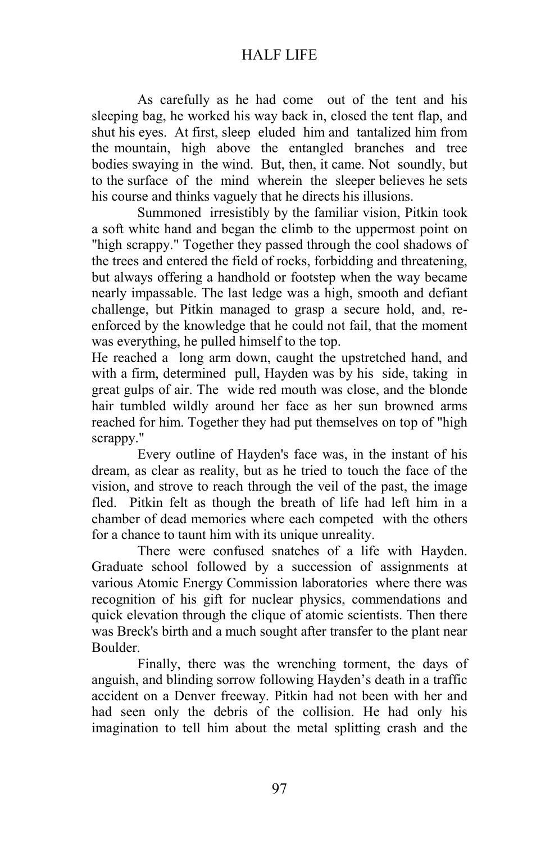As carefully as he had come out of the tent and his sleeping bag, he worked his way back in, closed the tent flap, and shut his eyes. At first, sleep eluded him and tantalized him from the mountain, high above the entangled branches and tree bodies swaying in the wind. But, then, it came. Not soundly, but to the surface of the mind wherein the sleeper believes he sets his course and thinks vaguely that he directs his illusions.

 Summoned irresistibly by the familiar vision, Pitkin took a soft white hand and began the climb to the uppermost point on "high scrappy." Together they passed through the cool shadows of the trees and entered the field of rocks, forbidding and threatening, but always offering a handhold or footstep when the way became nearly impassable. The last ledge was a high, smooth and defiant challenge, but Pitkin managed to grasp a secure hold, and, reenforced by the knowledge that he could not fail, that the moment was everything, he pulled himself to the top.

He reached a long arm down, caught the upstretched hand, and with a firm, determined pull, Hayden was by his side, taking in great gulps of air. The wide red mouth was close, and the blonde hair tumbled wildly around her face as her sun browned arms reached for him. Together they had put themselves on top of "high scrappy."

Every outline of Hayden's face was, in the instant of his dream, as clear as reality, but as he tried to touch the face of the vision, and strove to reach through the veil of the past, the image fled. Pitkin felt as though the breath of life had left him in a chamber of dead memories where each competed with the others for a chance to taunt him with its unique unreality.

There were confused snatches of a life with Hayden. Graduate school followed by a succession of assignments at various Atomic Energy Commission laboratories where there was recognition of his gift for nuclear physics, commendations and quick elevation through the clique of atomic scientists. Then there was Breck's birth and a much sought after transfer to the plant near Boulder.

Finally, there was the wrenching torment, the days of anguish, and blinding sorrow following Hayden's death in a traffic accident on a Denver freeway. Pitkin had not been with her and had seen only the debris of the collision. He had only his imagination to tell him about the metal splitting crash and the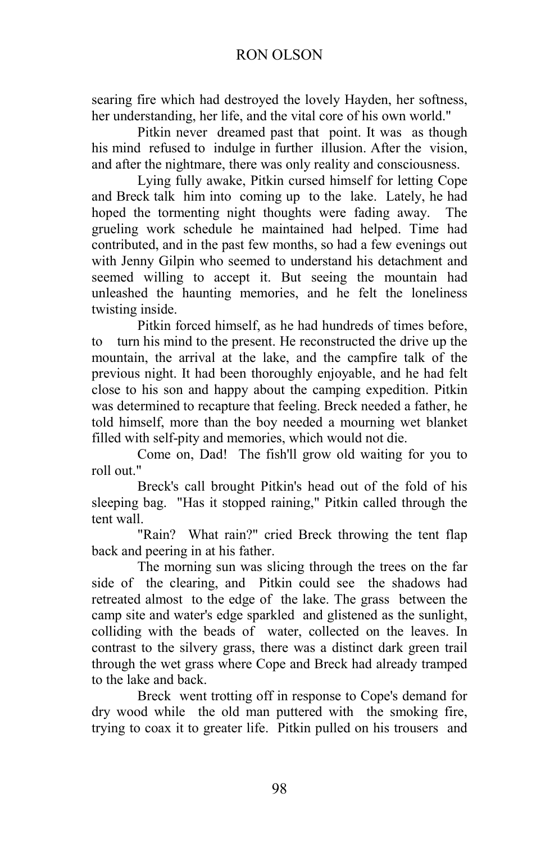searing fire which had destroyed the lovely Hayden, her softness, her understanding, her life, and the vital core of his own world."

Pitkin never dreamed past that point. It was as though his mind refused to indulge in further illusion. After the vision, and after the nightmare, there was only reality and consciousness.

Lying fully awake, Pitkin cursed himself for letting Cope and Breck talk him into coming up to the lake. Lately, he had hoped the tormenting night thoughts were fading away. The grueling work schedule he maintained had helped. Time had contributed, and in the past few months, so had a few evenings out with Jenny Gilpin who seemed to understand his detachment and seemed willing to accept it. But seeing the mountain had unleashed the haunting memories, and he felt the loneliness twisting inside.

 Pitkin forced himself, as he had hundreds of times before, to turn his mind to the present. He reconstructed the drive up the mountain, the arrival at the lake, and the campfire talk of the previous night. It had been thoroughly enjoyable, and he had felt close to his son and happy about the camping expedition. Pitkin was determined to recapture that feeling. Breck needed a father, he told himself, more than the boy needed a mourning wet blanket filled with self-pity and memories, which would not die.

Come on, Dad! The fish'll grow old waiting for you to roll out."

Breck's call brought Pitkin's head out of the fold of his sleeping bag. "Has it stopped raining," Pitkin called through the tent wall.

"Rain? What rain?" cried Breck throwing the tent flap back and peering in at his father.

The morning sun was slicing through the trees on the far side of the clearing, and Pitkin could see the shadows had retreated almost to the edge of the lake. The grass between the camp site and water's edge sparkled and glistened as the sunlight, colliding with the beads of water, collected on the leaves. In contrast to the silvery grass, there was a distinct dark green trail through the wet grass where Cope and Breck had already tramped to the lake and back.

Breck went trotting off in response to Cope's demand for dry wood while the old man puttered with the smoking fire, trying to coax it to greater life. Pitkin pulled on his trousers and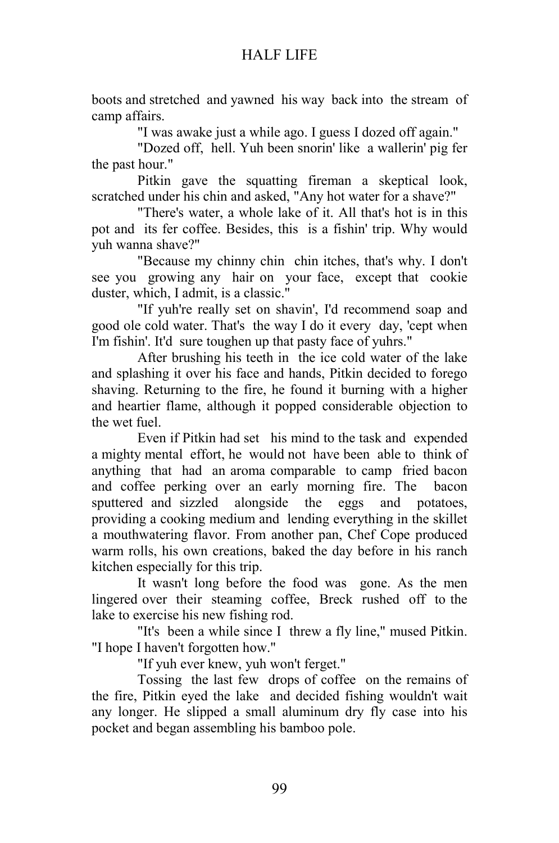boots and stretched and yawned his way back into the stream of camp affairs.

"I was awake just a while ago. I guess I dozed off again."

 "Dozed off, hell. Yuh been snorin' like a wallerin' pig fer the past hour."

Pitkin gave the squatting fireman a skeptical look, scratched under his chin and asked, "Any hot water for a shave?"

"There's water, a whole lake of it. All that's hot is in this pot and its fer coffee. Besides, this is a fishin' trip. Why would yuh wanna shave?"

"Because my chinny chin chin itches, that's why. I don't see you growing any hair on your face, except that cookie duster, which, I admit, is a classic."

"If yuh're really set on shavin', I'd recommend soap and good ole cold water. That's the way I do it every day, 'cept when I'm fishin'. It'd sure toughen up that pasty face of yuhrs."

After brushing his teeth in the ice cold water of the lake and splashing it over his face and hands, Pitkin decided to forego shaving. Returning to the fire, he found it burning with a higher and heartier flame, although it popped considerable objection to the wet fuel.

Even if Pitkin had set his mind to the task and expended a mighty mental effort, he would not have been able to think of anything that had an aroma comparable to camp fried bacon and coffee perking over an early morning fire. The bacon sputtered and sizzled alongside the eggs and potatoes, providing a cooking medium and lending everything in the skillet a mouthwatering flavor. From another pan, Chef Cope produced warm rolls, his own creations, baked the day before in his ranch kitchen especially for this trip.

 It wasn't long before the food was gone. As the men lingered over their steaming coffee, Breck rushed off to the lake to exercise his new fishing rod.

"It's been a while since I threw a fly line," mused Pitkin. "I hope I haven't forgotten how."

"If yuh ever knew, yuh won't ferget."

 Tossing the last few drops of coffee on the remains of the fire, Pitkin eyed the lake and decided fishing wouldn't wait any longer. He slipped a small aluminum dry fly case into his pocket and began assembling his bamboo pole.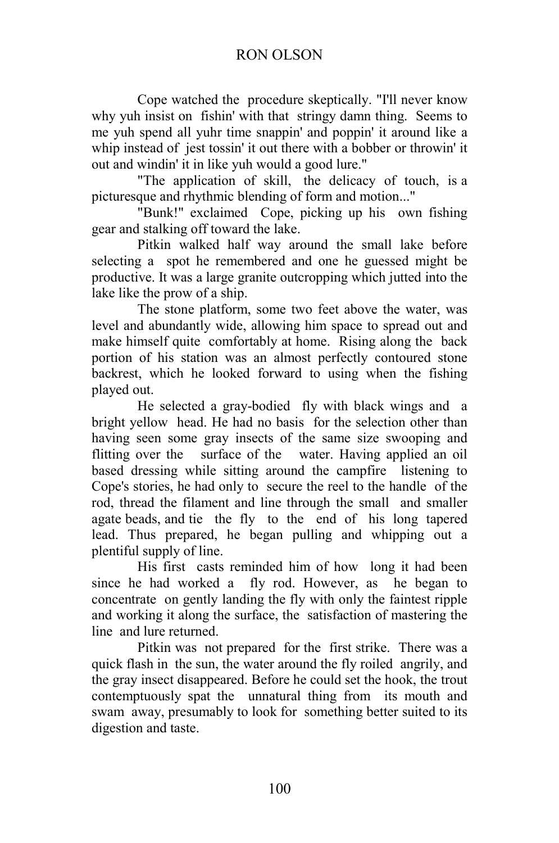Cope watched the procedure skeptically. "I'll never know why yuh insist on fishin' with that stringy damn thing. Seems to me yuh spend all yuhr time snappin' and poppin' it around like a whip instead of jest tossin' it out there with a bobber or throwin' it out and windin' it in like yuh would a good lure."

"The application of skill, the delicacy of touch, is a picturesque and rhythmic blending of form and motion..."

"Bunk!" exclaimed Cope, picking up his own fishing gear and stalking off toward the lake.

Pitkin walked half way around the small lake before selecting a spot he remembered and one he guessed might be productive. It was a large granite outcropping which jutted into the lake like the prow of a ship.

The stone platform, some two feet above the water, was level and abundantly wide, allowing him space to spread out and make himself quite comfortably at home. Rising along the back portion of his station was an almost perfectly contoured stone backrest, which he looked forward to using when the fishing played out.

He selected a gray-bodied fly with black wings and a bright yellow head. He had no basis for the selection other than having seen some gray insects of the same size swooping and flitting over the surface of the water. Having applied an oil based dressing while sitting around the campfire listening to Cope's stories, he had only to secure the reel to the handle of the rod, thread the filament and line through the small and smaller agate beads, and tie the fly to the end of his long tapered lead. Thus prepared, he began pulling and whipping out a plentiful supply of line.

His first casts reminded him of how long it had been since he had worked a fly rod. However, as he began to concentrate on gently landing the fly with only the faintest ripple and working it along the surface, the satisfaction of mastering the line and lure returned.

Pitkin was not prepared for the first strike. There was a quick flash in the sun, the water around the fly roiled angrily, and the gray insect disappeared. Before he could set the hook, the trout contemptuously spat the unnatural thing from its mouth and swam away, presumably to look for something better suited to its digestion and taste.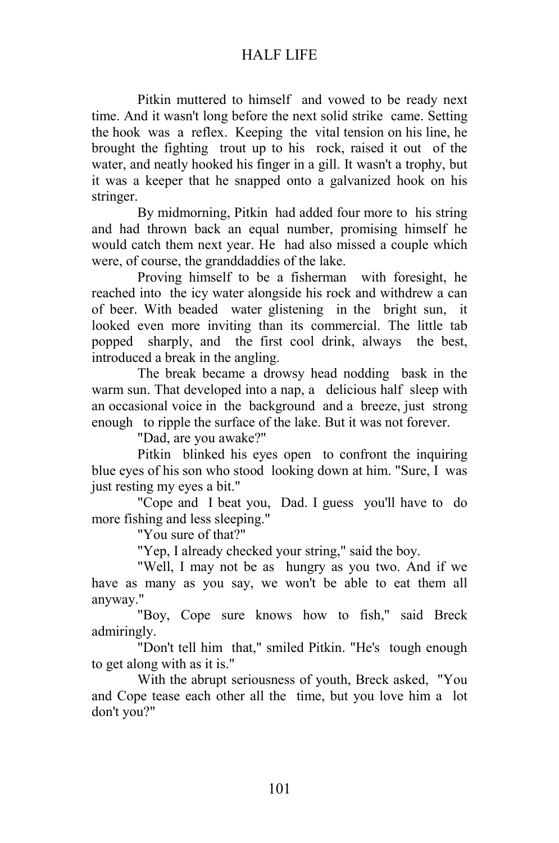Pitkin muttered to himself and vowed to be ready next time. And it wasn't long before the next solid strike came. Setting the hook was a reflex. Keeping the vital tension on his line, he brought the fighting trout up to his rock, raised it out of the water, and neatly hooked his finger in a gill. It wasn't a trophy, but it was a keeper that he snapped onto a galvanized hook on his stringer.

By midmorning, Pitkin had added four more to his string and had thrown back an equal number, promising himself he would catch them next year. He had also missed a couple which were, of course, the granddaddies of the lake.

Proving himself to be a fisherman with foresight, he reached into the icy water alongside his rock and withdrew a can of beer. With beaded water glistening in the bright sun, it looked even more inviting than its commercial. The little tab popped sharply, and the first cool drink, always the best, introduced a break in the angling.

 The break became a drowsy head nodding bask in the warm sun. That developed into a nap, a delicious half sleep with an occasional voice in the background and a breeze, just strong enough to ripple the surface of the lake. But it was not forever.

"Dad, are you awake?"

Pitkin blinked his eyes open to confront the inquiring blue eyes of his son who stood looking down at him. "Sure, I was just resting my eyes a bit."

"Cope and I beat you, Dad. I guess you'll have to do more fishing and less sleeping."

"You sure of that?"

"Yep, I already checked your string," said the boy.

"Well, I may not be as hungry as you two. And if we have as many as you say, we won't be able to eat them all anyway."

"Boy, Cope sure knows how to fish," said Breck admiringly.

"Don't tell him that," smiled Pitkin. "He's tough enough to get along with as it is."

With the abrupt seriousness of youth, Breck asked, "You and Cope tease each other all the time, but you love him a lot don't you?"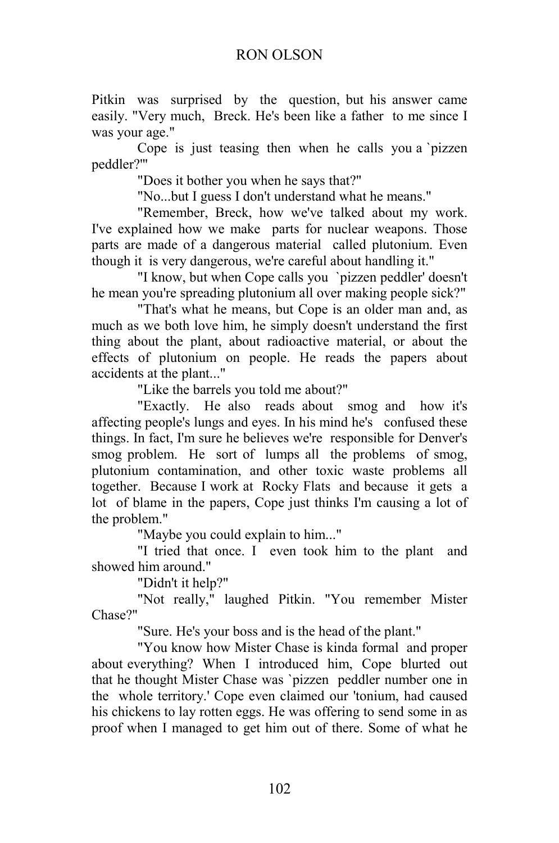Pitkin was surprised by the question, but his answer came easily. "Very much, Breck. He's been like a father to me since I was your age."

Cope is just teasing then when he calls you a `pizzen peddler?'"

"Does it bother you when he says that?"

"No...but I guess I don't understand what he means."

"Remember, Breck, how we've talked about my work. I've explained how we make parts for nuclear weapons. Those parts are made of a dangerous material called plutonium. Even though it is very dangerous, we're careful about handling it."

"I know, but when Cope calls you `pizzen peddler' doesn't he mean you're spreading plutonium all over making people sick?"

"That's what he means, but Cope is an older man and, as much as we both love him, he simply doesn't understand the first thing about the plant, about radioactive material, or about the effects of plutonium on people. He reads the papers about accidents at the plant..."

"Like the barrels you told me about?"

"Exactly. He also reads about smog and how it's affecting people's lungs and eyes. In his mind he's confused these things. In fact, I'm sure he believes we're responsible for Denver's smog problem. He sort of lumps all the problems of smog, plutonium contamination, and other toxic waste problems all together. Because I work at Rocky Flats and because it gets a lot of blame in the papers, Cope just thinks I'm causing a lot of the problem."

"Maybe you could explain to him..."

"I tried that once. I even took him to the plant and showed him around."

"Didn't it help?"

"Not really," laughed Pitkin. "You remember Mister Chase?"

"Sure. He's your boss and is the head of the plant."

"You know how Mister Chase is kinda formal and proper about everything? When I introduced him, Cope blurted out that he thought Mister Chase was `pizzen peddler number one in the whole territory.' Cope even claimed our 'tonium, had caused his chickens to lay rotten eggs. He was offering to send some in as proof when I managed to get him out of there. Some of what he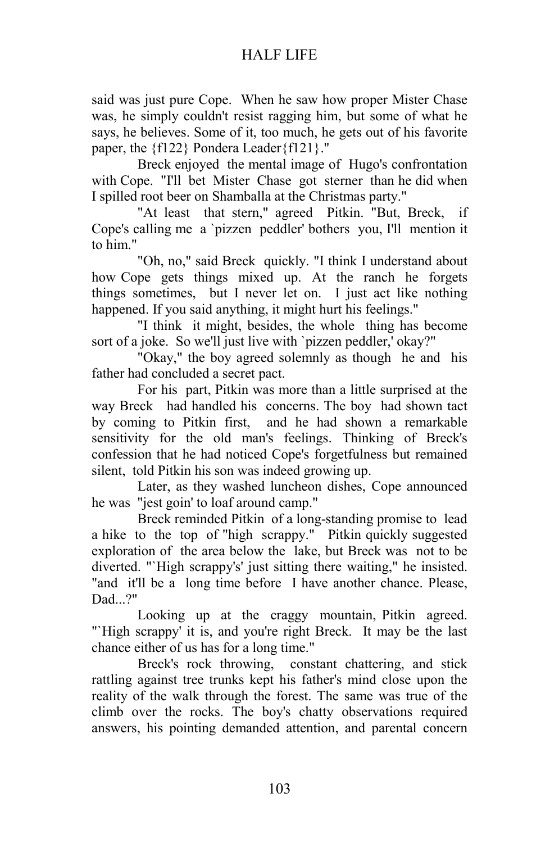said was just pure Cope. When he saw how proper Mister Chase was, he simply couldn't resist ragging him, but some of what he says, he believes. Some of it, too much, he gets out of his favorite paper, the {f122} Pondera Leader{f121}."

Breck enjoyed the mental image of Hugo's confrontation with Cope. "I'll bet Mister Chase got sterner than he did when I spilled root beer on Shamballa at the Christmas party."

"At least that stern," agreed Pitkin. "But, Breck, if Cope's calling me a `pizzen peddler' bothers you, I'll mention it to him."

"Oh, no," said Breck quickly. "I think I understand about how Cope gets things mixed up. At the ranch he forgets things sometimes, but I never let on. I just act like nothing happened. If you said anything, it might hurt his feelings."

"I think it might, besides, the whole thing has become sort of a joke. So we'll just live with `pizzen peddler,' okay?"

"Okay," the boy agreed solemnly as though he and his father had concluded a secret pact.

For his part, Pitkin was more than a little surprised at the way Breck had handled his concerns. The boy had shown tact by coming to Pitkin first, and he had shown a remarkable sensitivity for the old man's feelings. Thinking of Breck's confession that he had noticed Cope's forgetfulness but remained silent, told Pitkin his son was indeed growing up.

Later, as they washed luncheon dishes, Cope announced he was "jest goin' to loaf around camp."

Breck reminded Pitkin of a long-standing promise to lead a hike to the top of "high scrappy." Pitkin quickly suggested exploration of the area below the lake, but Breck was not to be diverted. "`High scrappy's' just sitting there waiting," he insisted. "and it'll be a long time before I have another chance. Please, Dad...?"

Looking up at the craggy mountain, Pitkin agreed. "High scrappy' it is, and you're right Breck. It may be the last chance either of us has for a long time."

Breck's rock throwing, constant chattering, and stick rattling against tree trunks kept his father's mind close upon the reality of the walk through the forest. The same was true of the climb over the rocks. The boy's chatty observations required answers, his pointing demanded attention, and parental concern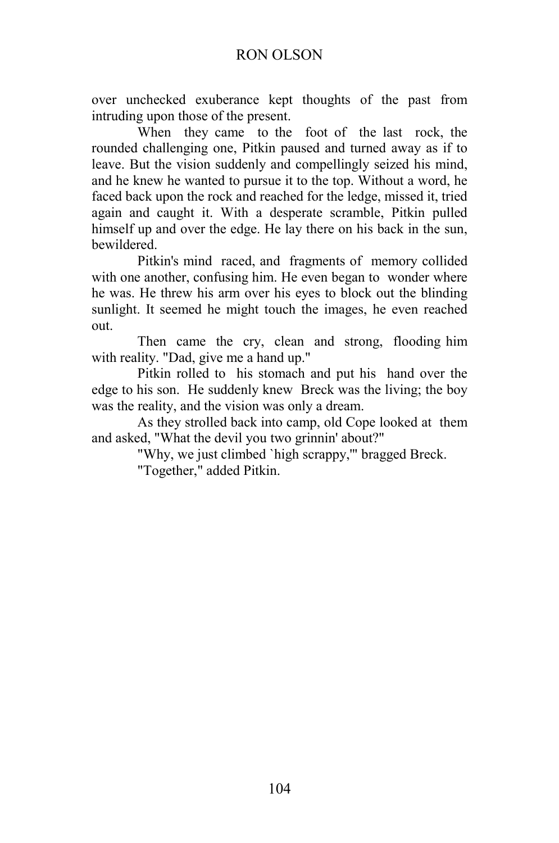over unchecked exuberance kept thoughts of the past from intruding upon those of the present.

When they came to the foot of the last rock, the rounded challenging one, Pitkin paused and turned away as if to leave. But the vision suddenly and compellingly seized his mind, and he knew he wanted to pursue it to the top. Without a word, he faced back upon the rock and reached for the ledge, missed it, tried again and caught it. With a desperate scramble, Pitkin pulled himself up and over the edge. He lay there on his back in the sun, bewildered.

Pitkin's mind raced, and fragments of memory collided with one another, confusing him. He even began to wonder where he was. He threw his arm over his eyes to block out the blinding sunlight. It seemed he might touch the images, he even reached out.

Then came the cry, clean and strong, flooding him with reality. "Dad, give me a hand up."

Pitkin rolled to his stomach and put his hand over the edge to his son. He suddenly knew Breck was the living; the boy was the reality, and the vision was only a dream.

As they strolled back into camp, old Cope looked at them and asked, "What the devil you two grinnin' about?"

"Why, we just climbed `high scrappy,'" bragged Breck.

"Together," added Pitkin.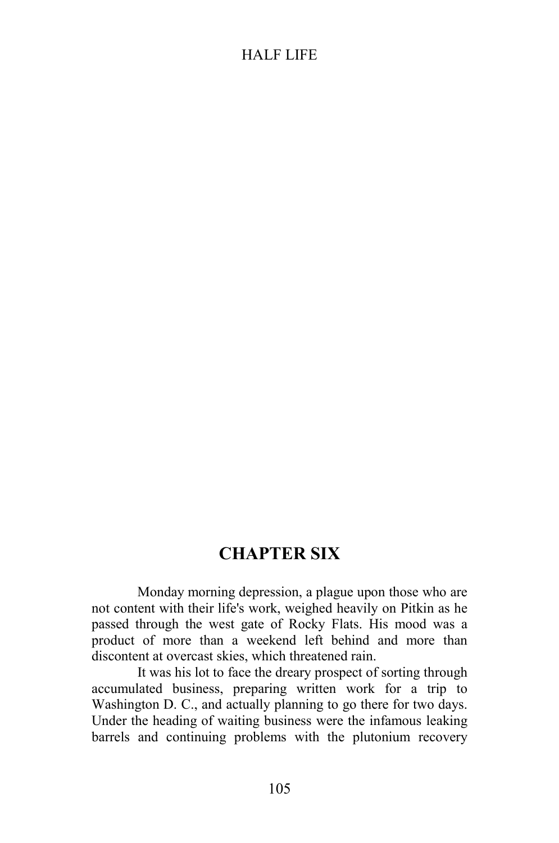# **CHAPTER SIX**

Monday morning depression, a plague upon those who are not content with their life's work, weighed heavily on Pitkin as he passed through the west gate of Rocky Flats. His mood was a product of more than a weekend left behind and more than discontent at overcast skies, which threatened rain.

It was his lot to face the dreary prospect of sorting through accumulated business, preparing written work for a trip to Washington D. C., and actually planning to go there for two days. Under the heading of waiting business were the infamous leaking barrels and continuing problems with the plutonium recovery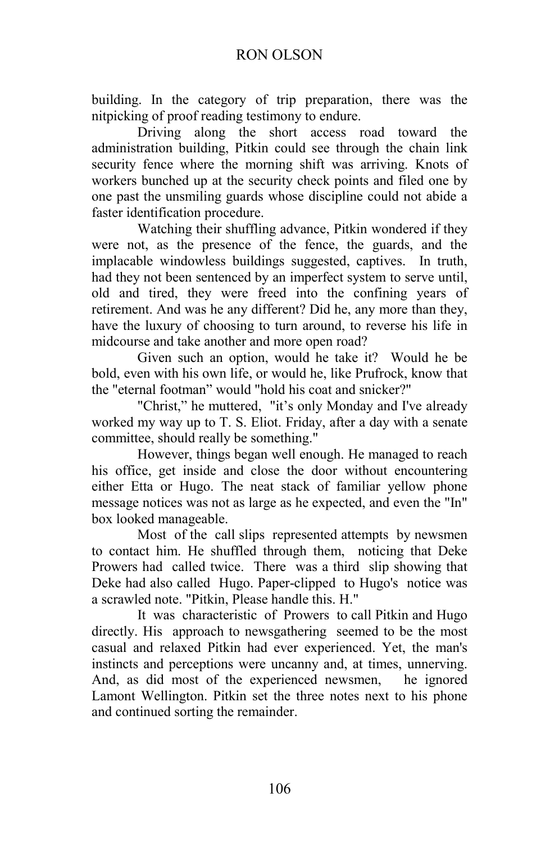building. In the category of trip preparation, there was the nitpicking of proof reading testimony to endure.

Driving along the short access road toward the administration building, Pitkin could see through the chain link security fence where the morning shift was arriving. Knots of workers bunched up at the security check points and filed one by one past the unsmiling guards whose discipline could not abide a faster identification procedure.

Watching their shuffling advance, Pitkin wondered if they were not, as the presence of the fence, the guards, and the implacable windowless buildings suggested, captives. In truth, had they not been sentenced by an imperfect system to serve until, old and tired, they were freed into the confining years of retirement. And was he any different? Did he, any more than they, have the luxury of choosing to turn around, to reverse his life in midcourse and take another and more open road?

Given such an option, would he take it? Would he be bold, even with his own life, or would he, like Prufrock, know that the "eternal footman" would "hold his coat and snicker?"

"Christ," he muttered, "it's only Monday and I've already worked my way up to T. S. Eliot. Friday, after a day with a senate committee, should really be something."

However, things began well enough. He managed to reach his office, get inside and close the door without encountering either Etta or Hugo. The neat stack of familiar yellow phone message notices was not as large as he expected, and even the "In" box looked manageable.

Most of the call slips represented attempts by newsmen to contact him. He shuffled through them, noticing that Deke Prowers had called twice. There was a third slip showing that Deke had also called Hugo. Paper-clipped to Hugo's notice was a scrawled note. "Pitkin, Please handle this. H."

It was characteristic of Prowers to call Pitkin and Hugo directly. His approach to newsgathering seemed to be the most casual and relaxed Pitkin had ever experienced. Yet, the man's instincts and perceptions were uncanny and, at times, unnerving. And, as did most of the experienced newsmen, he ignored Lamont Wellington. Pitkin set the three notes next to his phone and continued sorting the remainder.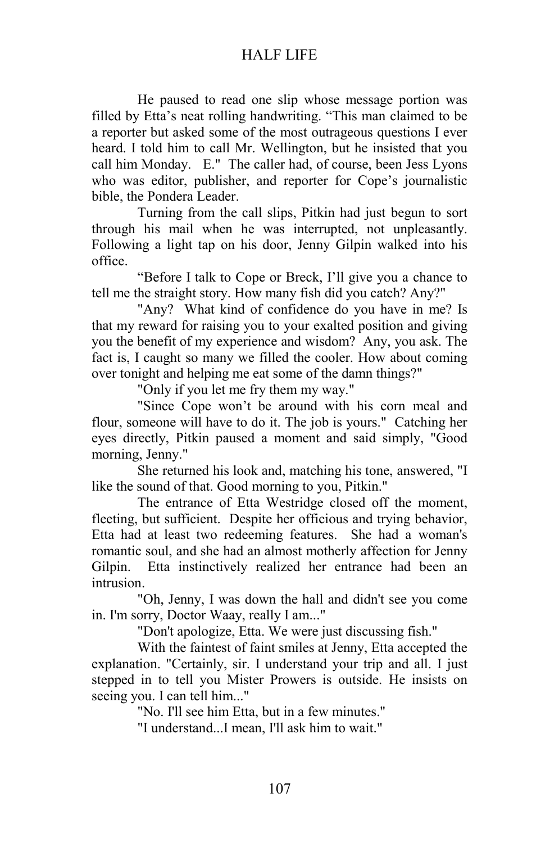He paused to read one slip whose message portion was filled by Etta's neat rolling handwriting. "This man claimed to be a reporter but asked some of the most outrageous questions I ever heard. I told him to call Mr. Wellington, but he insisted that you call him Monday. E." The caller had, of course, been Jess Lyons who was editor, publisher, and reporter for Cope's journalistic bible, the Pondera Leader.

 Turning from the call slips, Pitkin had just begun to sort through his mail when he was interrupted, not unpleasantly. Following a light tap on his door, Jenny Gilpin walked into his office.

"Before I talk to Cope or Breck, I'll give you a chance to tell me the straight story. How many fish did you catch? Any?"

"Any? What kind of confidence do you have in me? Is that my reward for raising you to your exalted position and giving you the benefit of my experience and wisdom? Any, you ask. The fact is, I caught so many we filled the cooler. How about coming over tonight and helping me eat some of the damn things?"

"Only if you let me fry them my way."

"Since Cope won't be around with his corn meal and flour, someone will have to do it. The job is yours." Catching her eyes directly, Pitkin paused a moment and said simply, "Good morning, Jenny."

She returned his look and, matching his tone, answered, "I like the sound of that. Good morning to you, Pitkin."

The entrance of Etta Westridge closed off the moment, fleeting, but sufficient. Despite her officious and trying behavior, Etta had at least two redeeming features. She had a woman's romantic soul, and she had an almost motherly affection for Jenny Gilpin. Etta instinctively realized her entrance had been an intrusion.

"Oh, Jenny, I was down the hall and didn't see you come in. I'm sorry, Doctor Waay, really I am..."

"Don't apologize, Etta. We were just discussing fish."

With the faintest of faint smiles at Jenny, Etta accepted the explanation. "Certainly, sir. I understand your trip and all. I just stepped in to tell you Mister Prowers is outside. He insists on seeing you. I can tell him..."

"No. I'll see him Etta, but in a few minutes."

"I understand...I mean, I'll ask him to wait."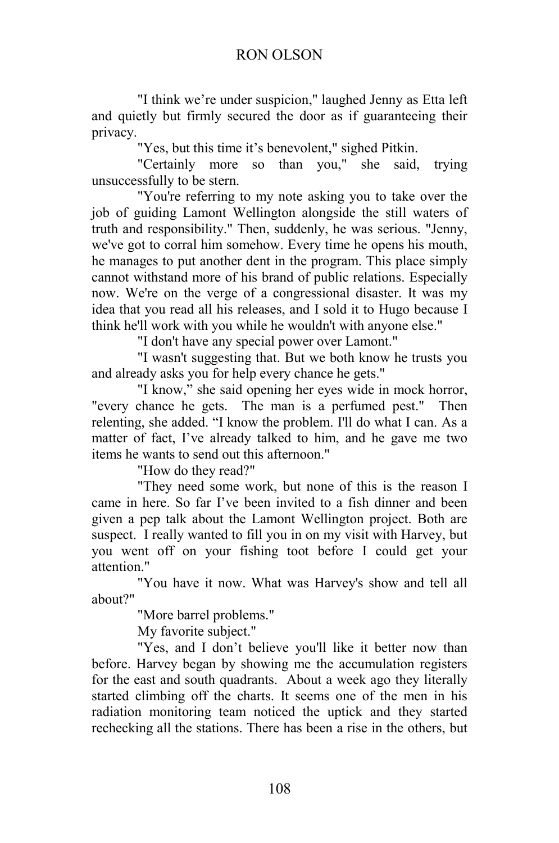"I think we're under suspicion," laughed Jenny as Etta left and quietly but firmly secured the door as if guaranteeing their privacy.

"Yes, but this time it's benevolent," sighed Pitkin.

"Certainly more so than you," she said, trying unsuccessfully to be stern.

"You're referring to my note asking you to take over the job of guiding Lamont Wellington alongside the still waters of truth and responsibility." Then, suddenly, he was serious. "Jenny, we've got to corral him somehow. Every time he opens his mouth, he manages to put another dent in the program. This place simply cannot withstand more of his brand of public relations. Especially now. We're on the verge of a congressional disaster. It was my idea that you read all his releases, and I sold it to Hugo because I think he'll work with you while he wouldn't with anyone else."

"I don't have any special power over Lamont."

"I wasn't suggesting that. But we both know he trusts you and already asks you for help every chance he gets."

"I know," she said opening her eyes wide in mock horror, "every chance he gets. The man is a perfumed pest." Then relenting, she added. "I know the problem. I'll do what I can. As a matter of fact, I've already talked to him, and he gave me two items he wants to send out this afternoon."

"How do they read?"

"They need some work, but none of this is the reason I came in here. So far I've been invited to a fish dinner and been given a pep talk about the Lamont Wellington project. Both are suspect. I really wanted to fill you in on my visit with Harvey, but you went off on your fishing toot before I could get your attention."

"You have it now. What was Harvey's show and tell all about?"

"More barrel problems."

My favorite subject."

"Yes, and I don't believe you'll like it better now than before. Harvey began by showing me the accumulation registers for the east and south quadrants. About a week ago they literally started climbing off the charts. It seems one of the men in his radiation monitoring team noticed the uptick and they started rechecking all the stations. There has been a rise in the others, but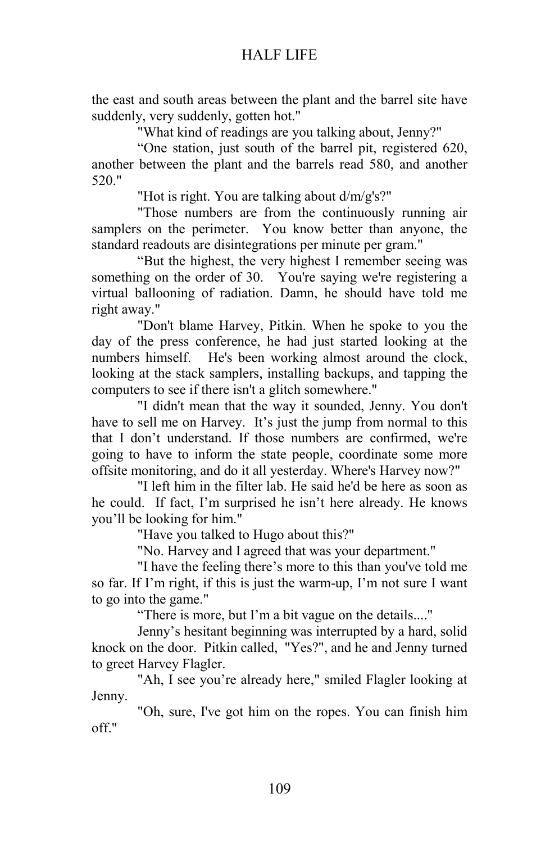the east and south areas between the plant and the barrel site have suddenly, very suddenly, gotten hot."

"What kind of readings are you talking about, Jenny?"

"One station, just south of the barrel pit, registered 620, another between the plant and the barrels read 580, and another 520."

"Hot is right. You are talking about d/m/g's?"

 "Those numbers are from the continuously running air samplers on the perimeter. You know better than anyone, the standard readouts are disintegrations per minute per gram."

"But the highest, the very highest I remember seeing was something on the order of 30. You're saying we're registering a virtual ballooning of radiation. Damn, he should have told me right away."

"Don't blame Harvey, Pitkin. When he spoke to you the day of the press conference, he had just started looking at the numbers himself. He's been working almost around the clock, looking at the stack samplers, installing backups, and tapping the computers to see if there isn't a glitch somewhere."

"I didn't mean that the way it sounded, Jenny. You don't have to sell me on Harvey. It's just the jump from normal to this that I don't understand. If those numbers are confirmed, we're going to have to inform the state people, coordinate some more offsite monitoring, and do it all yesterday. Where's Harvey now?"

"I left him in the filter lab. He said he'd be here as soon as he could. If fact, I'm surprised he isn't here already. He knows you'll be looking for him."

"Have you talked to Hugo about this?"

"No. Harvey and I agreed that was your department."

"I have the feeling there's more to this than you've told me so far. If I'm right, if this is just the warm-up, I'm not sure I want to go into the game."

"There is more, but I'm a bit vague on the details...."

 Jenny's hesitant beginning was interrupted by a hard, solid knock on the door. Pitkin called, "Yes?", and he and Jenny turned to greet Harvey Flagler.

"Ah, I see you're already here," smiled Flagler looking at Jenny.

"Oh, sure, I've got him on the ropes. You can finish him off."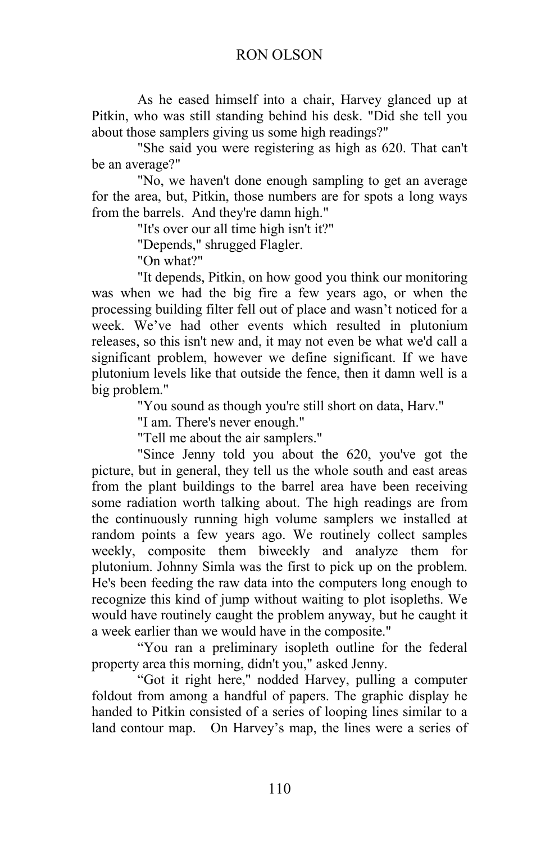As he eased himself into a chair, Harvey glanced up at Pitkin, who was still standing behind his desk. "Did she tell you about those samplers giving us some high readings?"

"She said you were registering as high as 620. That can't be an average?"

"No, we haven't done enough sampling to get an average for the area, but, Pitkin, those numbers are for spots a long ways from the barrels. And they're damn high."

"It's over our all time high isn't it?"

"Depends," shrugged Flagler.

"On what?"

"It depends, Pitkin, on how good you think our monitoring was when we had the big fire a few years ago, or when the processing building filter fell out of place and wasn't noticed for a week. We've had other events which resulted in plutonium releases, so this isn't new and, it may not even be what we'd call a significant problem, however we define significant. If we have plutonium levels like that outside the fence, then it damn well is a big problem."

"You sound as though you're still short on data, Harv."

"I am. There's never enough."

"Tell me about the air samplers."

"Since Jenny told you about the 620, you've got the picture, but in general, they tell us the whole south and east areas from the plant buildings to the barrel area have been receiving some radiation worth talking about. The high readings are from the continuously running high volume samplers we installed at random points a few years ago. We routinely collect samples weekly, composite them biweekly and analyze them for plutonium. Johnny Simla was the first to pick up on the problem. He's been feeding the raw data into the computers long enough to recognize this kind of jump without waiting to plot isopleths. We would have routinely caught the problem anyway, but he caught it a week earlier than we would have in the composite."

"You ran a preliminary isopleth outline for the federal property area this morning, didn't you," asked Jenny.

"Got it right here," nodded Harvey, pulling a computer foldout from among a handful of papers. The graphic display he handed to Pitkin consisted of a series of looping lines similar to a land contour map. On Harvey's map, the lines were a series of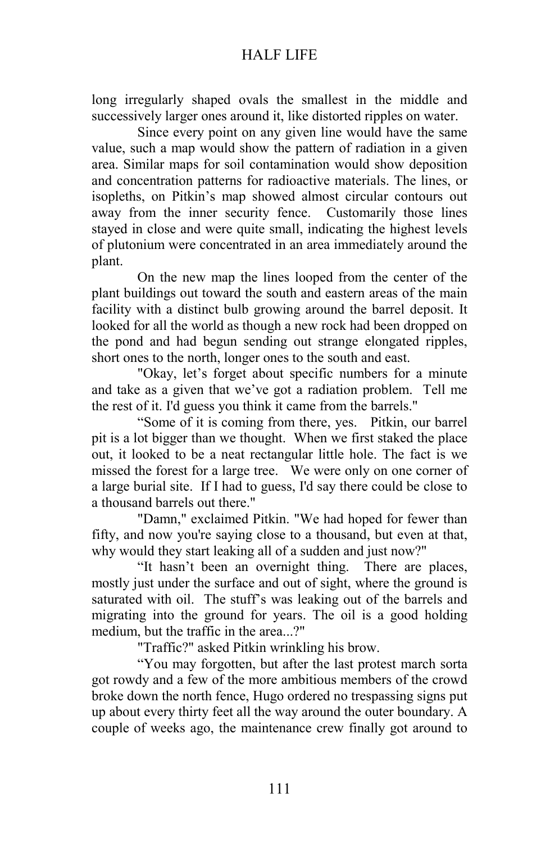long irregularly shaped ovals the smallest in the middle and successively larger ones around it, like distorted ripples on water.

Since every point on any given line would have the same value, such a map would show the pattern of radiation in a given area. Similar maps for soil contamination would show deposition and concentration patterns for radioactive materials. The lines, or isopleths, on Pitkin's map showed almost circular contours out away from the inner security fence. Customarily those lines stayed in close and were quite small, indicating the highest levels of plutonium were concentrated in an area immediately around the plant.

On the new map the lines looped from the center of the plant buildings out toward the south and eastern areas of the main facility with a distinct bulb growing around the barrel deposit. It looked for all the world as though a new rock had been dropped on the pond and had begun sending out strange elongated ripples, short ones to the north, longer ones to the south and east.

"Okay, let's forget about specific numbers for a minute and take as a given that we've got a radiation problem. Tell me the rest of it. I'd guess you think it came from the barrels."

"Some of it is coming from there, yes. Pitkin, our barrel pit is a lot bigger than we thought. When we first staked the place out, it looked to be a neat rectangular little hole. The fact is we missed the forest for a large tree. We were only on one corner of a large burial site. If I had to guess, I'd say there could be close to a thousand barrels out there."

"Damn," exclaimed Pitkin. "We had hoped for fewer than fifty, and now you're saying close to a thousand, but even at that, why would they start leaking all of a sudden and just now?"

"It hasn't been an overnight thing. There are places, mostly just under the surface and out of sight, where the ground is saturated with oil. The stuff's was leaking out of the barrels and migrating into the ground for years. The oil is a good holding medium, but the traffic in the area...?"

"Traffic?" asked Pitkin wrinkling his brow.

"You may forgotten, but after the last protest march sorta got rowdy and a few of the more ambitious members of the crowd broke down the north fence, Hugo ordered no trespassing signs put up about every thirty feet all the way around the outer boundary. A couple of weeks ago, the maintenance crew finally got around to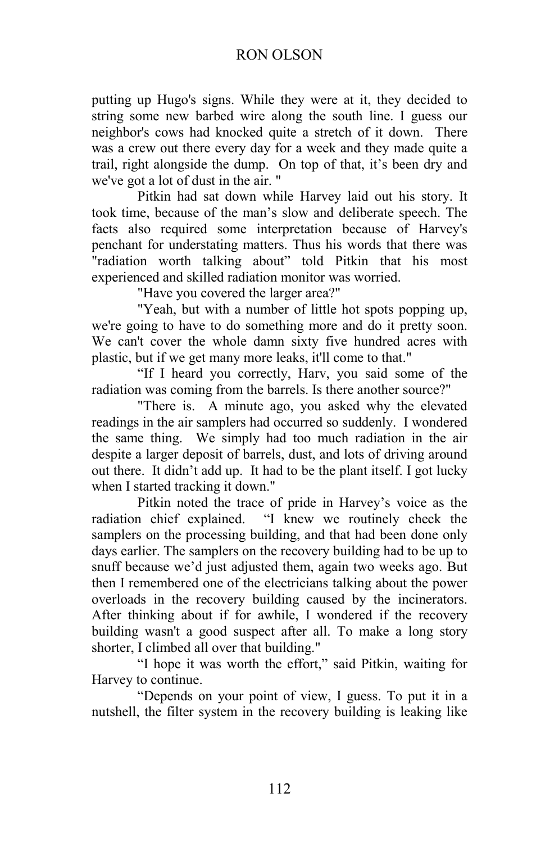#### RON OLSON

putting up Hugo's signs. While they were at it, they decided to string some new barbed wire along the south line. I guess our neighbor's cows had knocked quite a stretch of it down. There was a crew out there every day for a week and they made quite a trail, right alongside the dump. On top of that, it's been dry and we've got a lot of dust in the air. "

Pitkin had sat down while Harvey laid out his story. It took time, because of the man's slow and deliberate speech. The facts also required some interpretation because of Harvey's penchant for understating matters. Thus his words that there was "radiation worth talking about" told Pitkin that his most experienced and skilled radiation monitor was worried.

"Have you covered the larger area?"

"Yeah, but with a number of little hot spots popping up, we're going to have to do something more and do it pretty soon. We can't cover the whole damn sixty five hundred acres with plastic, but if we get many more leaks, it'll come to that."

"If I heard you correctly, Harv, you said some of the radiation was coming from the barrels. Is there another source?"

"There is. A minute ago, you asked why the elevated readings in the air samplers had occurred so suddenly. I wondered the same thing. We simply had too much radiation in the air despite a larger deposit of barrels, dust, and lots of driving around out there. It didn't add up. It had to be the plant itself. I got lucky when I started tracking it down."

Pitkin noted the trace of pride in Harvey's voice as the radiation chief explained. "I knew we routinely check the samplers on the processing building, and that had been done only days earlier. The samplers on the recovery building had to be up to snuff because we'd just adjusted them, again two weeks ago. But then I remembered one of the electricians talking about the power overloads in the recovery building caused by the incinerators. After thinking about if for awhile, I wondered if the recovery building wasn't a good suspect after all. To make a long story shorter, I climbed all over that building."

"I hope it was worth the effort," said Pitkin, waiting for Harvey to continue.

"Depends on your point of view, I guess. To put it in a nutshell, the filter system in the recovery building is leaking like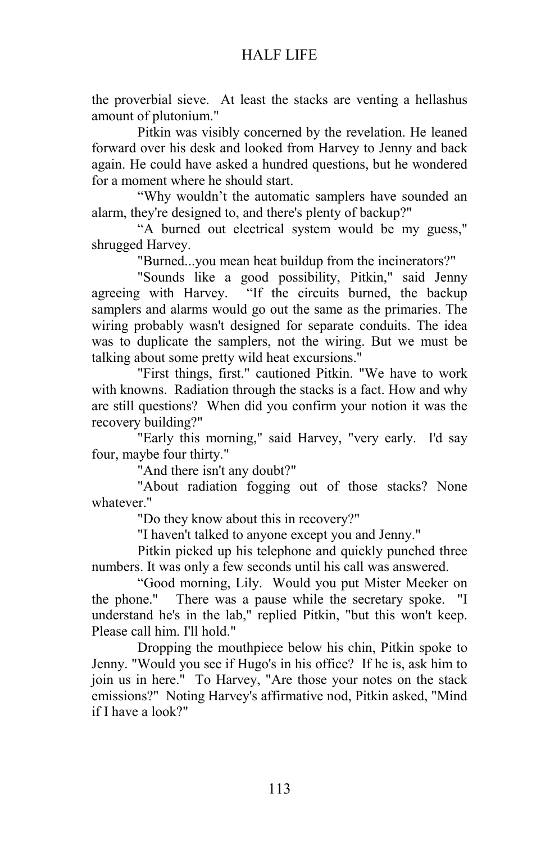the proverbial sieve. At least the stacks are venting a hellashus amount of plutonium."

Pitkin was visibly concerned by the revelation. He leaned forward over his desk and looked from Harvey to Jenny and back again. He could have asked a hundred questions, but he wondered for a moment where he should start.

"Why wouldn't the automatic samplers have sounded an alarm, they're designed to, and there's plenty of backup?"

"A burned out electrical system would be my guess," shrugged Harvey.

"Burned...you mean heat buildup from the incinerators?"

"Sounds like a good possibility, Pitkin," said Jenny agreeing with Harvey. "If the circuits burned, the backup samplers and alarms would go out the same as the primaries. The wiring probably wasn't designed for separate conduits. The idea was to duplicate the samplers, not the wiring. But we must be talking about some pretty wild heat excursions."

"First things, first." cautioned Pitkin. "We have to work with knowns. Radiation through the stacks is a fact. How and why are still questions? When did you confirm your notion it was the recovery building?"

"Early this morning," said Harvey, "very early. I'd say four, maybe four thirty."

"And there isn't any doubt?"

"About radiation fogging out of those stacks? None whatever."

"Do they know about this in recovery?"

"I haven't talked to anyone except you and Jenny."

Pitkin picked up his telephone and quickly punched three numbers. It was only a few seconds until his call was answered.

"Good morning, Lily. Would you put Mister Meeker on the phone." There was a pause while the secretary spoke. "I understand he's in the lab," replied Pitkin, "but this won't keep. Please call him. I'll hold."

Dropping the mouthpiece below his chin, Pitkin spoke to Jenny. "Would you see if Hugo's in his office? If he is, ask him to join us in here." To Harvey, "Are those your notes on the stack emissions?" Noting Harvey's affirmative nod, Pitkin asked, "Mind if I have a look?"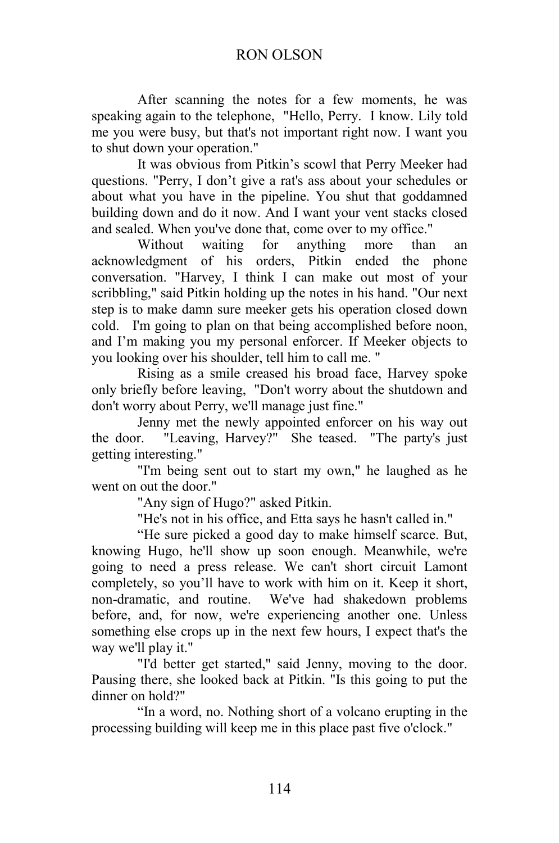#### RON OLSON

After scanning the notes for a few moments, he was speaking again to the telephone, "Hello, Perry. I know. Lily told me you were busy, but that's not important right now. I want you to shut down your operation."

It was obvious from Pitkin's scowl that Perry Meeker had questions. "Perry, I don't give a rat's ass about your schedules or about what you have in the pipeline. You shut that goddamned building down and do it now. And I want your vent stacks closed and sealed. When you've done that, come over to my office."

Without waiting for anything more than an acknowledgment of his orders, Pitkin ended the phone conversation. "Harvey, I think I can make out most of your scribbling," said Pitkin holding up the notes in his hand. "Our next step is to make damn sure meeker gets his operation closed down cold. I'm going to plan on that being accomplished before noon, and I'm making you my personal enforcer. If Meeker objects to you looking over his shoulder, tell him to call me. "

 Rising as a smile creased his broad face, Harvey spoke only briefly before leaving, "Don't worry about the shutdown and don't worry about Perry, we'll manage just fine."

Jenny met the newly appointed enforcer on his way out the door. "Leaving, Harvey?" She teased. "The party's just getting interesting."

"I'm being sent out to start my own," he laughed as he went on out the door."

"Any sign of Hugo?" asked Pitkin.

"He's not in his office, and Etta says he hasn't called in."

"He sure picked a good day to make himself scarce. But, knowing Hugo, he'll show up soon enough. Meanwhile, we're going to need a press release. We can't short circuit Lamont completely, so you'll have to work with him on it. Keep it short, non-dramatic, and routine. We've had shakedown problems before, and, for now, we're experiencing another one. Unless something else crops up in the next few hours, I expect that's the way we'll play it."

"I'd better get started," said Jenny, moving to the door. Pausing there, she looked back at Pitkin. "Is this going to put the dinner on hold?"

"In a word, no. Nothing short of a volcano erupting in the processing building will keep me in this place past five o'clock."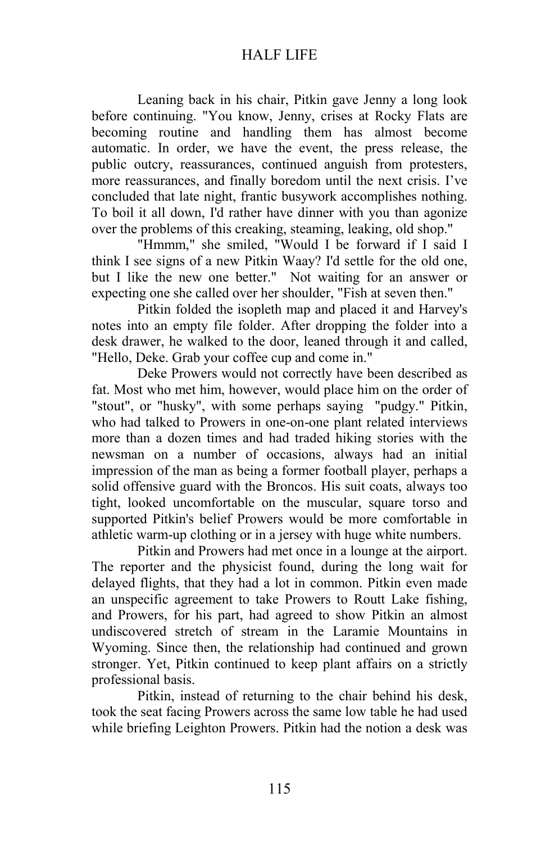Leaning back in his chair, Pitkin gave Jenny a long look before continuing. "You know, Jenny, crises at Rocky Flats are becoming routine and handling them has almost become automatic. In order, we have the event, the press release, the public outcry, reassurances, continued anguish from protesters, more reassurances, and finally boredom until the next crisis. I've concluded that late night, frantic busywork accomplishes nothing. To boil it all down, I'd rather have dinner with you than agonize over the problems of this creaking, steaming, leaking, old shop."

"Hmmm," she smiled, "Would I be forward if I said I think I see signs of a new Pitkin Waay? I'd settle for the old one, but I like the new one better." Not waiting for an answer or expecting one she called over her shoulder, "Fish at seven then."

Pitkin folded the isopleth map and placed it and Harvey's notes into an empty file folder. After dropping the folder into a desk drawer, he walked to the door, leaned through it and called, "Hello, Deke. Grab your coffee cup and come in."

Deke Prowers would not correctly have been described as fat. Most who met him, however, would place him on the order of "stout", or "husky", with some perhaps saying "pudgy." Pitkin, who had talked to Prowers in one-on-one plant related interviews more than a dozen times and had traded hiking stories with the newsman on a number of occasions, always had an initial impression of the man as being a former football player, perhaps a solid offensive guard with the Broncos. His suit coats, always too tight, looked uncomfortable on the muscular, square torso and supported Pitkin's belief Prowers would be more comfortable in athletic warm-up clothing or in a jersey with huge white numbers.

Pitkin and Prowers had met once in a lounge at the airport. The reporter and the physicist found, during the long wait for delayed flights, that they had a lot in common. Pitkin even made an unspecific agreement to take Prowers to Routt Lake fishing, and Prowers, for his part, had agreed to show Pitkin an almost undiscovered stretch of stream in the Laramie Mountains in Wyoming. Since then, the relationship had continued and grown stronger. Yet, Pitkin continued to keep plant affairs on a strictly professional basis.

Pitkin, instead of returning to the chair behind his desk, took the seat facing Prowers across the same low table he had used while briefing Leighton Prowers. Pitkin had the notion a desk was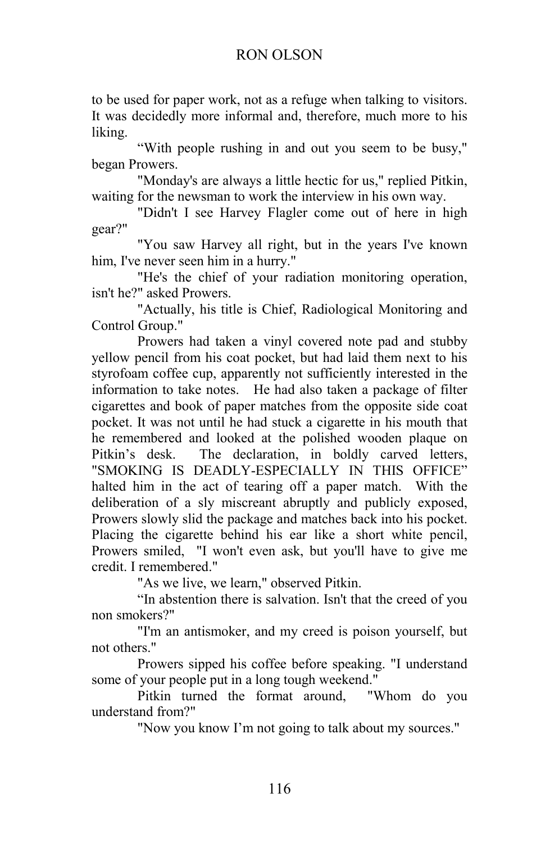to be used for paper work, not as a refuge when talking to visitors. It was decidedly more informal and, therefore, much more to his liking.

"With people rushing in and out you seem to be busy," began Prowers.

"Monday's are always a little hectic for us," replied Pitkin, waiting for the newsman to work the interview in his own way.

"Didn't I see Harvey Flagler come out of here in high gear?"

"You saw Harvey all right, but in the years I've known him, I've never seen him in a hurry."

"He's the chief of your radiation monitoring operation, isn't he?" asked Prowers.

"Actually, his title is Chief, Radiological Monitoring and Control Group."

Prowers had taken a vinyl covered note pad and stubby yellow pencil from his coat pocket, but had laid them next to his styrofoam coffee cup, apparently not sufficiently interested in the information to take notes. He had also taken a package of filter cigarettes and book of paper matches from the opposite side coat pocket. It was not until he had stuck a cigarette in his mouth that he remembered and looked at the polished wooden plaque on Pitkin's desk. The declaration, in boldly carved letters, "SMOKING IS DEADLY-ESPECIALLY IN THIS OFFICE" halted him in the act of tearing off a paper match. With the deliberation of a sly miscreant abruptly and publicly exposed, Prowers slowly slid the package and matches back into his pocket. Placing the cigarette behind his ear like a short white pencil, Prowers smiled, "I won't even ask, but you'll have to give me credit. I remembered."

"As we live, we learn," observed Pitkin.

"In abstention there is salvation. Isn't that the creed of you non smokers?"

"I'm an antismoker, and my creed is poison yourself, but not others."

Prowers sipped his coffee before speaking. "I understand some of your people put in a long tough weekend."

Pitkin turned the format around, "Whom do you understand from?"

"Now you know I'm not going to talk about my sources."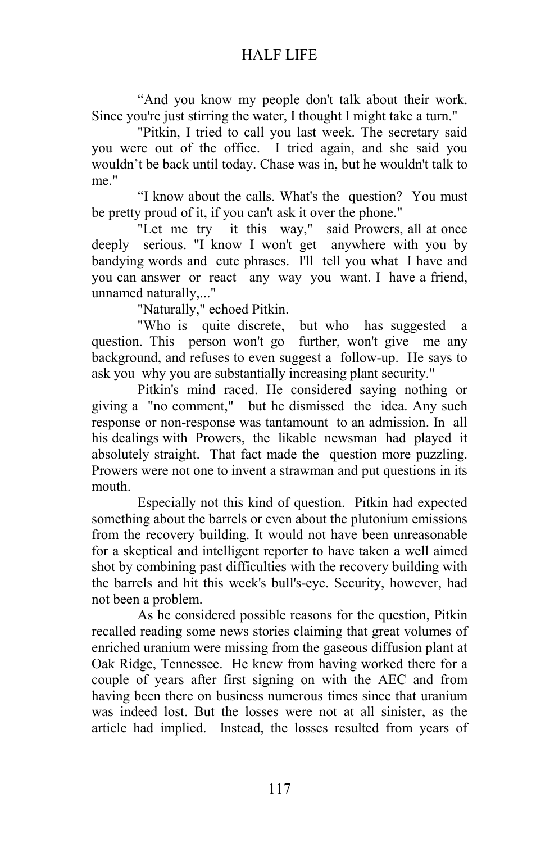"And you know my people don't talk about their work. Since you're just stirring the water, I thought I might take a turn."

"Pitkin, I tried to call you last week. The secretary said you were out of the office. I tried again, and she said you wouldn't be back until today. Chase was in, but he wouldn't talk to me."

"I know about the calls. What's the question? You must be pretty proud of it, if you can't ask it over the phone."

"Let me try it this way," said Prowers, all at once deeply serious. "I know I won't get anywhere with you by bandying words and cute phrases. I'll tell you what I have and you can answer or react any way you want. I have a friend, unnamed naturally,..."

"Naturally," echoed Pitkin.

"Who is quite discrete, but who has suggested a question. This person won't go further, won't give me any background, and refuses to even suggest a follow-up. He says to ask you why you are substantially increasing plant security."

Pitkin's mind raced. He considered saying nothing or giving a "no comment," but he dismissed the idea. Any such response or non-response was tantamount to an admission. In all his dealings with Prowers, the likable newsman had played it absolutely straight. That fact made the question more puzzling. Prowers were not one to invent a strawman and put questions in its mouth.

 Especially not this kind of question. Pitkin had expected something about the barrels or even about the plutonium emissions from the recovery building. It would not have been unreasonable for a skeptical and intelligent reporter to have taken a well aimed shot by combining past difficulties with the recovery building with the barrels and hit this week's bull's-eye. Security, however, had not been a problem.

As he considered possible reasons for the question, Pitkin recalled reading some news stories claiming that great volumes of enriched uranium were missing from the gaseous diffusion plant at Oak Ridge, Tennessee. He knew from having worked there for a couple of years after first signing on with the AEC and from having been there on business numerous times since that uranium was indeed lost. But the losses were not at all sinister, as the article had implied. Instead, the losses resulted from years of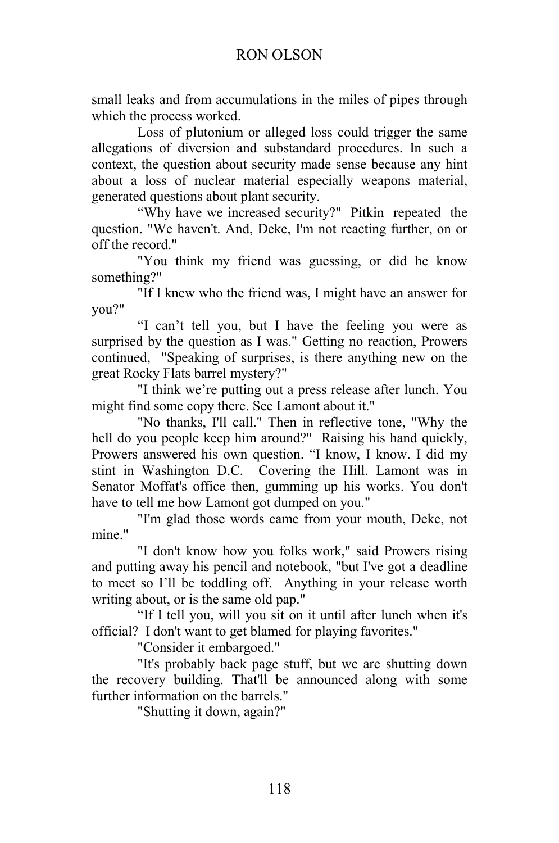small leaks and from accumulations in the miles of pipes through which the process worked.

Loss of plutonium or alleged loss could trigger the same allegations of diversion and substandard procedures. In such a context, the question about security made sense because any hint about a loss of nuclear material especially weapons material, generated questions about plant security.

"Why have we increased security?" Pitkin repeated the question. "We haven't. And, Deke, I'm not reacting further, on or off the record."

"You think my friend was guessing, or did he know something?"

"If I knew who the friend was, I might have an answer for you?"

"I can't tell you, but I have the feeling you were as surprised by the question as I was." Getting no reaction, Prowers continued, "Speaking of surprises, is there anything new on the great Rocky Flats barrel mystery?"

"I think we're putting out a press release after lunch. You might find some copy there. See Lamont about it."

"No thanks, I'll call." Then in reflective tone, "Why the hell do you people keep him around?" Raising his hand quickly, Prowers answered his own question. "I know, I know. I did my stint in Washington D.C. Covering the Hill. Lamont was in Senator Moffat's office then, gumming up his works. You don't have to tell me how Lamont got dumped on you."

"I'm glad those words came from your mouth, Deke, not mine."

"I don't know how you folks work," said Prowers rising and putting away his pencil and notebook, "but I've got a deadline to meet so I'll be toddling off. Anything in your release worth writing about, or is the same old pap."

"If I tell you, will you sit on it until after lunch when it's official? I don't want to get blamed for playing favorites."

"Consider it embargoed."

"It's probably back page stuff, but we are shutting down the recovery building. That'll be announced along with some further information on the barrels."

"Shutting it down, again?"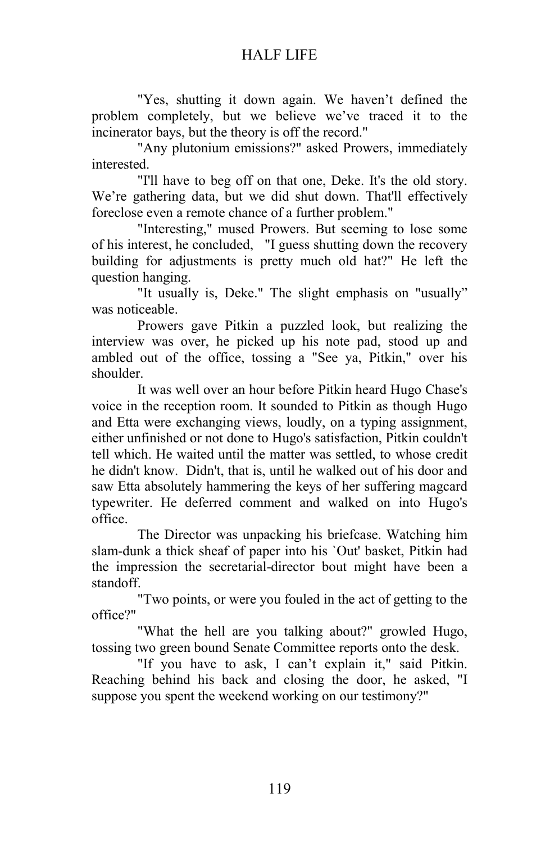"Yes, shutting it down again. We haven't defined the problem completely, but we believe we've traced it to the incinerator bays, but the theory is off the record."

"Any plutonium emissions?" asked Prowers, immediately interested.

"I'll have to beg off on that one, Deke. It's the old story. We're gathering data, but we did shut down. That'll effectively foreclose even a remote chance of a further problem."

"Interesting," mused Prowers. But seeming to lose some of his interest, he concluded, "I guess shutting down the recovery building for adjustments is pretty much old hat?" He left the question hanging.

"It usually is, Deke." The slight emphasis on "usually" was noticeable.

Prowers gave Pitkin a puzzled look, but realizing the interview was over, he picked up his note pad, stood up and ambled out of the office, tossing a "See ya, Pitkin," over his shoulder.

It was well over an hour before Pitkin heard Hugo Chase's voice in the reception room. It sounded to Pitkin as though Hugo and Etta were exchanging views, loudly, on a typing assignment, either unfinished or not done to Hugo's satisfaction, Pitkin couldn't tell which. He waited until the matter was settled, to whose credit he didn't know. Didn't, that is, until he walked out of his door and saw Etta absolutely hammering the keys of her suffering magcard typewriter. He deferred comment and walked on into Hugo's office.

The Director was unpacking his briefcase. Watching him slam-dunk a thick sheaf of paper into his `Out' basket, Pitkin had the impression the secretarial-director bout might have been a standoff.

"Two points, or were you fouled in the act of getting to the office?"

"What the hell are you talking about?" growled Hugo, tossing two green bound Senate Committee reports onto the desk.

"If you have to ask, I can't explain it," said Pitkin. Reaching behind his back and closing the door, he asked, "I suppose you spent the weekend working on our testimony?"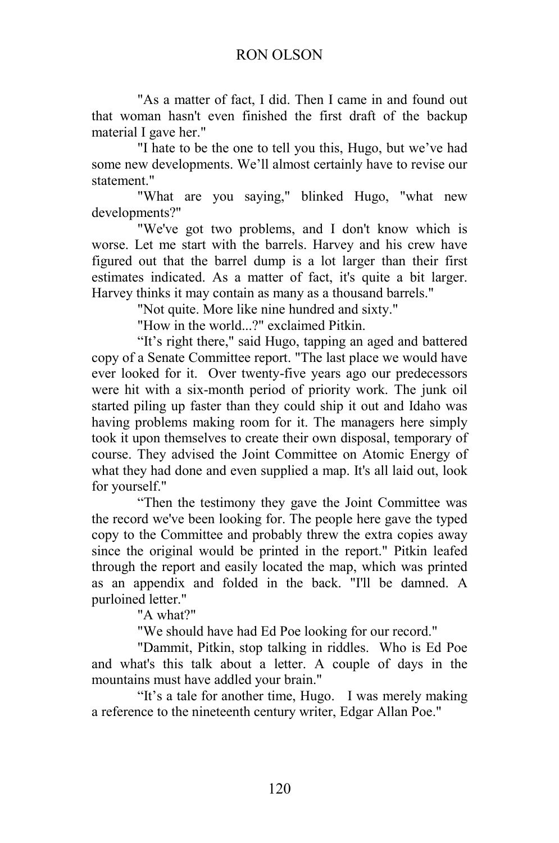"As a matter of fact, I did. Then I came in and found out that woman hasn't even finished the first draft of the backup material I gave her."

"I hate to be the one to tell you this, Hugo, but we've had some new developments. We'll almost certainly have to revise our statement."

"What are you saying," blinked Hugo, "what new developments?"

"We've got two problems, and I don't know which is worse. Let me start with the barrels. Harvey and his crew have figured out that the barrel dump is a lot larger than their first estimates indicated. As a matter of fact, it's quite a bit larger. Harvey thinks it may contain as many as a thousand barrels."

"Not quite. More like nine hundred and sixty."

"How in the world...?" exclaimed Pitkin.

"It's right there," said Hugo, tapping an aged and battered copy of a Senate Committee report. "The last place we would have ever looked for it. Over twenty-five years ago our predecessors were hit with a six-month period of priority work. The junk oil started piling up faster than they could ship it out and Idaho was having problems making room for it. The managers here simply took it upon themselves to create their own disposal, temporary of course. They advised the Joint Committee on Atomic Energy of what they had done and even supplied a map. It's all laid out, look for yourself."

"Then the testimony they gave the Joint Committee was the record we've been looking for. The people here gave the typed copy to the Committee and probably threw the extra copies away since the original would be printed in the report." Pitkin leafed through the report and easily located the map, which was printed as an appendix and folded in the back. "I'll be damned. A purloined letter."

"A what?"

"We should have had Ed Poe looking for our record."

"Dammit, Pitkin, stop talking in riddles. Who is Ed Poe and what's this talk about a letter. A couple of days in the mountains must have addled your brain."

"It's a tale for another time, Hugo. I was merely making a reference to the nineteenth century writer, Edgar Allan Poe."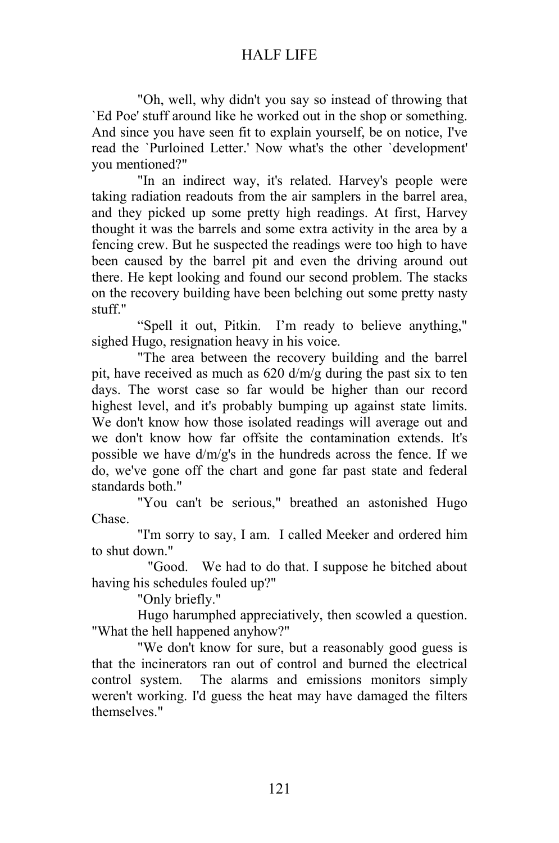"Oh, well, why didn't you say so instead of throwing that `Ed Poe' stuff around like he worked out in the shop or something. And since you have seen fit to explain yourself, be on notice, I've read the `Purloined Letter.' Now what's the other `development' you mentioned?"

"In an indirect way, it's related. Harvey's people were taking radiation readouts from the air samplers in the barrel area, and they picked up some pretty high readings. At first, Harvey thought it was the barrels and some extra activity in the area by a fencing crew. But he suspected the readings were too high to have been caused by the barrel pit and even the driving around out there. He kept looking and found our second problem. The stacks on the recovery building have been belching out some pretty nasty stuff."

"Spell it out, Pitkin. I'm ready to believe anything," sighed Hugo, resignation heavy in his voice.

"The area between the recovery building and the barrel pit, have received as much as 620 d/m/g during the past six to ten days. The worst case so far would be higher than our record highest level, and it's probably bumping up against state limits. We don't know how those isolated readings will average out and we don't know how far offsite the contamination extends. It's possible we have d/m/g's in the hundreds across the fence. If we do, we've gone off the chart and gone far past state and federal standards both."

"You can't be serious," breathed an astonished Hugo Chase.

"I'm sorry to say, I am. I called Meeker and ordered him to shut down."

 "Good. We had to do that. I suppose he bitched about having his schedules fouled up?"

"Only briefly."

Hugo harumphed appreciatively, then scowled a question. "What the hell happened anyhow?"

"We don't know for sure, but a reasonably good guess is that the incinerators ran out of control and burned the electrical control system. The alarms and emissions monitors simply weren't working. I'd guess the heat may have damaged the filters themselves."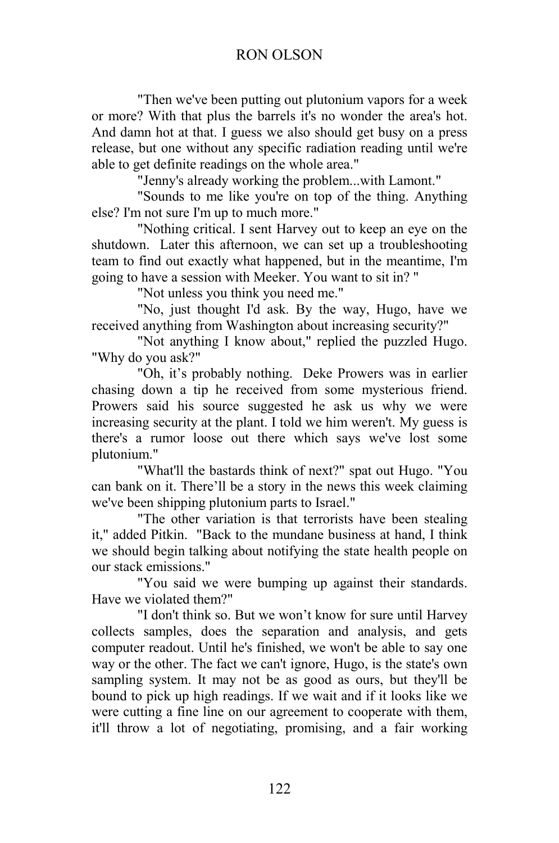# RON OLSON

"Then we've been putting out plutonium vapors for a week or more? With that plus the barrels it's no wonder the area's hot. And damn hot at that. I guess we also should get busy on a press release, but one without any specific radiation reading until we're able to get definite readings on the whole area."

"Jenny's already working the problem...with Lamont."

"Sounds to me like you're on top of the thing. Anything else? I'm not sure I'm up to much more."

"Nothing critical. I sent Harvey out to keep an eye on the shutdown. Later this afternoon, we can set up a troubleshooting team to find out exactly what happened, but in the meantime, I'm going to have a session with Meeker. You want to sit in? "

"Not unless you think you need me."

"No, just thought I'd ask. By the way, Hugo, have we received anything from Washington about increasing security?"

"Not anything I know about," replied the puzzled Hugo. "Why do you ask?"

"Oh, it's probably nothing. Deke Prowers was in earlier chasing down a tip he received from some mysterious friend. Prowers said his source suggested he ask us why we were increasing security at the plant. I told we him weren't. My guess is there's a rumor loose out there which says we've lost some plutonium."

"What'll the bastards think of next?" spat out Hugo. "You can bank on it. There'll be a story in the news this week claiming we've been shipping plutonium parts to Israel."

"The other variation is that terrorists have been stealing it," added Pitkin. "Back to the mundane business at hand, I think we should begin talking about notifying the state health people on our stack emissions."

"You said we were bumping up against their standards. Have we violated them?"

"I don't think so. But we won't know for sure until Harvey collects samples, does the separation and analysis, and gets computer readout. Until he's finished, we won't be able to say one way or the other. The fact we can't ignore, Hugo, is the state's own sampling system. It may not be as good as ours, but they'll be bound to pick up high readings. If we wait and if it looks like we were cutting a fine line on our agreement to cooperate with them, it'll throw a lot of negotiating, promising, and a fair working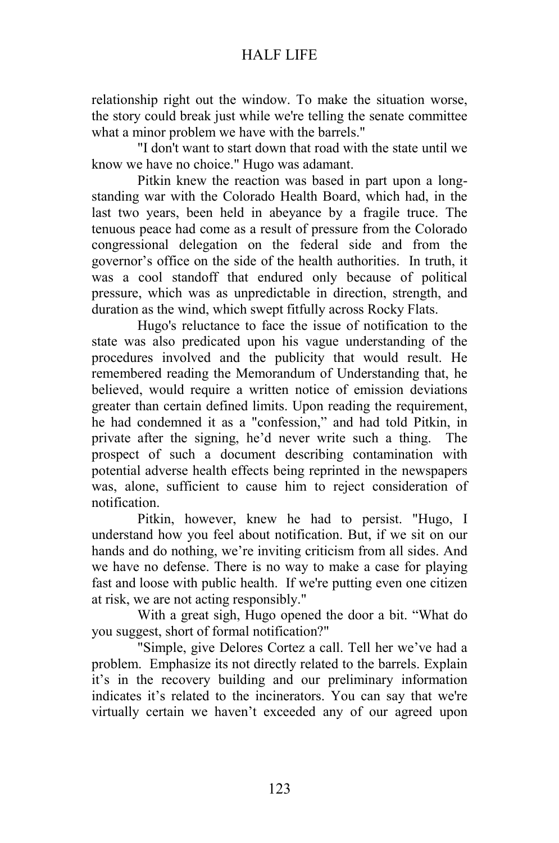relationship right out the window. To make the situation worse, the story could break just while we're telling the senate committee what a minor problem we have with the barrels."

"I don't want to start down that road with the state until we know we have no choice." Hugo was adamant.

Pitkin knew the reaction was based in part upon a longstanding war with the Colorado Health Board, which had, in the last two years, been held in abeyance by a fragile truce. The tenuous peace had come as a result of pressure from the Colorado congressional delegation on the federal side and from the governor's office on the side of the health authorities. In truth, it was a cool standoff that endured only because of political pressure, which was as unpredictable in direction, strength, and duration as the wind, which swept fitfully across Rocky Flats.

Hugo's reluctance to face the issue of notification to the state was also predicated upon his vague understanding of the procedures involved and the publicity that would result. He remembered reading the Memorandum of Understanding that, he believed, would require a written notice of emission deviations greater than certain defined limits. Upon reading the requirement, he had condemned it as a "confession," and had told Pitkin, in private after the signing, he'd never write such a thing. The prospect of such a document describing contamination with potential adverse health effects being reprinted in the newspapers was, alone, sufficient to cause him to reject consideration of notification.

Pitkin, however, knew he had to persist. "Hugo, I understand how you feel about notification. But, if we sit on our hands and do nothing, we're inviting criticism from all sides. And we have no defense. There is no way to make a case for playing fast and loose with public health. If we're putting even one citizen at risk, we are not acting responsibly."

With a great sigh, Hugo opened the door a bit. "What do you suggest, short of formal notification?"

"Simple, give Delores Cortez a call. Tell her we've had a problem. Emphasize its not directly related to the barrels. Explain it's in the recovery building and our preliminary information indicates it's related to the incinerators. You can say that we're virtually certain we haven't exceeded any of our agreed upon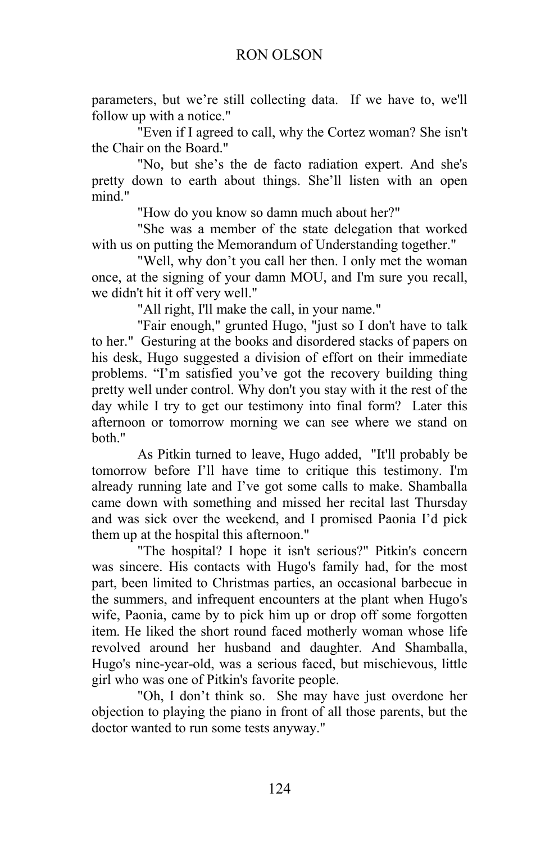parameters, but we're still collecting data. If we have to, we'll follow up with a notice."

"Even if I agreed to call, why the Cortez woman? She isn't the Chair on the Board."

 "No, but she's the de facto radiation expert. And she's pretty down to earth about things. She'll listen with an open mind."

"How do you know so damn much about her?"

"She was a member of the state delegation that worked with us on putting the Memorandum of Understanding together."

"Well, why don't you call her then. I only met the woman once, at the signing of your damn MOU, and I'm sure you recall, we didn't hit it off very well."

"All right, I'll make the call, in your name."

 "Fair enough," grunted Hugo, "just so I don't have to talk to her." Gesturing at the books and disordered stacks of papers on his desk, Hugo suggested a division of effort on their immediate problems. "I'm satisfied you've got the recovery building thing pretty well under control. Why don't you stay with it the rest of the day while I try to get our testimony into final form? Later this afternoon or tomorrow morning we can see where we stand on both."

As Pitkin turned to leave, Hugo added, "It'll probably be tomorrow before I'll have time to critique this testimony. I'm already running late and I've got some calls to make. Shamballa came down with something and missed her recital last Thursday and was sick over the weekend, and I promised Paonia I'd pick them up at the hospital this afternoon."

"The hospital? I hope it isn't serious?" Pitkin's concern was sincere. His contacts with Hugo's family had, for the most part, been limited to Christmas parties, an occasional barbecue in the summers, and infrequent encounters at the plant when Hugo's wife, Paonia, came by to pick him up or drop off some forgotten item. He liked the short round faced motherly woman whose life revolved around her husband and daughter. And Shamballa, Hugo's nine-year-old, was a serious faced, but mischievous, little girl who was one of Pitkin's favorite people.

"Oh, I don't think so. She may have just overdone her objection to playing the piano in front of all those parents, but the doctor wanted to run some tests anyway."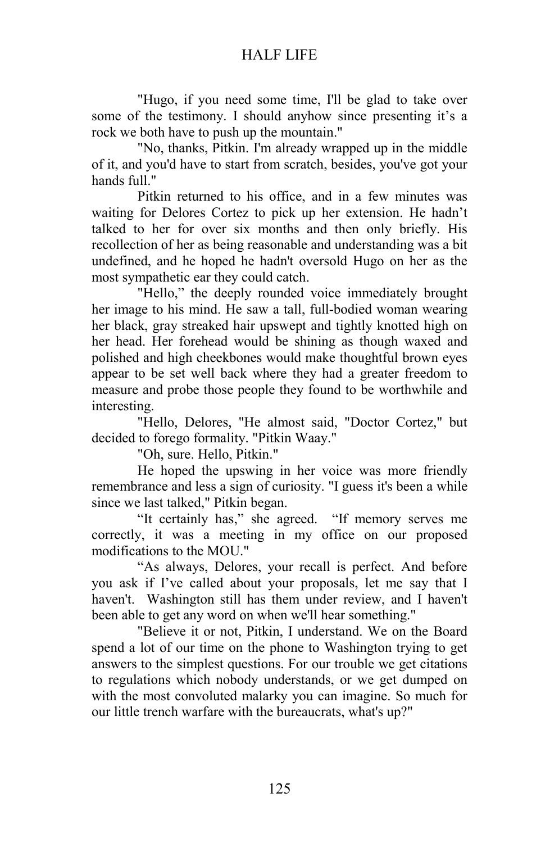"Hugo, if you need some time, I'll be glad to take over some of the testimony. I should anyhow since presenting it's a rock we both have to push up the mountain."

"No, thanks, Pitkin. I'm already wrapped up in the middle of it, and you'd have to start from scratch, besides, you've got your hands full."

Pitkin returned to his office, and in a few minutes was waiting for Delores Cortez to pick up her extension. He hadn't talked to her for over six months and then only briefly. His recollection of her as being reasonable and understanding was a bit undefined, and he hoped he hadn't oversold Hugo on her as the most sympathetic ear they could catch.

"Hello," the deeply rounded voice immediately brought her image to his mind. He saw a tall, full-bodied woman wearing her black, gray streaked hair upswept and tightly knotted high on her head. Her forehead would be shining as though waxed and polished and high cheekbones would make thoughtful brown eyes appear to be set well back where they had a greater freedom to measure and probe those people they found to be worthwhile and interesting.

"Hello, Delores, "He almost said, "Doctor Cortez," but decided to forego formality. "Pitkin Waay."

"Oh, sure. Hello, Pitkin."

He hoped the upswing in her voice was more friendly remembrance and less a sign of curiosity. "I guess it's been a while since we last talked," Pitkin began.

"It certainly has," she agreed. "If memory serves me correctly, it was a meeting in my office on our proposed modifications to the MOU."

"As always, Delores, your recall is perfect. And before you ask if I've called about your proposals, let me say that I haven't. Washington still has them under review, and I haven't been able to get any word on when we'll hear something."

"Believe it or not, Pitkin, I understand. We on the Board spend a lot of our time on the phone to Washington trying to get answers to the simplest questions. For our trouble we get citations to regulations which nobody understands, or we get dumped on with the most convoluted malarky you can imagine. So much for our little trench warfare with the bureaucrats, what's up?"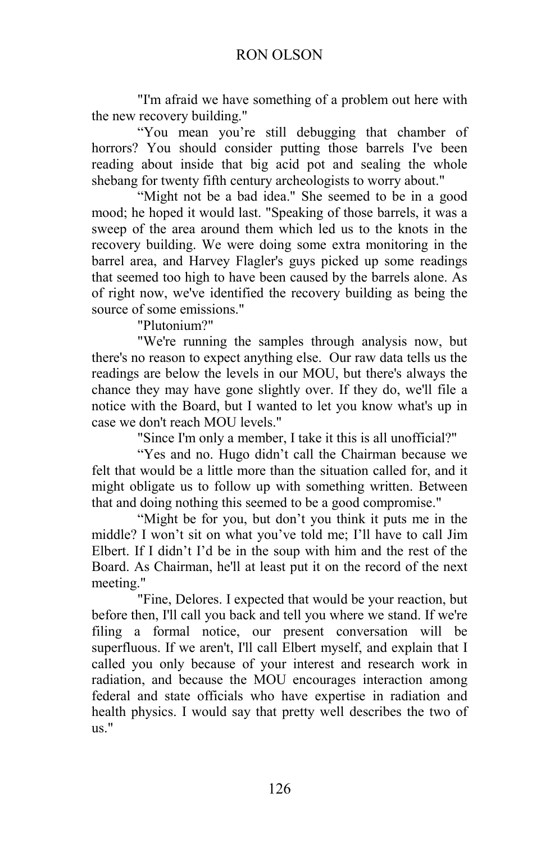"I'm afraid we have something of a problem out here with the new recovery building."

"You mean you're still debugging that chamber of horrors? You should consider putting those barrels I've been reading about inside that big acid pot and sealing the whole shebang for twenty fifth century archeologists to worry about."

"Might not be a bad idea." She seemed to be in a good mood; he hoped it would last. "Speaking of those barrels, it was a sweep of the area around them which led us to the knots in the recovery building. We were doing some extra monitoring in the barrel area, and Harvey Flagler's guys picked up some readings that seemed too high to have been caused by the barrels alone. As of right now, we've identified the recovery building as being the source of some emissions."

"Plutonium?"

"We're running the samples through analysis now, but there's no reason to expect anything else. Our raw data tells us the readings are below the levels in our MOU, but there's always the chance they may have gone slightly over. If they do, we'll file a notice with the Board, but I wanted to let you know what's up in case we don't reach MOU levels."

"Since I'm only a member, I take it this is all unofficial?"

 "Yes and no. Hugo didn't call the Chairman because we felt that would be a little more than the situation called for, and it might obligate us to follow up with something written. Between that and doing nothing this seemed to be a good compromise."

"Might be for you, but don't you think it puts me in the middle? I won't sit on what you've told me; I'll have to call Jim Elbert. If I didn't I'd be in the soup with him and the rest of the Board. As Chairman, he'll at least put it on the record of the next meeting."

"Fine, Delores. I expected that would be your reaction, but before then, I'll call you back and tell you where we stand. If we're filing a formal notice, our present conversation will be superfluous. If we aren't, I'll call Elbert myself, and explain that I called you only because of your interest and research work in radiation, and because the MOU encourages interaction among federal and state officials who have expertise in radiation and health physics. I would say that pretty well describes the two of us."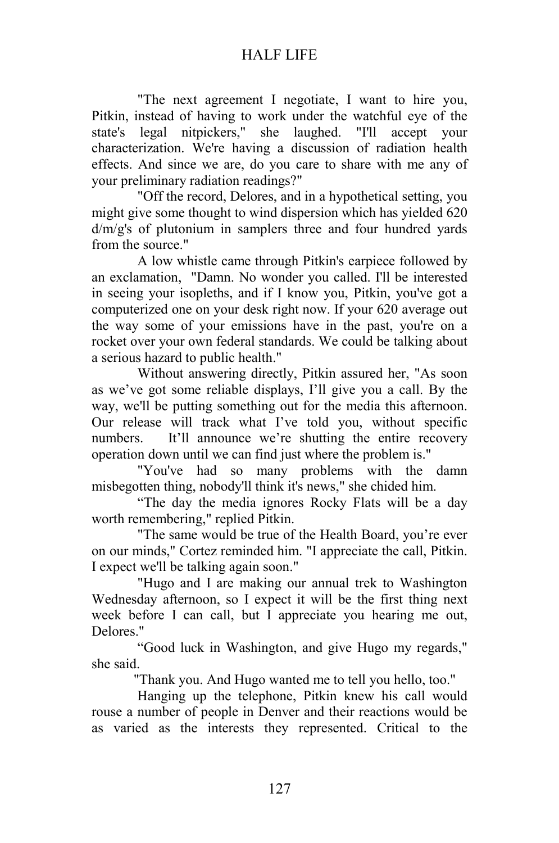"The next agreement I negotiate, I want to hire you, Pitkin, instead of having to work under the watchful eye of the state's legal nitpickers," she laughed. "I'll accept your characterization. We're having a discussion of radiation health effects. And since we are, do you care to share with me any of your preliminary radiation readings?"

"Off the record, Delores, and in a hypothetical setting, you might give some thought to wind dispersion which has yielded 620 d/m/g's of plutonium in samplers three and four hundred yards from the source."

A low whistle came through Pitkin's earpiece followed by an exclamation, "Damn. No wonder you called. I'll be interested in seeing your isopleths, and if I know you, Pitkin, you've got a computerized one on your desk right now. If your 620 average out the way some of your emissions have in the past, you're on a rocket over your own federal standards. We could be talking about a serious hazard to public health."

Without answering directly, Pitkin assured her, "As soon as we've got some reliable displays, I'll give you a call. By the way, we'll be putting something out for the media this afternoon. Our release will track what I've told you, without specific numbers. It'll announce we're shutting the entire recovery operation down until we can find just where the problem is."

"You've had so many problems with the damn misbegotten thing, nobody'll think it's news," she chided him.

"The day the media ignores Rocky Flats will be a day worth remembering," replied Pitkin.

"The same would be true of the Health Board, you're ever on our minds," Cortez reminded him. "I appreciate the call, Pitkin. I expect we'll be talking again soon."

"Hugo and I are making our annual trek to Washington Wednesday afternoon, so I expect it will be the first thing next week before I can call, but I appreciate you hearing me out, Delores."

"Good luck in Washington, and give Hugo my regards," she said.

"Thank you. And Hugo wanted me to tell you hello, too."

 Hanging up the telephone, Pitkin knew his call would rouse a number of people in Denver and their reactions would be as varied as the interests they represented. Critical to the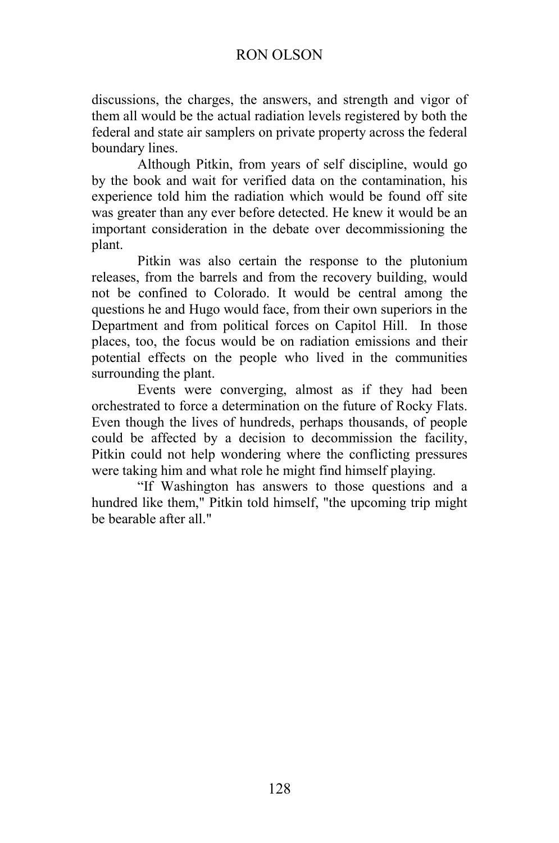# RON OLSON

discussions, the charges, the answers, and strength and vigor of them all would be the actual radiation levels registered by both the federal and state air samplers on private property across the federal boundary lines.

 Although Pitkin, from years of self discipline, would go by the book and wait for verified data on the contamination, his experience told him the radiation which would be found off site was greater than any ever before detected. He knew it would be an important consideration in the debate over decommissioning the plant.

 Pitkin was also certain the response to the plutonium releases, from the barrels and from the recovery building, would not be confined to Colorado. It would be central among the questions he and Hugo would face, from their own superiors in the Department and from political forces on Capitol Hill. In those places, too, the focus would be on radiation emissions and their potential effects on the people who lived in the communities surrounding the plant.

Events were converging, almost as if they had been orchestrated to force a determination on the future of Rocky Flats. Even though the lives of hundreds, perhaps thousands, of people could be affected by a decision to decommission the facility, Pitkin could not help wondering where the conflicting pressures were taking him and what role he might find himself playing.

 "If Washington has answers to those questions and a hundred like them," Pitkin told himself, "the upcoming trip might be bearable after all."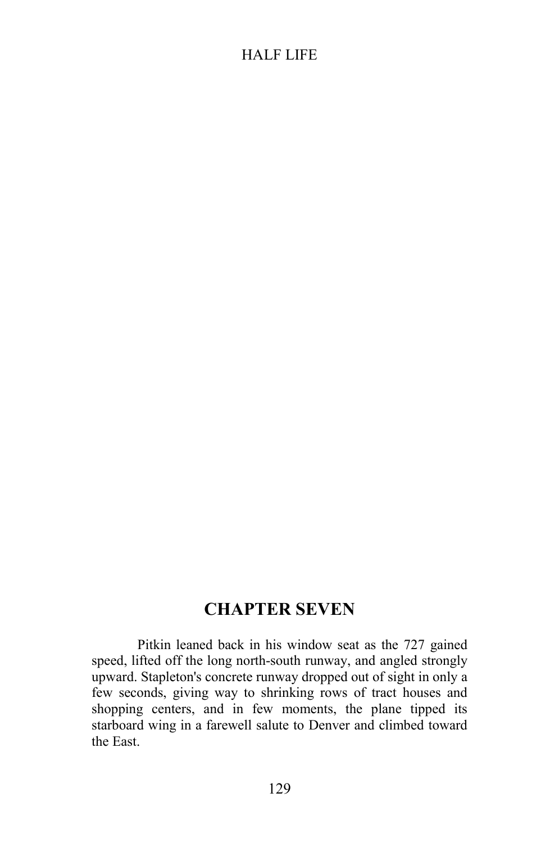# **CHAPTER SEVEN**

Pitkin leaned back in his window seat as the 727 gained speed, lifted off the long north-south runway, and angled strongly upward. Stapleton's concrete runway dropped out of sight in only a few seconds, giving way to shrinking rows of tract houses and shopping centers, and in few moments, the plane tipped its starboard wing in a farewell salute to Denver and climbed toward the East.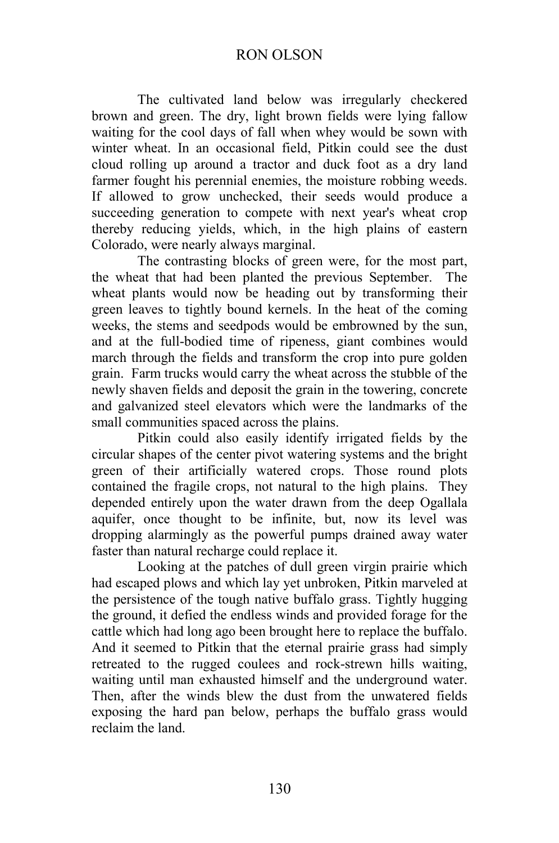#### RON OLSON

 The cultivated land below was irregularly checkered brown and green. The dry, light brown fields were lying fallow waiting for the cool days of fall when whey would be sown with winter wheat. In an occasional field, Pitkin could see the dust cloud rolling up around a tractor and duck foot as a dry land farmer fought his perennial enemies, the moisture robbing weeds. If allowed to grow unchecked, their seeds would produce a succeeding generation to compete with next year's wheat crop thereby reducing yields, which, in the high plains of eastern Colorado, were nearly always marginal.

 The contrasting blocks of green were, for the most part, the wheat that had been planted the previous September. The wheat plants would now be heading out by transforming their green leaves to tightly bound kernels. In the heat of the coming weeks, the stems and seedpods would be embrowned by the sun, and at the full-bodied time of ripeness, giant combines would march through the fields and transform the crop into pure golden grain. Farm trucks would carry the wheat across the stubble of the newly shaven fields and deposit the grain in the towering, concrete and galvanized steel elevators which were the landmarks of the small communities spaced across the plains.

Pitkin could also easily identify irrigated fields by the circular shapes of the center pivot watering systems and the bright green of their artificially watered crops. Those round plots contained the fragile crops, not natural to the high plains. They depended entirely upon the water drawn from the deep Ogallala aquifer, once thought to be infinite, but, now its level was dropping alarmingly as the powerful pumps drained away water faster than natural recharge could replace it.

Looking at the patches of dull green virgin prairie which had escaped plows and which lay yet unbroken, Pitkin marveled at the persistence of the tough native buffalo grass. Tightly hugging the ground, it defied the endless winds and provided forage for the cattle which had long ago been brought here to replace the buffalo. And it seemed to Pitkin that the eternal prairie grass had simply retreated to the rugged coulees and rock-strewn hills waiting, waiting until man exhausted himself and the underground water. Then, after the winds blew the dust from the unwatered fields exposing the hard pan below, perhaps the buffalo grass would reclaim the land.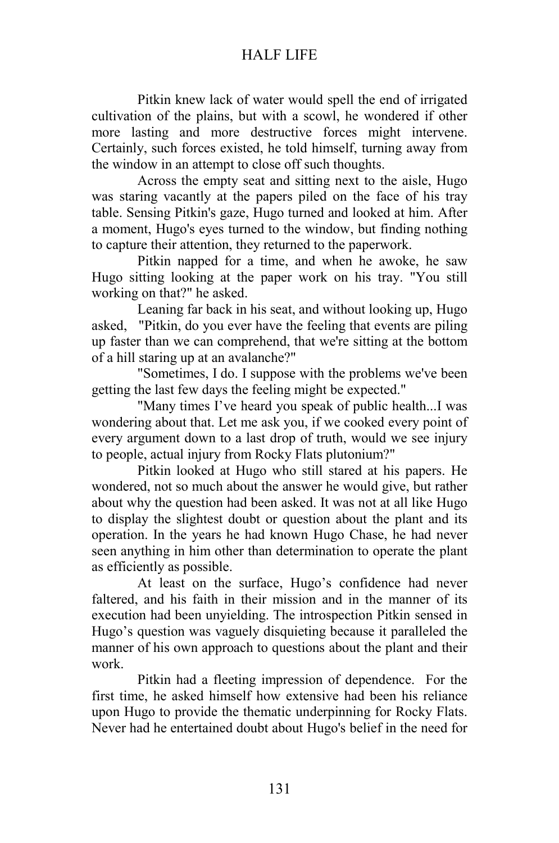Pitkin knew lack of water would spell the end of irrigated cultivation of the plains, but with a scowl, he wondered if other more lasting and more destructive forces might intervene. Certainly, such forces existed, he told himself, turning away from the window in an attempt to close off such thoughts.

Across the empty seat and sitting next to the aisle, Hugo was staring vacantly at the papers piled on the face of his tray table. Sensing Pitkin's gaze, Hugo turned and looked at him. After a moment, Hugo's eyes turned to the window, but finding nothing to capture their attention, they returned to the paperwork.

Pitkin napped for a time, and when he awoke, he saw Hugo sitting looking at the paper work on his tray. "You still working on that?" he asked.

Leaning far back in his seat, and without looking up, Hugo asked, "Pitkin, do you ever have the feeling that events are piling up faster than we can comprehend, that we're sitting at the bottom of a hill staring up at an avalanche?"

"Sometimes, I do. I suppose with the problems we've been getting the last few days the feeling might be expected."

"Many times I've heard you speak of public health...I was wondering about that. Let me ask you, if we cooked every point of every argument down to a last drop of truth, would we see injury to people, actual injury from Rocky Flats plutonium?"

Pitkin looked at Hugo who still stared at his papers. He wondered, not so much about the answer he would give, but rather about why the question had been asked. It was not at all like Hugo to display the slightest doubt or question about the plant and its operation. In the years he had known Hugo Chase, he had never seen anything in him other than determination to operate the plant as efficiently as possible.

At least on the surface, Hugo's confidence had never faltered, and his faith in their mission and in the manner of its execution had been unyielding. The introspection Pitkin sensed in Hugo's question was vaguely disquieting because it paralleled the manner of his own approach to questions about the plant and their work.

Pitkin had a fleeting impression of dependence. For the first time, he asked himself how extensive had been his reliance upon Hugo to provide the thematic underpinning for Rocky Flats. Never had he entertained doubt about Hugo's belief in the need for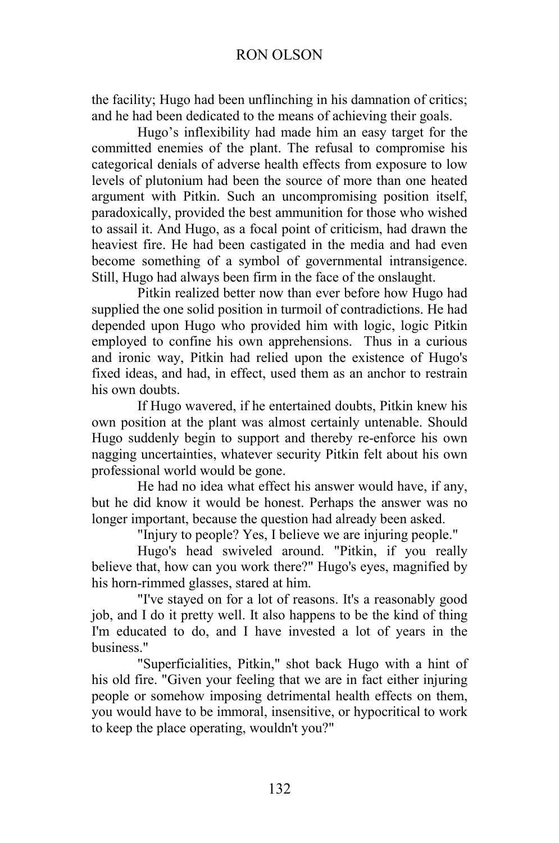the facility; Hugo had been unflinching in his damnation of critics; and he had been dedicated to the means of achieving their goals.

 Hugo's inflexibility had made him an easy target for the committed enemies of the plant. The refusal to compromise his categorical denials of adverse health effects from exposure to low levels of plutonium had been the source of more than one heated argument with Pitkin. Such an uncompromising position itself, paradoxically, provided the best ammunition for those who wished to assail it. And Hugo, as a focal point of criticism, had drawn the heaviest fire. He had been castigated in the media and had even become something of a symbol of governmental intransigence. Still, Hugo had always been firm in the face of the onslaught.

Pitkin realized better now than ever before how Hugo had supplied the one solid position in turmoil of contradictions. He had depended upon Hugo who provided him with logic, logic Pitkin employed to confine his own apprehensions. Thus in a curious and ironic way, Pitkin had relied upon the existence of Hugo's fixed ideas, and had, in effect, used them as an anchor to restrain his own doubts.

If Hugo wavered, if he entertained doubts, Pitkin knew his own position at the plant was almost certainly untenable. Should Hugo suddenly begin to support and thereby re-enforce his own nagging uncertainties, whatever security Pitkin felt about his own professional world would be gone.

He had no idea what effect his answer would have, if any, but he did know it would be honest. Perhaps the answer was no longer important, because the question had already been asked.

"Injury to people? Yes, I believe we are injuring people."

Hugo's head swiveled around. "Pitkin, if you really believe that, how can you work there?" Hugo's eyes, magnified by his horn-rimmed glasses, stared at him.

"I've stayed on for a lot of reasons. It's a reasonably good job, and I do it pretty well. It also happens to be the kind of thing I'm educated to do, and I have invested a lot of years in the business."

"Superficialities, Pitkin," shot back Hugo with a hint of his old fire. "Given your feeling that we are in fact either injuring people or somehow imposing detrimental health effects on them, you would have to be immoral, insensitive, or hypocritical to work to keep the place operating, wouldn't you?"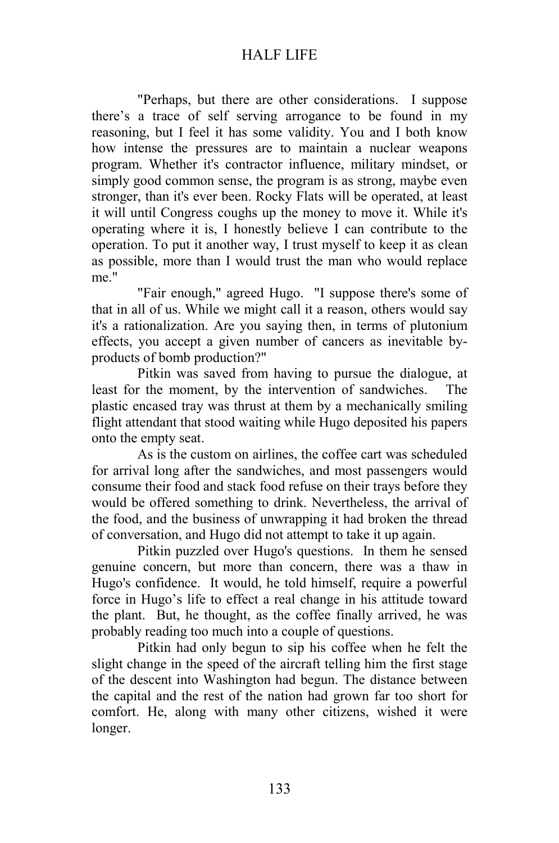"Perhaps, but there are other considerations. I suppose there's a trace of self serving arrogance to be found in my reasoning, but I feel it has some validity. You and I both know how intense the pressures are to maintain a nuclear weapons program. Whether it's contractor influence, military mindset, or simply good common sense, the program is as strong, maybe even stronger, than it's ever been. Rocky Flats will be operated, at least it will until Congress coughs up the money to move it. While it's operating where it is, I honestly believe I can contribute to the operation. To put it another way, I trust myself to keep it as clean as possible, more than I would trust the man who would replace me."

"Fair enough," agreed Hugo. "I suppose there's some of that in all of us. While we might call it a reason, others would say it's a rationalization. Are you saying then, in terms of plutonium effects, you accept a given number of cancers as inevitable byproducts of bomb production?"

Pitkin was saved from having to pursue the dialogue, at least for the moment, by the intervention of sandwiches. The plastic encased tray was thrust at them by a mechanically smiling flight attendant that stood waiting while Hugo deposited his papers onto the empty seat.

 As is the custom on airlines, the coffee cart was scheduled for arrival long after the sandwiches, and most passengers would consume their food and stack food refuse on their trays before they would be offered something to drink. Nevertheless, the arrival of the food, and the business of unwrapping it had broken the thread of conversation, and Hugo did not attempt to take it up again.

Pitkin puzzled over Hugo's questions. In them he sensed genuine concern, but more than concern, there was a thaw in Hugo's confidence. It would, he told himself, require a powerful force in Hugo's life to effect a real change in his attitude toward the plant. But, he thought, as the coffee finally arrived, he was probably reading too much into a couple of questions.

Pitkin had only begun to sip his coffee when he felt the slight change in the speed of the aircraft telling him the first stage of the descent into Washington had begun. The distance between the capital and the rest of the nation had grown far too short for comfort. He, along with many other citizens, wished it were longer.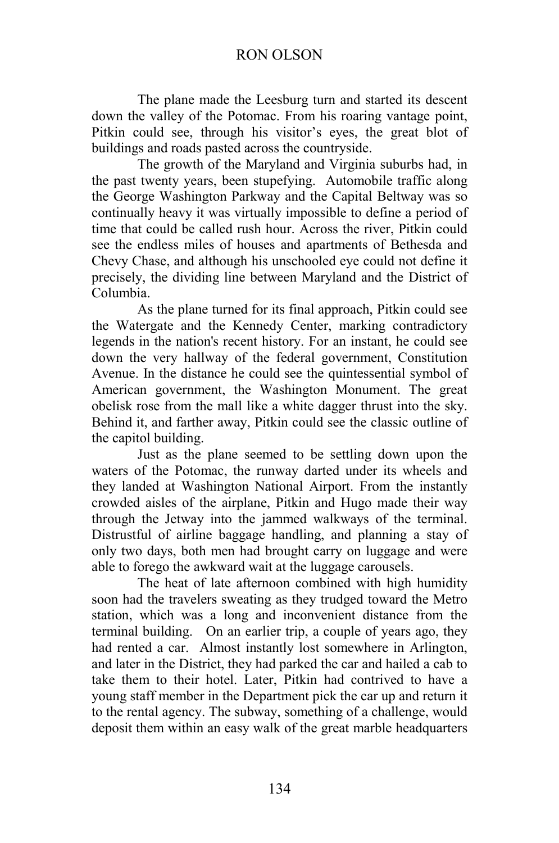#### RON OLSON

The plane made the Leesburg turn and started its descent down the valley of the Potomac. From his roaring vantage point, Pitkin could see, through his visitor's eyes, the great blot of buildings and roads pasted across the countryside.

The growth of the Maryland and Virginia suburbs had, in the past twenty years, been stupefying. Automobile traffic along the George Washington Parkway and the Capital Beltway was so continually heavy it was virtually impossible to define a period of time that could be called rush hour. Across the river, Pitkin could see the endless miles of houses and apartments of Bethesda and Chevy Chase, and although his unschooled eye could not define it precisely, the dividing line between Maryland and the District of Columbia.

As the plane turned for its final approach, Pitkin could see the Watergate and the Kennedy Center, marking contradictory legends in the nation's recent history. For an instant, he could see down the very hallway of the federal government, Constitution Avenue. In the distance he could see the quintessential symbol of American government, the Washington Monument. The great obelisk rose from the mall like a white dagger thrust into the sky. Behind it, and farther away, Pitkin could see the classic outline of the capitol building.

Just as the plane seemed to be settling down upon the waters of the Potomac, the runway darted under its wheels and they landed at Washington National Airport. From the instantly crowded aisles of the airplane, Pitkin and Hugo made their way through the Jetway into the jammed walkways of the terminal. Distrustful of airline baggage handling, and planning a stay of only two days, both men had brought carry on luggage and were able to forego the awkward wait at the luggage carousels.

The heat of late afternoon combined with high humidity soon had the travelers sweating as they trudged toward the Metro station, which was a long and inconvenient distance from the terminal building. On an earlier trip, a couple of years ago, they had rented a car. Almost instantly lost somewhere in Arlington, and later in the District, they had parked the car and hailed a cab to take them to their hotel. Later, Pitkin had contrived to have a young staff member in the Department pick the car up and return it to the rental agency. The subway, something of a challenge, would deposit them within an easy walk of the great marble headquarters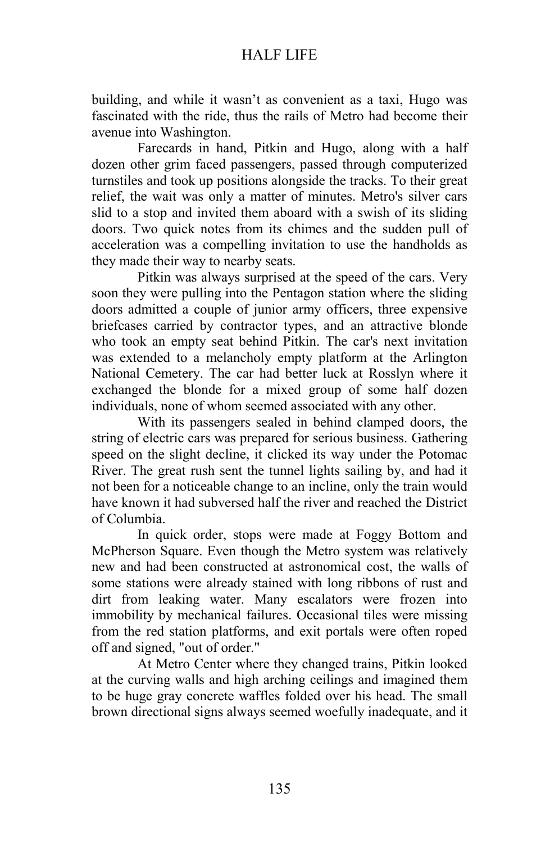building, and while it wasn't as convenient as a taxi, Hugo was fascinated with the ride, thus the rails of Metro had become their avenue into Washington.

Farecards in hand, Pitkin and Hugo, along with a half dozen other grim faced passengers, passed through computerized turnstiles and took up positions alongside the tracks. To their great relief, the wait was only a matter of minutes. Metro's silver cars slid to a stop and invited them aboard with a swish of its sliding doors. Two quick notes from its chimes and the sudden pull of acceleration was a compelling invitation to use the handholds as they made their way to nearby seats.

Pitkin was always surprised at the speed of the cars. Very soon they were pulling into the Pentagon station where the sliding doors admitted a couple of junior army officers, three expensive briefcases carried by contractor types, and an attractive blonde who took an empty seat behind Pitkin. The car's next invitation was extended to a melancholy empty platform at the Arlington National Cemetery. The car had better luck at Rosslyn where it exchanged the blonde for a mixed group of some half dozen individuals, none of whom seemed associated with any other.

With its passengers sealed in behind clamped doors, the string of electric cars was prepared for serious business. Gathering speed on the slight decline, it clicked its way under the Potomac River. The great rush sent the tunnel lights sailing by, and had it not been for a noticeable change to an incline, only the train would have known it had subversed half the river and reached the District of Columbia.

In quick order, stops were made at Foggy Bottom and McPherson Square. Even though the Metro system was relatively new and had been constructed at astronomical cost, the walls of some stations were already stained with long ribbons of rust and dirt from leaking water. Many escalators were frozen into immobility by mechanical failures. Occasional tiles were missing from the red station platforms, and exit portals were often roped off and signed, "out of order."

At Metro Center where they changed trains, Pitkin looked at the curving walls and high arching ceilings and imagined them to be huge gray concrete waffles folded over his head. The small brown directional signs always seemed woefully inadequate, and it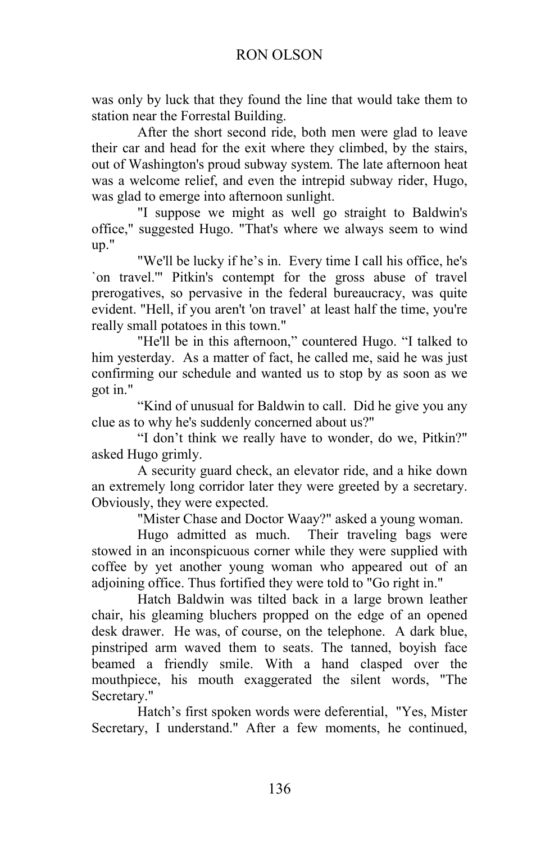was only by luck that they found the line that would take them to station near the Forrestal Building.

After the short second ride, both men were glad to leave their car and head for the exit where they climbed, by the stairs, out of Washington's proud subway system. The late afternoon heat was a welcome relief, and even the intrepid subway rider, Hugo, was glad to emerge into afternoon sunlight.

"I suppose we might as well go straight to Baldwin's office," suggested Hugo. "That's where we always seem to wind up."

"We'll be lucky if he's in. Every time I call his office, he's `on travel.'" Pitkin's contempt for the gross abuse of travel prerogatives, so pervasive in the federal bureaucracy, was quite evident. "Hell, if you aren't 'on travel' at least half the time, you're really small potatoes in this town."

"He'll be in this afternoon," countered Hugo. "I talked to him yesterday. As a matter of fact, he called me, said he was just confirming our schedule and wanted us to stop by as soon as we got in."

"Kind of unusual for Baldwin to call. Did he give you any clue as to why he's suddenly concerned about us?"

"I don't think we really have to wonder, do we, Pitkin?" asked Hugo grimly.

A security guard check, an elevator ride, and a hike down an extremely long corridor later they were greeted by a secretary. Obviously, they were expected.

"Mister Chase and Doctor Waay?" asked a young woman.

Hugo admitted as much. Their traveling bags were stowed in an inconspicuous corner while they were supplied with coffee by yet another young woman who appeared out of an adjoining office. Thus fortified they were told to "Go right in."

Hatch Baldwin was tilted back in a large brown leather chair, his gleaming bluchers propped on the edge of an opened desk drawer. He was, of course, on the telephone. A dark blue, pinstriped arm waved them to seats. The tanned, boyish face beamed a friendly smile. With a hand clasped over the mouthpiece, his mouth exaggerated the silent words, "The Secretary."

Hatch's first spoken words were deferential, "Yes, Mister Secretary, I understand." After a few moments, he continued,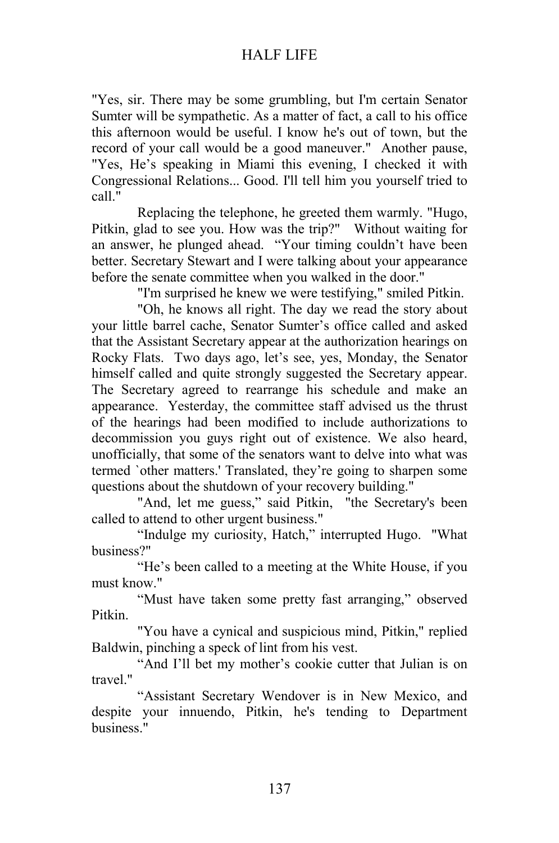"Yes, sir. There may be some grumbling, but I'm certain Senator Sumter will be sympathetic. As a matter of fact, a call to his office this afternoon would be useful. I know he's out of town, but the record of your call would be a good maneuver." Another pause, "Yes, He's speaking in Miami this evening, I checked it with Congressional Relations... Good. I'll tell him you yourself tried to call."

Replacing the telephone, he greeted them warmly. "Hugo, Pitkin, glad to see you. How was the trip?" Without waiting for an answer, he plunged ahead. "Your timing couldn't have been better. Secretary Stewart and I were talking about your appearance before the senate committee when you walked in the door."

"I'm surprised he knew we were testifying," smiled Pitkin.

"Oh, he knows all right. The day we read the story about your little barrel cache, Senator Sumter's office called and asked that the Assistant Secretary appear at the authorization hearings on Rocky Flats. Two days ago, let's see, yes, Monday, the Senator himself called and quite strongly suggested the Secretary appear. The Secretary agreed to rearrange his schedule and make an appearance. Yesterday, the committee staff advised us the thrust of the hearings had been modified to include authorizations to decommission you guys right out of existence. We also heard, unofficially, that some of the senators want to delve into what was termed `other matters.' Translated, they're going to sharpen some questions about the shutdown of your recovery building."

"And, let me guess," said Pitkin, "the Secretary's been called to attend to other urgent business."

"Indulge my curiosity, Hatch," interrupted Hugo. "What business?"

"He's been called to a meeting at the White House, if you must know."

"Must have taken some pretty fast arranging," observed Pitkin.

"You have a cynical and suspicious mind, Pitkin," replied Baldwin, pinching a speck of lint from his vest.

"And I'll bet my mother's cookie cutter that Julian is on travel."

"Assistant Secretary Wendover is in New Mexico, and despite your innuendo, Pitkin, he's tending to Department business."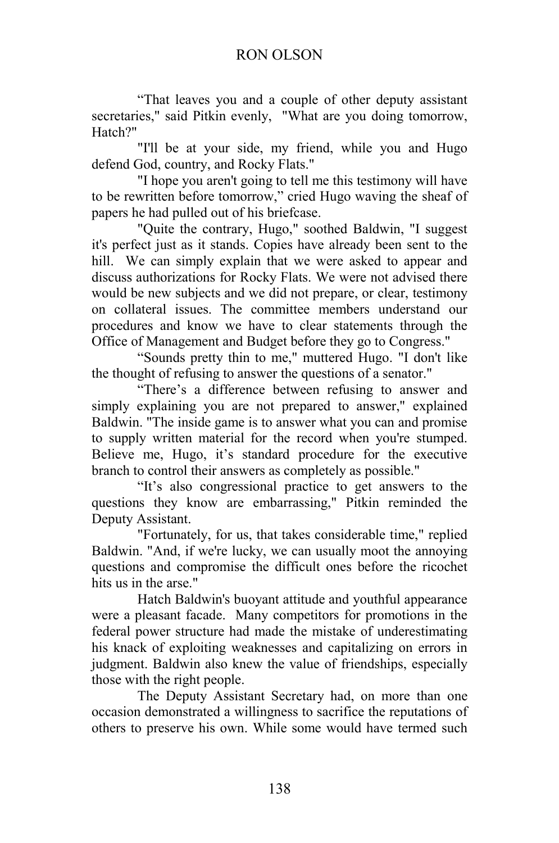"That leaves you and a couple of other deputy assistant secretaries," said Pitkin evenly, "What are you doing tomorrow, Hatch?"

"I'll be at your side, my friend, while you and Hugo defend God, country, and Rocky Flats."

"I hope you aren't going to tell me this testimony will have to be rewritten before tomorrow," cried Hugo waving the sheaf of papers he had pulled out of his briefcase.

"Quite the contrary, Hugo," soothed Baldwin, "I suggest it's perfect just as it stands. Copies have already been sent to the hill. We can simply explain that we were asked to appear and discuss authorizations for Rocky Flats. We were not advised there would be new subjects and we did not prepare, or clear, testimony on collateral issues. The committee members understand our procedures and know we have to clear statements through the Office of Management and Budget before they go to Congress."

"Sounds pretty thin to me," muttered Hugo. "I don't like the thought of refusing to answer the questions of a senator."

"There's a difference between refusing to answer and simply explaining you are not prepared to answer," explained Baldwin. "The inside game is to answer what you can and promise to supply written material for the record when you're stumped. Believe me, Hugo, it's standard procedure for the executive branch to control their answers as completely as possible."

"It's also congressional practice to get answers to the questions they know are embarrassing," Pitkin reminded the Deputy Assistant.

"Fortunately, for us, that takes considerable time," replied Baldwin. "And, if we're lucky, we can usually moot the annoying questions and compromise the difficult ones before the ricochet hits us in the arse."

Hatch Baldwin's buoyant attitude and youthful appearance were a pleasant facade. Many competitors for promotions in the federal power structure had made the mistake of underestimating his knack of exploiting weaknesses and capitalizing on errors in judgment. Baldwin also knew the value of friendships, especially those with the right people.

The Deputy Assistant Secretary had, on more than one occasion demonstrated a willingness to sacrifice the reputations of others to preserve his own. While some would have termed such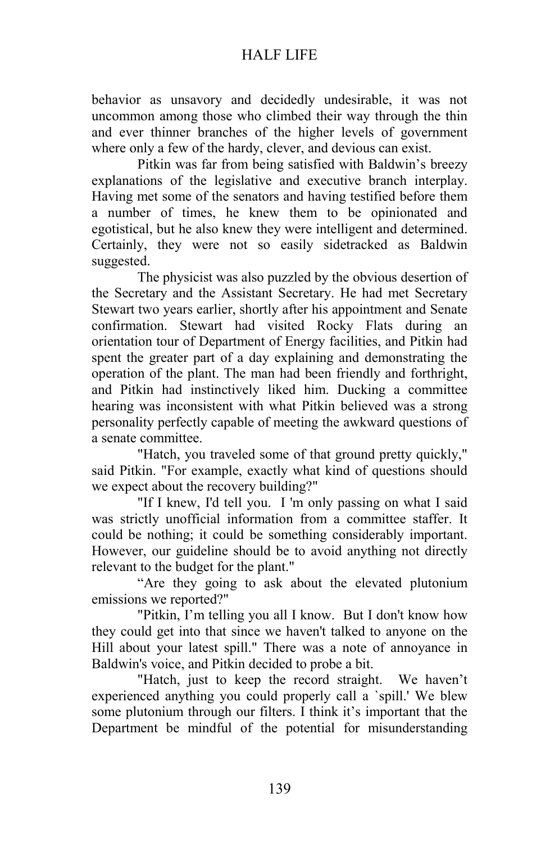behavior as unsavory and decidedly undesirable, it was not uncommon among those who climbed their way through the thin and ever thinner branches of the higher levels of government where only a few of the hardy, clever, and devious can exist.

Pitkin was far from being satisfied with Baldwin's breezy explanations of the legislative and executive branch interplay. Having met some of the senators and having testified before them a number of times, he knew them to be opinionated and egotistical, but he also knew they were intelligent and determined. Certainly, they were not so easily sidetracked as Baldwin suggested.

The physicist was also puzzled by the obvious desertion of the Secretary and the Assistant Secretary. He had met Secretary Stewart two years earlier, shortly after his appointment and Senate confirmation. Stewart had visited Rocky Flats during an orientation tour of Department of Energy facilities, and Pitkin had spent the greater part of a day explaining and demonstrating the operation of the plant. The man had been friendly and forthright, and Pitkin had instinctively liked him. Ducking a committee hearing was inconsistent with what Pitkin believed was a strong personality perfectly capable of meeting the awkward questions of a senate committee.

"Hatch, you traveled some of that ground pretty quickly," said Pitkin. "For example, exactly what kind of questions should we expect about the recovery building?"

"If I knew, I'd tell you. I 'm only passing on what I said was strictly unofficial information from a committee staffer. It could be nothing; it could be something considerably important. However, our guideline should be to avoid anything not directly relevant to the budget for the plant."

"Are they going to ask about the elevated plutonium emissions we reported?"

"Pitkin, I'm telling you all I know. But I don't know how they could get into that since we haven't talked to anyone on the Hill about your latest spill." There was a note of annoyance in Baldwin's voice, and Pitkin decided to probe a bit.

"Hatch, just to keep the record straight. We haven't experienced anything you could properly call a `spill.' We blew some plutonium through our filters. I think it's important that the Department be mindful of the potential for misunderstanding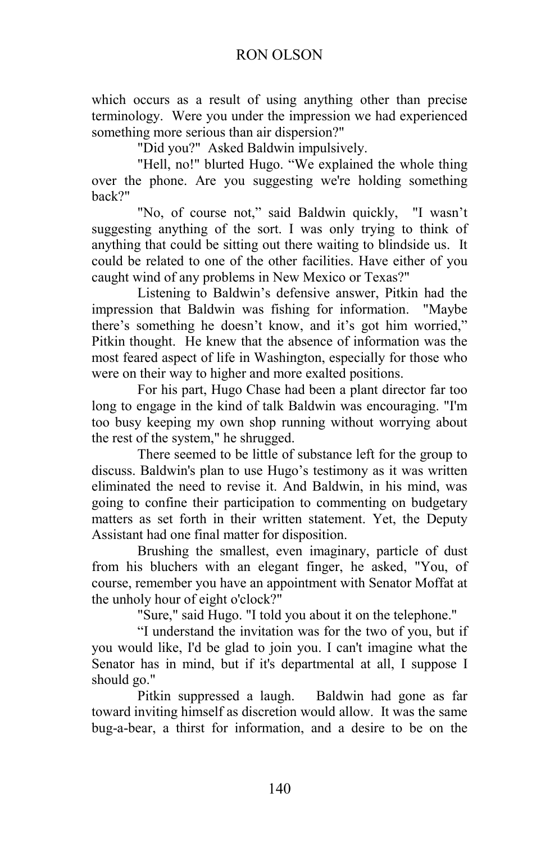which occurs as a result of using anything other than precise terminology. Were you under the impression we had experienced something more serious than air dispersion?"

"Did you?" Asked Baldwin impulsively.

"Hell, no!" blurted Hugo. "We explained the whole thing over the phone. Are you suggesting we're holding something back?"

"No, of course not," said Baldwin quickly, "I wasn't suggesting anything of the sort. I was only trying to think of anything that could be sitting out there waiting to blindside us. It could be related to one of the other facilities. Have either of you caught wind of any problems in New Mexico or Texas?"

Listening to Baldwin's defensive answer, Pitkin had the impression that Baldwin was fishing for information. "Maybe there's something he doesn't know, and it's got him worried," Pitkin thought. He knew that the absence of information was the most feared aspect of life in Washington, especially for those who were on their way to higher and more exalted positions.

For his part, Hugo Chase had been a plant director far too long to engage in the kind of talk Baldwin was encouraging. "I'm too busy keeping my own shop running without worrying about the rest of the system," he shrugged.

There seemed to be little of substance left for the group to discuss. Baldwin's plan to use Hugo's testimony as it was written eliminated the need to revise it. And Baldwin, in his mind, was going to confine their participation to commenting on budgetary matters as set forth in their written statement. Yet, the Deputy Assistant had one final matter for disposition.

Brushing the smallest, even imaginary, particle of dust from his bluchers with an elegant finger, he asked, "You, of course, remember you have an appointment with Senator Moffat at the unholy hour of eight o'clock?"

"Sure," said Hugo. "I told you about it on the telephone."

"I understand the invitation was for the two of you, but if you would like, I'd be glad to join you. I can't imagine what the Senator has in mind, but if it's departmental at all, I suppose I should go."

Pitkin suppressed a laugh. Baldwin had gone as far toward inviting himself as discretion would allow. It was the same bug-a-bear, a thirst for information, and a desire to be on the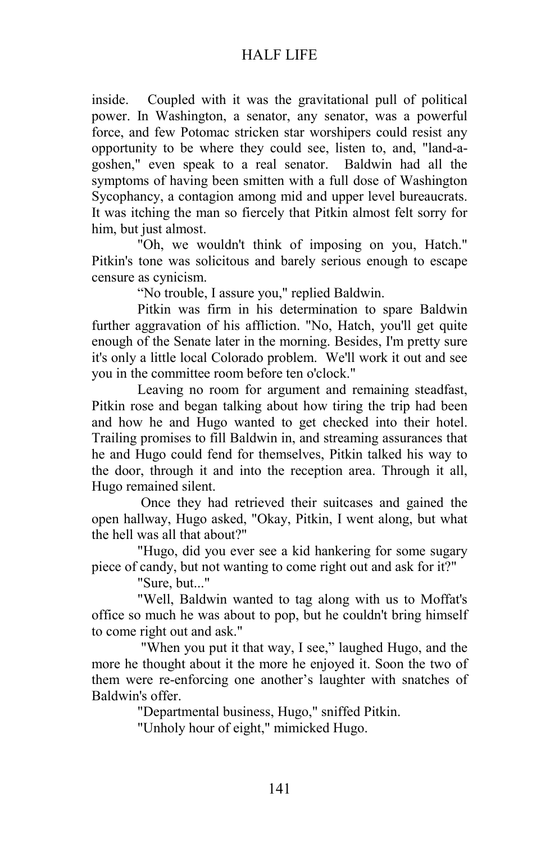inside. Coupled with it was the gravitational pull of political power. In Washington, a senator, any senator, was a powerful force, and few Potomac stricken star worshipers could resist any opportunity to be where they could see, listen to, and, "land-agoshen," even speak to a real senator. Baldwin had all the symptoms of having been smitten with a full dose of Washington Sycophancy, a contagion among mid and upper level bureaucrats. It was itching the man so fiercely that Pitkin almost felt sorry for him, but just almost.

"Oh, we wouldn't think of imposing on you, Hatch." Pitkin's tone was solicitous and barely serious enough to escape censure as cynicism.

"No trouble, I assure you," replied Baldwin.

Pitkin was firm in his determination to spare Baldwin further aggravation of his affliction. "No, Hatch, you'll get quite enough of the Senate later in the morning. Besides, I'm pretty sure it's only a little local Colorado problem. We'll work it out and see you in the committee room before ten o'clock."

Leaving no room for argument and remaining steadfast, Pitkin rose and began talking about how tiring the trip had been and how he and Hugo wanted to get checked into their hotel. Trailing promises to fill Baldwin in, and streaming assurances that he and Hugo could fend for themselves, Pitkin talked his way to the door, through it and into the reception area. Through it all, Hugo remained silent.

 Once they had retrieved their suitcases and gained the open hallway, Hugo asked, "Okay, Pitkin, I went along, but what the hell was all that about?"

"Hugo, did you ever see a kid hankering for some sugary piece of candy, but not wanting to come right out and ask for it?"

"Sure, but..."

"Well, Baldwin wanted to tag along with us to Moffat's office so much he was about to pop, but he couldn't bring himself to come right out and ask."

 "When you put it that way, I see," laughed Hugo, and the more he thought about it the more he enjoyed it. Soon the two of them were re-enforcing one another's laughter with snatches of Baldwin's offer.

"Departmental business, Hugo," sniffed Pitkin.

"Unholy hour of eight," mimicked Hugo.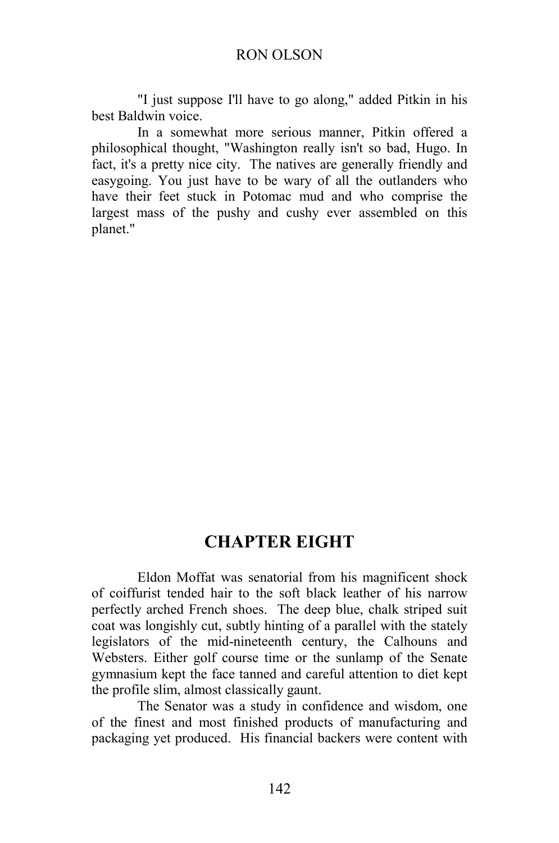"I just suppose I'll have to go along," added Pitkin in his best Baldwin voice.

In a somewhat more serious manner, Pitkin offered a philosophical thought, "Washington really isn't so bad, Hugo. In fact, it's a pretty nice city. The natives are generally friendly and easygoing. You just have to be wary of all the outlanders who have their feet stuck in Potomac mud and who comprise the largest mass of the pushy and cushy ever assembled on this planet."

# **CHAPTER EIGHT**

Eldon Moffat was senatorial from his magnificent shock of coiffurist tended hair to the soft black leather of his narrow perfectly arched French shoes. The deep blue, chalk striped suit coat was longishly cut, subtly hinting of a parallel with the stately legislators of the mid-nineteenth century, the Calhouns and Websters. Either golf course time or the sunlamp of the Senate gymnasium kept the face tanned and careful attention to diet kept the profile slim, almost classically gaunt.

The Senator was a study in confidence and wisdom, one of the finest and most finished products of manufacturing and packaging yet produced. His financial backers were content with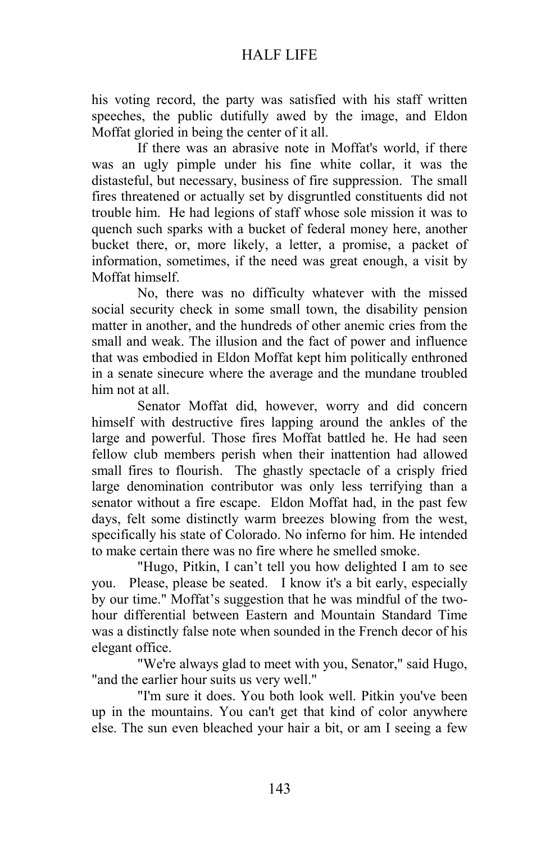his voting record, the party was satisfied with his staff written speeches, the public dutifully awed by the image, and Eldon Moffat gloried in being the center of it all.

If there was an abrasive note in Moffat's world, if there was an ugly pimple under his fine white collar, it was the distasteful, but necessary, business of fire suppression. The small fires threatened or actually set by disgruntled constituents did not trouble him. He had legions of staff whose sole mission it was to quench such sparks with a bucket of federal money here, another bucket there, or, more likely, a letter, a promise, a packet of information, sometimes, if the need was great enough, a visit by Moffat himself.

No, there was no difficulty whatever with the missed social security check in some small town, the disability pension matter in another, and the hundreds of other anemic cries from the small and weak. The illusion and the fact of power and influence that was embodied in Eldon Moffat kept him politically enthroned in a senate sinecure where the average and the mundane troubled him not at all.

Senator Moffat did, however, worry and did concern himself with destructive fires lapping around the ankles of the large and powerful. Those fires Moffat battled he. He had seen fellow club members perish when their inattention had allowed small fires to flourish. The ghastly spectacle of a crisply fried large denomination contributor was only less terrifying than a senator without a fire escape. Eldon Moffat had, in the past few days, felt some distinctly warm breezes blowing from the west, specifically his state of Colorado. No inferno for him. He intended to make certain there was no fire where he smelled smoke.

"Hugo, Pitkin, I can't tell you how delighted I am to see you. Please, please be seated. I know it's a bit early, especially by our time." Moffat's suggestion that he was mindful of the twohour differential between Eastern and Mountain Standard Time was a distinctly false note when sounded in the French decor of his elegant office.

"We're always glad to meet with you, Senator," said Hugo, "and the earlier hour suits us very well."

"I'm sure it does. You both look well. Pitkin you've been up in the mountains. You can't get that kind of color anywhere else. The sun even bleached your hair a bit, or am I seeing a few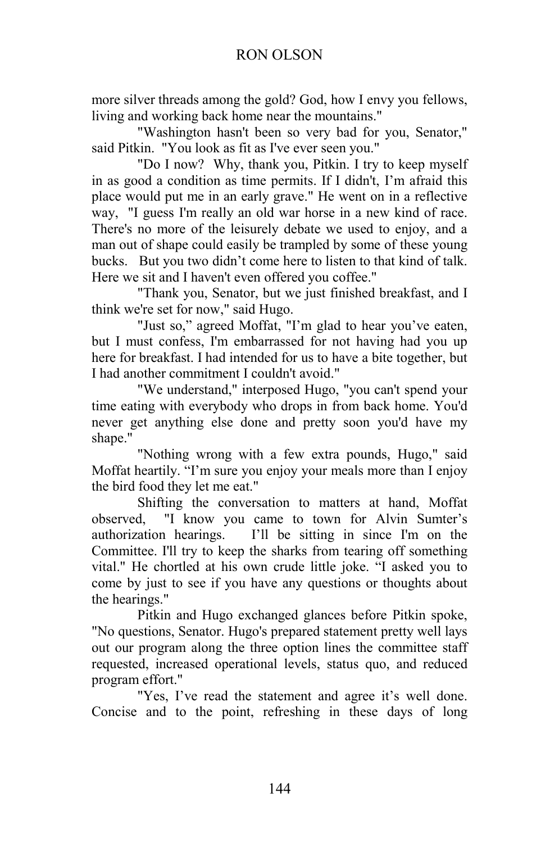more silver threads among the gold? God, how I envy you fellows, living and working back home near the mountains."

"Washington hasn't been so very bad for you, Senator," said Pitkin. "You look as fit as I've ever seen you."

"Do I now? Why, thank you, Pitkin. I try to keep myself in as good a condition as time permits. If I didn't, I'm afraid this place would put me in an early grave." He went on in a reflective way, "I guess I'm really an old war horse in a new kind of race. There's no more of the leisurely debate we used to enjoy, and a man out of shape could easily be trampled by some of these young bucks. But you two didn't come here to listen to that kind of talk. Here we sit and I haven't even offered you coffee."

"Thank you, Senator, but we just finished breakfast, and I think we're set for now," said Hugo.

"Just so," agreed Moffat, "I'm glad to hear you've eaten, but I must confess, I'm embarrassed for not having had you up here for breakfast. I had intended for us to have a bite together, but I had another commitment I couldn't avoid."

"We understand," interposed Hugo, "you can't spend your time eating with everybody who drops in from back home. You'd never get anything else done and pretty soon you'd have my shape."

"Nothing wrong with a few extra pounds, Hugo," said Moffat heartily. "I'm sure you enjoy your meals more than I enjoy the bird food they let me eat."

Shifting the conversation to matters at hand, Moffat observed, "I know you came to town for Alvin Sumter's authorization hearings. I'll be sitting in since I'm on the Committee. I'll try to keep the sharks from tearing off something vital." He chortled at his own crude little joke. "I asked you to come by just to see if you have any questions or thoughts about the hearings."

Pitkin and Hugo exchanged glances before Pitkin spoke, "No questions, Senator. Hugo's prepared statement pretty well lays out our program along the three option lines the committee staff requested, increased operational levels, status quo, and reduced program effort."

"Yes, I've read the statement and agree it's well done. Concise and to the point, refreshing in these days of long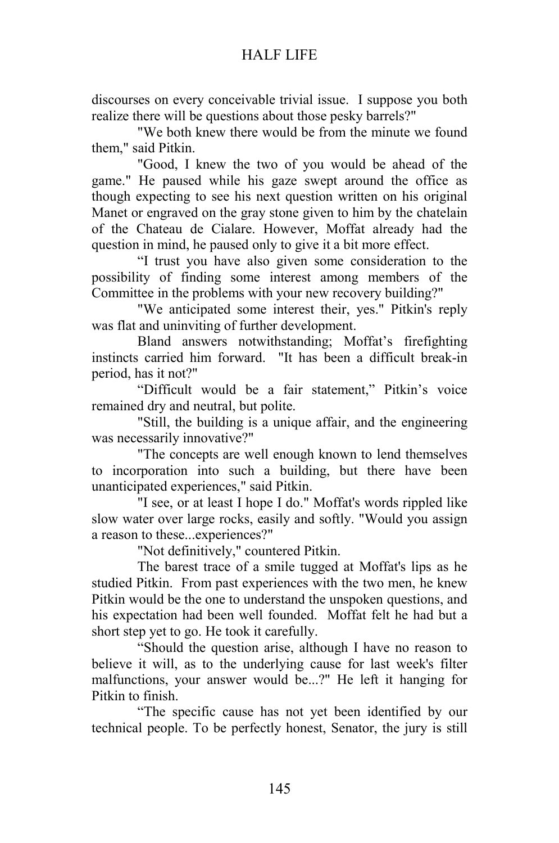discourses on every conceivable trivial issue. I suppose you both realize there will be questions about those pesky barrels?"

"We both knew there would be from the minute we found them," said Pitkin.

"Good, I knew the two of you would be ahead of the game." He paused while his gaze swept around the office as though expecting to see his next question written on his original Manet or engraved on the gray stone given to him by the chatelain of the Chateau de Cialare. However, Moffat already had the question in mind, he paused only to give it a bit more effect.

"I trust you have also given some consideration to the possibility of finding some interest among members of the Committee in the problems with your new recovery building?"

"We anticipated some interest their, yes." Pitkin's reply was flat and uninviting of further development.

Bland answers notwithstanding; Moffat's firefighting instincts carried him forward. "It has been a difficult break-in period, has it not?"

"Difficult would be a fair statement," Pitkin's voice remained dry and neutral, but polite.

"Still, the building is a unique affair, and the engineering was necessarily innovative?"

"The concepts are well enough known to lend themselves to incorporation into such a building, but there have been unanticipated experiences," said Pitkin.

"I see, or at least I hope I do." Moffat's words rippled like slow water over large rocks, easily and softly. "Would you assign a reason to these...experiences?"

"Not definitively," countered Pitkin.

The barest trace of a smile tugged at Moffat's lips as he studied Pitkin. From past experiences with the two men, he knew Pitkin would be the one to understand the unspoken questions, and his expectation had been well founded. Moffat felt he had but a short step yet to go. He took it carefully.

"Should the question arise, although I have no reason to believe it will, as to the underlying cause for last week's filter malfunctions, your answer would be...?" He left it hanging for Pitkin to finish.

"The specific cause has not yet been identified by our technical people. To be perfectly honest, Senator, the jury is still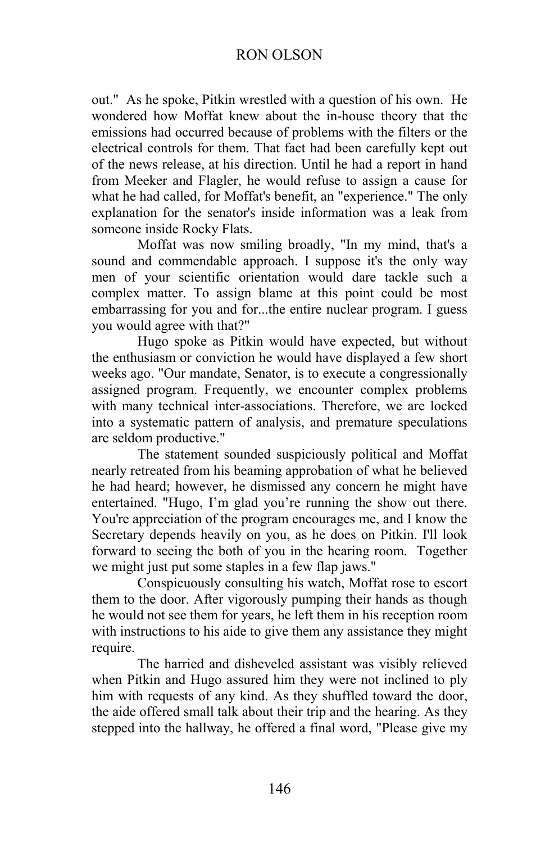#### RON OLSON

out." As he spoke, Pitkin wrestled with a question of his own. He wondered how Moffat knew about the in-house theory that the emissions had occurred because of problems with the filters or the electrical controls for them. That fact had been carefully kept out of the news release, at his direction. Until he had a report in hand from Meeker and Flagler, he would refuse to assign a cause for what he had called, for Moffat's benefit, an "experience." The only explanation for the senator's inside information was a leak from someone inside Rocky Flats.

Moffat was now smiling broadly, "In my mind, that's a sound and commendable approach. I suppose it's the only way men of your scientific orientation would dare tackle such a complex matter. To assign blame at this point could be most embarrassing for you and for...the entire nuclear program. I guess you would agree with that?"

Hugo spoke as Pitkin would have expected, but without the enthusiasm or conviction he would have displayed a few short weeks ago. "Our mandate, Senator, is to execute a congressionally assigned program. Frequently, we encounter complex problems with many technical inter-associations. Therefore, we are locked into a systematic pattern of analysis, and premature speculations are seldom productive."

The statement sounded suspiciously political and Moffat nearly retreated from his beaming approbation of what he believed he had heard; however, he dismissed any concern he might have entertained. "Hugo, I'm glad you're running the show out there. You're appreciation of the program encourages me, and I know the Secretary depends heavily on you, as he does on Pitkin. I'll look forward to seeing the both of you in the hearing room. Together we might just put some staples in a few flap jaws."

Conspicuously consulting his watch, Moffat rose to escort them to the door. After vigorously pumping their hands as though he would not see them for years, he left them in his reception room with instructions to his aide to give them any assistance they might require.

The harried and disheveled assistant was visibly relieved when Pitkin and Hugo assured him they were not inclined to ply him with requests of any kind. As they shuffled toward the door, the aide offered small talk about their trip and the hearing. As they stepped into the hallway, he offered a final word, "Please give my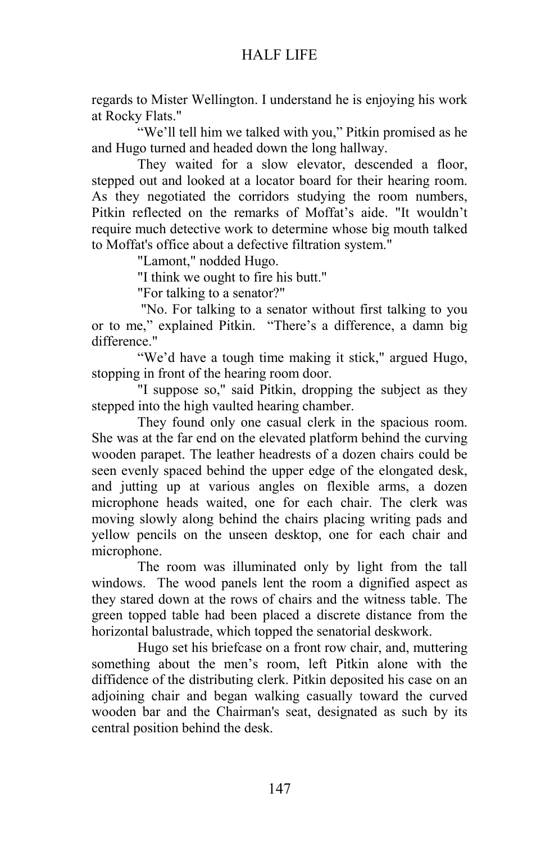regards to Mister Wellington. I understand he is enjoying his work at Rocky Flats."

"We'll tell him we talked with you," Pitkin promised as he and Hugo turned and headed down the long hallway.

They waited for a slow elevator, descended a floor, stepped out and looked at a locator board for their hearing room. As they negotiated the corridors studying the room numbers, Pitkin reflected on the remarks of Moffat's aide. "It wouldn't require much detective work to determine whose big mouth talked to Moffat's office about a defective filtration system."

"Lamont," nodded Hugo.

"I think we ought to fire his butt."

"For talking to a senator?"

 "No. For talking to a senator without first talking to you or to me," explained Pitkin. "There's a difference, a damn big difference."

"We'd have a tough time making it stick," argued Hugo, stopping in front of the hearing room door.

"I suppose so," said Pitkin, dropping the subject as they stepped into the high vaulted hearing chamber.

They found only one casual clerk in the spacious room. She was at the far end on the elevated platform behind the curving wooden parapet. The leather headrests of a dozen chairs could be seen evenly spaced behind the upper edge of the elongated desk, and jutting up at various angles on flexible arms, a dozen microphone heads waited, one for each chair. The clerk was moving slowly along behind the chairs placing writing pads and yellow pencils on the unseen desktop, one for each chair and microphone.

The room was illuminated only by light from the tall windows. The wood panels lent the room a dignified aspect as they stared down at the rows of chairs and the witness table. The green topped table had been placed a discrete distance from the horizontal balustrade, which topped the senatorial deskwork.

Hugo set his briefcase on a front row chair, and, muttering something about the men's room, left Pitkin alone with the diffidence of the distributing clerk. Pitkin deposited his case on an adjoining chair and began walking casually toward the curved wooden bar and the Chairman's seat, designated as such by its central position behind the desk.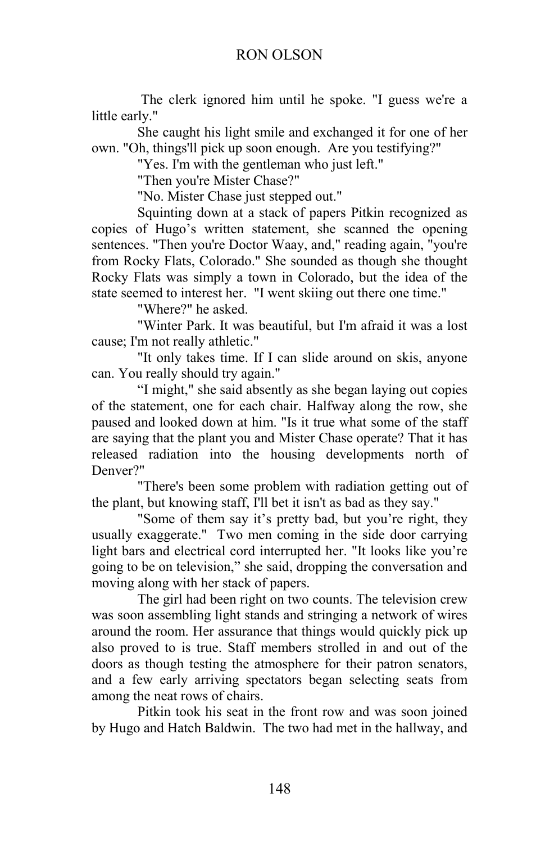The clerk ignored him until he spoke. "I guess we're a little early."

She caught his light smile and exchanged it for one of her own. "Oh, things'll pick up soon enough. Are you testifying?"

"Yes. I'm with the gentleman who just left."

"Then you're Mister Chase?"

"No. Mister Chase just stepped out."

Squinting down at a stack of papers Pitkin recognized as copies of Hugo's written statement, she scanned the opening sentences. "Then you're Doctor Waay, and," reading again, "you're from Rocky Flats, Colorado." She sounded as though she thought Rocky Flats was simply a town in Colorado, but the idea of the state seemed to interest her. "I went skiing out there one time."

"Where?" he asked.

"Winter Park. It was beautiful, but I'm afraid it was a lost cause; I'm not really athletic."

"It only takes time. If I can slide around on skis, anyone can. You really should try again."

"I might," she said absently as she began laying out copies of the statement, one for each chair. Halfway along the row, she paused and looked down at him. "Is it true what some of the staff are saying that the plant you and Mister Chase operate? That it has released radiation into the housing developments north of Denver?"

"There's been some problem with radiation getting out of the plant, but knowing staff, I'll bet it isn't as bad as they say."

"Some of them say it's pretty bad, but you're right, they usually exaggerate." Two men coming in the side door carrying light bars and electrical cord interrupted her. "It looks like you're going to be on television," she said, dropping the conversation and moving along with her stack of papers.

The girl had been right on two counts. The television crew was soon assembling light stands and stringing a network of wires around the room. Her assurance that things would quickly pick up also proved to is true. Staff members strolled in and out of the doors as though testing the atmosphere for their patron senators, and a few early arriving spectators began selecting seats from among the neat rows of chairs.

Pitkin took his seat in the front row and was soon joined by Hugo and Hatch Baldwin. The two had met in the hallway, and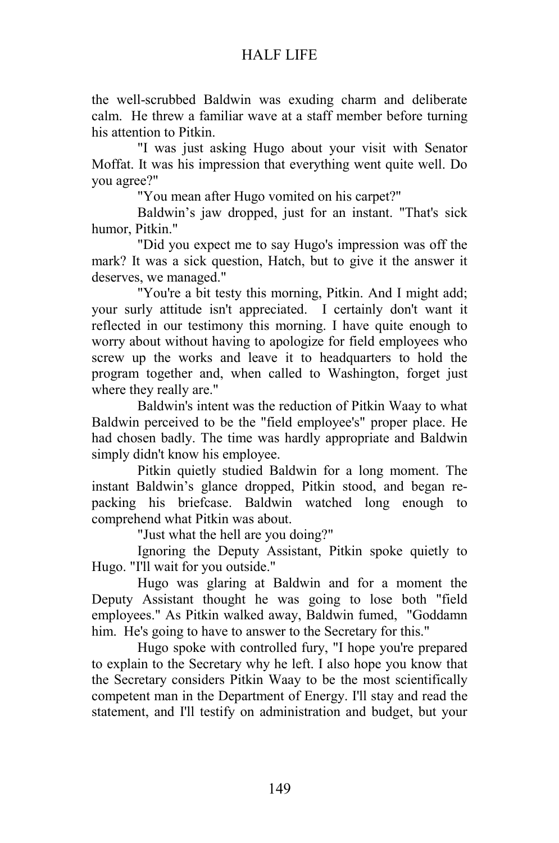the well-scrubbed Baldwin was exuding charm and deliberate calm. He threw a familiar wave at a staff member before turning his attention to Pitkin.

"I was just asking Hugo about your visit with Senator Moffat. It was his impression that everything went quite well. Do you agree?"

"You mean after Hugo vomited on his carpet?"

Baldwin's jaw dropped, just for an instant. "That's sick humor, Pitkin."

"Did you expect me to say Hugo's impression was off the mark? It was a sick question, Hatch, but to give it the answer it deserves, we managed."

"You're a bit testy this morning, Pitkin. And I might add; your surly attitude isn't appreciated. I certainly don't want it reflected in our testimony this morning. I have quite enough to worry about without having to apologize for field employees who screw up the works and leave it to headquarters to hold the program together and, when called to Washington, forget just where they really are."

Baldwin's intent was the reduction of Pitkin Waay to what Baldwin perceived to be the "field employee's" proper place. He had chosen badly. The time was hardly appropriate and Baldwin simply didn't know his employee.

Pitkin quietly studied Baldwin for a long moment. The instant Baldwin's glance dropped, Pitkin stood, and began repacking his briefcase. Baldwin watched long enough to comprehend what Pitkin was about.

"Just what the hell are you doing?"

Ignoring the Deputy Assistant, Pitkin spoke quietly to Hugo. "I'll wait for you outside."

Hugo was glaring at Baldwin and for a moment the Deputy Assistant thought he was going to lose both "field employees." As Pitkin walked away, Baldwin fumed, "Goddamn him. He's going to have to answer to the Secretary for this."

Hugo spoke with controlled fury, "I hope you're prepared to explain to the Secretary why he left. I also hope you know that the Secretary considers Pitkin Waay to be the most scientifically competent man in the Department of Energy. I'll stay and read the statement, and I'll testify on administration and budget, but your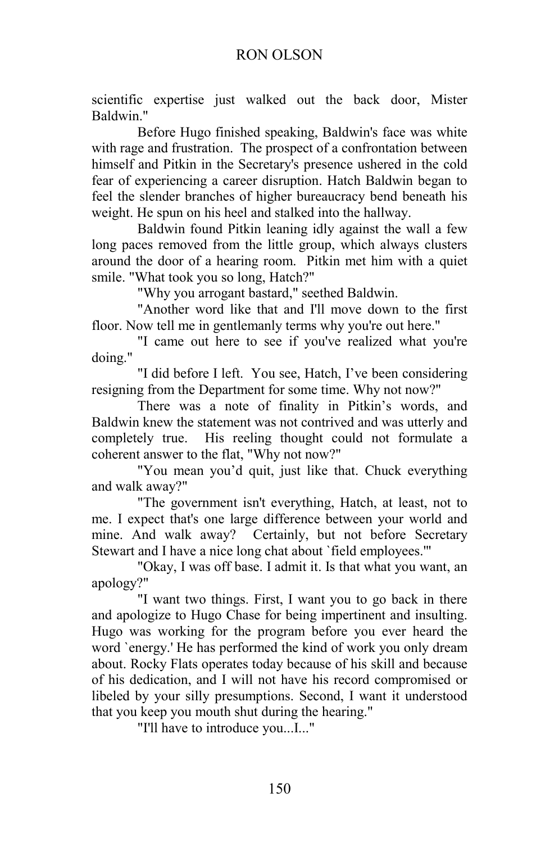scientific expertise just walked out the back door, Mister Baldwin."

Before Hugo finished speaking, Baldwin's face was white with rage and frustration. The prospect of a confrontation between himself and Pitkin in the Secretary's presence ushered in the cold fear of experiencing a career disruption. Hatch Baldwin began to feel the slender branches of higher bureaucracy bend beneath his weight. He spun on his heel and stalked into the hallway.

Baldwin found Pitkin leaning idly against the wall a few long paces removed from the little group, which always clusters around the door of a hearing room. Pitkin met him with a quiet smile. "What took you so long, Hatch?"

"Why you arrogant bastard," seethed Baldwin.

"Another word like that and I'll move down to the first floor. Now tell me in gentlemanly terms why you're out here."

"I came out here to see if you've realized what you're doing."

"I did before I left. You see, Hatch, I've been considering resigning from the Department for some time. Why not now?"

There was a note of finality in Pitkin's words, and Baldwin knew the statement was not contrived and was utterly and completely true. His reeling thought could not formulate a coherent answer to the flat, "Why not now?"

"You mean you'd quit, just like that. Chuck everything and walk away?"

"The government isn't everything, Hatch, at least, not to me. I expect that's one large difference between your world and mine. And walk away? Certainly, but not before Secretary Stewart and I have a nice long chat about `field employees.'"

"Okay, I was off base. I admit it. Is that what you want, an apology?"

"I want two things. First, I want you to go back in there and apologize to Hugo Chase for being impertinent and insulting. Hugo was working for the program before you ever heard the word `energy.' He has performed the kind of work you only dream about. Rocky Flats operates today because of his skill and because of his dedication, and I will not have his record compromised or libeled by your silly presumptions. Second, I want it understood that you keep you mouth shut during the hearing."

"I'll have to introduce you...I..."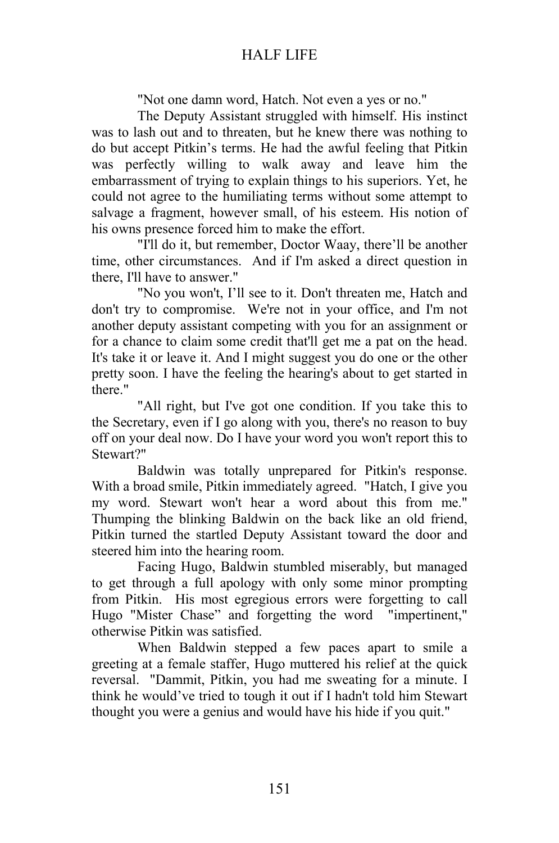"Not one damn word, Hatch. Not even a yes or no."

The Deputy Assistant struggled with himself. His instinct was to lash out and to threaten, but he knew there was nothing to do but accept Pitkin's terms. He had the awful feeling that Pitkin was perfectly willing to walk away and leave him the embarrassment of trying to explain things to his superiors. Yet, he could not agree to the humiliating terms without some attempt to salvage a fragment, however small, of his esteem. His notion of his owns presence forced him to make the effort.

"I'll do it, but remember, Doctor Waay, there'll be another time, other circumstances. And if I'm asked a direct question in there, I'll have to answer."

"No you won't, I'll see to it. Don't threaten me, Hatch and don't try to compromise. We're not in your office, and I'm not another deputy assistant competing with you for an assignment or for a chance to claim some credit that'll get me a pat on the head. It's take it or leave it. And I might suggest you do one or the other pretty soon. I have the feeling the hearing's about to get started in there."

"All right, but I've got one condition. If you take this to the Secretary, even if I go along with you, there's no reason to buy off on your deal now. Do I have your word you won't report this to Stewart?"

Baldwin was totally unprepared for Pitkin's response. With a broad smile, Pitkin immediately agreed. "Hatch, I give you my word. Stewart won't hear a word about this from me." Thumping the blinking Baldwin on the back like an old friend, Pitkin turned the startled Deputy Assistant toward the door and steered him into the hearing room.

Facing Hugo, Baldwin stumbled miserably, but managed to get through a full apology with only some minor prompting from Pitkin. His most egregious errors were forgetting to call Hugo "Mister Chase" and forgetting the word "impertinent," otherwise Pitkin was satisfied.

When Baldwin stepped a few paces apart to smile a greeting at a female staffer, Hugo muttered his relief at the quick reversal. "Dammit, Pitkin, you had me sweating for a minute. I think he would've tried to tough it out if I hadn't told him Stewart thought you were a genius and would have his hide if you quit."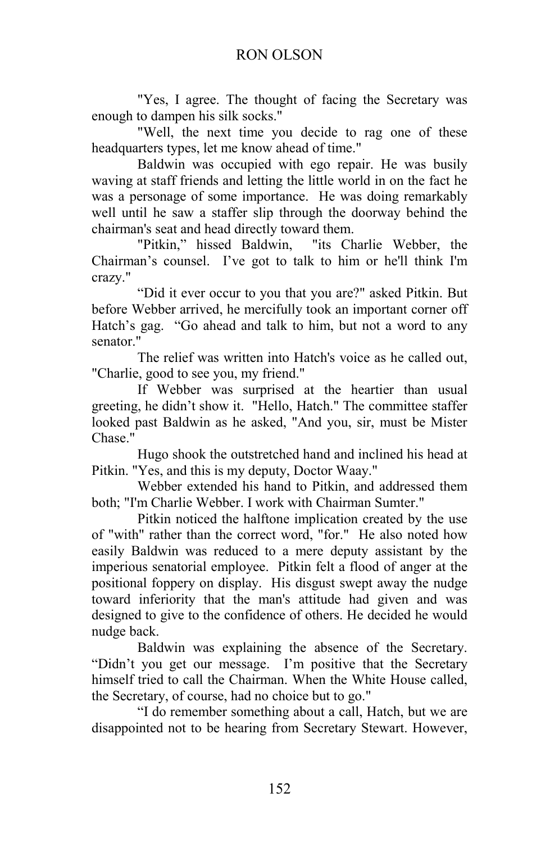"Yes, I agree. The thought of facing the Secretary was enough to dampen his silk socks."

"Well, the next time you decide to rag one of these headquarters types, let me know ahead of time."

Baldwin was occupied with ego repair. He was busily waving at staff friends and letting the little world in on the fact he was a personage of some importance. He was doing remarkably well until he saw a staffer slip through the doorway behind the chairman's seat and head directly toward them.

"Pitkin," hissed Baldwin, "its Charlie Webber, the Chairman's counsel. I've got to talk to him or he'll think I'm crazy."

"Did it ever occur to you that you are?" asked Pitkin. But before Webber arrived, he mercifully took an important corner off Hatch's gag. "Go ahead and talk to him, but not a word to any senator."

The relief was written into Hatch's voice as he called out, "Charlie, good to see you, my friend."

If Webber was surprised at the heartier than usual greeting, he didn't show it. "Hello, Hatch." The committee staffer looked past Baldwin as he asked, "And you, sir, must be Mister Chase."

Hugo shook the outstretched hand and inclined his head at Pitkin. "Yes, and this is my deputy, Doctor Waay."

Webber extended his hand to Pitkin, and addressed them both; "I'm Charlie Webber. I work with Chairman Sumter."

Pitkin noticed the halftone implication created by the use of "with" rather than the correct word, "for." He also noted how easily Baldwin was reduced to a mere deputy assistant by the imperious senatorial employee. Pitkin felt a flood of anger at the positional foppery on display. His disgust swept away the nudge toward inferiority that the man's attitude had given and was designed to give to the confidence of others. He decided he would nudge back.

Baldwin was explaining the absence of the Secretary. "Didn't you get our message. I'm positive that the Secretary himself tried to call the Chairman. When the White House called, the Secretary, of course, had no choice but to go."

"I do remember something about a call, Hatch, but we are disappointed not to be hearing from Secretary Stewart. However,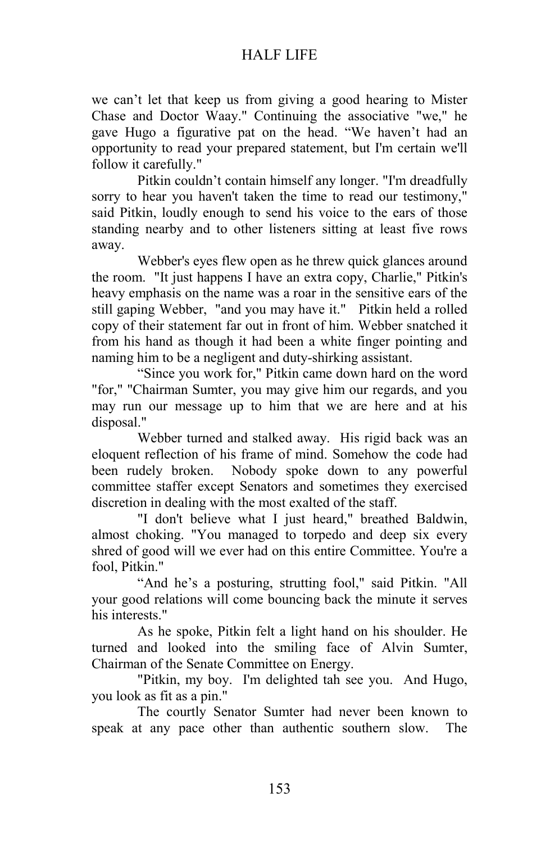we can't let that keep us from giving a good hearing to Mister Chase and Doctor Waay." Continuing the associative "we," he gave Hugo a figurative pat on the head. "We haven't had an opportunity to read your prepared statement, but I'm certain we'll follow it carefully."

Pitkin couldn't contain himself any longer. "I'm dreadfully sorry to hear you haven't taken the time to read our testimony," said Pitkin, loudly enough to send his voice to the ears of those standing nearby and to other listeners sitting at least five rows away.

Webber's eyes flew open as he threw quick glances around the room. "It just happens I have an extra copy, Charlie," Pitkin's heavy emphasis on the name was a roar in the sensitive ears of the still gaping Webber, "and you may have it." Pitkin held a rolled copy of their statement far out in front of him. Webber snatched it from his hand as though it had been a white finger pointing and naming him to be a negligent and duty-shirking assistant.

"Since you work for," Pitkin came down hard on the word "for," "Chairman Sumter, you may give him our regards, and you may run our message up to him that we are here and at his disposal."

Webber turned and stalked away. His rigid back was an eloquent reflection of his frame of mind. Somehow the code had been rudely broken. Nobody spoke down to any powerful committee staffer except Senators and sometimes they exercised discretion in dealing with the most exalted of the staff.

"I don't believe what I just heard," breathed Baldwin, almost choking. "You managed to torpedo and deep six every shred of good will we ever had on this entire Committee. You're a fool, Pitkin."

"And he's a posturing, strutting fool," said Pitkin. "All your good relations will come bouncing back the minute it serves his interests."

As he spoke, Pitkin felt a light hand on his shoulder. He turned and looked into the smiling face of Alvin Sumter, Chairman of the Senate Committee on Energy.

"Pitkin, my boy. I'm delighted tah see you. And Hugo, you look as fit as a pin."

The courtly Senator Sumter had never been known to speak at any pace other than authentic southern slow. The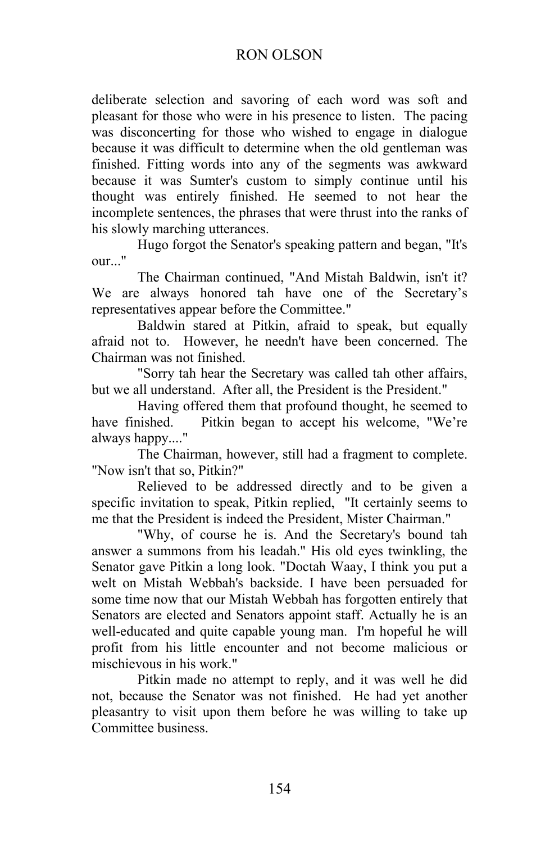#### RON OLSON

deliberate selection and savoring of each word was soft and pleasant for those who were in his presence to listen. The pacing was disconcerting for those who wished to engage in dialogue because it was difficult to determine when the old gentleman was finished. Fitting words into any of the segments was awkward because it was Sumter's custom to simply continue until his thought was entirely finished. He seemed to not hear the incomplete sentences, the phrases that were thrust into the ranks of his slowly marching utterances.

Hugo forgot the Senator's speaking pattern and began, "It's our..."

The Chairman continued, "And Mistah Baldwin, isn't it? We are always honored tah have one of the Secretary's representatives appear before the Committee."

Baldwin stared at Pitkin, afraid to speak, but equally afraid not to. However, he needn't have been concerned. The Chairman was not finished.

"Sorry tah hear the Secretary was called tah other affairs, but we all understand. After all, the President is the President."

Having offered them that profound thought, he seemed to have finished. Pitkin began to accept his welcome, "We're always happy...."

The Chairman, however, still had a fragment to complete. "Now isn't that so, Pitkin?"

Relieved to be addressed directly and to be given a specific invitation to speak, Pitkin replied, "It certainly seems to me that the President is indeed the President, Mister Chairman."

"Why, of course he is. And the Secretary's bound tah answer a summons from his leadah." His old eyes twinkling, the Senator gave Pitkin a long look. "Doctah Waay, I think you put a welt on Mistah Webbah's backside. I have been persuaded for some time now that our Mistah Webbah has forgotten entirely that Senators are elected and Senators appoint staff. Actually he is an well-educated and quite capable young man. I'm hopeful he will profit from his little encounter and not become malicious or mischievous in his work."

Pitkin made no attempt to reply, and it was well he did not, because the Senator was not finished. He had yet another pleasantry to visit upon them before he was willing to take up Committee business.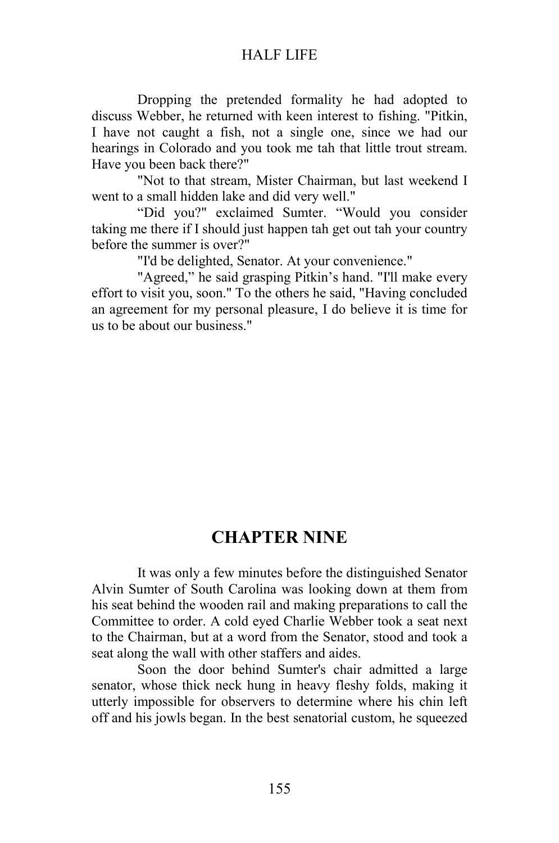Dropping the pretended formality he had adopted to discuss Webber, he returned with keen interest to fishing. "Pitkin, I have not caught a fish, not a single one, since we had our hearings in Colorado and you took me tah that little trout stream. Have you been back there?"

"Not to that stream, Mister Chairman, but last weekend I went to a small hidden lake and did very well."

"Did you?" exclaimed Sumter. "Would you consider taking me there if I should just happen tah get out tah your country before the summer is over?"

"I'd be delighted, Senator. At your convenience."

"Agreed," he said grasping Pitkin's hand. "I'll make every effort to visit you, soon." To the others he said, "Having concluded an agreement for my personal pleasure, I do believe it is time for us to be about our business."

# **CHAPTER NINE**

It was only a few minutes before the distinguished Senator Alvin Sumter of South Carolina was looking down at them from his seat behind the wooden rail and making preparations to call the Committee to order. A cold eyed Charlie Webber took a seat next to the Chairman, but at a word from the Senator, stood and took a seat along the wall with other staffers and aides.

Soon the door behind Sumter's chair admitted a large senator, whose thick neck hung in heavy fleshy folds, making it utterly impossible for observers to determine where his chin left off and his jowls began. In the best senatorial custom, he squeezed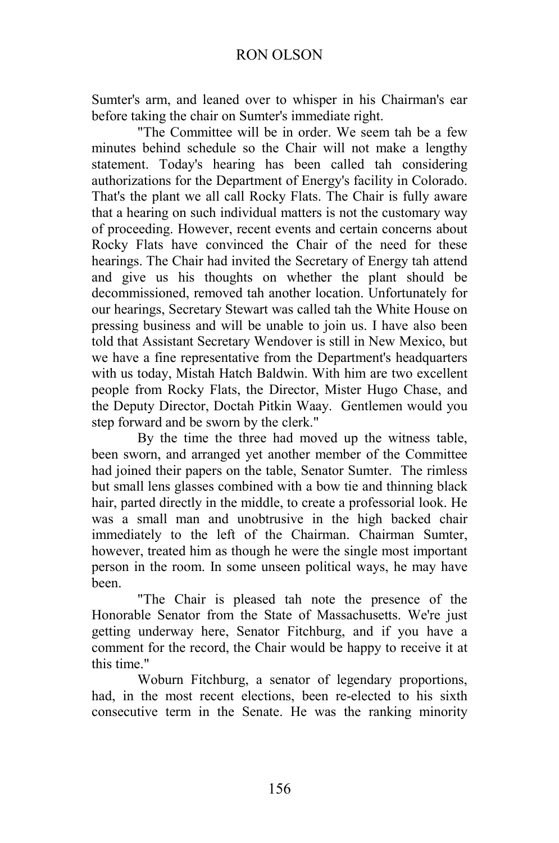Sumter's arm, and leaned over to whisper in his Chairman's ear before taking the chair on Sumter's immediate right.

"The Committee will be in order. We seem tah be a few minutes behind schedule so the Chair will not make a lengthy statement. Today's hearing has been called tah considering authorizations for the Department of Energy's facility in Colorado. That's the plant we all call Rocky Flats. The Chair is fully aware that a hearing on such individual matters is not the customary way of proceeding. However, recent events and certain concerns about Rocky Flats have convinced the Chair of the need for these hearings. The Chair had invited the Secretary of Energy tah attend and give us his thoughts on whether the plant should be decommissioned, removed tah another location. Unfortunately for our hearings, Secretary Stewart was called tah the White House on pressing business and will be unable to join us. I have also been told that Assistant Secretary Wendover is still in New Mexico, but we have a fine representative from the Department's headquarters with us today, Mistah Hatch Baldwin. With him are two excellent people from Rocky Flats, the Director, Mister Hugo Chase, and the Deputy Director, Doctah Pitkin Waay. Gentlemen would you step forward and be sworn by the clerk."

By the time the three had moved up the witness table, been sworn, and arranged yet another member of the Committee had joined their papers on the table, Senator Sumter. The rimless but small lens glasses combined with a bow tie and thinning black hair, parted directly in the middle, to create a professorial look. He was a small man and unobtrusive in the high backed chair immediately to the left of the Chairman. Chairman Sumter, however, treated him as though he were the single most important person in the room. In some unseen political ways, he may have been.

"The Chair is pleased tah note the presence of the Honorable Senator from the State of Massachusetts. We're just getting underway here, Senator Fitchburg, and if you have a comment for the record, the Chair would be happy to receive it at this time."

Woburn Fitchburg, a senator of legendary proportions, had, in the most recent elections, been re-elected to his sixth consecutive term in the Senate. He was the ranking minority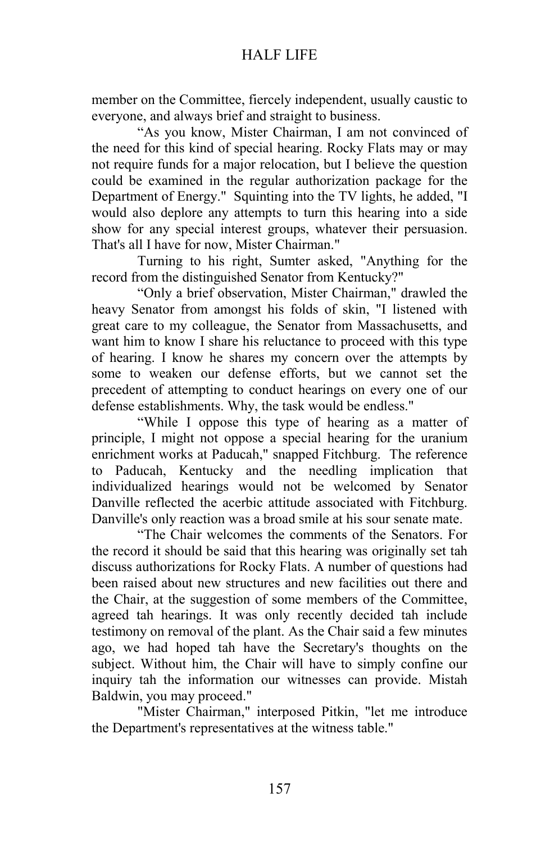member on the Committee, fiercely independent, usually caustic to everyone, and always brief and straight to business.

"As you know, Mister Chairman, I am not convinced of the need for this kind of special hearing. Rocky Flats may or may not require funds for a major relocation, but I believe the question could be examined in the regular authorization package for the Department of Energy." Squinting into the TV lights, he added, "I would also deplore any attempts to turn this hearing into a side show for any special interest groups, whatever their persuasion. That's all I have for now, Mister Chairman."

Turning to his right, Sumter asked, "Anything for the record from the distinguished Senator from Kentucky?"

"Only a brief observation, Mister Chairman," drawled the heavy Senator from amongst his folds of skin, "I listened with great care to my colleague, the Senator from Massachusetts, and want him to know I share his reluctance to proceed with this type of hearing. I know he shares my concern over the attempts by some to weaken our defense efforts, but we cannot set the precedent of attempting to conduct hearings on every one of our defense establishments. Why, the task would be endless."

"While I oppose this type of hearing as a matter of principle, I might not oppose a special hearing for the uranium enrichment works at Paducah," snapped Fitchburg. The reference to Paducah, Kentucky and the needling implication that individualized hearings would not be welcomed by Senator Danville reflected the acerbic attitude associated with Fitchburg. Danville's only reaction was a broad smile at his sour senate mate.

"The Chair welcomes the comments of the Senators. For the record it should be said that this hearing was originally set tah discuss authorizations for Rocky Flats. A number of questions had been raised about new structures and new facilities out there and the Chair, at the suggestion of some members of the Committee, agreed tah hearings. It was only recently decided tah include testimony on removal of the plant. As the Chair said a few minutes ago, we had hoped tah have the Secretary's thoughts on the subject. Without him, the Chair will have to simply confine our inquiry tah the information our witnesses can provide. Mistah Baldwin, you may proceed."

"Mister Chairman," interposed Pitkin, "let me introduce the Department's representatives at the witness table."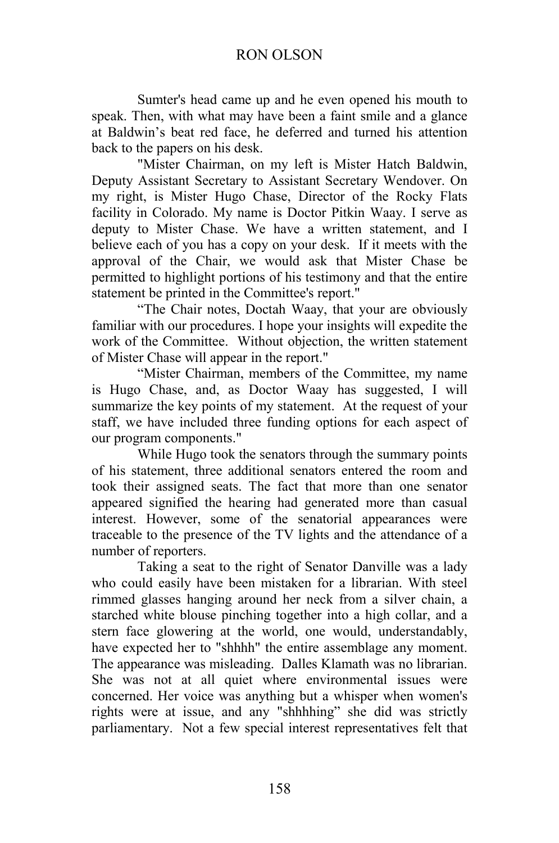Sumter's head came up and he even opened his mouth to speak. Then, with what may have been a faint smile and a glance at Baldwin's beat red face, he deferred and turned his attention back to the papers on his desk.

"Mister Chairman, on my left is Mister Hatch Baldwin, Deputy Assistant Secretary to Assistant Secretary Wendover. On my right, is Mister Hugo Chase, Director of the Rocky Flats facility in Colorado. My name is Doctor Pitkin Waay. I serve as deputy to Mister Chase. We have a written statement, and I believe each of you has a copy on your desk. If it meets with the approval of the Chair, we would ask that Mister Chase be permitted to highlight portions of his testimony and that the entire statement be printed in the Committee's report."

"The Chair notes, Doctah Waay, that your are obviously familiar with our procedures. I hope your insights will expedite the work of the Committee. Without objection, the written statement of Mister Chase will appear in the report."

"Mister Chairman, members of the Committee, my name is Hugo Chase, and, as Doctor Waay has suggested, I will summarize the key points of my statement. At the request of your staff, we have included three funding options for each aspect of our program components."

While Hugo took the senators through the summary points of his statement, three additional senators entered the room and took their assigned seats. The fact that more than one senator appeared signified the hearing had generated more than casual interest. However, some of the senatorial appearances were traceable to the presence of the TV lights and the attendance of a number of reporters.

Taking a seat to the right of Senator Danville was a lady who could easily have been mistaken for a librarian. With steel rimmed glasses hanging around her neck from a silver chain, a starched white blouse pinching together into a high collar, and a stern face glowering at the world, one would, understandably, have expected her to "shhhh" the entire assemblage any moment. The appearance was misleading. Dalles Klamath was no librarian. She was not at all quiet where environmental issues were concerned. Her voice was anything but a whisper when women's rights were at issue, and any "shhhhing" she did was strictly parliamentary. Not a few special interest representatives felt that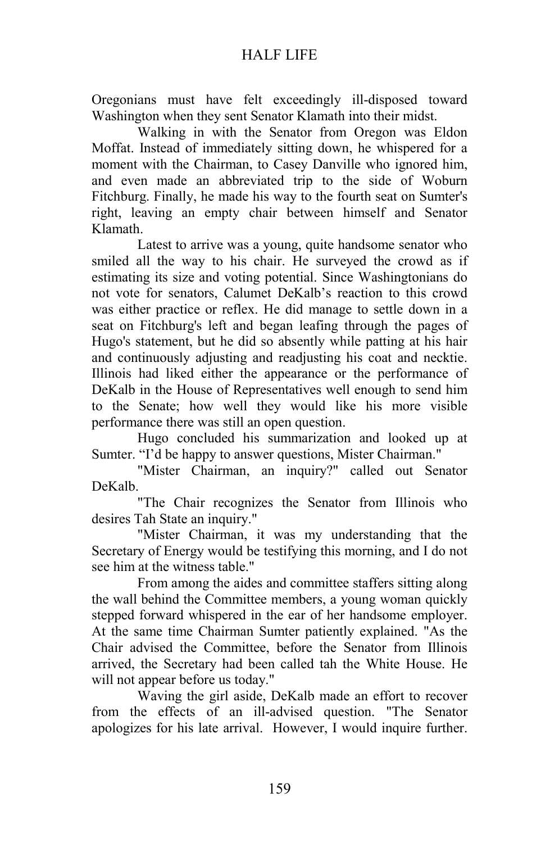Oregonians must have felt exceedingly ill-disposed toward Washington when they sent Senator Klamath into their midst.

Walking in with the Senator from Oregon was Eldon Moffat. Instead of immediately sitting down, he whispered for a moment with the Chairman, to Casey Danville who ignored him, and even made an abbreviated trip to the side of Woburn Fitchburg. Finally, he made his way to the fourth seat on Sumter's right, leaving an empty chair between himself and Senator Klamath.

Latest to arrive was a young, quite handsome senator who smiled all the way to his chair. He surveyed the crowd as if estimating its size and voting potential. Since Washingtonians do not vote for senators, Calumet DeKalb's reaction to this crowd was either practice or reflex. He did manage to settle down in a seat on Fitchburg's left and began leafing through the pages of Hugo's statement, but he did so absently while patting at his hair and continuously adjusting and readjusting his coat and necktie. Illinois had liked either the appearance or the performance of DeKalb in the House of Representatives well enough to send him to the Senate; how well they would like his more visible performance there was still an open question.

Hugo concluded his summarization and looked up at Sumter. "I'd be happy to answer questions, Mister Chairman."

"Mister Chairman, an inquiry?" called out Senator DeKalb.

"The Chair recognizes the Senator from Illinois who desires Tah State an inquiry."

"Mister Chairman, it was my understanding that the Secretary of Energy would be testifying this morning, and I do not see him at the witness table."

From among the aides and committee staffers sitting along the wall behind the Committee members, a young woman quickly stepped forward whispered in the ear of her handsome employer. At the same time Chairman Sumter patiently explained. "As the Chair advised the Committee, before the Senator from Illinois arrived, the Secretary had been called tah the White House. He will not appear before us today."

Waving the girl aside, DeKalb made an effort to recover from the effects of an ill-advised question. "The Senator apologizes for his late arrival. However, I would inquire further.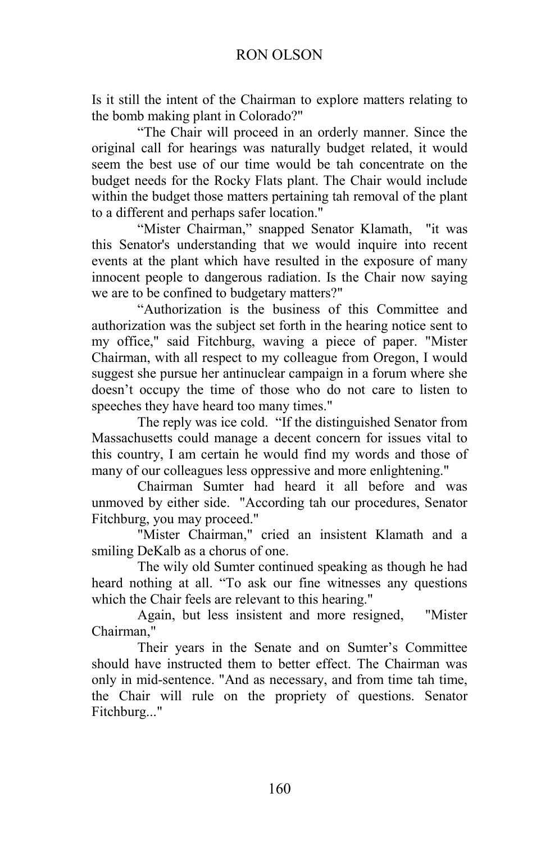### RON OLSON

Is it still the intent of the Chairman to explore matters relating to the bomb making plant in Colorado?"

"The Chair will proceed in an orderly manner. Since the original call for hearings was naturally budget related, it would seem the best use of our time would be tah concentrate on the budget needs for the Rocky Flats plant. The Chair would include within the budget those matters pertaining tah removal of the plant to a different and perhaps safer location."

"Mister Chairman," snapped Senator Klamath, "it was this Senator's understanding that we would inquire into recent events at the plant which have resulted in the exposure of many innocent people to dangerous radiation. Is the Chair now saying we are to be confined to budgetary matters?"

"Authorization is the business of this Committee and authorization was the subject set forth in the hearing notice sent to my office," said Fitchburg, waving a piece of paper. "Mister Chairman, with all respect to my colleague from Oregon, I would suggest she pursue her antinuclear campaign in a forum where she doesn't occupy the time of those who do not care to listen to speeches they have heard too many times."

The reply was ice cold. "If the distinguished Senator from Massachusetts could manage a decent concern for issues vital to this country, I am certain he would find my words and those of many of our colleagues less oppressive and more enlightening."

Chairman Sumter had heard it all before and was unmoved by either side. "According tah our procedures, Senator Fitchburg, you may proceed."

"Mister Chairman," cried an insistent Klamath and a smiling DeKalb as a chorus of one.

The wily old Sumter continued speaking as though he had heard nothing at all. "To ask our fine witnesses any questions which the Chair feels are relevant to this hearing."

Again, but less insistent and more resigned, "Mister Chairman,"

Their years in the Senate and on Sumter's Committee should have instructed them to better effect. The Chairman was only in mid-sentence. "And as necessary, and from time tah time, the Chair will rule on the propriety of questions. Senator Fitchburg..."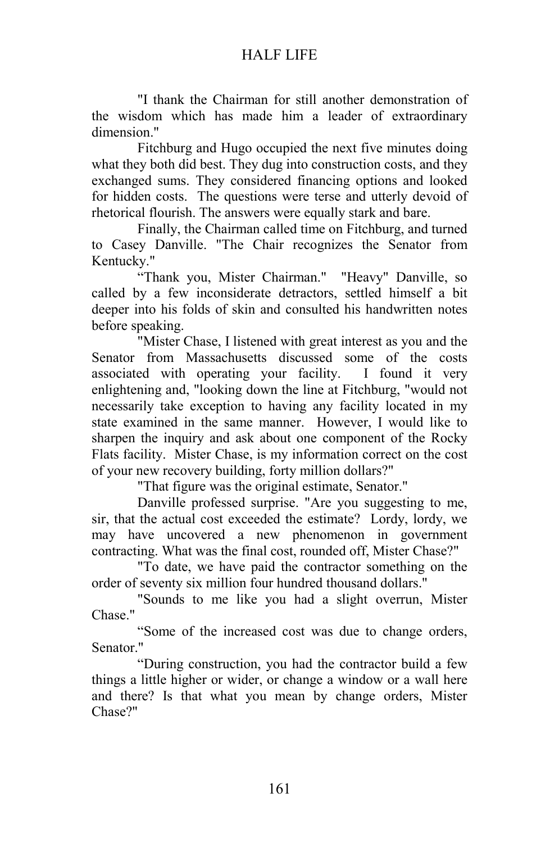"I thank the Chairman for still another demonstration of the wisdom which has made him a leader of extraordinary dimension<sup>"</sup>

Fitchburg and Hugo occupied the next five minutes doing what they both did best. They dug into construction costs, and they exchanged sums. They considered financing options and looked for hidden costs. The questions were terse and utterly devoid of rhetorical flourish. The answers were equally stark and bare.

Finally, the Chairman called time on Fitchburg, and turned to Casey Danville. "The Chair recognizes the Senator from Kentucky."

"Thank you, Mister Chairman." "Heavy" Danville, so called by a few inconsiderate detractors, settled himself a bit deeper into his folds of skin and consulted his handwritten notes before speaking.

"Mister Chase, I listened with great interest as you and the Senator from Massachusetts discussed some of the costs associated with operating your facility. I found it very enlightening and, "looking down the line at Fitchburg, "would not necessarily take exception to having any facility located in my state examined in the same manner. However, I would like to sharpen the inquiry and ask about one component of the Rocky Flats facility. Mister Chase, is my information correct on the cost of your new recovery building, forty million dollars?"

"That figure was the original estimate, Senator."

Danville professed surprise. "Are you suggesting to me, sir, that the actual cost exceeded the estimate? Lordy, lordy, we may have uncovered a new phenomenon in government contracting. What was the final cost, rounded off, Mister Chase?"

"To date, we have paid the contractor something on the order of seventy six million four hundred thousand dollars."

"Sounds to me like you had a slight overrun, Mister Chase."

"Some of the increased cost was due to change orders, Senator."

"During construction, you had the contractor build a few things a little higher or wider, or change a window or a wall here and there? Is that what you mean by change orders, Mister Chase?"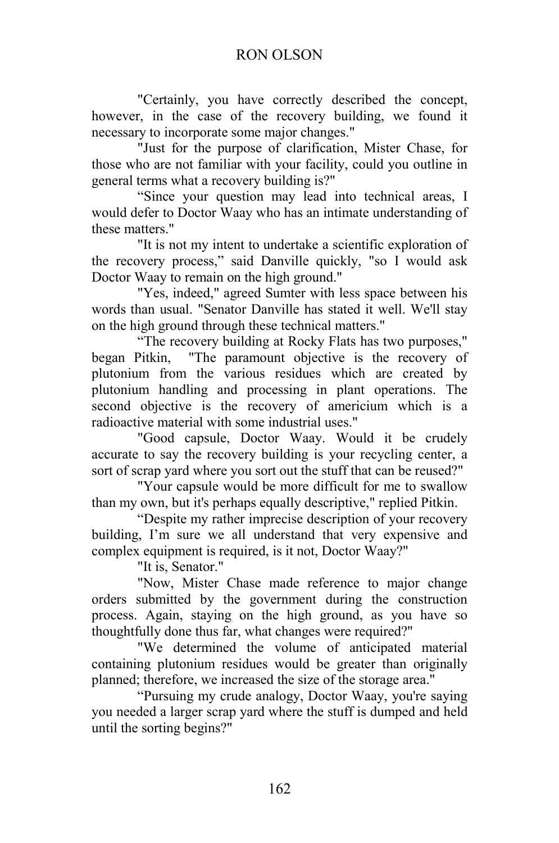"Certainly, you have correctly described the concept, however, in the case of the recovery building, we found it necessary to incorporate some major changes."

"Just for the purpose of clarification, Mister Chase, for those who are not familiar with your facility, could you outline in general terms what a recovery building is?"

"Since your question may lead into technical areas, I would defer to Doctor Waay who has an intimate understanding of these matters."

"It is not my intent to undertake a scientific exploration of the recovery process," said Danville quickly, "so I would ask Doctor Waay to remain on the high ground."

"Yes, indeed," agreed Sumter with less space between his words than usual. "Senator Danville has stated it well. We'll stay on the high ground through these technical matters."

"The recovery building at Rocky Flats has two purposes," began Pitkin, "The paramount objective is the recovery of plutonium from the various residues which are created by plutonium handling and processing in plant operations. The second objective is the recovery of americium which is a radioactive material with some industrial uses."

"Good capsule, Doctor Waay. Would it be crudely accurate to say the recovery building is your recycling center, a sort of scrap yard where you sort out the stuff that can be reused?"

"Your capsule would be more difficult for me to swallow than my own, but it's perhaps equally descriptive," replied Pitkin.

 "Despite my rather imprecise description of your recovery building, I'm sure we all understand that very expensive and complex equipment is required, is it not, Doctor Waay?"

"It is, Senator."

"Now, Mister Chase made reference to major change orders submitted by the government during the construction process. Again, staying on the high ground, as you have so thoughtfully done thus far, what changes were required?"

"We determined the volume of anticipated material containing plutonium residues would be greater than originally planned; therefore, we increased the size of the storage area."

"Pursuing my crude analogy, Doctor Waay, you're saying you needed a larger scrap yard where the stuff is dumped and held until the sorting begins?"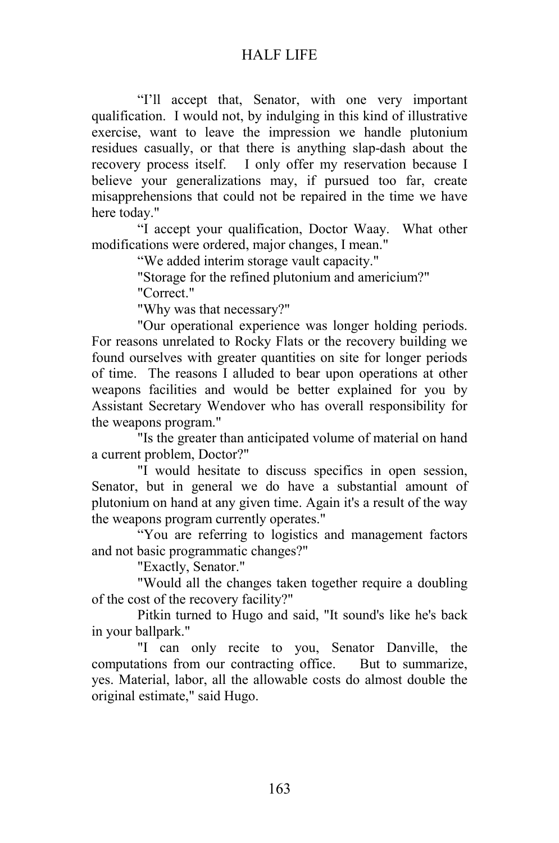"I'll accept that, Senator, with one very important qualification. I would not, by indulging in this kind of illustrative exercise, want to leave the impression we handle plutonium residues casually, or that there is anything slap-dash about the recovery process itself. I only offer my reservation because I believe your generalizations may, if pursued too far, create misapprehensions that could not be repaired in the time we have here today."

"I accept your qualification, Doctor Waay. What other modifications were ordered, major changes, I mean."

"We added interim storage vault capacity."

"Storage for the refined plutonium and americium?"

"Correct."

"Why was that necessary?"

"Our operational experience was longer holding periods. For reasons unrelated to Rocky Flats or the recovery building we found ourselves with greater quantities on site for longer periods of time. The reasons I alluded to bear upon operations at other weapons facilities and would be better explained for you by Assistant Secretary Wendover who has overall responsibility for the weapons program."

"Is the greater than anticipated volume of material on hand a current problem, Doctor?"

"I would hesitate to discuss specifics in open session, Senator, but in general we do have a substantial amount of plutonium on hand at any given time. Again it's a result of the way the weapons program currently operates."

"You are referring to logistics and management factors and not basic programmatic changes?"

"Exactly, Senator."

"Would all the changes taken together require a doubling of the cost of the recovery facility?"

Pitkin turned to Hugo and said, "It sound's like he's back in your ballpark."

"I can only recite to you, Senator Danville, the computations from our contracting office. But to summarize, yes. Material, labor, all the allowable costs do almost double the original estimate," said Hugo.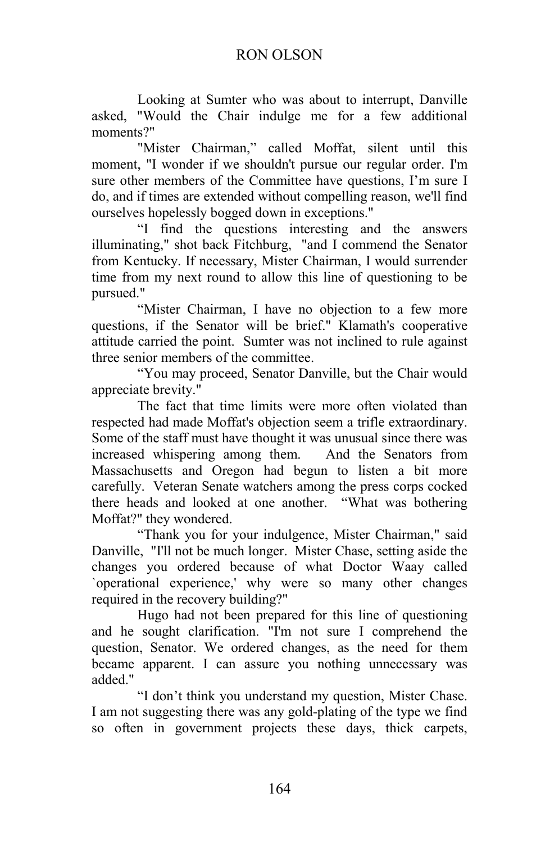Looking at Sumter who was about to interrupt, Danville asked, "Would the Chair indulge me for a few additional moments?"

"Mister Chairman," called Moffat, silent until this moment, "I wonder if we shouldn't pursue our regular order. I'm sure other members of the Committee have questions, I'm sure I do, and if times are extended without compelling reason, we'll find ourselves hopelessly bogged down in exceptions."

"I find the questions interesting and the answers illuminating," shot back Fitchburg, "and I commend the Senator from Kentucky. If necessary, Mister Chairman, I would surrender time from my next round to allow this line of questioning to be pursued."

"Mister Chairman, I have no objection to a few more questions, if the Senator will be brief." Klamath's cooperative attitude carried the point. Sumter was not inclined to rule against three senior members of the committee.

"You may proceed, Senator Danville, but the Chair would appreciate brevity."

The fact that time limits were more often violated than respected had made Moffat's objection seem a trifle extraordinary. Some of the staff must have thought it was unusual since there was increased whispering among them. And the Senators from Massachusetts and Oregon had begun to listen a bit more carefully. Veteran Senate watchers among the press corps cocked there heads and looked at one another. "What was bothering Moffat?" they wondered.

"Thank you for your indulgence, Mister Chairman," said Danville, "I'll not be much longer. Mister Chase, setting aside the changes you ordered because of what Doctor Waay called `operational experience,' why were so many other changes required in the recovery building?"

Hugo had not been prepared for this line of questioning and he sought clarification. "I'm not sure I comprehend the question, Senator. We ordered changes, as the need for them became apparent. I can assure you nothing unnecessary was added."

"I don't think you understand my question, Mister Chase. I am not suggesting there was any gold-plating of the type we find so often in government projects these days, thick carpets,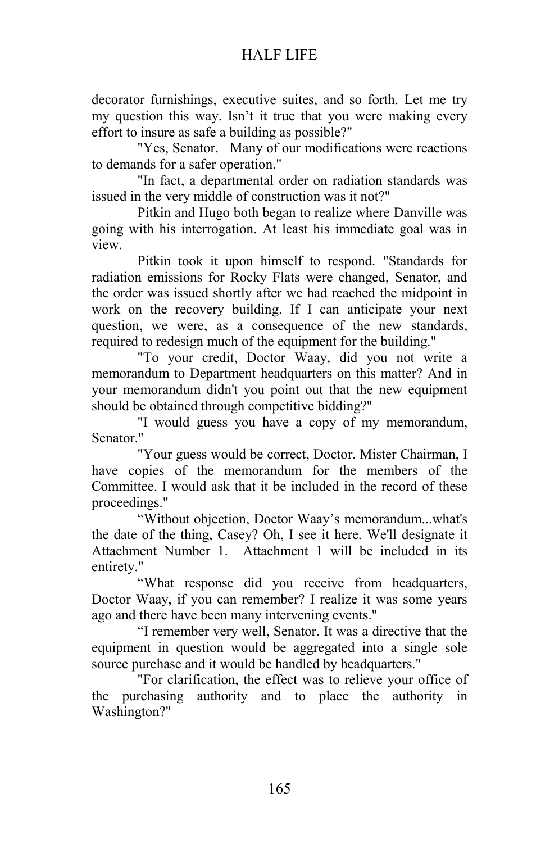decorator furnishings, executive suites, and so forth. Let me try my question this way. Isn't it true that you were making every effort to insure as safe a building as possible?"

"Yes, Senator. Many of our modifications were reactions to demands for a safer operation."

"In fact, a departmental order on radiation standards was issued in the very middle of construction was it not?"

Pitkin and Hugo both began to realize where Danville was going with his interrogation. At least his immediate goal was in view.

Pitkin took it upon himself to respond. "Standards for radiation emissions for Rocky Flats were changed, Senator, and the order was issued shortly after we had reached the midpoint in work on the recovery building. If I can anticipate your next question, we were, as a consequence of the new standards, required to redesign much of the equipment for the building."

"To your credit, Doctor Waay, did you not write a memorandum to Department headquarters on this matter? And in your memorandum didn't you point out that the new equipment should be obtained through competitive bidding?"

"I would guess you have a copy of my memorandum, Senator."

"Your guess would be correct, Doctor. Mister Chairman, I have copies of the memorandum for the members of the Committee. I would ask that it be included in the record of these proceedings."

"Without objection, Doctor Waay's memorandum...what's the date of the thing, Casey? Oh, I see it here. We'll designate it Attachment Number 1. Attachment 1 will be included in its entirety."

"What response did you receive from headquarters, Doctor Waay, if you can remember? I realize it was some years ago and there have been many intervening events."

"I remember very well, Senator. It was a directive that the equipment in question would be aggregated into a single sole source purchase and it would be handled by headquarters."

"For clarification, the effect was to relieve your office of the purchasing authority and to place the authority in Washington?"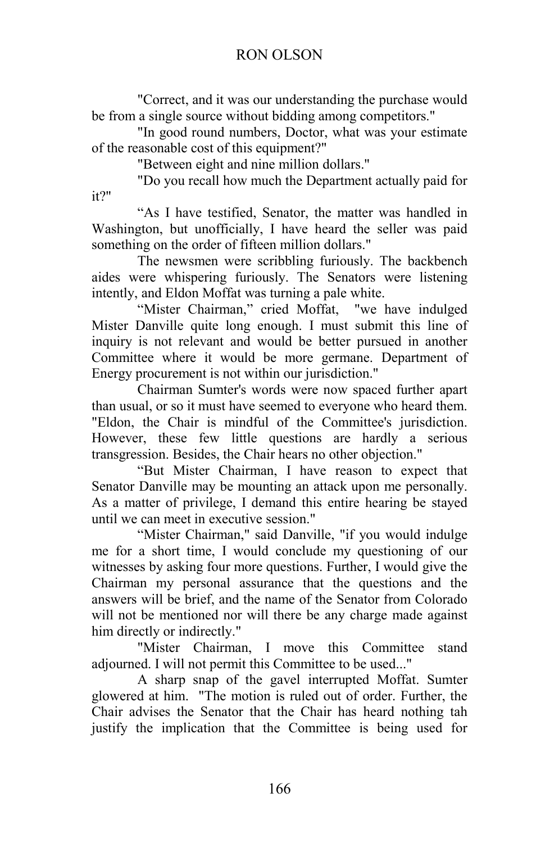### RON OLSON

 "Correct, and it was our understanding the purchase would be from a single source without bidding among competitors."

"In good round numbers, Doctor, what was your estimate of the reasonable cost of this equipment?"

"Between eight and nine million dollars."

"Do you recall how much the Department actually paid for it?"

"As I have testified, Senator, the matter was handled in Washington, but unofficially, I have heard the seller was paid something on the order of fifteen million dollars."

The newsmen were scribbling furiously. The backbench aides were whispering furiously. The Senators were listening intently, and Eldon Moffat was turning a pale white.

"Mister Chairman," cried Moffat, "we have indulged Mister Danville quite long enough. I must submit this line of inquiry is not relevant and would be better pursued in another Committee where it would be more germane. Department of Energy procurement is not within our jurisdiction."

Chairman Sumter's words were now spaced further apart than usual, or so it must have seemed to everyone who heard them. "Eldon, the Chair is mindful of the Committee's jurisdiction. However, these few little questions are hardly a serious transgression. Besides, the Chair hears no other objection."

"But Mister Chairman, I have reason to expect that Senator Danville may be mounting an attack upon me personally. As a matter of privilege, I demand this entire hearing be stayed until we can meet in executive session."

"Mister Chairman," said Danville, "if you would indulge me for a short time, I would conclude my questioning of our witnesses by asking four more questions. Further, I would give the Chairman my personal assurance that the questions and the answers will be brief, and the name of the Senator from Colorado will not be mentioned nor will there be any charge made against him directly or indirectly."

"Mister Chairman, I move this Committee stand adjourned. I will not permit this Committee to be used..."

A sharp snap of the gavel interrupted Moffat. Sumter glowered at him. "The motion is ruled out of order. Further, the Chair advises the Senator that the Chair has heard nothing tah justify the implication that the Committee is being used for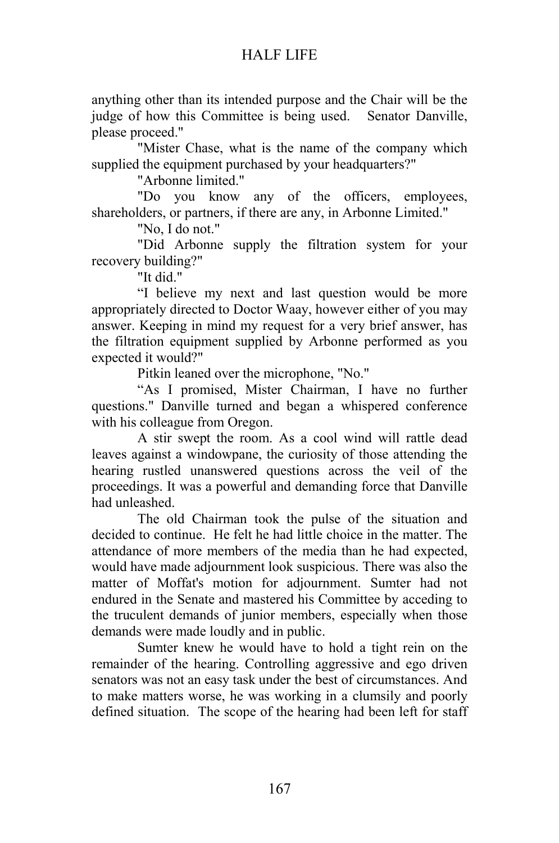anything other than its intended purpose and the Chair will be the judge of how this Committee is being used. Senator Danville, please proceed."

"Mister Chase, what is the name of the company which supplied the equipment purchased by your headquarters?"

"Arbonne limited."

"Do you know any of the officers, employees, shareholders, or partners, if there are any, in Arbonne Limited."

"No. I do not."

"Did Arbonne supply the filtration system for your recovery building?"

"It did."

"I believe my next and last question would be more appropriately directed to Doctor Waay, however either of you may answer. Keeping in mind my request for a very brief answer, has the filtration equipment supplied by Arbonne performed as you expected it would?"

Pitkin leaned over the microphone, "No."

"As I promised, Mister Chairman, I have no further questions." Danville turned and began a whispered conference with his colleague from Oregon.

A stir swept the room. As a cool wind will rattle dead leaves against a windowpane, the curiosity of those attending the hearing rustled unanswered questions across the veil of the proceedings. It was a powerful and demanding force that Danville had unleashed.

The old Chairman took the pulse of the situation and decided to continue. He felt he had little choice in the matter. The attendance of more members of the media than he had expected, would have made adjournment look suspicious. There was also the matter of Moffat's motion for adjournment. Sumter had not endured in the Senate and mastered his Committee by acceding to the truculent demands of junior members, especially when those demands were made loudly and in public.

Sumter knew he would have to hold a tight rein on the remainder of the hearing. Controlling aggressive and ego driven senators was not an easy task under the best of circumstances. And to make matters worse, he was working in a clumsily and poorly defined situation. The scope of the hearing had been left for staff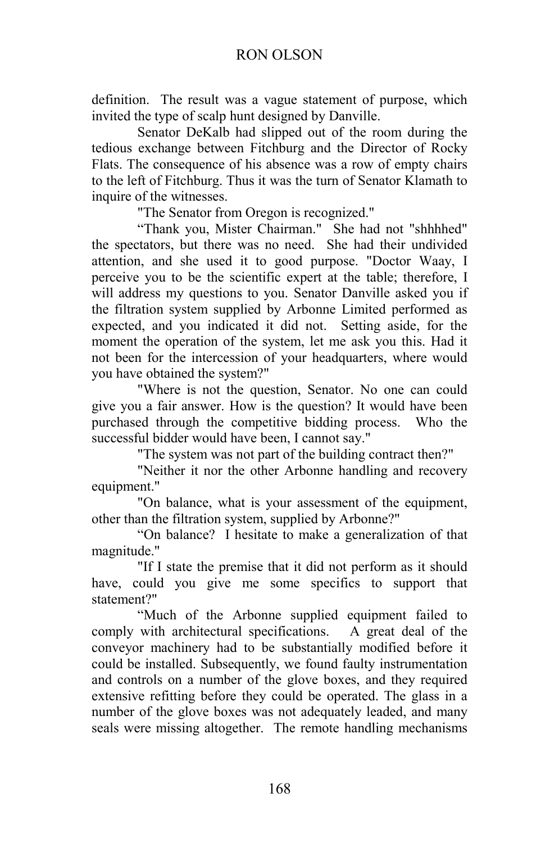#### RON OLSON

definition. The result was a vague statement of purpose, which invited the type of scalp hunt designed by Danville.

Senator DeKalb had slipped out of the room during the tedious exchange between Fitchburg and the Director of Rocky Flats. The consequence of his absence was a row of empty chairs to the left of Fitchburg. Thus it was the turn of Senator Klamath to inquire of the witnesses.

"The Senator from Oregon is recognized."

"Thank you, Mister Chairman." She had not "shhhhed" the spectators, but there was no need. She had their undivided attention, and she used it to good purpose. "Doctor Waay, I perceive you to be the scientific expert at the table; therefore, I will address my questions to you. Senator Danville asked you if the filtration system supplied by Arbonne Limited performed as expected, and you indicated it did not. Setting aside, for the moment the operation of the system, let me ask you this. Had it not been for the intercession of your headquarters, where would you have obtained the system?"

"Where is not the question, Senator. No one can could give you a fair answer. How is the question? It would have been purchased through the competitive bidding process. Who the successful bidder would have been, I cannot say."

"The system was not part of the building contract then?"

"Neither it nor the other Arbonne handling and recovery equipment."

"On balance, what is your assessment of the equipment, other than the filtration system, supplied by Arbonne?"

"On balance? I hesitate to make a generalization of that magnitude."

 "If I state the premise that it did not perform as it should have, could you give me some specifics to support that statement?"

"Much of the Arbonne supplied equipment failed to comply with architectural specifications. A great deal of the conveyor machinery had to be substantially modified before it could be installed. Subsequently, we found faulty instrumentation and controls on a number of the glove boxes, and they required extensive refitting before they could be operated. The glass in a number of the glove boxes was not adequately leaded, and many seals were missing altogether. The remote handling mechanisms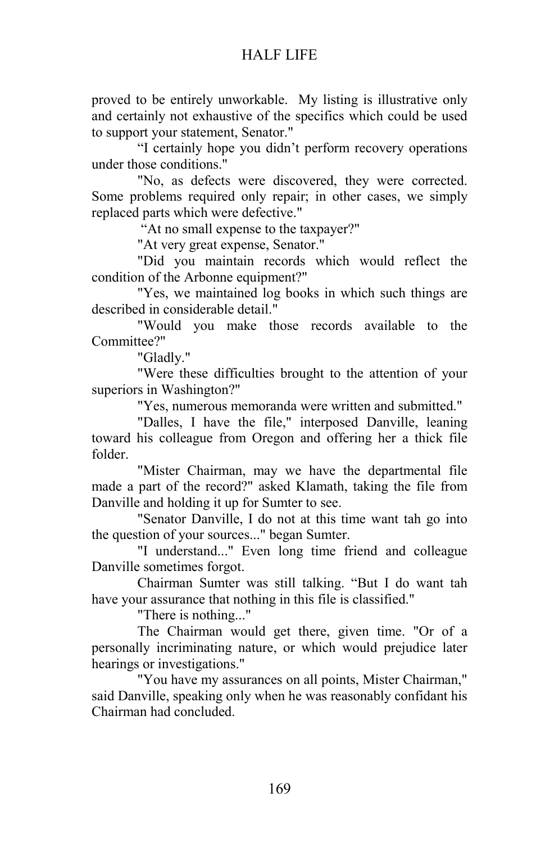proved to be entirely unworkable. My listing is illustrative only and certainly not exhaustive of the specifics which could be used to support your statement, Senator."

"I certainly hope you didn't perform recovery operations under those conditions."

"No, as defects were discovered, they were corrected. Some problems required only repair; in other cases, we simply replaced parts which were defective."

<sup>"</sup>At no small expense to the taxpayer?"

"At very great expense, Senator."

"Did you maintain records which would reflect the condition of the Arbonne equipment?"

"Yes, we maintained log books in which such things are described in considerable detail."

"Would you make those records available to the Committee?"

"Gladly."

"Were these difficulties brought to the attention of your superiors in Washington?"

"Yes, numerous memoranda were written and submitted."

"Dalles, I have the file," interposed Danville, leaning toward his colleague from Oregon and offering her a thick file folder.

"Mister Chairman, may we have the departmental file made a part of the record?" asked Klamath, taking the file from Danville and holding it up for Sumter to see.

"Senator Danville, I do not at this time want tah go into the question of your sources..." began Sumter.

"I understand..." Even long time friend and colleague Danville sometimes forgot.

Chairman Sumter was still talking. "But I do want tah have your assurance that nothing in this file is classified."

"There is nothing..."

The Chairman would get there, given time. "Or of a personally incriminating nature, or which would prejudice later hearings or investigations."

"You have my assurances on all points, Mister Chairman," said Danville, speaking only when he was reasonably confidant his Chairman had concluded.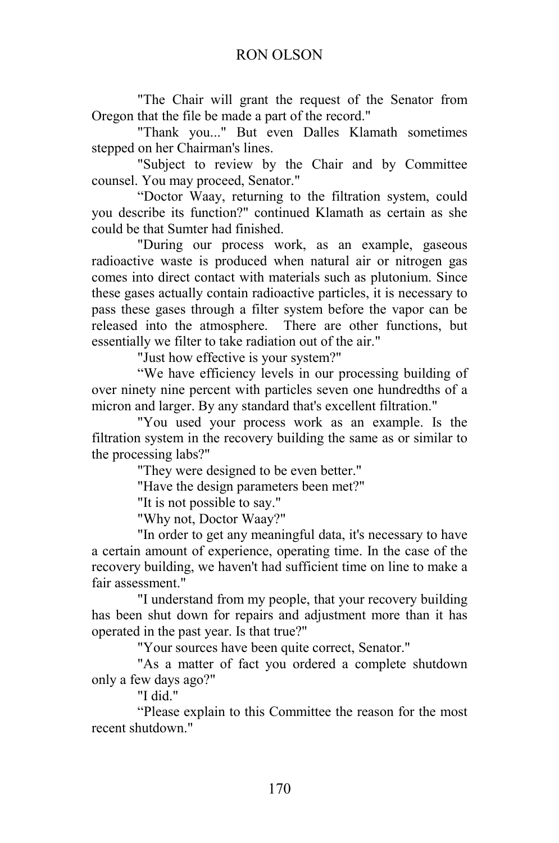"The Chair will grant the request of the Senator from Oregon that the file be made a part of the record."

"Thank you..." But even Dalles Klamath sometimes stepped on her Chairman's lines.

"Subject to review by the Chair and by Committee counsel. You may proceed, Senator."

"Doctor Waay, returning to the filtration system, could you describe its function?" continued Klamath as certain as she could be that Sumter had finished.

"During our process work, as an example, gaseous radioactive waste is produced when natural air or nitrogen gas comes into direct contact with materials such as plutonium. Since these gases actually contain radioactive particles, it is necessary to pass these gases through a filter system before the vapor can be released into the atmosphere. There are other functions, but essentially we filter to take radiation out of the air."

"Just how effective is your system?"

"We have efficiency levels in our processing building of over ninety nine percent with particles seven one hundredths of a micron and larger. By any standard that's excellent filtration."

"You used your process work as an example. Is the filtration system in the recovery building the same as or similar to the processing labs?"

"They were designed to be even better."

"Have the design parameters been met?"

"It is not possible to say."

"Why not, Doctor Waay?"

"In order to get any meaningful data, it's necessary to have a certain amount of experience, operating time. In the case of the recovery building, we haven't had sufficient time on line to make a fair assessment."

"I understand from my people, that your recovery building has been shut down for repairs and adjustment more than it has operated in the past year. Is that true?"

"Your sources have been quite correct, Senator."

"As a matter of fact you ordered a complete shutdown only a few days ago?"

"I did."

"Please explain to this Committee the reason for the most recent shutdown."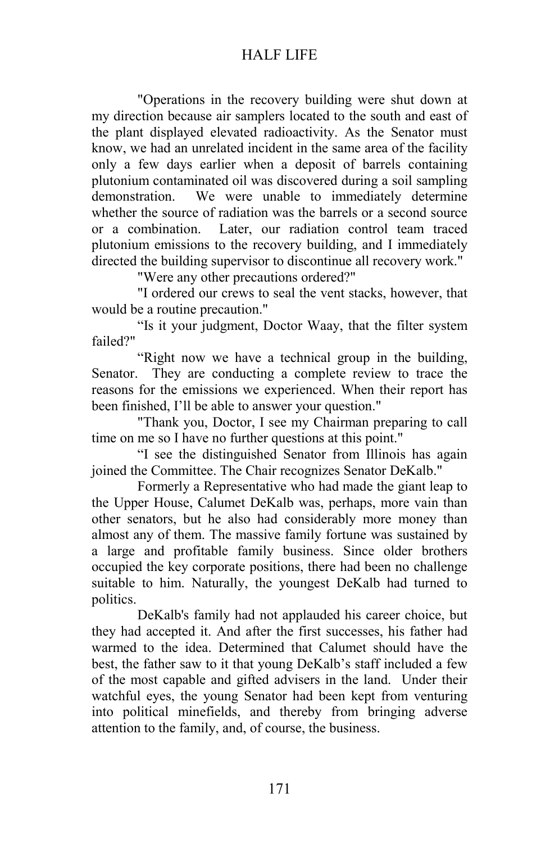"Operations in the recovery building were shut down at my direction because air samplers located to the south and east of the plant displayed elevated radioactivity. As the Senator must know, we had an unrelated incident in the same area of the facility only a few days earlier when a deposit of barrels containing plutonium contaminated oil was discovered during a soil sampling demonstration. We were unable to immediately determine whether the source of radiation was the barrels or a second source or a combination. Later, our radiation control team traced plutonium emissions to the recovery building, and I immediately directed the building supervisor to discontinue all recovery work."

"Were any other precautions ordered?"

"I ordered our crews to seal the vent stacks, however, that would be a routine precaution."

"Is it your judgment, Doctor Waay, that the filter system failed?"

"Right now we have a technical group in the building, Senator. They are conducting a complete review to trace the reasons for the emissions we experienced. When their report has been finished, I'll be able to answer your question."

 "Thank you, Doctor, I see my Chairman preparing to call time on me so I have no further questions at this point."

"I see the distinguished Senator from Illinois has again joined the Committee. The Chair recognizes Senator DeKalb."

Formerly a Representative who had made the giant leap to the Upper House, Calumet DeKalb was, perhaps, more vain than other senators, but he also had considerably more money than almost any of them. The massive family fortune was sustained by a large and profitable family business. Since older brothers occupied the key corporate positions, there had been no challenge suitable to him. Naturally, the youngest DeKalb had turned to politics.

DeKalb's family had not applauded his career choice, but they had accepted it. And after the first successes, his father had warmed to the idea. Determined that Calumet should have the best, the father saw to it that young DeKalb's staff included a few of the most capable and gifted advisers in the land. Under their watchful eyes, the young Senator had been kept from venturing into political minefields, and thereby from bringing adverse attention to the family, and, of course, the business.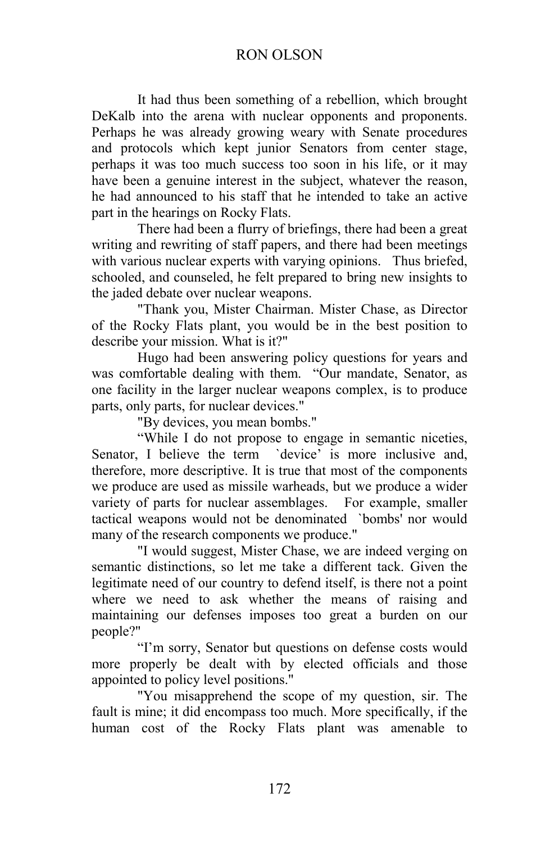It had thus been something of a rebellion, which brought DeKalb into the arena with nuclear opponents and proponents. Perhaps he was already growing weary with Senate procedures and protocols which kept junior Senators from center stage, perhaps it was too much success too soon in his life, or it may have been a genuine interest in the subject, whatever the reason, he had announced to his staff that he intended to take an active part in the hearings on Rocky Flats.

 There had been a flurry of briefings, there had been a great writing and rewriting of staff papers, and there had been meetings with various nuclear experts with varying opinions. Thus briefed, schooled, and counseled, he felt prepared to bring new insights to the jaded debate over nuclear weapons.

"Thank you, Mister Chairman. Mister Chase, as Director of the Rocky Flats plant, you would be in the best position to describe your mission. What is it?"

Hugo had been answering policy questions for years and was comfortable dealing with them. "Our mandate, Senator, as one facility in the larger nuclear weapons complex, is to produce parts, only parts, for nuclear devices."

"By devices, you mean bombs."

"While I do not propose to engage in semantic niceties, Senator, I believe the term `device' is more inclusive and, therefore, more descriptive. It is true that most of the components we produce are used as missile warheads, but we produce a wider variety of parts for nuclear assemblages. For example, smaller tactical weapons would not be denominated `bombs' nor would many of the research components we produce."

"I would suggest, Mister Chase, we are indeed verging on semantic distinctions, so let me take a different tack. Given the legitimate need of our country to defend itself, is there not a point where we need to ask whether the means of raising and maintaining our defenses imposes too great a burden on our people?"

"I'm sorry, Senator but questions on defense costs would more properly be dealt with by elected officials and those appointed to policy level positions."

"You misapprehend the scope of my question, sir. The fault is mine; it did encompass too much. More specifically, if the human cost of the Rocky Flats plant was amenable to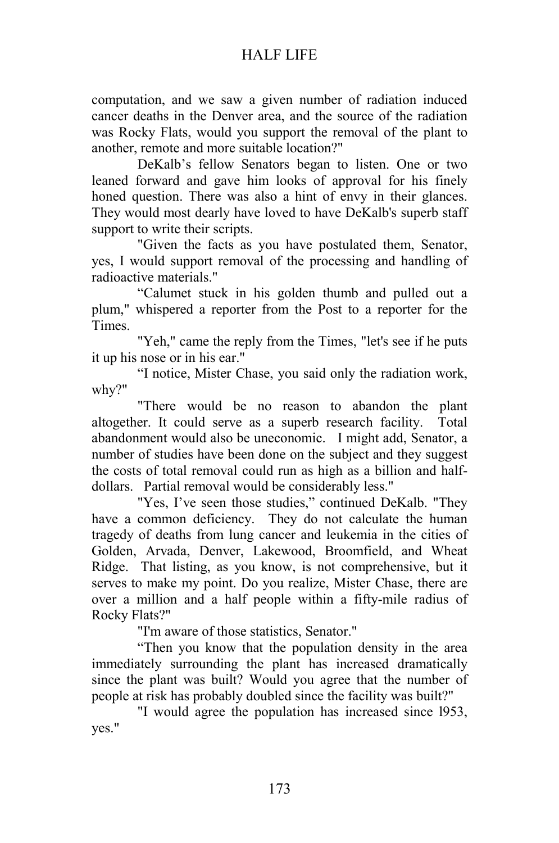computation, and we saw a given number of radiation induced cancer deaths in the Denver area, and the source of the radiation was Rocky Flats, would you support the removal of the plant to another, remote and more suitable location?"

DeKalb's fellow Senators began to listen. One or two leaned forward and gave him looks of approval for his finely honed question. There was also a hint of envy in their glances. They would most dearly have loved to have DeKalb's superb staff support to write their scripts.

 "Given the facts as you have postulated them, Senator, yes, I would support removal of the processing and handling of radioactive materials."

"Calumet stuck in his golden thumb and pulled out a plum," whispered a reporter from the Post to a reporter for the Times.

"Yeh," came the reply from the Times, "let's see if he puts it up his nose or in his ear."

"I notice, Mister Chase, you said only the radiation work, why?"

"There would be no reason to abandon the plant altogether. It could serve as a superb research facility. Total abandonment would also be uneconomic. I might add, Senator, a number of studies have been done on the subject and they suggest the costs of total removal could run as high as a billion and halfdollars. Partial removal would be considerably less."

"Yes, I've seen those studies," continued DeKalb. "They have a common deficiency. They do not calculate the human tragedy of deaths from lung cancer and leukemia in the cities of Golden, Arvada, Denver, Lakewood, Broomfield, and Wheat Ridge. That listing, as you know, is not comprehensive, but it serves to make my point. Do you realize, Mister Chase, there are over a million and a half people within a fifty-mile radius of Rocky Flats?"

"I'm aware of those statistics, Senator."

"Then you know that the population density in the area immediately surrounding the plant has increased dramatically since the plant was built? Would you agree that the number of people at risk has probably doubled since the facility was built?"

"I would agree the population has increased since l953, yes."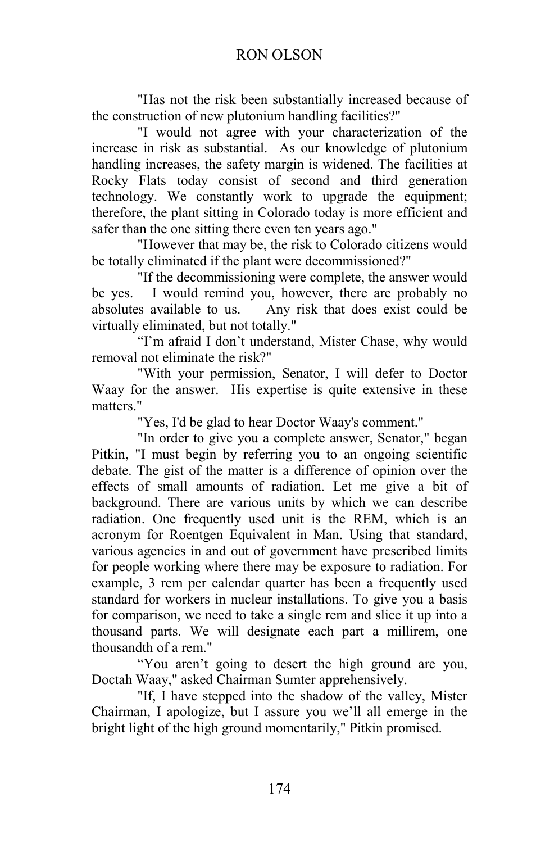"Has not the risk been substantially increased because of the construction of new plutonium handling facilities?"

"I would not agree with your characterization of the increase in risk as substantial. As our knowledge of plutonium handling increases, the safety margin is widened. The facilities at Rocky Flats today consist of second and third generation technology. We constantly work to upgrade the equipment; therefore, the plant sitting in Colorado today is more efficient and safer than the one sitting there even ten years ago."

"However that may be, the risk to Colorado citizens would be totally eliminated if the plant were decommissioned?"

"If the decommissioning were complete, the answer would be yes. I would remind you, however, there are probably no absolutes available to us. Any risk that does exist could be virtually eliminated, but not totally."

"I'm afraid I don't understand, Mister Chase, why would removal not eliminate the risk?"

"With your permission, Senator, I will defer to Doctor Waay for the answer. His expertise is quite extensive in these matters."

"Yes, I'd be glad to hear Doctor Waay's comment."

"In order to give you a complete answer, Senator," began Pitkin, "I must begin by referring you to an ongoing scientific debate. The gist of the matter is a difference of opinion over the effects of small amounts of radiation. Let me give a bit of background. There are various units by which we can describe radiation. One frequently used unit is the REM, which is an acronym for Roentgen Equivalent in Man. Using that standard, various agencies in and out of government have prescribed limits for people working where there may be exposure to radiation. For example, 3 rem per calendar quarter has been a frequently used standard for workers in nuclear installations. To give you a basis for comparison, we need to take a single rem and slice it up into a thousand parts. We will designate each part a millirem, one thousandth of a rem."

"You aren't going to desert the high ground are you, Doctah Waay," asked Chairman Sumter apprehensively.

"If, I have stepped into the shadow of the valley, Mister Chairman, I apologize, but I assure you we'll all emerge in the bright light of the high ground momentarily," Pitkin promised.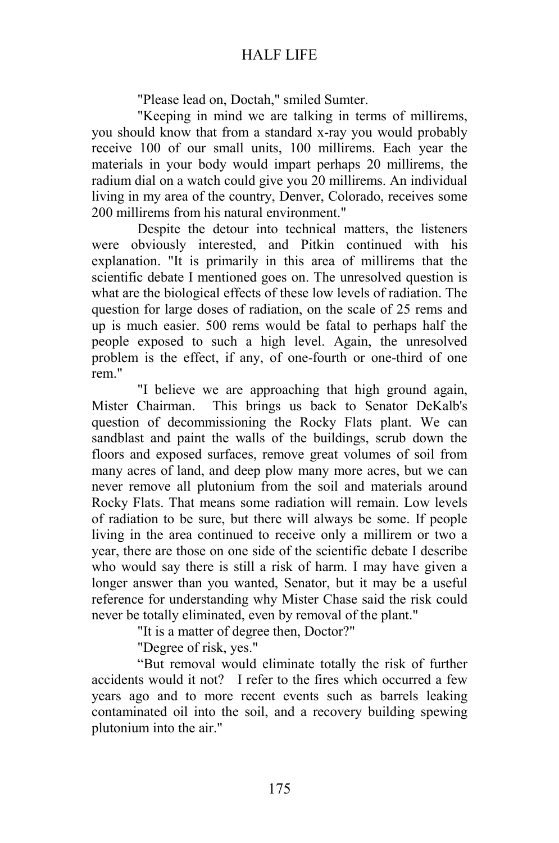"Please lead on, Doctah," smiled Sumter.

"Keeping in mind we are talking in terms of millirems, you should know that from a standard x-ray you would probably receive 100 of our small units, 100 millirems. Each year the materials in your body would impart perhaps 20 millirems, the radium dial on a watch could give you 20 millirems. An individual living in my area of the country, Denver, Colorado, receives some 200 millirems from his natural environment."

Despite the detour into technical matters, the listeners were obviously interested, and Pitkin continued with his explanation. "It is primarily in this area of millirems that the scientific debate I mentioned goes on. The unresolved question is what are the biological effects of these low levels of radiation. The question for large doses of radiation, on the scale of 25 rems and up is much easier. 500 rems would be fatal to perhaps half the people exposed to such a high level. Again, the unresolved problem is the effect, if any, of one-fourth or one-third of one rem."

"I believe we are approaching that high ground again, Mister Chairman. This brings us back to Senator DeKalb's question of decommissioning the Rocky Flats plant. We can sandblast and paint the walls of the buildings, scrub down the floors and exposed surfaces, remove great volumes of soil from many acres of land, and deep plow many more acres, but we can never remove all plutonium from the soil and materials around Rocky Flats. That means some radiation will remain. Low levels of radiation to be sure, but there will always be some. If people living in the area continued to receive only a millirem or two a year, there are those on one side of the scientific debate I describe who would say there is still a risk of harm. I may have given a longer answer than you wanted, Senator, but it may be a useful reference for understanding why Mister Chase said the risk could never be totally eliminated, even by removal of the plant."

"It is a matter of degree then, Doctor?"

"Degree of risk, yes."

 "But removal would eliminate totally the risk of further accidents would it not? I refer to the fires which occurred a few years ago and to more recent events such as barrels leaking contaminated oil into the soil, and a recovery building spewing plutonium into the air."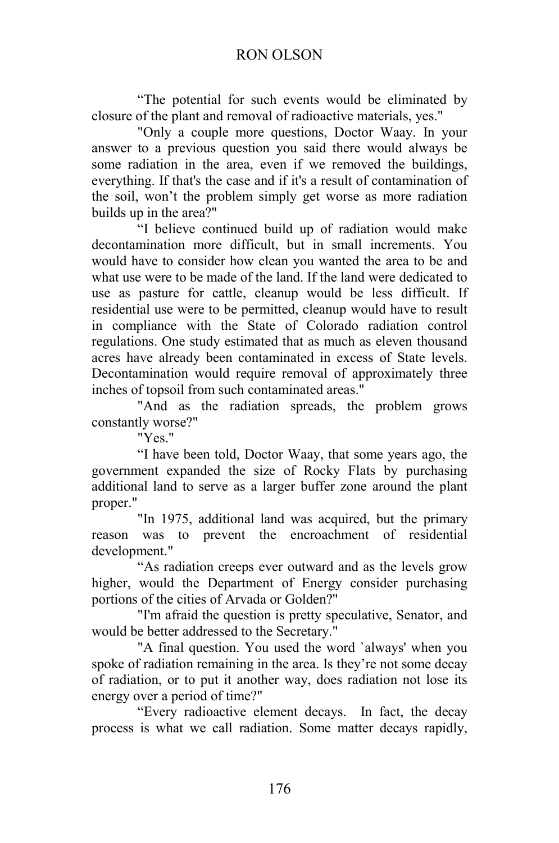"The potential for such events would be eliminated by closure of the plant and removal of radioactive materials, yes."

"Only a couple more questions, Doctor Waay. In your answer to a previous question you said there would always be some radiation in the area, even if we removed the buildings, everything. If that's the case and if it's a result of contamination of the soil, won't the problem simply get worse as more radiation builds up in the area?"

"I believe continued build up of radiation would make decontamination more difficult, but in small increments. You would have to consider how clean you wanted the area to be and what use were to be made of the land. If the land were dedicated to use as pasture for cattle, cleanup would be less difficult. If residential use were to be permitted, cleanup would have to result in compliance with the State of Colorado radiation control regulations. One study estimated that as much as eleven thousand acres have already been contaminated in excess of State levels. Decontamination would require removal of approximately three inches of topsoil from such contaminated areas."

"And as the radiation spreads, the problem grows constantly worse?"

"Yes."

"I have been told, Doctor Waay, that some years ago, the government expanded the size of Rocky Flats by purchasing additional land to serve as a larger buffer zone around the plant proper."

"In 1975, additional land was acquired, but the primary reason was to prevent the encroachment of residential development."

"As radiation creeps ever outward and as the levels grow higher, would the Department of Energy consider purchasing portions of the cities of Arvada or Golden?"

"I'm afraid the question is pretty speculative, Senator, and would be better addressed to the Secretary."

"A final question. You used the word `always' when you spoke of radiation remaining in the area. Is they're not some decay of radiation, or to put it another way, does radiation not lose its energy over a period of time?"

"Every radioactive element decays. In fact, the decay process is what we call radiation. Some matter decays rapidly,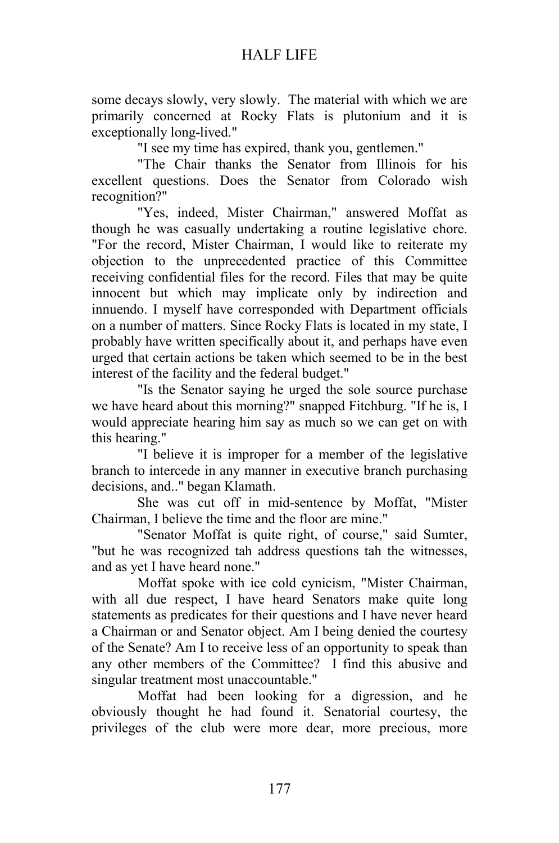some decays slowly, very slowly. The material with which we are primarily concerned at Rocky Flats is plutonium and it is exceptionally long-lived."

"I see my time has expired, thank you, gentlemen."

"The Chair thanks the Senator from Illinois for his excellent questions. Does the Senator from Colorado wish recognition?"

"Yes, indeed, Mister Chairman," answered Moffat as though he was casually undertaking a routine legislative chore. "For the record, Mister Chairman, I would like to reiterate my objection to the unprecedented practice of this Committee receiving confidential files for the record. Files that may be quite innocent but which may implicate only by indirection and innuendo. I myself have corresponded with Department officials on a number of matters. Since Rocky Flats is located in my state, I probably have written specifically about it, and perhaps have even urged that certain actions be taken which seemed to be in the best interest of the facility and the federal budget."

"Is the Senator saying he urged the sole source purchase we have heard about this morning?" snapped Fitchburg. "If he is, I would appreciate hearing him say as much so we can get on with this hearing."

"I believe it is improper for a member of the legislative branch to intercede in any manner in executive branch purchasing decisions, and.." began Klamath.

She was cut off in mid-sentence by Moffat, "Mister Chairman, I believe the time and the floor are mine."

"Senator Moffat is quite right, of course," said Sumter, "but he was recognized tah address questions tah the witnesses, and as yet I have heard none."

Moffat spoke with ice cold cynicism, "Mister Chairman, with all due respect. I have heard Senators make quite long statements as predicates for their questions and I have never heard a Chairman or and Senator object. Am I being denied the courtesy of the Senate? Am I to receive less of an opportunity to speak than any other members of the Committee? I find this abusive and singular treatment most unaccountable."

Moffat had been looking for a digression, and he obviously thought he had found it. Senatorial courtesy, the privileges of the club were more dear, more precious, more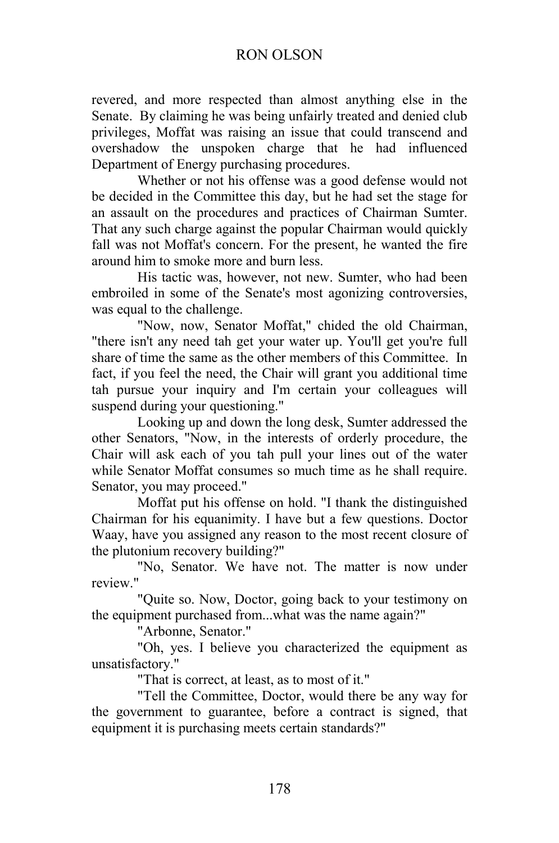### RON OLSON

revered, and more respected than almost anything else in the Senate. By claiming he was being unfairly treated and denied club privileges, Moffat was raising an issue that could transcend and overshadow the unspoken charge that he had influenced Department of Energy purchasing procedures.

Whether or not his offense was a good defense would not be decided in the Committee this day, but he had set the stage for an assault on the procedures and practices of Chairman Sumter. That any such charge against the popular Chairman would quickly fall was not Moffat's concern. For the present, he wanted the fire around him to smoke more and burn less.

His tactic was, however, not new. Sumter, who had been embroiled in some of the Senate's most agonizing controversies, was equal to the challenge.

"Now, now, Senator Moffat," chided the old Chairman, "there isn't any need tah get your water up. You'll get you're full share of time the same as the other members of this Committee. In fact, if you feel the need, the Chair will grant you additional time tah pursue your inquiry and I'm certain your colleagues will suspend during your questioning."

Looking up and down the long desk, Sumter addressed the other Senators, "Now, in the interests of orderly procedure, the Chair will ask each of you tah pull your lines out of the water while Senator Moffat consumes so much time as he shall require. Senator, you may proceed."

Moffat put his offense on hold. "I thank the distinguished Chairman for his equanimity. I have but a few questions. Doctor Waay, have you assigned any reason to the most recent closure of the plutonium recovery building?"

"No, Senator. We have not. The matter is now under review."

"Quite so. Now, Doctor, going back to your testimony on the equipment purchased from...what was the name again?"

"Arbonne, Senator."

"Oh, yes. I believe you characterized the equipment as unsatisfactory."

"That is correct, at least, as to most of it."

"Tell the Committee, Doctor, would there be any way for the government to guarantee, before a contract is signed, that equipment it is purchasing meets certain standards?"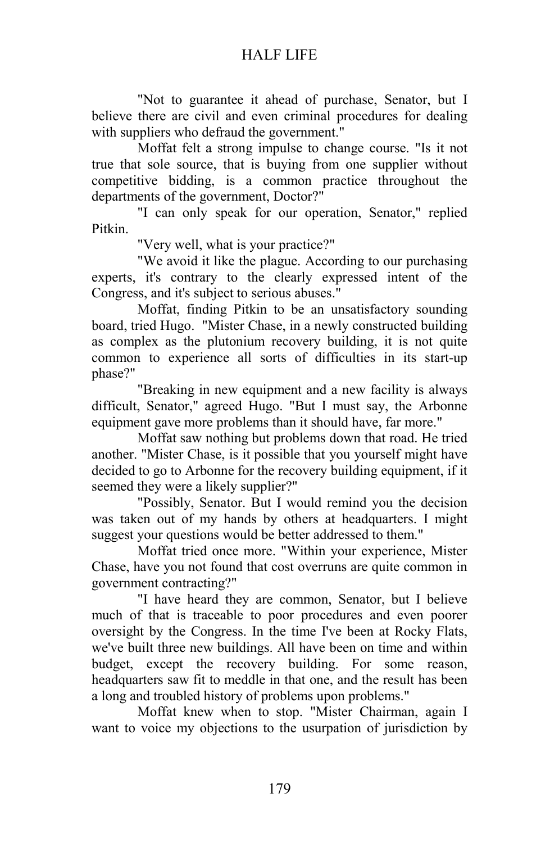"Not to guarantee it ahead of purchase, Senator, but I believe there are civil and even criminal procedures for dealing with suppliers who defraud the government."

Moffat felt a strong impulse to change course. "Is it not true that sole source, that is buying from one supplier without competitive bidding, is a common practice throughout the departments of the government, Doctor?"

"I can only speak for our operation, Senator," replied Pitkin.

"Very well, what is your practice?"

"We avoid it like the plague. According to our purchasing experts, it's contrary to the clearly expressed intent of the Congress, and it's subject to serious abuses."

Moffat, finding Pitkin to be an unsatisfactory sounding board, tried Hugo. "Mister Chase, in a newly constructed building as complex as the plutonium recovery building, it is not quite common to experience all sorts of difficulties in its start-up phase?"

"Breaking in new equipment and a new facility is always difficult, Senator," agreed Hugo. "But I must say, the Arbonne equipment gave more problems than it should have, far more."

Moffat saw nothing but problems down that road. He tried another. "Mister Chase, is it possible that you yourself might have decided to go to Arbonne for the recovery building equipment, if it seemed they were a likely supplier?"

"Possibly, Senator. But I would remind you the decision was taken out of my hands by others at headquarters. I might suggest your questions would be better addressed to them."

Moffat tried once more. "Within your experience, Mister Chase, have you not found that cost overruns are quite common in government contracting?"

"I have heard they are common, Senator, but I believe much of that is traceable to poor procedures and even poorer oversight by the Congress. In the time I've been at Rocky Flats, we've built three new buildings. All have been on time and within budget, except the recovery building. For some reason, headquarters saw fit to meddle in that one, and the result has been a long and troubled history of problems upon problems."

Moffat knew when to stop. "Mister Chairman, again I want to voice my objections to the usurpation of jurisdiction by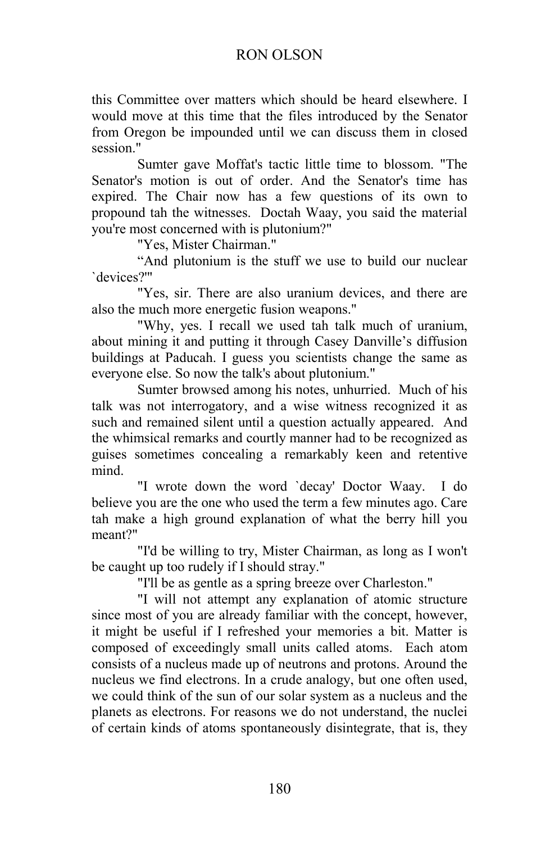this Committee over matters which should be heard elsewhere. I would move at this time that the files introduced by the Senator from Oregon be impounded until we can discuss them in closed session."

Sumter gave Moffat's tactic little time to blossom. "The Senator's motion is out of order. And the Senator's time has expired. The Chair now has a few questions of its own to propound tah the witnesses. Doctah Waay, you said the material you're most concerned with is plutonium?"

"Yes, Mister Chairman."

"And plutonium is the stuff we use to build our nuclear `devices?'"

"Yes, sir. There are also uranium devices, and there are also the much more energetic fusion weapons."

"Why, yes. I recall we used tah talk much of uranium, about mining it and putting it through Casey Danville's diffusion buildings at Paducah. I guess you scientists change the same as everyone else. So now the talk's about plutonium."

Sumter browsed among his notes, unhurried. Much of his talk was not interrogatory, and a wise witness recognized it as such and remained silent until a question actually appeared. And the whimsical remarks and courtly manner had to be recognized as guises sometimes concealing a remarkably keen and retentive mind.

"I wrote down the word `decay' Doctor Waay. I do believe you are the one who used the term a few minutes ago. Care tah make a high ground explanation of what the berry hill you meant?"

"I'd be willing to try, Mister Chairman, as long as I won't be caught up too rudely if I should stray."

"I'll be as gentle as a spring breeze over Charleston."

"I will not attempt any explanation of atomic structure since most of you are already familiar with the concept, however, it might be useful if I refreshed your memories a bit. Matter is composed of exceedingly small units called atoms. Each atom consists of a nucleus made up of neutrons and protons. Around the nucleus we find electrons. In a crude analogy, but one often used, we could think of the sun of our solar system as a nucleus and the planets as electrons. For reasons we do not understand, the nuclei of certain kinds of atoms spontaneously disintegrate, that is, they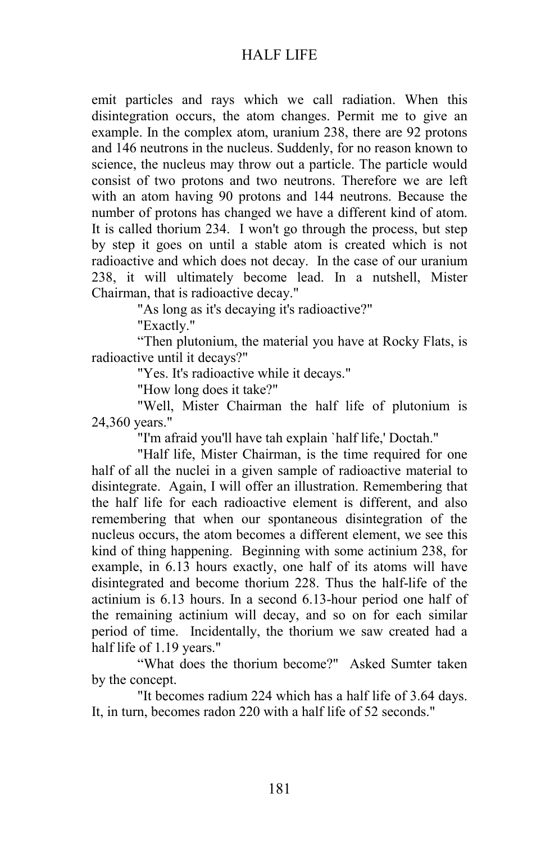emit particles and rays which we call radiation. When this disintegration occurs, the atom changes. Permit me to give an example. In the complex atom, uranium 238, there are 92 protons and 146 neutrons in the nucleus. Suddenly, for no reason known to science, the nucleus may throw out a particle. The particle would consist of two protons and two neutrons. Therefore we are left with an atom having 90 protons and 144 neutrons. Because the number of protons has changed we have a different kind of atom. It is called thorium 234. I won't go through the process, but step by step it goes on until a stable atom is created which is not radioactive and which does not decay. In the case of our uranium 238, it will ultimately become lead. In a nutshell, Mister Chairman, that is radioactive decay."

"As long as it's decaying it's radioactive?"

"Exactly."

"Then plutonium, the material you have at Rocky Flats, is radioactive until it decays?"

"Yes. It's radioactive while it decays."

"How long does it take?"

 "Well, Mister Chairman the half life of plutonium is 24,360 years."

"I'm afraid you'll have tah explain `half life,' Doctah."

"Half life, Mister Chairman, is the time required for one half of all the nuclei in a given sample of radioactive material to disintegrate. Again, I will offer an illustration. Remembering that the half life for each radioactive element is different, and also remembering that when our spontaneous disintegration of the nucleus occurs, the atom becomes a different element, we see this kind of thing happening. Beginning with some actinium 238, for example, in 6.13 hours exactly, one half of its atoms will have disintegrated and become thorium 228. Thus the half-life of the actinium is 6.13 hours. In a second 6.13-hour period one half of the remaining actinium will decay, and so on for each similar period of time. Incidentally, the thorium we saw created had a half life of 1.19 years."

"What does the thorium become?" Asked Sumter taken by the concept.

"It becomes radium 224 which has a half life of 3.64 days. It, in turn, becomes radon 220 with a half life of 52 seconds."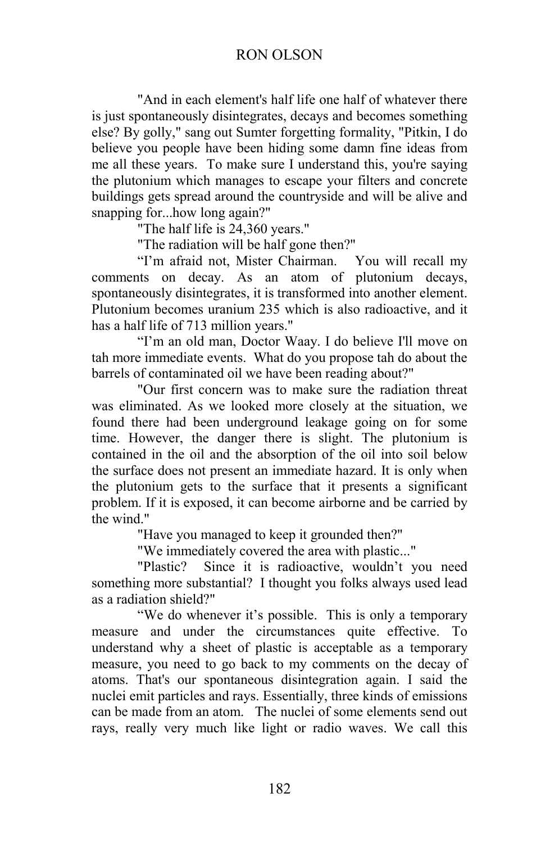### RON OLSON

"And in each element's half life one half of whatever there is just spontaneously disintegrates, decays and becomes something else? By golly," sang out Sumter forgetting formality, "Pitkin, I do believe you people have been hiding some damn fine ideas from me all these years. To make sure I understand this, you're saying the plutonium which manages to escape your filters and concrete buildings gets spread around the countryside and will be alive and snapping for...how long again?"

"The half life is 24,360 years."

"The radiation will be half gone then?"

"I'm afraid not, Mister Chairman. You will recall my comments on decay. As an atom of plutonium decays, spontaneously disintegrates, it is transformed into another element. Plutonium becomes uranium 235 which is also radioactive, and it has a half life of 713 million years."

"I'm an old man, Doctor Waay. I do believe I'll move on tah more immediate events. What do you propose tah do about the barrels of contaminated oil we have been reading about?"

"Our first concern was to make sure the radiation threat was eliminated. As we looked more closely at the situation, we found there had been underground leakage going on for some time. However, the danger there is slight. The plutonium is contained in the oil and the absorption of the oil into soil below the surface does not present an immediate hazard. It is only when the plutonium gets to the surface that it presents a significant problem. If it is exposed, it can become airborne and be carried by the wind."

"Have you managed to keep it grounded then?"

"We immediately covered the area with plastic..."

"Plastic? Since it is radioactive, wouldn't you need something more substantial? I thought you folks always used lead as a radiation shield?"

"We do whenever it's possible. This is only a temporary measure and under the circumstances quite effective. To understand why a sheet of plastic is acceptable as a temporary measure, you need to go back to my comments on the decay of atoms. That's our spontaneous disintegration again. I said the nuclei emit particles and rays. Essentially, three kinds of emissions can be made from an atom. The nuclei of some elements send out rays, really very much like light or radio waves. We call this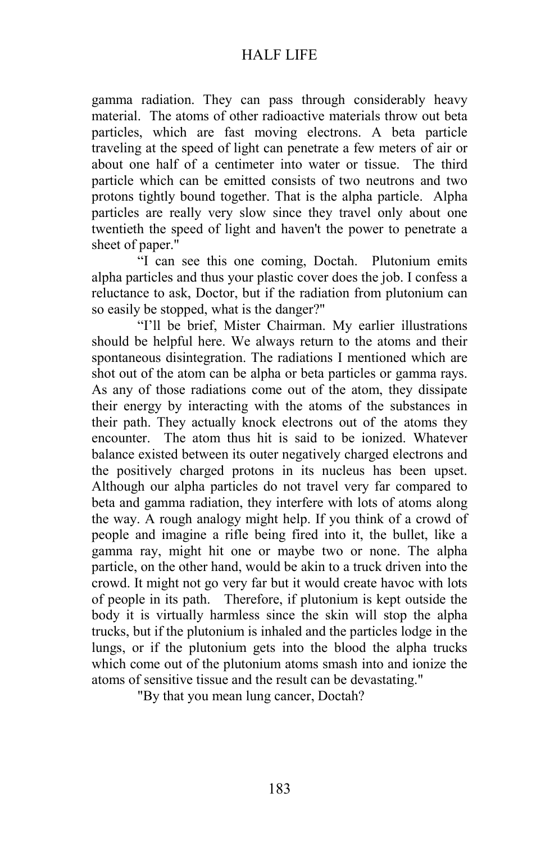gamma radiation. They can pass through considerably heavy material. The atoms of other radioactive materials throw out beta particles, which are fast moving electrons. A beta particle traveling at the speed of light can penetrate a few meters of air or about one half of a centimeter into water or tissue. The third particle which can be emitted consists of two neutrons and two protons tightly bound together. That is the alpha particle. Alpha particles are really very slow since they travel only about one twentieth the speed of light and haven't the power to penetrate a sheet of paper."

"I can see this one coming, Doctah. Plutonium emits alpha particles and thus your plastic cover does the job. I confess a reluctance to ask, Doctor, but if the radiation from plutonium can so easily be stopped, what is the danger?"

"I'll be brief, Mister Chairman. My earlier illustrations should be helpful here. We always return to the atoms and their spontaneous disintegration. The radiations I mentioned which are shot out of the atom can be alpha or beta particles or gamma rays. As any of those radiations come out of the atom, they dissipate their energy by interacting with the atoms of the substances in their path. They actually knock electrons out of the atoms they encounter. The atom thus hit is said to be ionized. Whatever balance existed between its outer negatively charged electrons and the positively charged protons in its nucleus has been upset. Although our alpha particles do not travel very far compared to beta and gamma radiation, they interfere with lots of atoms along the way. A rough analogy might help. If you think of a crowd of people and imagine a rifle being fired into it, the bullet, like a gamma ray, might hit one or maybe two or none. The alpha particle, on the other hand, would be akin to a truck driven into the crowd. It might not go very far but it would create havoc with lots of people in its path. Therefore, if plutonium is kept outside the body it is virtually harmless since the skin will stop the alpha trucks, but if the plutonium is inhaled and the particles lodge in the lungs, or if the plutonium gets into the blood the alpha trucks which come out of the plutonium atoms smash into and ionize the atoms of sensitive tissue and the result can be devastating."

"By that you mean lung cancer, Doctah?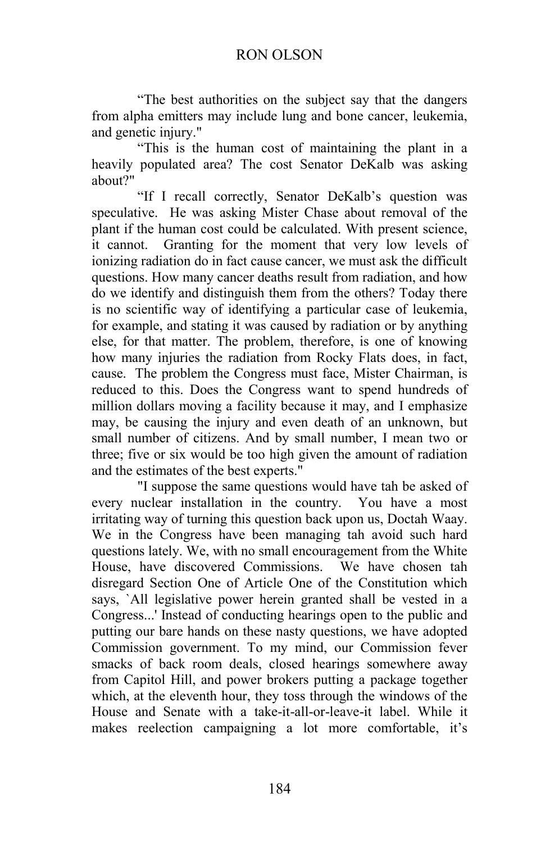"The best authorities on the subject say that the dangers from alpha emitters may include lung and bone cancer, leukemia, and genetic injury."

"This is the human cost of maintaining the plant in a heavily populated area? The cost Senator DeKalb was asking about?"

"If I recall correctly, Senator DeKalb's question was speculative. He was asking Mister Chase about removal of the plant if the human cost could be calculated. With present science, it cannot. Granting for the moment that very low levels of ionizing radiation do in fact cause cancer, we must ask the difficult questions. How many cancer deaths result from radiation, and how do we identify and distinguish them from the others? Today there is no scientific way of identifying a particular case of leukemia, for example, and stating it was caused by radiation or by anything else, for that matter. The problem, therefore, is one of knowing how many injuries the radiation from Rocky Flats does, in fact, cause. The problem the Congress must face, Mister Chairman, is reduced to this. Does the Congress want to spend hundreds of million dollars moving a facility because it may, and I emphasize may, be causing the injury and even death of an unknown, but small number of citizens. And by small number, I mean two or three; five or six would be too high given the amount of radiation and the estimates of the best experts."

"I suppose the same questions would have tah be asked of every nuclear installation in the country. You have a most irritating way of turning this question back upon us, Doctah Waay. We in the Congress have been managing tah avoid such hard questions lately. We, with no small encouragement from the White House, have discovered Commissions. We have chosen tah disregard Section One of Article One of the Constitution which says, `All legislative power herein granted shall be vested in a Congress...' Instead of conducting hearings open to the public and putting our bare hands on these nasty questions, we have adopted Commission government. To my mind, our Commission fever smacks of back room deals, closed hearings somewhere away from Capitol Hill, and power brokers putting a package together which, at the eleventh hour, they toss through the windows of the House and Senate with a take-it-all-or-leave-it label. While it makes reelection campaigning a lot more comfortable, it's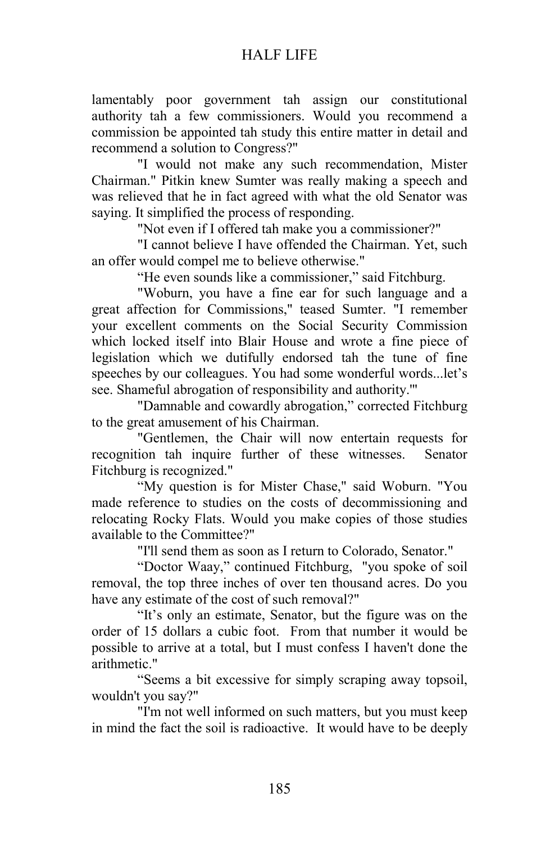lamentably poor government tah assign our constitutional authority tah a few commissioners. Would you recommend a commission be appointed tah study this entire matter in detail and recommend a solution to Congress?"

"I would not make any such recommendation, Mister Chairman." Pitkin knew Sumter was really making a speech and was relieved that he in fact agreed with what the old Senator was saying. It simplified the process of responding.

"Not even if I offered tah make you a commissioner?"

"I cannot believe I have offended the Chairman. Yet, such an offer would compel me to believe otherwise."

"He even sounds like a commissioner," said Fitchburg.

"Woburn, you have a fine ear for such language and a great affection for Commissions," teased Sumter. "I remember your excellent comments on the Social Security Commission which locked itself into Blair House and wrote a fine piece of legislation which we dutifully endorsed tah the tune of fine speeches by our colleagues. You had some wonderful words...let's see. Shameful abrogation of responsibility and authority.'"

"Damnable and cowardly abrogation," corrected Fitchburg to the great amusement of his Chairman.

"Gentlemen, the Chair will now entertain requests for recognition tah inquire further of these witnesses. Senator Fitchburg is recognized."

"My question is for Mister Chase," said Woburn. "You made reference to studies on the costs of decommissioning and relocating Rocky Flats. Would you make copies of those studies available to the Committee?"

"I'll send them as soon as I return to Colorado, Senator."

"Doctor Waay," continued Fitchburg, "you spoke of soil removal, the top three inches of over ten thousand acres. Do you have any estimate of the cost of such removal?"

"It's only an estimate, Senator, but the figure was on the order of 15 dollars a cubic foot. From that number it would be possible to arrive at a total, but I must confess I haven't done the arithmetic."

"Seems a bit excessive for simply scraping away topsoil, wouldn't you say?"

"I'm not well informed on such matters, but you must keep in mind the fact the soil is radioactive. It would have to be deeply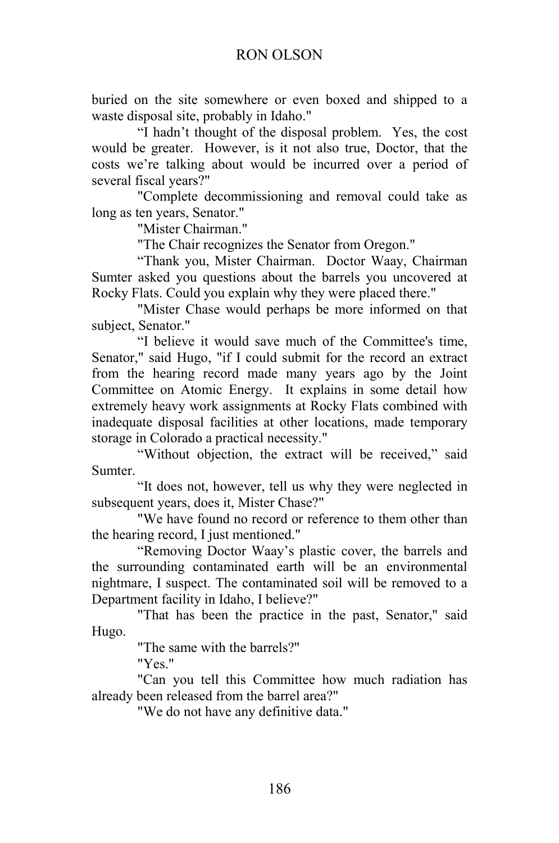buried on the site somewhere or even boxed and shipped to a waste disposal site, probably in Idaho."

"I hadn't thought of the disposal problem. Yes, the cost would be greater. However, is it not also true, Doctor, that the costs we're talking about would be incurred over a period of several fiscal years?"

"Complete decommissioning and removal could take as long as ten years, Senator."

"Mister Chairman."

"The Chair recognizes the Senator from Oregon."

"Thank you, Mister Chairman. Doctor Waay, Chairman Sumter asked you questions about the barrels you uncovered at Rocky Flats. Could you explain why they were placed there."

"Mister Chase would perhaps be more informed on that subject, Senator."

"I believe it would save much of the Committee's time, Senator," said Hugo, "if I could submit for the record an extract from the hearing record made many years ago by the Joint Committee on Atomic Energy. It explains in some detail how extremely heavy work assignments at Rocky Flats combined with inadequate disposal facilities at other locations, made temporary storage in Colorado a practical necessity."

"Without objection, the extract will be received," said **Sumter** 

"It does not, however, tell us why they were neglected in subsequent years, does it, Mister Chase?"

"We have found no record or reference to them other than the hearing record, I just mentioned."

"Removing Doctor Waay's plastic cover, the barrels and the surrounding contaminated earth will be an environmental nightmare, I suspect. The contaminated soil will be removed to a Department facility in Idaho, I believe?"

"That has been the practice in the past, Senator," said Hugo.

"The same with the barrels?"

"Yes."

 "Can you tell this Committee how much radiation has already been released from the barrel area?"

"We do not have any definitive data."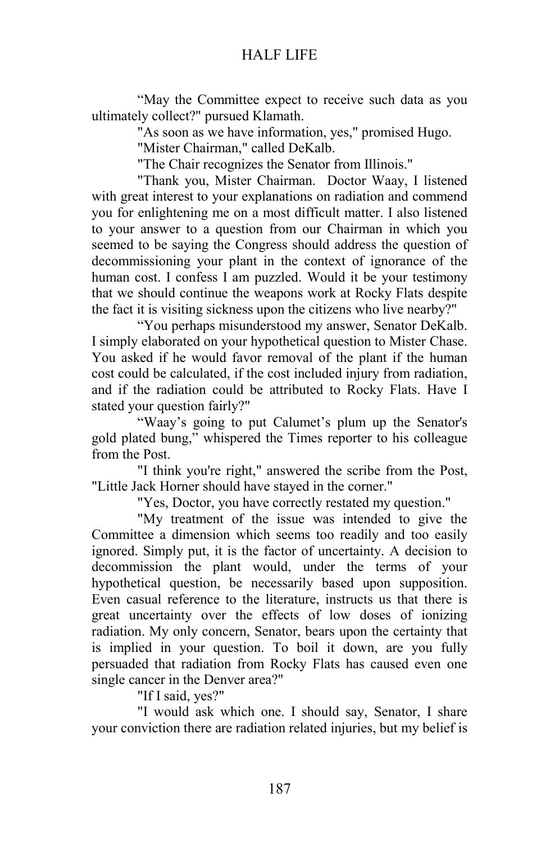"May the Committee expect to receive such data as you ultimately collect?" pursued Klamath.

"As soon as we have information, yes," promised Hugo.

"Mister Chairman," called DeKalb.

"The Chair recognizes the Senator from Illinois."

"Thank you, Mister Chairman. Doctor Waay, I listened with great interest to your explanations on radiation and commend you for enlightening me on a most difficult matter. I also listened to your answer to a question from our Chairman in which you seemed to be saying the Congress should address the question of decommissioning your plant in the context of ignorance of the human cost. I confess I am puzzled. Would it be your testimony that we should continue the weapons work at Rocky Flats despite the fact it is visiting sickness upon the citizens who live nearby?"

"You perhaps misunderstood my answer, Senator DeKalb. I simply elaborated on your hypothetical question to Mister Chase. You asked if he would favor removal of the plant if the human cost could be calculated, if the cost included injury from radiation, and if the radiation could be attributed to Rocky Flats. Have I stated your question fairly?"

"Waay's going to put Calumet's plum up the Senator's gold plated bung," whispered the Times reporter to his colleague from the Post.

"I think you're right," answered the scribe from the Post, "Little Jack Horner should have stayed in the corner."

"Yes, Doctor, you have correctly restated my question."

"My treatment of the issue was intended to give the Committee a dimension which seems too readily and too easily ignored. Simply put, it is the factor of uncertainty. A decision to decommission the plant would, under the terms of your hypothetical question, be necessarily based upon supposition. Even casual reference to the literature, instructs us that there is great uncertainty over the effects of low doses of ionizing radiation. My only concern, Senator, bears upon the certainty that is implied in your question. To boil it down, are you fully persuaded that radiation from Rocky Flats has caused even one single cancer in the Denver area?"

"If I said, yes?"

"I would ask which one. I should say, Senator, I share your conviction there are radiation related injuries, but my belief is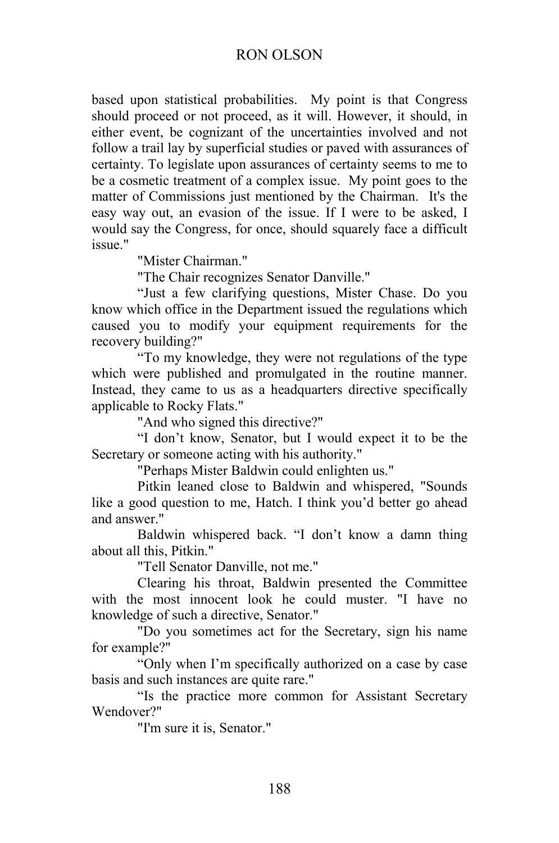#### RON OLSON

based upon statistical probabilities. My point is that Congress should proceed or not proceed, as it will. However, it should, in either event, be cognizant of the uncertainties involved and not follow a trail lay by superficial studies or paved with assurances of certainty. To legislate upon assurances of certainty seems to me to be a cosmetic treatment of a complex issue. My point goes to the matter of Commissions just mentioned by the Chairman. It's the easy way out, an evasion of the issue. If I were to be asked, I would say the Congress, for once, should squarely face a difficult issue."

"Mister Chairman."

"The Chair recognizes Senator Danville."

"Just a few clarifying questions, Mister Chase. Do you know which office in the Department issued the regulations which caused you to modify your equipment requirements for the recovery building?"

"To my knowledge, they were not regulations of the type which were published and promulgated in the routine manner. Instead, they came to us as a headquarters directive specifically applicable to Rocky Flats."

"And who signed this directive?"

"I don't know, Senator, but I would expect it to be the Secretary or someone acting with his authority."

"Perhaps Mister Baldwin could enlighten us."

 Pitkin leaned close to Baldwin and whispered, "Sounds like a good question to me, Hatch. I think you'd better go ahead and answer."

Baldwin whispered back. "I don't know a damn thing about all this, Pitkin."

"Tell Senator Danville, not me."

Clearing his throat, Baldwin presented the Committee with the most innocent look he could muster. "I have no knowledge of such a directive, Senator."

"Do you sometimes act for the Secretary, sign his name for example?"

"Only when I'm specifically authorized on a case by case basis and such instances are quite rare."

"Is the practice more common for Assistant Secretary Wendover?"

"I'm sure it is, Senator."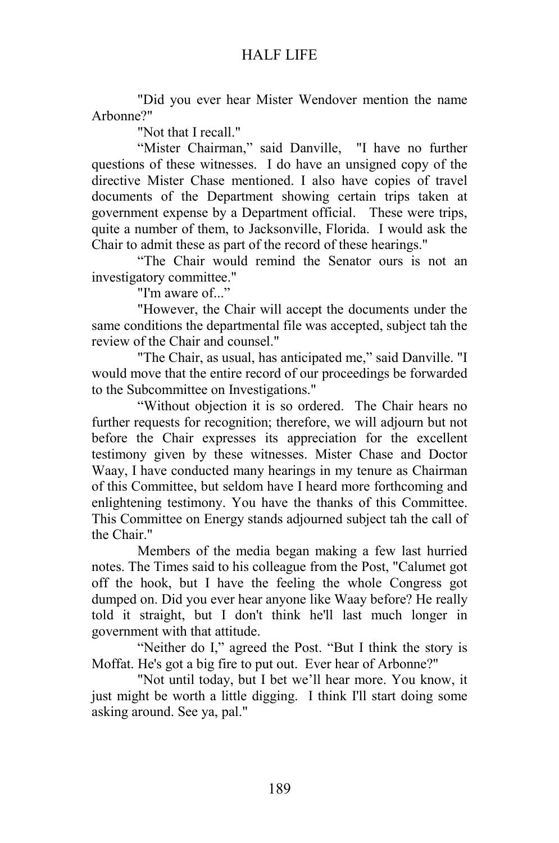"Did you ever hear Mister Wendover mention the name Arbonne?"

"Not that I recall."

"Mister Chairman," said Danville, "I have no further questions of these witnesses. I do have an unsigned copy of the directive Mister Chase mentioned. I also have copies of travel documents of the Department showing certain trips taken at government expense by a Department official. These were trips, quite a number of them, to Jacksonville, Florida. I would ask the Chair to admit these as part of the record of these hearings."

"The Chair would remind the Senator ours is not an investigatory committee."

"I'm aware of "

"However, the Chair will accept the documents under the same conditions the departmental file was accepted, subject tah the review of the Chair and counsel."

"The Chair, as usual, has anticipated me," said Danville. "I would move that the entire record of our proceedings be forwarded to the Subcommittee on Investigations."

"Without objection it is so ordered. The Chair hears no further requests for recognition; therefore, we will adjourn but not before the Chair expresses its appreciation for the excellent testimony given by these witnesses. Mister Chase and Doctor Waay, I have conducted many hearings in my tenure as Chairman of this Committee, but seldom have I heard more forthcoming and enlightening testimony. You have the thanks of this Committee. This Committee on Energy stands adjourned subject tah the call of the Chair"

Members of the media began making a few last hurried notes. The Times said to his colleague from the Post, "Calumet got off the hook, but I have the feeling the whole Congress got dumped on. Did you ever hear anyone like Waay before? He really told it straight, but I don't think he'll last much longer in government with that attitude.

"Neither do I," agreed the Post. "But I think the story is Moffat. He's got a big fire to put out. Ever hear of Arbonne?"

"Not until today, but I bet we'll hear more. You know, it just might be worth a little digging. I think I'll start doing some asking around. See ya, pal."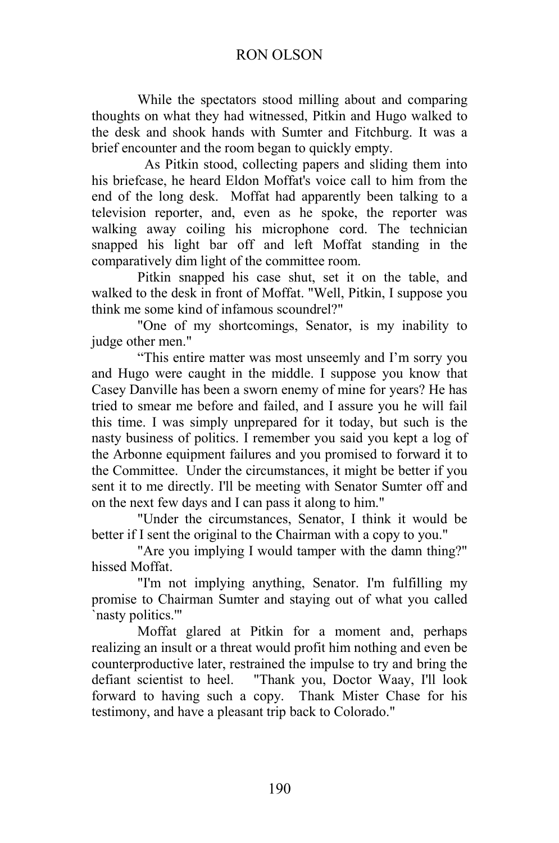### RON OLSON

While the spectators stood milling about and comparing thoughts on what they had witnessed, Pitkin and Hugo walked to the desk and shook hands with Sumter and Fitchburg. It was a brief encounter and the room began to quickly empty.

 As Pitkin stood, collecting papers and sliding them into his briefcase, he heard Eldon Moffat's voice call to him from the end of the long desk. Moffat had apparently been talking to a television reporter, and, even as he spoke, the reporter was walking away coiling his microphone cord. The technician snapped his light bar off and left Moffat standing in the comparatively dim light of the committee room.

Pitkin snapped his case shut, set it on the table, and walked to the desk in front of Moffat. "Well, Pitkin, I suppose you think me some kind of infamous scoundrel?"

"One of my shortcomings, Senator, is my inability to judge other men."

"This entire matter was most unseemly and I'm sorry you and Hugo were caught in the middle. I suppose you know that Casey Danville has been a sworn enemy of mine for years? He has tried to smear me before and failed, and I assure you he will fail this time. I was simply unprepared for it today, but such is the nasty business of politics. I remember you said you kept a log of the Arbonne equipment failures and you promised to forward it to the Committee. Under the circumstances, it might be better if you sent it to me directly. I'll be meeting with Senator Sumter off and on the next few days and I can pass it along to him."

"Under the circumstances, Senator, I think it would be better if I sent the original to the Chairman with a copy to you."

"Are you implying I would tamper with the damn thing?" hissed Moffat.

"I'm not implying anything, Senator. I'm fulfilling my promise to Chairman Sumter and staying out of what you called `nasty politics.'"

Moffat glared at Pitkin for a moment and, perhaps realizing an insult or a threat would profit him nothing and even be counterproductive later, restrained the impulse to try and bring the defiant scientist to heel. "Thank you, Doctor Waay, I'll look forward to having such a copy. Thank Mister Chase for his testimony, and have a pleasant trip back to Colorado."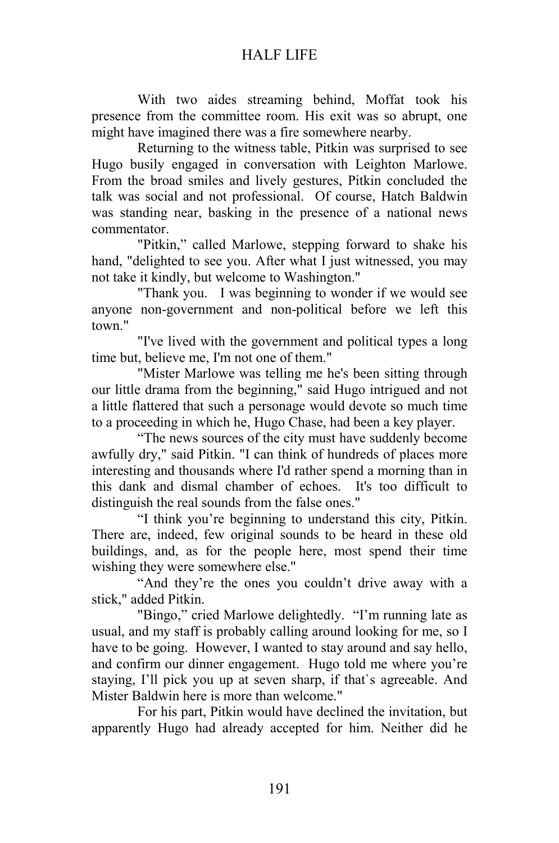With two aides streaming behind, Moffat took his presence from the committee room. His exit was so abrupt, one might have imagined there was a fire somewhere nearby.

Returning to the witness table, Pitkin was surprised to see Hugo busily engaged in conversation with Leighton Marlowe. From the broad smiles and lively gestures, Pitkin concluded the talk was social and not professional. Of course, Hatch Baldwin was standing near, basking in the presence of a national news commentator.

"Pitkin," called Marlowe, stepping forward to shake his hand, "delighted to see you. After what I just witnessed, you may not take it kindly, but welcome to Washington."

"Thank you. I was beginning to wonder if we would see anyone non-government and non-political before we left this town."

"I've lived with the government and political types a long time but, believe me, I'm not one of them."

"Mister Marlowe was telling me he's been sitting through our little drama from the beginning," said Hugo intrigued and not a little flattered that such a personage would devote so much time to a proceeding in which he, Hugo Chase, had been a key player.

"The news sources of the city must have suddenly become awfully dry," said Pitkin. "I can think of hundreds of places more interesting and thousands where I'd rather spend a morning than in this dank and dismal chamber of echoes. It's too difficult to distinguish the real sounds from the false ones."

"I think you're beginning to understand this city, Pitkin. There are, indeed, few original sounds to be heard in these old buildings, and, as for the people here, most spend their time wishing they were somewhere else."

"And they're the ones you couldn't drive away with a stick," added Pitkin.

"Bingo," cried Marlowe delightedly. "I'm running late as usual, and my staff is probably calling around looking for me, so I have to be going. However, I wanted to stay around and say hello, and confirm our dinner engagement. Hugo told me where you're staying, I'll pick you up at seven sharp, if that`s agreeable. And Mister Baldwin here is more than welcome."

For his part, Pitkin would have declined the invitation, but apparently Hugo had already accepted for him. Neither did he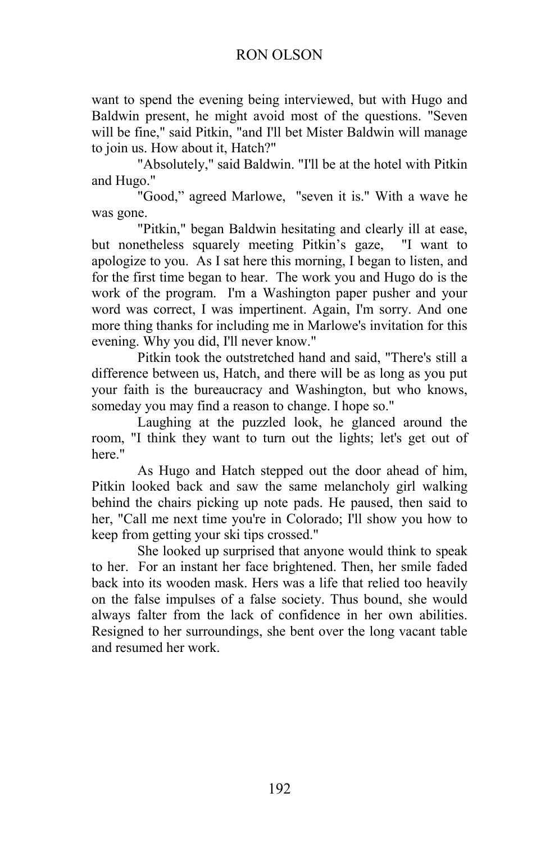### RON OLSON

want to spend the evening being interviewed, but with Hugo and Baldwin present, he might avoid most of the questions. "Seven will be fine," said Pitkin, "and I'll bet Mister Baldwin will manage to join us. How about it, Hatch?"

"Absolutely," said Baldwin. "I'll be at the hotel with Pitkin and Hugo."

"Good," agreed Marlowe, "seven it is." With a wave he was gone.

"Pitkin," began Baldwin hesitating and clearly ill at ease, but nonetheless squarely meeting Pitkin's gaze, "I want to apologize to you. As I sat here this morning, I began to listen, and for the first time began to hear. The work you and Hugo do is the work of the program. I'm a Washington paper pusher and your word was correct, I was impertinent. Again, I'm sorry. And one more thing thanks for including me in Marlowe's invitation for this evening. Why you did, I'll never know."

Pitkin took the outstretched hand and said, "There's still a difference between us, Hatch, and there will be as long as you put your faith is the bureaucracy and Washington, but who knows, someday you may find a reason to change. I hope so."

Laughing at the puzzled look, he glanced around the room, "I think they want to turn out the lights; let's get out of here."

As Hugo and Hatch stepped out the door ahead of him, Pitkin looked back and saw the same melancholy girl walking behind the chairs picking up note pads. He paused, then said to her, "Call me next time you're in Colorado; I'll show you how to keep from getting your ski tips crossed."

She looked up surprised that anyone would think to speak to her. For an instant her face brightened. Then, her smile faded back into its wooden mask. Hers was a life that relied too heavily on the false impulses of a false society. Thus bound, she would always falter from the lack of confidence in her own abilities. Resigned to her surroundings, she bent over the long vacant table and resumed her work.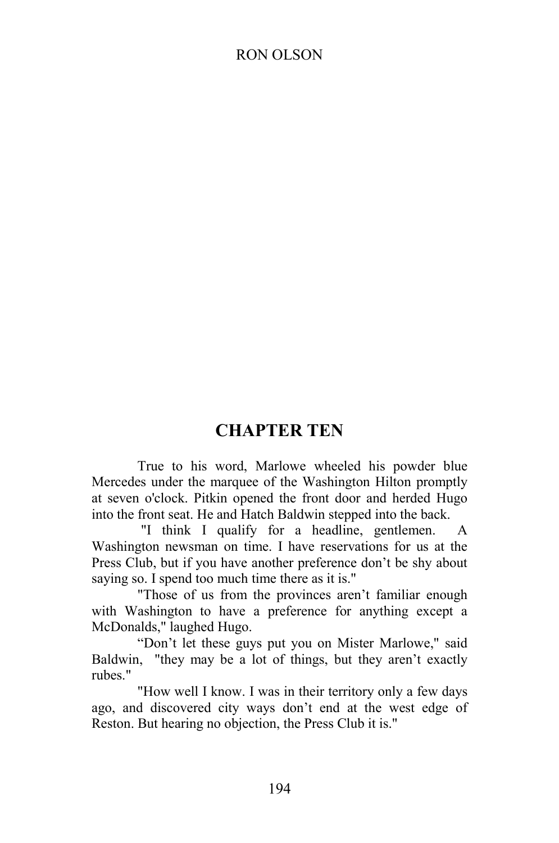## RON OLSON

# **CHAPTER TEN**

True to his word, Marlowe wheeled his powder blue Mercedes under the marquee of the Washington Hilton promptly at seven o'clock. Pitkin opened the front door and herded Hugo into the front seat. He and Hatch Baldwin stepped into the back.

 "I think I qualify for a headline, gentlemen. A Washington newsman on time. I have reservations for us at the Press Club, but if you have another preference don't be shy about saying so. I spend too much time there as it is."

"Those of us from the provinces aren't familiar enough with Washington to have a preference for anything except a McDonalds," laughed Hugo.

"Don't let these guys put you on Mister Marlowe," said Baldwin, "they may be a lot of things, but they aren't exactly rubes."

"How well I know. I was in their territory only a few days ago, and discovered city ways don't end at the west edge of Reston. But hearing no objection, the Press Club it is."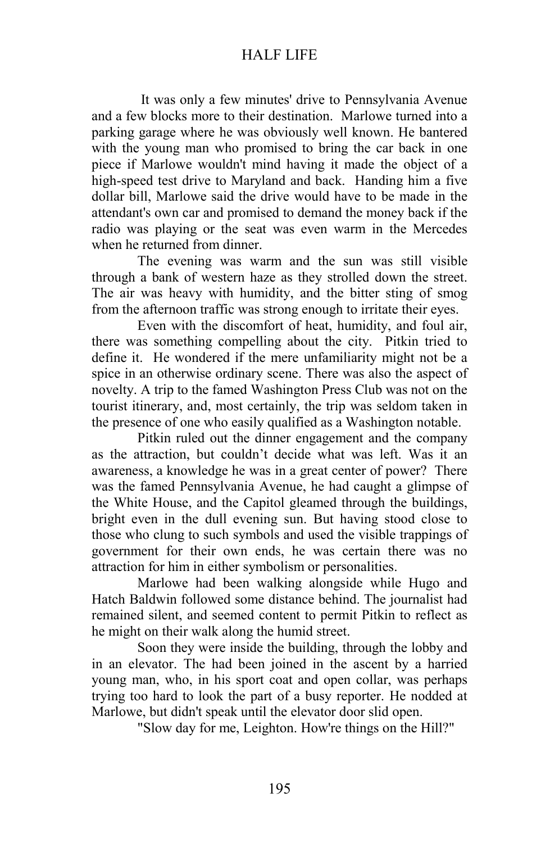It was only a few minutes' drive to Pennsylvania Avenue and a few blocks more to their destination. Marlowe turned into a parking garage where he was obviously well known. He bantered with the young man who promised to bring the car back in one piece if Marlowe wouldn't mind having it made the object of a high-speed test drive to Maryland and back. Handing him a five dollar bill, Marlowe said the drive would have to be made in the attendant's own car and promised to demand the money back if the radio was playing or the seat was even warm in the Mercedes when he returned from dinner.

The evening was warm and the sun was still visible through a bank of western haze as they strolled down the street. The air was heavy with humidity, and the bitter sting of smog from the afternoon traffic was strong enough to irritate their eyes.

Even with the discomfort of heat, humidity, and foul air, there was something compelling about the city. Pitkin tried to define it. He wondered if the mere unfamiliarity might not be a spice in an otherwise ordinary scene. There was also the aspect of novelty. A trip to the famed Washington Press Club was not on the tourist itinerary, and, most certainly, the trip was seldom taken in the presence of one who easily qualified as a Washington notable.

Pitkin ruled out the dinner engagement and the company as the attraction, but couldn't decide what was left. Was it an awareness, a knowledge he was in a great center of power? There was the famed Pennsylvania Avenue, he had caught a glimpse of the White House, and the Capitol gleamed through the buildings, bright even in the dull evening sun. But having stood close to those who clung to such symbols and used the visible trappings of government for their own ends, he was certain there was no attraction for him in either symbolism or personalities.

Marlowe had been walking alongside while Hugo and Hatch Baldwin followed some distance behind. The journalist had remained silent, and seemed content to permit Pitkin to reflect as he might on their walk along the humid street.

Soon they were inside the building, through the lobby and in an elevator. The had been joined in the ascent by a harried young man, who, in his sport coat and open collar, was perhaps trying too hard to look the part of a busy reporter. He nodded at Marlowe, but didn't speak until the elevator door slid open.

"Slow day for me, Leighton. How're things on the Hill?"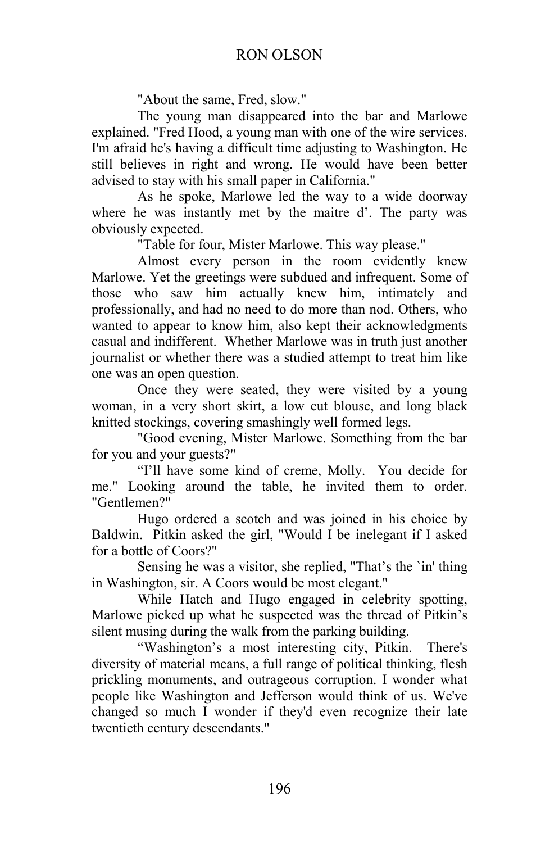"About the same, Fred, slow."

The young man disappeared into the bar and Marlowe explained. "Fred Hood, a young man with one of the wire services. I'm afraid he's having a difficult time adjusting to Washington. He still believes in right and wrong. He would have been better advised to stay with his small paper in California."

As he spoke, Marlowe led the way to a wide doorway where he was instantly met by the maitre d'. The party was obviously expected.

"Table for four, Mister Marlowe. This way please."

Almost every person in the room evidently knew Marlowe. Yet the greetings were subdued and infrequent. Some of those who saw him actually knew him, intimately and professionally, and had no need to do more than nod. Others, who wanted to appear to know him, also kept their acknowledgments casual and indifferent. Whether Marlowe was in truth just another journalist or whether there was a studied attempt to treat him like one was an open question.

Once they were seated, they were visited by a young woman, in a very short skirt, a low cut blouse, and long black knitted stockings, covering smashingly well formed legs.

"Good evening, Mister Marlowe. Something from the bar for you and your guests?"

"I'll have some kind of creme, Molly. You decide for me." Looking around the table, he invited them to order. "Gentlemen?"

Hugo ordered a scotch and was joined in his choice by Baldwin. Pitkin asked the girl, "Would I be inelegant if I asked for a bottle of Coors?"

Sensing he was a visitor, she replied, "That's the `in' thing in Washington, sir. A Coors would be most elegant."

While Hatch and Hugo engaged in celebrity spotting, Marlowe picked up what he suspected was the thread of Pitkin's silent musing during the walk from the parking building.

"Washington's a most interesting city, Pitkin. There's diversity of material means, a full range of political thinking, flesh prickling monuments, and outrageous corruption. I wonder what people like Washington and Jefferson would think of us. We've changed so much I wonder if they'd even recognize their late twentieth century descendants."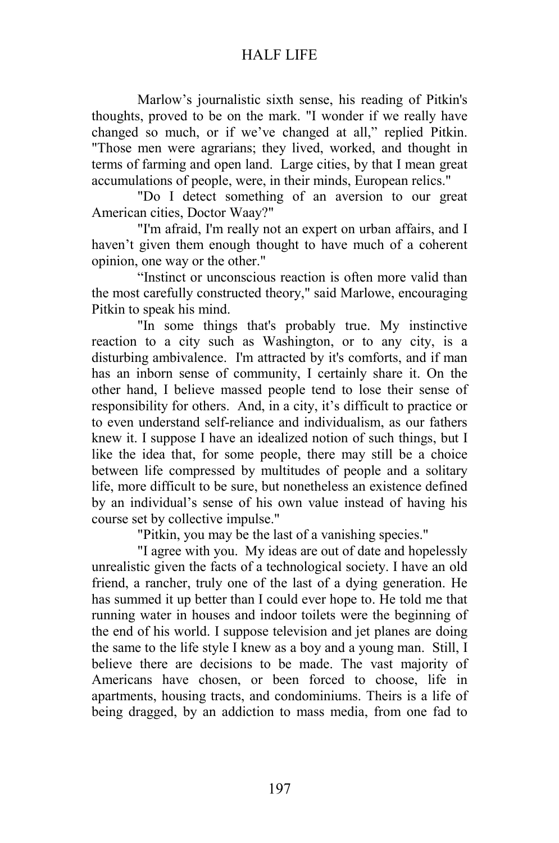Marlow's journalistic sixth sense, his reading of Pitkin's thoughts, proved to be on the mark. "I wonder if we really have changed so much, or if we've changed at all," replied Pitkin. "Those men were agrarians; they lived, worked, and thought in terms of farming and open land. Large cities, by that I mean great accumulations of people, were, in their minds, European relics."

"Do I detect something of an aversion to our great American cities, Doctor Waay?"

"I'm afraid, I'm really not an expert on urban affairs, and I haven't given them enough thought to have much of a coherent opinion, one way or the other."

"Instinct or unconscious reaction is often more valid than the most carefully constructed theory," said Marlowe, encouraging Pitkin to speak his mind.

"In some things that's probably true. My instinctive reaction to a city such as Washington, or to any city, is a disturbing ambivalence. I'm attracted by it's comforts, and if man has an inborn sense of community, I certainly share it. On the other hand, I believe massed people tend to lose their sense of responsibility for others. And, in a city, it's difficult to practice or to even understand self-reliance and individualism, as our fathers knew it. I suppose I have an idealized notion of such things, but I like the idea that, for some people, there may still be a choice between life compressed by multitudes of people and a solitary life, more difficult to be sure, but nonetheless an existence defined by an individual's sense of his own value instead of having his course set by collective impulse."

"Pitkin, you may be the last of a vanishing species."

"I agree with you. My ideas are out of date and hopelessly unrealistic given the facts of a technological society. I have an old friend, a rancher, truly one of the last of a dying generation. He has summed it up better than I could ever hope to. He told me that running water in houses and indoor toilets were the beginning of the end of his world. I suppose television and jet planes are doing the same to the life style I knew as a boy and a young man. Still, I believe there are decisions to be made. The vast majority of Americans have chosen, or been forced to choose, life in apartments, housing tracts, and condominiums. Theirs is a life of being dragged, by an addiction to mass media, from one fad to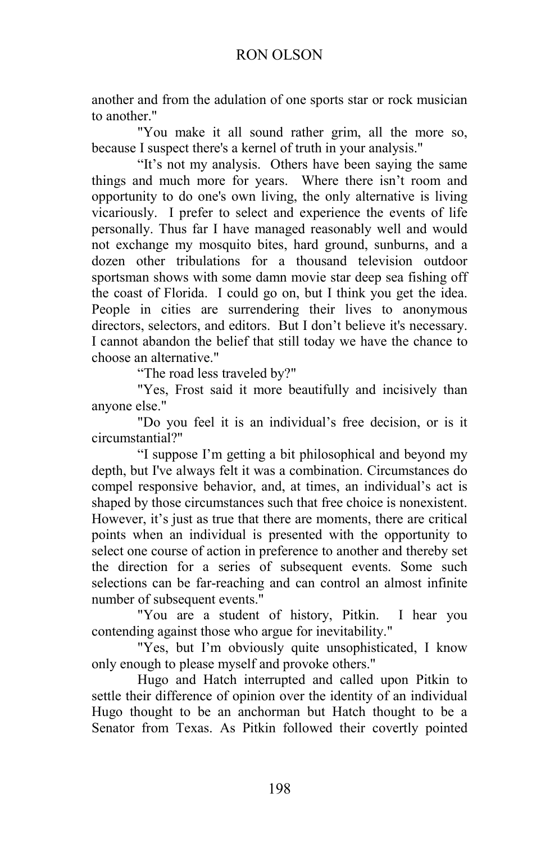another and from the adulation of one sports star or rock musician to another."

"You make it all sound rather grim, all the more so, because I suspect there's a kernel of truth in your analysis."

"It's not my analysis. Others have been saying the same things and much more for years. Where there isn't room and opportunity to do one's own living, the only alternative is living vicariously. I prefer to select and experience the events of life personally. Thus far I have managed reasonably well and would not exchange my mosquito bites, hard ground, sunburns, and a dozen other tribulations for a thousand television outdoor sportsman shows with some damn movie star deep sea fishing off the coast of Florida. I could go on, but I think you get the idea. People in cities are surrendering their lives to anonymous directors, selectors, and editors. But I don't believe it's necessary. I cannot abandon the belief that still today we have the chance to choose an alternative."

"The road less traveled by?"

"Yes, Frost said it more beautifully and incisively than anyone else."

"Do you feel it is an individual's free decision, or is it circumstantial?"

"I suppose I'm getting a bit philosophical and beyond my depth, but I've always felt it was a combination. Circumstances do compel responsive behavior, and, at times, an individual's act is shaped by those circumstances such that free choice is nonexistent. However, it's just as true that there are moments, there are critical points when an individual is presented with the opportunity to select one course of action in preference to another and thereby set the direction for a series of subsequent events. Some such selections can be far-reaching and can control an almost infinite number of subsequent events."

"You are a student of history, Pitkin. I hear you contending against those who argue for inevitability."

"Yes, but I'm obviously quite unsophisticated, I know only enough to please myself and provoke others."

Hugo and Hatch interrupted and called upon Pitkin to settle their difference of opinion over the identity of an individual Hugo thought to be an anchorman but Hatch thought to be a Senator from Texas. As Pitkin followed their covertly pointed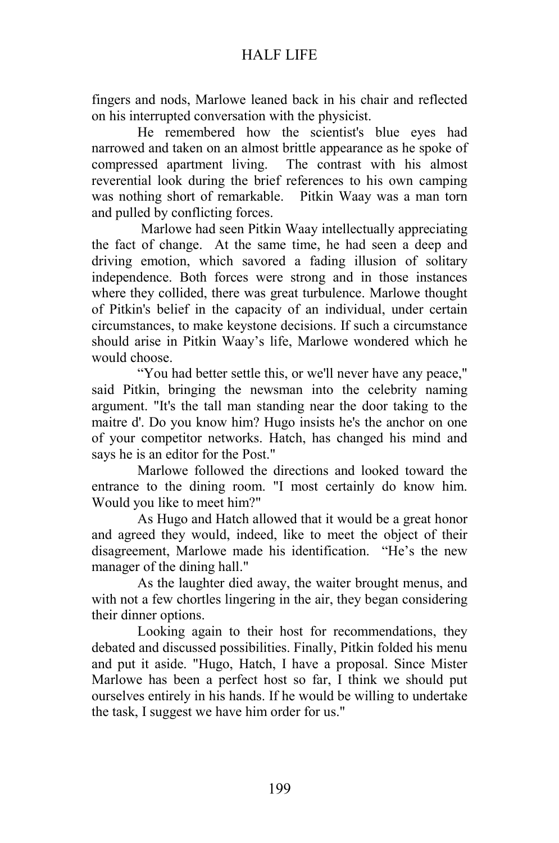fingers and nods, Marlowe leaned back in his chair and reflected on his interrupted conversation with the physicist.

He remembered how the scientist's blue eyes had narrowed and taken on an almost brittle appearance as he spoke of compressed apartment living. The contrast with his almost reverential look during the brief references to his own camping was nothing short of remarkable. Pitkin Waay was a man torn and pulled by conflicting forces.

 Marlowe had seen Pitkin Waay intellectually appreciating the fact of change. At the same time, he had seen a deep and driving emotion, which savored a fading illusion of solitary independence. Both forces were strong and in those instances where they collided, there was great turbulence. Marlowe thought of Pitkin's belief in the capacity of an individual, under certain circumstances, to make keystone decisions. If such a circumstance should arise in Pitkin Waay's life, Marlowe wondered which he would choose.

"You had better settle this, or we'll never have any peace," said Pitkin, bringing the newsman into the celebrity naming argument. "It's the tall man standing near the door taking to the maitre d'. Do you know him? Hugo insists he's the anchor on one of your competitor networks. Hatch, has changed his mind and says he is an editor for the Post."

Marlowe followed the directions and looked toward the entrance to the dining room. "I most certainly do know him. Would you like to meet him?"

As Hugo and Hatch allowed that it would be a great honor and agreed they would, indeed, like to meet the object of their disagreement, Marlowe made his identification. "He's the new manager of the dining hall."

As the laughter died away, the waiter brought menus, and with not a few chortles lingering in the air, they began considering their dinner options.

Looking again to their host for recommendations, they debated and discussed possibilities. Finally, Pitkin folded his menu and put it aside. "Hugo, Hatch, I have a proposal. Since Mister Marlowe has been a perfect host so far, I think we should put ourselves entirely in his hands. If he would be willing to undertake the task, I suggest we have him order for us."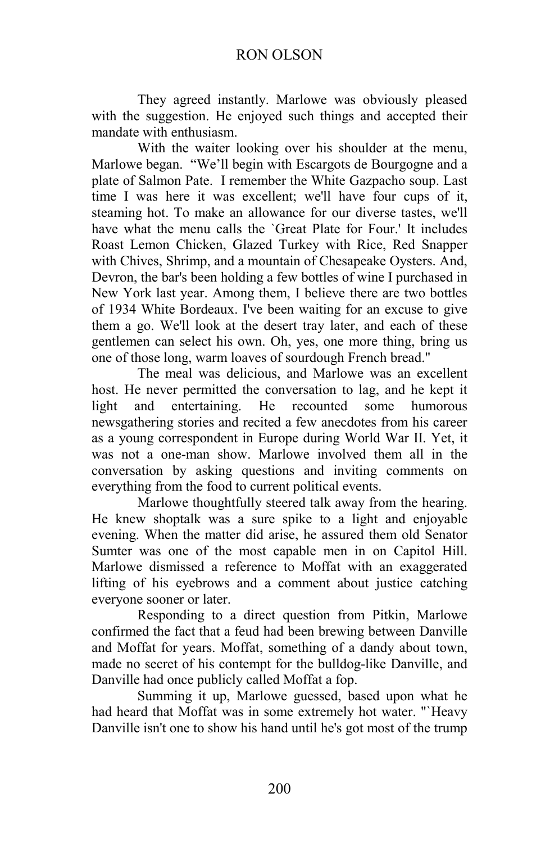They agreed instantly. Marlowe was obviously pleased with the suggestion. He enjoyed such things and accepted their mandate with enthusiasm.

With the waiter looking over his shoulder at the menu, Marlowe began. "We'll begin with Escargots de Bourgogne and a plate of Salmon Pate. I remember the White Gazpacho soup. Last time I was here it was excellent; we'll have four cups of it, steaming hot. To make an allowance for our diverse tastes, we'll have what the menu calls the 'Great Plate for Four' It includes Roast Lemon Chicken, Glazed Turkey with Rice, Red Snapper with Chives, Shrimp, and a mountain of Chesapeake Oysters. And, Devron, the bar's been holding a few bottles of wine I purchased in New York last year. Among them, I believe there are two bottles of 1934 White Bordeaux. I've been waiting for an excuse to give them a go. We'll look at the desert tray later, and each of these gentlemen can select his own. Oh, yes, one more thing, bring us one of those long, warm loaves of sourdough French bread."

The meal was delicious, and Marlowe was an excellent host. He never permitted the conversation to lag, and he kept it light and entertaining. He recounted some humorous newsgathering stories and recited a few anecdotes from his career as a young correspondent in Europe during World War II. Yet, it was not a one-man show. Marlowe involved them all in the conversation by asking questions and inviting comments on everything from the food to current political events.

Marlowe thoughtfully steered talk away from the hearing. He knew shoptalk was a sure spike to a light and enjoyable evening. When the matter did arise, he assured them old Senator Sumter was one of the most capable men in on Capitol Hill. Marlowe dismissed a reference to Moffat with an exaggerated lifting of his eyebrows and a comment about justice catching everyone sooner or later.

Responding to a direct question from Pitkin, Marlowe confirmed the fact that a feud had been brewing between Danville and Moffat for years. Moffat, something of a dandy about town, made no secret of his contempt for the bulldog-like Danville, and Danville had once publicly called Moffat a fop.

Summing it up, Marlowe guessed, based upon what he had heard that Moffat was in some extremely hot water. "`Heavy Danville isn't one to show his hand until he's got most of the trump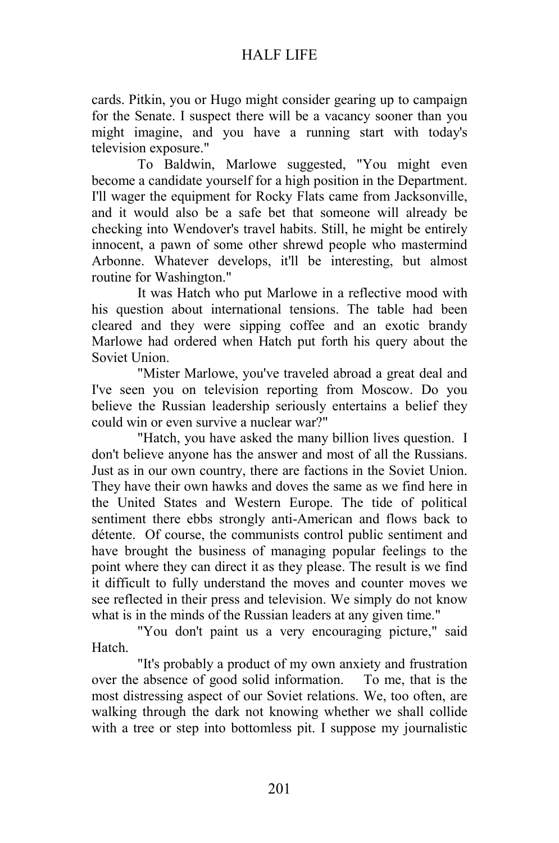cards. Pitkin, you or Hugo might consider gearing up to campaign for the Senate. I suspect there will be a vacancy sooner than you might imagine, and you have a running start with today's television exposure."

To Baldwin, Marlowe suggested, "You might even become a candidate yourself for a high position in the Department. I'll wager the equipment for Rocky Flats came from Jacksonville, and it would also be a safe bet that someone will already be checking into Wendover's travel habits. Still, he might be entirely innocent, a pawn of some other shrewd people who mastermind Arbonne. Whatever develops, it'll be interesting, but almost routine for Washington."

It was Hatch who put Marlowe in a reflective mood with his question about international tensions. The table had been cleared and they were sipping coffee and an exotic brandy Marlowe had ordered when Hatch put forth his query about the Soviet Union.

"Mister Marlowe, you've traveled abroad a great deal and I've seen you on television reporting from Moscow. Do you believe the Russian leadership seriously entertains a belief they could win or even survive a nuclear war?"

"Hatch, you have asked the many billion lives question. I don't believe anyone has the answer and most of all the Russians. Just as in our own country, there are factions in the Soviet Union. They have their own hawks and doves the same as we find here in the United States and Western Europe. The tide of political sentiment there ebbs strongly anti-American and flows back to détente. Of course, the communists control public sentiment and have brought the business of managing popular feelings to the point where they can direct it as they please. The result is we find it difficult to fully understand the moves and counter moves we see reflected in their press and television. We simply do not know what is in the minds of the Russian leaders at any given time."

"You don't paint us a very encouraging picture," said Hatch.

"It's probably a product of my own anxiety and frustration over the absence of good solid information. To me, that is the most distressing aspect of our Soviet relations. We, too often, are walking through the dark not knowing whether we shall collide with a tree or step into bottomless pit. I suppose my journalistic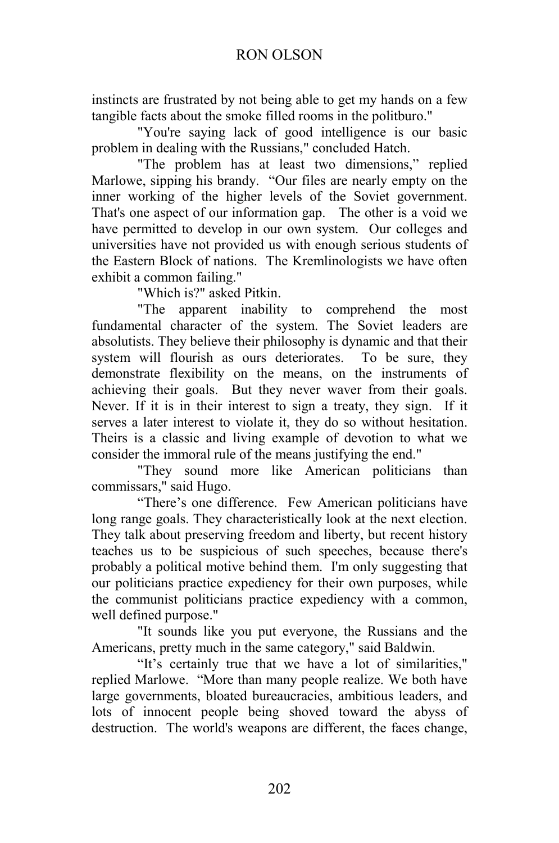instincts are frustrated by not being able to get my hands on a few tangible facts about the smoke filled rooms in the politburo."

"You're saying lack of good intelligence is our basic problem in dealing with the Russians," concluded Hatch.

"The problem has at least two dimensions," replied Marlowe, sipping his brandy. "Our files are nearly empty on the inner working of the higher levels of the Soviet government. That's one aspect of our information gap. The other is a void we have permitted to develop in our own system. Our colleges and universities have not provided us with enough serious students of the Eastern Block of nations. The Kremlinologists we have often exhibit a common failing."

"Which is?" asked Pitkin.

"The apparent inability to comprehend the most fundamental character of the system. The Soviet leaders are absolutists. They believe their philosophy is dynamic and that their system will flourish as ours deteriorates. To be sure, they demonstrate flexibility on the means, on the instruments of achieving their goals. But they never waver from their goals. Never. If it is in their interest to sign a treaty, they sign. If it serves a later interest to violate it, they do so without hesitation. Theirs is a classic and living example of devotion to what we consider the immoral rule of the means justifying the end."

"They sound more like American politicians than commissars," said Hugo.

"There's one difference. Few American politicians have long range goals. They characteristically look at the next election. They talk about preserving freedom and liberty, but recent history teaches us to be suspicious of such speeches, because there's probably a political motive behind them. I'm only suggesting that our politicians practice expediency for their own purposes, while the communist politicians practice expediency with a common, well defined purpose."

"It sounds like you put everyone, the Russians and the Americans, pretty much in the same category," said Baldwin.

"It's certainly true that we have a lot of similarities," replied Marlowe. "More than many people realize. We both have large governments, bloated bureaucracies, ambitious leaders, and lots of innocent people being shoved toward the abyss of destruction. The world's weapons are different, the faces change,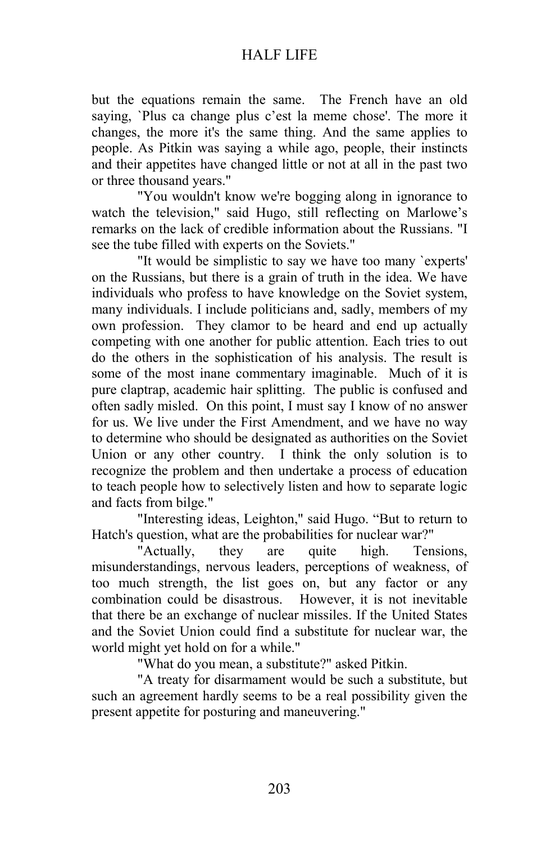but the equations remain the same. The French have an old saying, `Plus ca change plus c'est la meme chose'. The more it changes, the more it's the same thing. And the same applies to people. As Pitkin was saying a while ago, people, their instincts and their appetites have changed little or not at all in the past two or three thousand years."

"You wouldn't know we're bogging along in ignorance to watch the television," said Hugo, still reflecting on Marlowe's remarks on the lack of credible information about the Russians. "I see the tube filled with experts on the Soviets."

"It would be simplistic to say we have too many `experts' on the Russians, but there is a grain of truth in the idea. We have individuals who profess to have knowledge on the Soviet system, many individuals. I include politicians and, sadly, members of my own profession. They clamor to be heard and end up actually competing with one another for public attention. Each tries to out do the others in the sophistication of his analysis. The result is some of the most inane commentary imaginable. Much of it is pure claptrap, academic hair splitting. The public is confused and often sadly misled. On this point, I must say I know of no answer for us. We live under the First Amendment, and we have no way to determine who should be designated as authorities on the Soviet Union or any other country. I think the only solution is to recognize the problem and then undertake a process of education to teach people how to selectively listen and how to separate logic and facts from bilge."

"Interesting ideas, Leighton," said Hugo. "But to return to Hatch's question, what are the probabilities for nuclear war?"

"Actually, they are quite high. Tensions, misunderstandings, nervous leaders, perceptions of weakness, of too much strength, the list goes on, but any factor or any combination could be disastrous. However, it is not inevitable that there be an exchange of nuclear missiles. If the United States and the Soviet Union could find a substitute for nuclear war, the world might yet hold on for a while."

"What do you mean, a substitute?" asked Pitkin.

"A treaty for disarmament would be such a substitute, but such an agreement hardly seems to be a real possibility given the present appetite for posturing and maneuvering."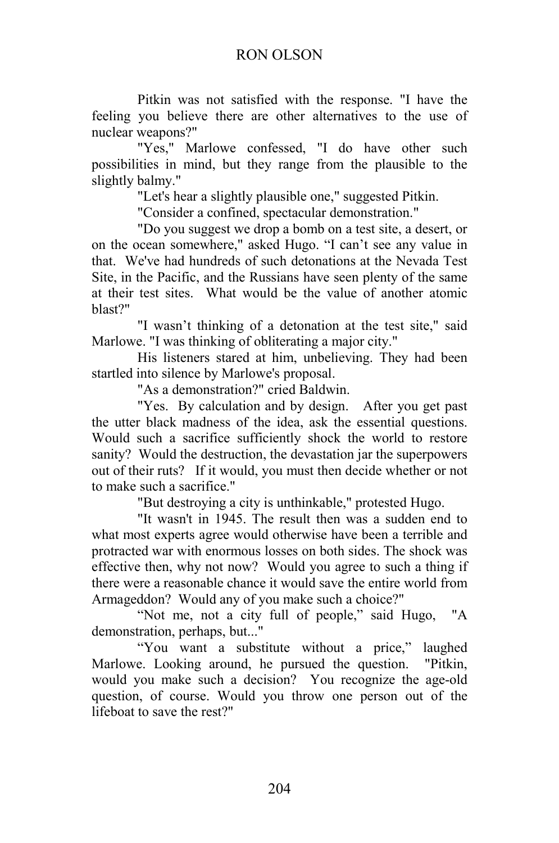Pitkin was not satisfied with the response. "I have the feeling you believe there are other alternatives to the use of nuclear weapons?"

"Yes," Marlowe confessed, "I do have other such possibilities in mind, but they range from the plausible to the slightly balmy."

"Let's hear a slightly plausible one," suggested Pitkin.

"Consider a confined, spectacular demonstration."

"Do you suggest we drop a bomb on a test site, a desert, or on the ocean somewhere," asked Hugo. "I can't see any value in that. We've had hundreds of such detonations at the Nevada Test Site, in the Pacific, and the Russians have seen plenty of the same at their test sites. What would be the value of another atomic blast?"

"I wasn't thinking of a detonation at the test site," said Marlowe. "I was thinking of obliterating a major city."

His listeners stared at him, unbelieving. They had been startled into silence by Marlowe's proposal.

"As a demonstration?" cried Baldwin.

"Yes. By calculation and by design. After you get past the utter black madness of the idea, ask the essential questions. Would such a sacrifice sufficiently shock the world to restore sanity? Would the destruction, the devastation jar the superpowers out of their ruts? If it would, you must then decide whether or not to make such a sacrifice."

"But destroying a city is unthinkable," protested Hugo.

"It wasn't in 1945. The result then was a sudden end to what most experts agree would otherwise have been a terrible and protracted war with enormous losses on both sides. The shock was effective then, why not now? Would you agree to such a thing if there were a reasonable chance it would save the entire world from Armageddon? Would any of you make such a choice?"

"Not me, not a city full of people," said Hugo, "A demonstration, perhaps, but..."

"You want a substitute without a price," laughed Marlowe. Looking around, he pursued the question. "Pitkin, would you make such a decision? You recognize the age-old question, of course. Would you throw one person out of the lifeboat to save the rest?"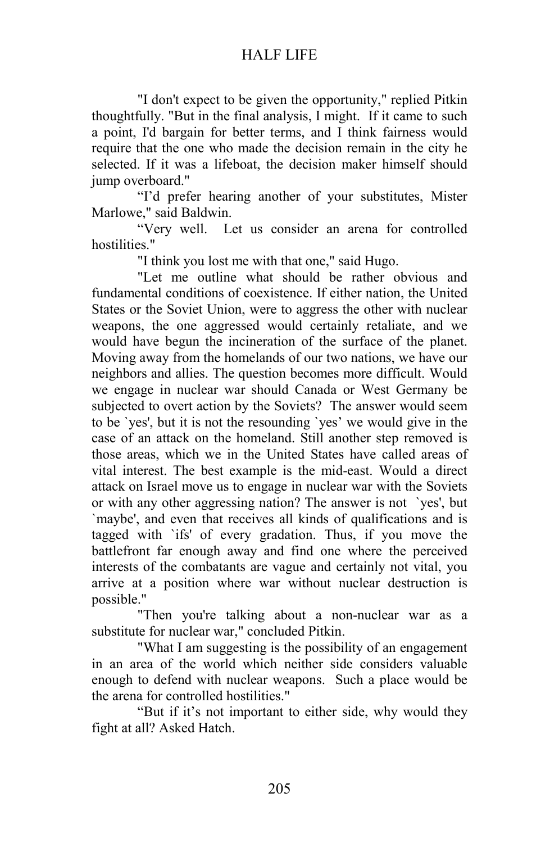"I don't expect to be given the opportunity," replied Pitkin thoughtfully. "But in the final analysis, I might. If it came to such a point, I'd bargain for better terms, and I think fairness would require that the one who made the decision remain in the city he selected. If it was a lifeboat, the decision maker himself should jump overboard."

"I'd prefer hearing another of your substitutes, Mister Marlowe," said Baldwin.

"Very well. Let us consider an arena for controlled hostilities."

"I think you lost me with that one," said Hugo.

"Let me outline what should be rather obvious and fundamental conditions of coexistence. If either nation, the United States or the Soviet Union, were to aggress the other with nuclear weapons, the one aggressed would certainly retaliate, and we would have begun the incineration of the surface of the planet. Moving away from the homelands of our two nations, we have our neighbors and allies. The question becomes more difficult. Would we engage in nuclear war should Canada or West Germany be subjected to overt action by the Soviets? The answer would seem to be `yes', but it is not the resounding `yes' we would give in the case of an attack on the homeland. Still another step removed is those areas, which we in the United States have called areas of vital interest. The best example is the mid-east. Would a direct attack on Israel move us to engage in nuclear war with the Soviets or with any other aggressing nation? The answer is not `yes', but `maybe', and even that receives all kinds of qualifications and is tagged with `ifs' of every gradation. Thus, if you move the battlefront far enough away and find one where the perceived interests of the combatants are vague and certainly not vital, you arrive at a position where war without nuclear destruction is possible."

"Then you're talking about a non-nuclear war as a substitute for nuclear war," concluded Pitkin.

"What I am suggesting is the possibility of an engagement in an area of the world which neither side considers valuable enough to defend with nuclear weapons. Such a place would be the arena for controlled hostilities."

"But if it's not important to either side, why would they fight at all? Asked Hatch.